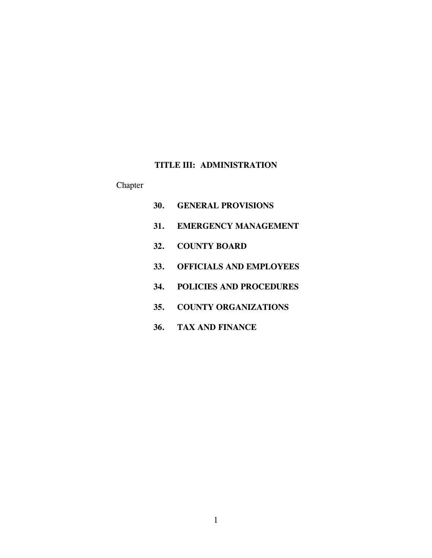# **TITLE III: ADMINISTRATION**

Chapter

- **30. GENERAL PROVISIONS**
- **31. EMERGENCY MANAGEMENT**
- **32. COUNTY BOARD**
- **33. OFFICIALS AND EMPLOYEES**
- **34. POLICIES AND PROCEDURES**
- **35. COUNTY ORGANIZATIONS**
- **36. TAX AND FINANCE**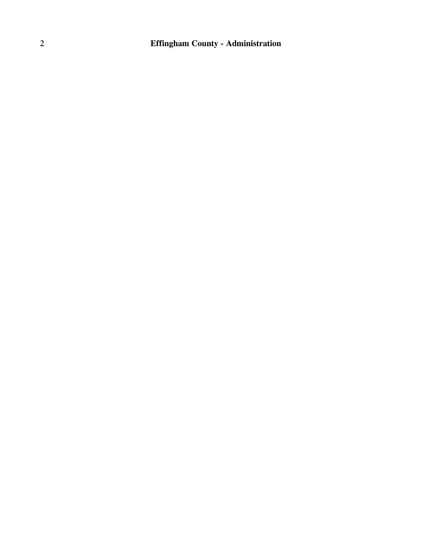**Effingham County - Administration**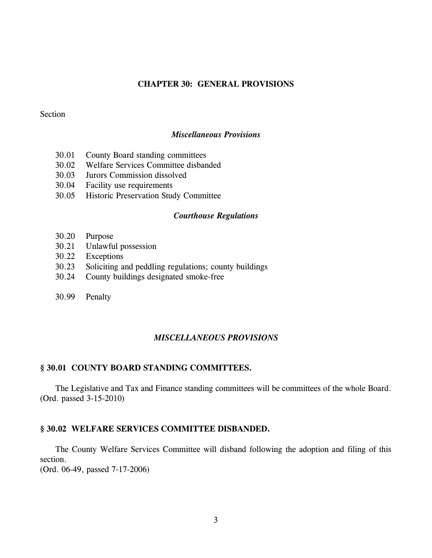# **CHAPTER 30: GENERAL PROVISIONS**

## **Section**

#### *Miscellaneous Provisions*

- 30.01 County Board standing committees
- 30.02 Welfare Services Committee disbanded
- 30.03 Jurors Commission dissolved
- 30.04 Facility use requirements
- 30.05 Historic Preservation Study Committee

#### *Courthouse Regulations*

- 30.20 Purpose
- 30.21 Unlawful possession
- 30.22 Exceptions
- 30.23 Soliciting and peddling regulations; county buildings
- 30.24 County buildings designated smoke-free
- 30.99 Penalty

## *MISCELLANEOUS PROVISIONS*

## **§ 30.01 COUNTY BOARD STANDING COMMITTEES.**

The Legislative and Tax and Finance standing committees will be committees of the whole Board. (Ord. passed 3-15-2010)

## **§ 30.02 WELFARE SERVICES COMMITTEE DISBANDED.**

The County Welfare Services Committee will disband following the adoption and filing of this section.

(Ord. 06-49, passed 7-17-2006)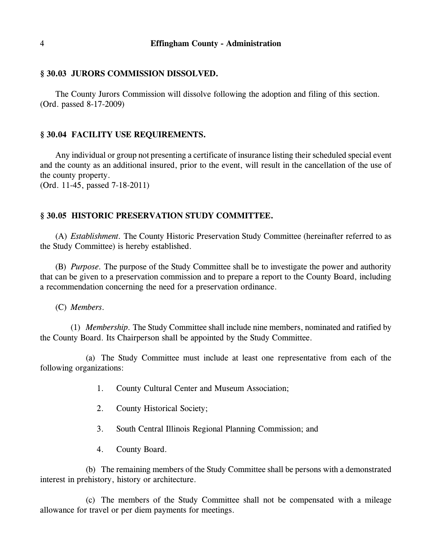### **§ 30.03 JURORS COMMISSION DISSOLVED.**

The County Jurors Commission will dissolve following the adoption and filing of this section. (Ord. passed 8-17-2009)

### **§ 30.04 FACILITY USE REQUIREMENTS.**

Any individual or group not presenting a certificate of insurance listing their scheduled special event and the county as an additional insured, prior to the event, will result in the cancellation of the use of the county property.

(Ord. 11-45, passed 7-18-2011)

#### **§ 30.05 HISTORIC PRESERVATION STUDY COMMITTEE.**

(A) *Establishment.* The County Historic Preservation Study Committee (hereinafter referred to as the Study Committee) is hereby established.

(B) *Purpose.* The purpose of the Study Committee shall be to investigate the power and authority that can be given to a preservation commission and to prepare a report to the County Board, including a recommendation concerning the need for a preservation ordinance.

(C) *Members.*

(1) *Membership.* The Study Committee shall include nine members, nominated and ratified by the County Board. Its Chairperson shall be appointed by the Study Committee.

(a) The Study Committee must include at least one representative from each of the following organizations:

- 1. County Cultural Center and Museum Association;
- 2. County Historical Society;
- 3. South Central Illinois Regional Planning Commission; and
- 4. County Board.

(b) The remaining members of the Study Committee shall be persons with a demonstrated interest in prehistory, history or architecture.

(c) The members of the Study Committee shall not be compensated with a mileage allowance for travel or per diem payments for meetings.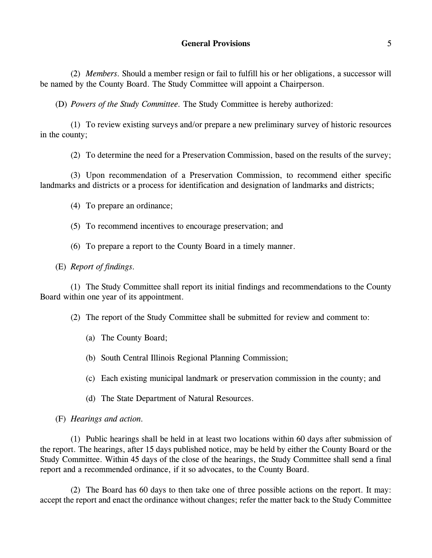(2) *Members.* Should a member resign or fail to fulfill his or her obligations, a successor will be named by the County Board. The Study Committee will appoint a Chairperson.

(D) *Powers of the Study Committee.* The Study Committee is hereby authorized:

(1) To review existing surveys and/or prepare a new preliminary survey of historic resources in the county;

(2) To determine the need for a Preservation Commission, based on the results of the survey;

(3) Upon recommendation of a Preservation Commission, to recommend either specific landmarks and districts or a process for identification and designation of landmarks and districts;

(4) To prepare an ordinance;

(5) To recommend incentives to encourage preservation; and

(6) To prepare a report to the County Board in a timely manner.

(E) *Report of findings.*

(1) The Study Committee shall report its initial findings and recommendations to the County Board within one year of its appointment.

(2) The report of the Study Committee shall be submitted for review and comment to:

- (a) The County Board;
- (b) South Central Illinois Regional Planning Commission;
- (c) Each existing municipal landmark or preservation commission in the county; and
- (d) The State Department of Natural Resources.
- (F) *Hearings and action.*

(1) Public hearings shall be held in at least two locations within 60 days after submission of the report. The hearings, after 15 days published notice, may be held by either the County Board or the Study Committee. Within 45 days of the close of the hearings, the Study Committee shall send a final report and a recommended ordinance, if it so advocates, to the County Board.

(2) The Board has 60 days to then take one of three possible actions on the report. It may: accept the report and enact the ordinance without changes; refer the matter back to the Study Committee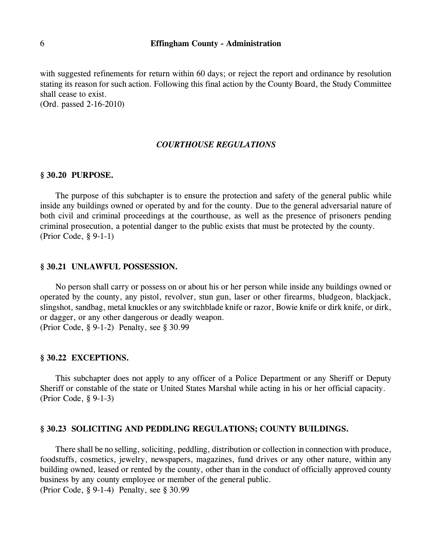with suggested refinements for return within 60 days; or reject the report and ordinance by resolution stating its reason for such action. Following this final action by the County Board, the Study Committee shall cease to exist.

(Ord. passed 2-16-2010)

## *COURTHOUSE REGULATIONS*

#### **§ 30.20 PURPOSE.**

The purpose of this subchapter is to ensure the protection and safety of the general public while inside any buildings owned or operated by and for the county. Due to the general adversarial nature of both civil and criminal proceedings at the courthouse, as well as the presence of prisoners pending criminal prosecution, a potential danger to the public exists that must be protected by the county. (Prior Code, § 9-1-1)

### **§ 30.21 UNLAWFUL POSSESSION.**

No person shall carry or possess on or about his or her person while inside any buildings owned or operated by the county, any pistol, revolver, stun gun, laser or other firearms, bludgeon, blackjack, slingshot, sandbag, metal knuckles or any switchblade knife or razor, Bowie knife or dirk knife, or dirk, or dagger, or any other dangerous or deadly weapon. (Prior Code, § 9-1-2) Penalty, see § 30.99

### **§ 30.22 EXCEPTIONS.**

This subchapter does not apply to any officer of a Police Department or any Sheriff or Deputy Sheriff or constable of the state or United States Marshal while acting in his or her official capacity. (Prior Code, § 9-1-3)

#### **§ 30.23 SOLICITING AND PEDDLING REGULATIONS; COUNTY BUILDINGS.**

There shall be no selling, soliciting, peddling, distribution or collection in connection with produce, foodstuffs, cosmetics, jewelry, newspapers, magazines, fund drives or any other nature, within any building owned, leased or rented by the county, other than in the conduct of officially approved county business by any county employee or member of the general public. (Prior Code, § 9-1-4) Penalty, see § 30.99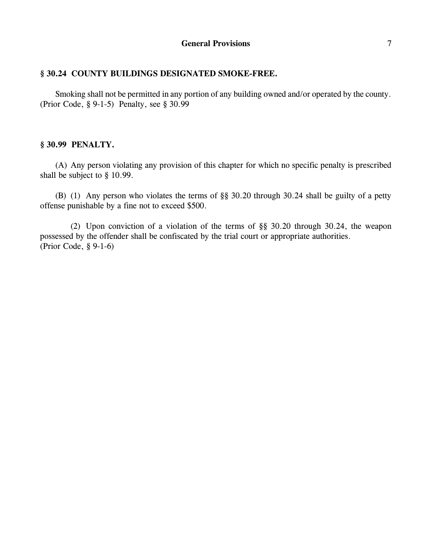## **§ 30.24 COUNTY BUILDINGS DESIGNATED SMOKE-FREE.**

Smoking shall not be permitted in any portion of any building owned and/or operated by the county. (Prior Code, § 9-1-5) Penalty, see § 30.99

# **§ 30.99 PENALTY.**

(A) Any person violating any provision of this chapter for which no specific penalty is prescribed shall be subject to § 10.99.

(B) (1) Any person who violates the terms of §§ 30.20 through 30.24 shall be guilty of a petty offense punishable by a fine not to exceed \$500.

(2) Upon conviction of a violation of the terms of §§ 30.20 through 30.24, the weapon possessed by the offender shall be confiscated by the trial court or appropriate authorities. (Prior Code, § 9-1-6)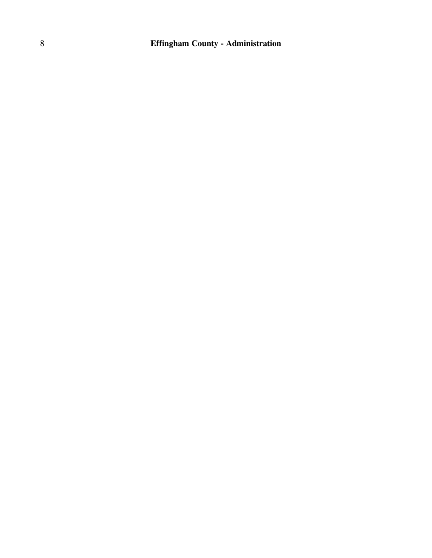**Effingham County - Administration**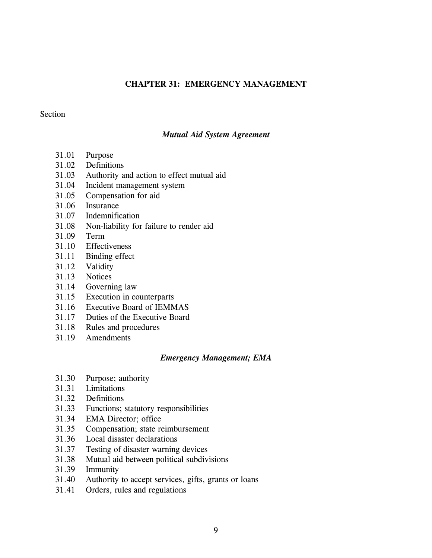# **CHAPTER 31: EMERGENCY MANAGEMENT**

### **Section**

## *Mutual Aid System Agreement*

- 31.01 Purpose
- 31.02 Definitions
- 31.03 Authority and action to effect mutual aid
- 31.04 Incident management system
- 31.05 Compensation for aid
- 31.06 Insurance
- 31.07 Indemnification
- 31.08 Non-liability for failure to render aid
- 31.09 Term
- 31.10 Effectiveness
- 31.11 Binding effect
- 31.12 Validity
- 31.13 Notices
- 31.14 Governing law
- 31.15 Execution in counterparts
- 31.16 Executive Board of IEMMAS
- 31.17 Duties of the Executive Board
- 31.18 Rules and procedures
- 31.19 Amendments

### *Emergency Management; EMA*

- 31.30 Purpose; authority
- 31.31 Limitations
- 31.32 Definitions
- 31.33 Functions; statutory responsibilities
- 31.34 EMA Director; office
- 31.35 Compensation; state reimbursement
- 31.36 Local disaster declarations
- 31.37 Testing of disaster warning devices
- 31.38 Mutual aid between political subdivisions
- 31.39 Immunity
- 31.40 Authority to accept services, gifts, grants or loans
- 31.41 Orders, rules and regulations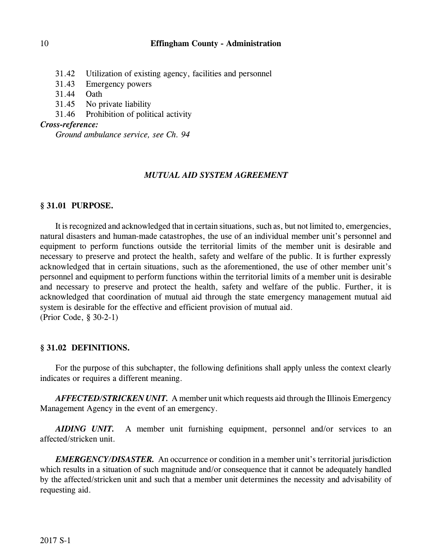## 10 **Effingham County - Administration**

- 31.42 Utilization of existing agency, facilities and personnel
- 31.43 Emergency powers
- 31.44 Oath
- 31.45 No private liability
- 31.46 Prohibition of political activity

### *Cross-reference:*

*Ground ambulance service, see Ch. 94*

### *MUTUAL AID SYSTEM AGREEMENT*

## **§ 31.01 PURPOSE.**

It is recognized and acknowledged that in certain situations, such as, but not limited to, emergencies, natural disasters and human-made catastrophes, the use of an individual member unit's personnel and equipment to perform functions outside the territorial limits of the member unit is desirable and necessary to preserve and protect the health, safety and welfare of the public. It is further expressly acknowledged that in certain situations, such as the aforementioned, the use of other member unit's personnel and equipment to perform functions within the territorial limits of a member unit is desirable and necessary to preserve and protect the health, safety and welfare of the public. Further, it is acknowledged that coordination of mutual aid through the state emergency management mutual aid system is desirable for the effective and efficient provision of mutual aid. (Prior Code, § 30-2-1)

### **§ 31.02 DEFINITIONS.**

For the purpose of this subchapter, the following definitions shall apply unless the context clearly indicates or requires a different meaning.

*AFFECTED/STRICKEN UNIT.* A member unit which requests aid through the Illinois Emergency Management Agency in the event of an emergency.

*AIDING UNIT.* A member unit furnishing equipment, personnel and/or services to an affected/stricken unit.

*EMERGENCY/DISASTER.* An occurrence or condition in a member unit's territorial jurisdiction which results in a situation of such magnitude and/or consequence that it cannot be adequately handled by the affected/stricken unit and such that a member unit determines the necessity and advisability of requesting aid.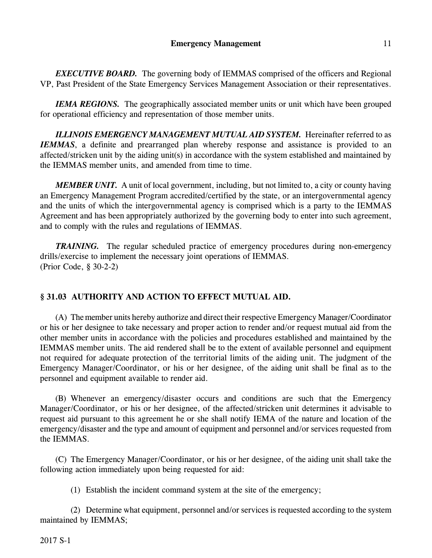*EXECUTIVE BOARD.* The governing body of IEMMAS comprised of the officers and Regional VP, Past President of the State Emergency Services Management Association or their representatives.

**IEMA REGIONS.** The geographically associated member units or unit which have been grouped for operational efficiency and representation of those member units.

*ILLINOIS EMERGENCY MANAGEMENT MUTUAL AID SYSTEM.* Hereinafter referred to as *IEMMAS*, a definite and prearranged plan whereby response and assistance is provided to an affected/stricken unit by the aiding unit(s) in accordance with the system established and maintained by the IEMMAS member units, and amended from time to time.

*MEMBER UNIT.* A unit of local government, including, but not limited to, a city or county having an Emergency Management Program accredited/certified by the state, or an intergovernmental agency and the units of which the intergovernmental agency is comprised which is a party to the IEMMAS Agreement and has been appropriately authorized by the governing body to enter into such agreement, and to comply with the rules and regulations of IEMMAS.

*TRAINING*. The regular scheduled practice of emergency procedures during non-emergency drills/exercise to implement the necessary joint operations of IEMMAS. (Prior Code, § 30-2-2)

# **§ 31.03 AUTHORITY AND ACTION TO EFFECT MUTUAL AID.**

(A) Themember units hereby authorize and direct their respective Emergency Manager/Coordinator or his or her designee to take necessary and proper action to render and/or request mutual aid from the other member units in accordance with the policies and procedures established and maintained by the IEMMAS member units. The aid rendered shall be to the extent of available personnel and equipment not required for adequate protection of the territorial limits of the aiding unit. The judgment of the Emergency Manager/Coordinator, or his or her designee, of the aiding unit shall be final as to the personnel and equipment available to render aid.

(B) Whenever an emergency/disaster occurs and conditions are such that the Emergency Manager/Coordinator, or his or her designee, of the affected/stricken unit determines it advisable to request aid pursuant to this agreement he or she shall notify IEMA of the nature and location of the emergency/disaster and the type and amount of equipment and personnel and/or services requested from the IEMMAS.

(C) The Emergency Manager/Coordinator, or his or her designee, of the aiding unit shall take the following action immediately upon being requested for aid:

(1) Establish the incident command system at the site of the emergency;

(2) Determine what equipment, personnel and/or services is requested according to the system maintained by IEMMAS;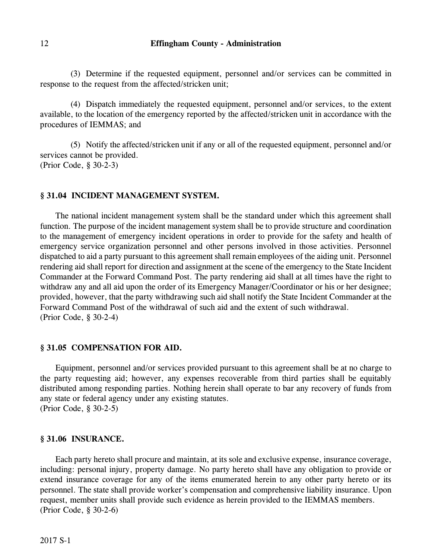(3) Determine if the requested equipment, personnel and/or services can be committed in response to the request from the affected/stricken unit;

(4) Dispatch immediately the requested equipment, personnel and/or services, to the extent available, to the location of the emergency reported by the affected/stricken unit in accordance with the procedures of IEMMAS; and

(5) Notify the affected/stricken unit if any or all of the requested equipment, personnel and/or services cannot be provided. (Prior Code, § 30-2-3)

# **§ 31.04 INCIDENT MANAGEMENT SYSTEM.**

The national incident management system shall be the standard under which this agreement shall function. The purpose of the incident management system shall be to provide structure and coordination to the management of emergency incident operations in order to provide for the safety and health of emergency service organization personnel and other persons involved in those activities. Personnel dispatched to aid a party pursuant to this agreement shall remain employees of the aiding unit. Personnel rendering aid shall report for direction and assignment at the scene of the emergency to the State Incident Commander at the Forward Command Post. The party rendering aid shall at all times have the right to withdraw any and all aid upon the order of its Emergency Manager/Coordinator or his or her designee; provided, however, that the party withdrawing such aid shall notify the State Incident Commander at the Forward Command Post of the withdrawal of such aid and the extent of such withdrawal. (Prior Code, § 30-2-4)

# **§ 31.05 COMPENSATION FOR AID.**

Equipment, personnel and/or services provided pursuant to this agreement shall be at no charge to the party requesting aid; however, any expenses recoverable from third parties shall be equitably distributed among responding parties. Nothing herein shall operate to bar any recovery of funds from any state or federal agency under any existing statutes. (Prior Code, § 30-2-5)

# **§ 31.06 INSURANCE.**

Each party hereto shall procure and maintain, at its sole and exclusive expense, insurance coverage, including: personal injury, property damage. No party hereto shall have any obligation to provide or extend insurance coverage for any of the items enumerated herein to any other party hereto or its personnel. The state shall provide worker's compensation and comprehensive liability insurance. Upon request, member units shall provide such evidence as herein provided to the IEMMAS members. (Prior Code, § 30-2-6)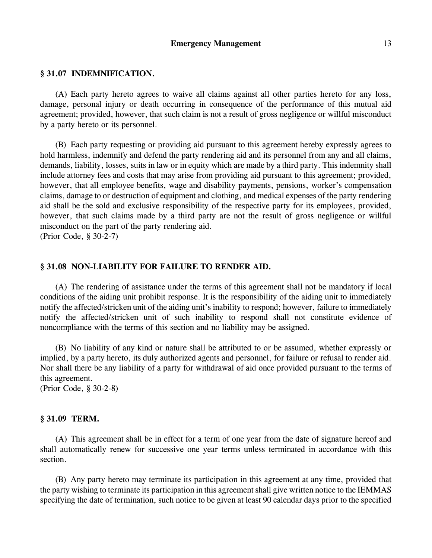## **§ 31.07 INDEMNIFICATION.**

(A) Each party hereto agrees to waive all claims against all other parties hereto for any loss, damage, personal injury or death occurring in consequence of the performance of this mutual aid agreement; provided, however, that such claim is not a result of gross negligence or willful misconduct by a party hereto or its personnel.

(B) Each party requesting or providing aid pursuant to this agreement hereby expressly agrees to hold harmless, indemnify and defend the party rendering aid and its personnel from any and all claims, demands, liability, losses, suits in law or in equity which are made by a third party. This indemnity shall include attorney fees and costs that may arise from providing aid pursuant to this agreement; provided, however, that all employee benefits, wage and disability payments, pensions, worker's compensation claims, damage to or destruction of equipment and clothing, and medical expenses of the party rendering aid shall be the sold and exclusive responsibility of the respective party for its employees, provided, however, that such claims made by a third party are not the result of gross negligence or willful misconduct on the part of the party rendering aid.

(Prior Code, § 30-2-7)

## **§ 31.08 NON-LIABILITY FOR FAILURE TO RENDER AID.**

(A) The rendering of assistance under the terms of this agreement shall not be mandatory if local conditions of the aiding unit prohibit response. It is the responsibility of the aiding unit to immediately notify the affected/stricken unit of the aiding unit's inability to respond; however, failure to immediately notify the affected/stricken unit of such inability to respond shall not constitute evidence of noncompliance with the terms of this section and no liability may be assigned.

(B) No liability of any kind or nature shall be attributed to or be assumed, whether expressly or implied, by a party hereto, its duly authorized agents and personnel, for failure or refusal to render aid. Nor shall there be any liability of a party for withdrawal of aid once provided pursuant to the terms of this agreement.

(Prior Code, § 30-2-8)

# **§ 31.09 TERM.**

(A) This agreement shall be in effect for a term of one year from the date of signature hereof and shall automatically renew for successive one year terms unless terminated in accordance with this section.

(B) Any party hereto may terminate its participation in this agreement at any time, provided that the party wishing to terminate its participation in this agreement shall give written notice to the IEMMAS specifying the date of termination, such notice to be given at least 90 calendar days prior to the specified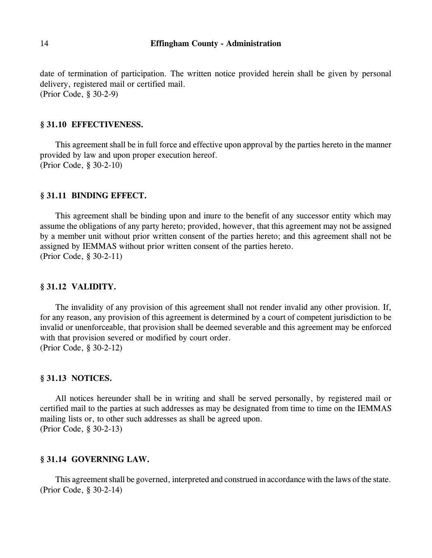date of termination of participation. The written notice provided herein shall be given by personal delivery, registered mail or certified mail. (Prior Code, § 30-2-9)

### **§ 31.10 EFFECTIVENESS.**

This agreement shall be in full force and effective upon approval by the parties hereto in the manner provided by law and upon proper execution hereof. (Prior Code, § 30-2-10)

### **§ 31.11 BINDING EFFECT.**

This agreement shall be binding upon and inure to the benefit of any successor entity which may assume the obligations of any party hereto; provided, however, that this agreement may not be assigned by a member unit without prior written consent of the parties hereto; and this agreement shall not be assigned by IEMMAS without prior written consent of the parties hereto. (Prior Code, § 30-2-11)

### **§ 31.12 VALIDITY.**

The invalidity of any provision of this agreement shall not render invalid any other provision. If, for any reason, any provision of this agreement is determined by a court of competent jurisdiction to be invalid or unenforceable, that provision shall be deemed severable and this agreement may be enforced with that provision severed or modified by court order. (Prior Code, § 30-2-12)

### **§ 31.13 NOTICES.**

All notices hereunder shall be in writing and shall be served personally, by registered mail or certified mail to the parties at such addresses as may be designated from time to time on the IEMMAS mailing lists or, to other such addresses as shall be agreed upon. (Prior Code, § 30-2-13)

#### **§ 31.14 GOVERNING LAW.**

This agreement shall be governed, interpreted and construed in accordance with the laws of the state. (Prior Code, § 30-2-14)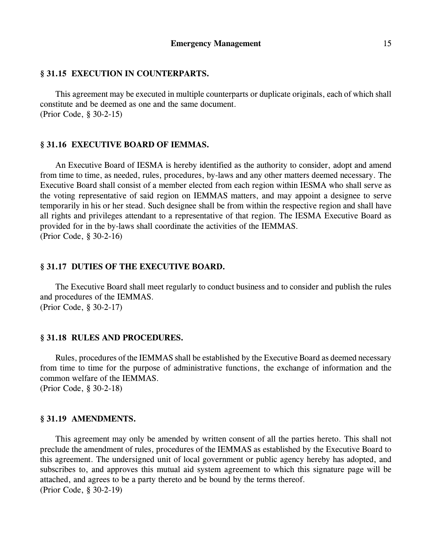## **§ 31.15 EXECUTION IN COUNTERPARTS.**

This agreement may be executed in multiple counterparts or duplicate originals, each of which shall constitute and be deemed as one and the same document. (Prior Code, § 30-2-15)

### **§ 31.16 EXECUTIVE BOARD OF IEMMAS.**

An Executive Board of IESMA is hereby identified as the authority to consider, adopt and amend from time to time, as needed, rules, procedures, by-laws and any other matters deemed necessary. The Executive Board shall consist of a member elected from each region within IESMA who shall serve as the voting representative of said region on IEMMAS matters, and may appoint a designee to serve temporarily in his or her stead. Such designee shall be from within the respective region and shall have all rights and privileges attendant to a representative of that region. The IESMA Executive Board as provided for in the by-laws shall coordinate the activities of the IEMMAS. (Prior Code, § 30-2-16)

### **§ 31.17 DUTIES OF THE EXECUTIVE BOARD.**

The Executive Board shall meet regularly to conduct business and to consider and publish the rules and procedures of the IEMMAS. (Prior Code, § 30-2-17)

### **§ 31.18 RULES AND PROCEDURES.**

Rules, procedures of the IEMMAS shall be established by the Executive Board as deemed necessary from time to time for the purpose of administrative functions, the exchange of information and the common welfare of the IEMMAS.

(Prior Code, § 30-2-18)

### **§ 31.19 AMENDMENTS.**

This agreement may only be amended by written consent of all the parties hereto. This shall not preclude the amendment of rules, procedures of the IEMMAS as established by the Executive Board to this agreement. The undersigned unit of local government or public agency hereby has adopted, and subscribes to, and approves this mutual aid system agreement to which this signature page will be attached, and agrees to be a party thereto and be bound by the terms thereof. (Prior Code, § 30-2-19)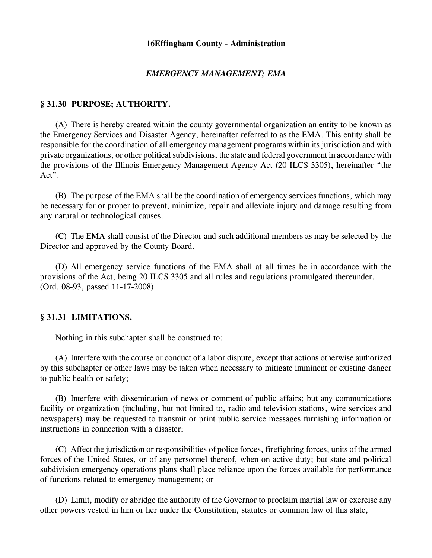# *EMERGENCY MANAGEMENT; EMA*

## **§ 31.30 PURPOSE; AUTHORITY.**

(A) There is hereby created within the county governmental organization an entity to be known as the Emergency Services and Disaster Agency, hereinafter referred to as the EMA. This entity shall be responsible for the coordination of all emergency management programs within its jurisdiction and with private organizations, or other political subdivisions, the state and federal government in accordance with the provisions of the Illinois Emergency Management Agency Act (20 ILCS 3305), hereinafter "the Act".

(B) The purpose of the EMA shall be the coordination of emergency services functions, which may be necessary for or proper to prevent, minimize, repair and alleviate injury and damage resulting from any natural or technological causes.

(C) The EMA shall consist of the Director and such additional members as may be selected by the Director and approved by the County Board.

(D) All emergency service functions of the EMA shall at all times be in accordance with the provisions of the Act, being 20 ILCS 3305 and all rules and regulations promulgated thereunder. (Ord. 08-93, passed 11-17-2008)

# **§ 31.31 LIMITATIONS.**

Nothing in this subchapter shall be construed to:

(A) Interfere with the course or conduct of a labor dispute, except that actions otherwise authorized by this subchapter or other laws may be taken when necessary to mitigate imminent or existing danger to public health or safety;

(B) Interfere with dissemination of news or comment of public affairs; but any communications facility or organization (including, but not limited to, radio and television stations, wire services and newspapers) may be requested to transmit or print public service messages furnishing information or instructions in connection with a disaster;

(C) Affect the jurisdiction or responsibilities of police forces, firefighting forces, units of the armed forces of the United States, or of any personnel thereof, when on active duty; but state and political subdivision emergency operations plans shall place reliance upon the forces available for performance of functions related to emergency management; or

(D) Limit, modify or abridge the authority of the Governor to proclaim martial law or exercise any other powers vested in him or her under the Constitution, statutes or common law of this state,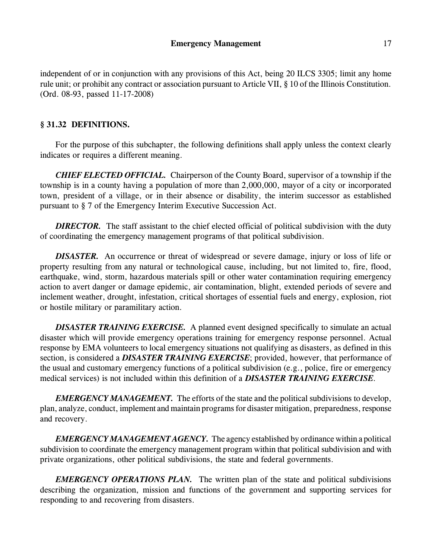independent of or in conjunction with any provisions of this Act, being 20 ILCS 3305; limit any home rule unit; or prohibit any contract or association pursuant to Article VII, § 10 of the Illinois Constitution. (Ord. 08-93, passed 11-17-2008)

# **§ 31.32 DEFINITIONS.**

For the purpose of this subchapter, the following definitions shall apply unless the context clearly indicates or requires a different meaning.

*CHIEF ELECTED OFFICIAL.* Chairperson of the County Board, supervisor of a township if the township is in a county having a population of more than 2,000,000, mayor of a city or incorporated town, president of a village, or in their absence or disability, the interim successor as established pursuant to § 7 of the Emergency Interim Executive Succession Act.

*DIRECTOR.* The staff assistant to the chief elected official of political subdivision with the duty of coordinating the emergency management programs of that political subdivision.

*DISASTER.* An occurrence or threat of widespread or severe damage, injury or loss of life or property resulting from any natural or technological cause, including, but not limited to, fire, flood, earthquake, wind, storm, hazardous materials spill or other water contamination requiring emergency action to avert danger or damage epidemic, air contamination, blight, extended periods of severe and inclement weather, drought, infestation, critical shortages of essential fuels and energy, explosion, riot or hostile military or paramilitary action.

*DISASTER TRAINING EXERCISE.* A planned event designed specifically to simulate an actual disaster which will provide emergency operations training for emergency response personnel. Actual response by EMA volunteers to local emergency situations not qualifying as disasters, as defined in this section, is considered a *DISASTER TRAINING EXERCISE*; provided, however, that performance of the usual and customary emergency functions of a political subdivision (e.g., police, fire or emergency medical services) is not included within this definition of a *DISASTER TRAINING EXERCISE*.

*EMERGENCY MANAGEMENT.* The efforts of the state and the political subdivisions to develop, plan, analyze, conduct, implement and maintain programs for disaster mitigation, preparedness,response and recovery.

*EMERGENCY MANAGEMENT AGENCY.* The agency established by ordinance within a political subdivision to coordinate the emergency management program within that political subdivision and with private organizations, other political subdivisions, the state and federal governments.

*EMERGENCY OPERATIONS PLAN.* The written plan of the state and political subdivisions describing the organization, mission and functions of the government and supporting services for responding to and recovering from disasters.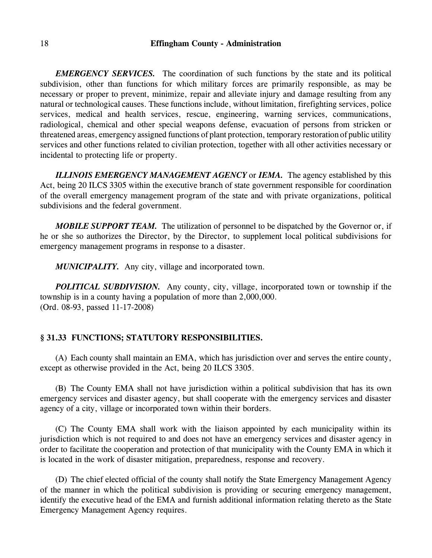**EMERGENCY SERVICES.** The coordination of such functions by the state and its political subdivision, other than functions for which military forces are primarily responsible, as may be necessary or proper to prevent, minimize, repair and alleviate injury and damage resulting from any natural or technological causes. These functions include, without limitation, firefighting services, police services, medical and health services, rescue, engineering, warning services, communications, radiological, chemical and other special weapons defense, evacuation of persons from stricken or threatened areas, emergency assigned functions of plant protection, temporary restoration of public utility services and other functions related to civilian protection, together with all other activities necessary or incidental to protecting life or property.

*ILLINOIS EMERGENCY MANAGEMENT AGENCY* or *IEMA.* The agency established by this Act, being 20 ILCS 3305 within the executive branch of state government responsible for coordination of the overall emergency management program of the state and with private organizations, political subdivisions and the federal government.

*MOBILE SUPPORT TEAM.* The utilization of personnel to be dispatched by the Governor or, if he or she so authorizes the Director, by the Director, to supplement local political subdivisions for emergency management programs in response to a disaster.

*MUNICIPALITY.* Any city, village and incorporated town.

**POLITICAL SUBDIVISION.** Any county, city, village, incorporated town or township if the township is in a county having a population of more than 2,000,000. (Ord. 08-93, passed 11-17-2008)

# **§ 31.33 FUNCTIONS; STATUTORY RESPONSIBILITIES.**

(A) Each county shall maintain an EMA, which has jurisdiction over and serves the entire county, except as otherwise provided in the Act, being 20 ILCS 3305.

(B) The County EMA shall not have jurisdiction within a political subdivision that has its own emergency services and disaster agency, but shall cooperate with the emergency services and disaster agency of a city, village or incorporated town within their borders.

(C) The County EMA shall work with the liaison appointed by each municipality within its jurisdiction which is not required to and does not have an emergency services and disaster agency in order to facilitate the cooperation and protection of that municipality with the County EMA in which it is located in the work of disaster mitigation, preparedness, response and recovery.

(D) The chief elected official of the county shall notify the State Emergency Management Agency of the manner in which the political subdivision is providing or securing emergency management, identify the executive head of the EMA and furnish additional information relating thereto as the State Emergency Management Agency requires.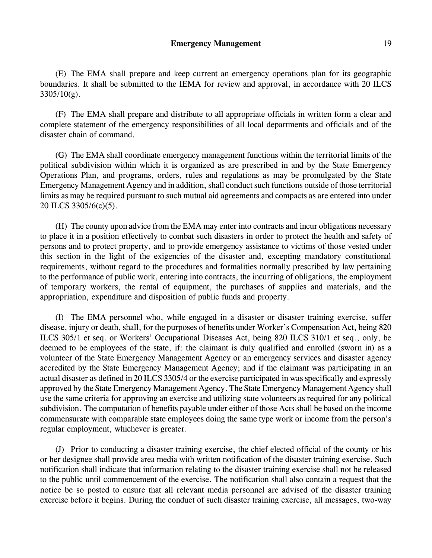(E) The EMA shall prepare and keep current an emergency operations plan for its geographic boundaries. It shall be submitted to the IEMA for review and approval, in accordance with 20 ILCS  $3305/10(g)$ .

(F) The EMA shall prepare and distribute to all appropriate officials in written form a clear and complete statement of the emergency responsibilities of all local departments and officials and of the disaster chain of command.

(G) The EMA shall coordinate emergency management functions within the territorial limits of the political subdivision within which it is organized as are prescribed in and by the State Emergency Operations Plan, and programs, orders, rules and regulations as may be promulgated by the State Emergency Management Agency and in addition, shall conduct such functions outside of those territorial limits as may be required pursuant to such mutual aid agreements and compacts as are entered into under 20 ILCS 3305/6(c)(5).

(H) The county upon advice from the EMA may enter into contracts and incur obligations necessary to place it in a position effectively to combat such disasters in order to protect the health and safety of persons and to protect property, and to provide emergency assistance to victims of those vested under this section in the light of the exigencies of the disaster and, excepting mandatory constitutional requirements, without regard to the procedures and formalities normally prescribed by law pertaining to the performance of public work, entering into contracts, the incurring of obligations, the employment of temporary workers, the rental of equipment, the purchases of supplies and materials, and the appropriation, expenditure and disposition of public funds and property.

(I) The EMA personnel who, while engaged in a disaster or disaster training exercise, suffer disease, injury or death, shall, for the purposes of benefits under Worker's Compensation Act, being 820 ILCS 305/1 et seq. or Workers' Occupational Diseases Act, being 820 ILCS 310/1 et seq., only, be deemed to be employees of the state, if: the claimant is duly qualified and enrolled (sworn in) as a volunteer of the State Emergency Management Agency or an emergency services and disaster agency accredited by the State Emergency Management Agency; and if the claimant was participating in an actual disaster as defined in 20 ILCS 3305/4 or the exercise participated in was specifically and expressly approved by the State Emergency Management Agency. The State Emergency Management Agency shall use the same criteria for approving an exercise and utilizing state volunteers as required for any political subdivision. The computation of benefits payable under either of those Acts shall be based on the income commensurate with comparable state employees doing the same type work or income from the person's regular employment, whichever is greater.

(J) Prior to conducting a disaster training exercise, the chief elected official of the county or his or her designee shall provide area media with written notification of the disaster training exercise. Such notification shall indicate that information relating to the disaster training exercise shall not be released to the public until commencement of the exercise. The notification shall also contain a request that the notice be so posted to ensure that all relevant media personnel are advised of the disaster training exercise before it begins. During the conduct of such disaster training exercise, all messages, two-way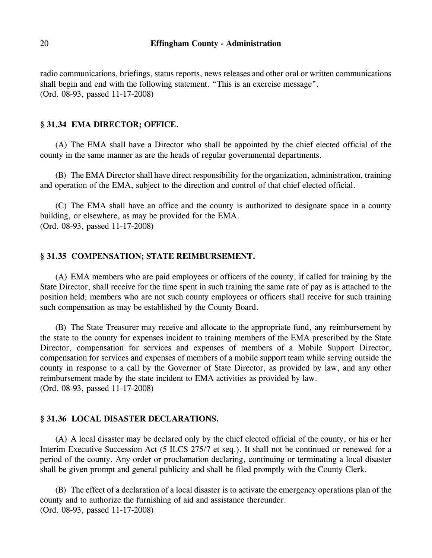radio communications, briefings, status reports, news releases and other oral or written communications shall begin and end with the following statement. "This is an exercise message". (Ord. 08-93, passed 11-17-2008)

## **§ 31.34 EMA DIRECTOR; OFFICE.**

(A) The EMA shall have a Director who shall be appointed by the chief elected official of the county in the same manner as are the heads of regular governmental departments.

(B) The EMA Director shall have direct responsibility for the organization, administration, training and operation of the EMA, subject to the direction and control of that chief elected official.

(C) The EMA shall have an office and the county is authorized to designate space in a county building, or elsewhere, as may be provided for the EMA. (Ord. 08-93, passed 11-17-2008)

### **§ 31.35 COMPENSATION; STATE REIMBURSEMENT.**

(A) EMA members who are paid employees or officers of the county, if called for training by the State Director, shall receive for the time spent in such training the same rate of pay as is attached to the position held; members who are not such county employees or officers shall receive for such training such compensation as may be established by the County Board.

(B) The State Treasurer may receive and allocate to the appropriate fund, any reimbursement by the state to the county for expenses incident to training members of the EMA prescribed by the State Director, compensation for services and expenses of members of a Mobile Support Director, compensation for services and expenses of members of a mobile support team while serving outside the county in response to a call by the Governor of State Director, as provided by law, and any other reimbursement made by the state incident to EMA activities as provided by law. (Ord. 08-93, passed 11-17-2008)

## **§ 31.36 LOCAL DISASTER DECLARATIONS.**

(A) A local disaster may be declared only by the chief elected official of the county, or his or her Interim Executive Succession Act (5 ILCS 275/7 et seq.). It shall not be continued or renewed for a period of the county. Any order or proclamation declaring, continuing or terminating a local disaster shall be given prompt and general publicity and shall be filed promptly with the County Clerk.

(B) The effect of a declaration of a local disaster is to activate the emergency operations plan of the county and to authorize the furnishing of aid and assistance thereunder. (Ord. 08-93, passed 11-17-2008)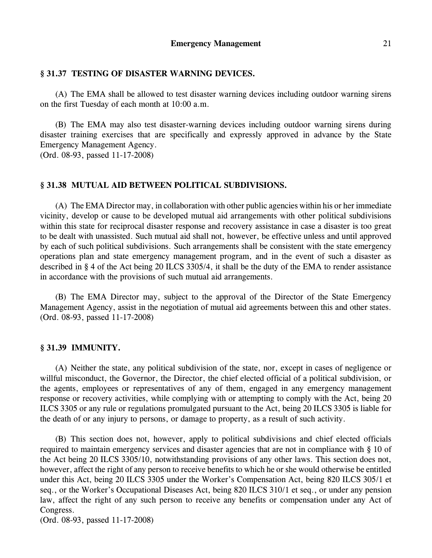## **§ 31.37 TESTING OF DISASTER WARNING DEVICES.**

(A) The EMA shall be allowed to test disaster warning devices including outdoor warning sirens on the first Tuesday of each month at 10:00 a.m.

(B) The EMA may also test disaster-warning devices including outdoor warning sirens during disaster training exercises that are specifically and expressly approved in advance by the State Emergency Management Agency.

(Ord. 08-93, passed 11-17-2008)

### **§ 31.38 MUTUAL AID BETWEEN POLITICAL SUBDIVISIONS.**

(A) The EMA Director may, in collaboration with other public agencies within his or her immediate vicinity, develop or cause to be developed mutual aid arrangements with other political subdivisions within this state for reciprocal disaster response and recovery assistance in case a disaster is too great to be dealt with unassisted. Such mutual aid shall not, however, be effective unless and until approved by each of such political subdivisions. Such arrangements shall be consistent with the state emergency operations plan and state emergency management program, and in the event of such a disaster as described in § 4 of the Act being 20 ILCS 3305/4, it shall be the duty of the EMA to render assistance in accordance with the provisions of such mutual aid arrangements.

(B) The EMA Director may, subject to the approval of the Director of the State Emergency Management Agency, assist in the negotiation of mutual aid agreements between this and other states. (Ord. 08-93, passed 11-17-2008)

### **§ 31.39 IMMUNITY.**

(A) Neither the state, any political subdivision of the state, nor, except in cases of negligence or willful misconduct, the Governor, the Director, the chief elected official of a political subdivision, or the agents, employees or representatives of any of them, engaged in any emergency management response or recovery activities, while complying with or attempting to comply with the Act, being 20 ILCS 3305 or any rule or regulations promulgated pursuant to the Act, being 20 ILCS 3305 is liable for the death of or any injury to persons, or damage to property, as a result of such activity.

(B) This section does not, however, apply to political subdivisions and chief elected officials required to maintain emergency services and disaster agencies that are not in compliance with § 10 of the Act being 20 ILCS 3305/10, notwithstanding provisions of any other laws. This section does not, however, affect the right of any person to receive benefits to which he or she would otherwise be entitled under this Act, being 20 ILCS 3305 under the Worker's Compensation Act, being 820 ILCS 305/1 et seq., or the Worker's Occupational Diseases Act, being 820 ILCS 310/1 et seq., or under any pension law, affect the right of any such person to receive any benefits or compensation under any Act of Congress.

(Ord. 08-93, passed 11-17-2008)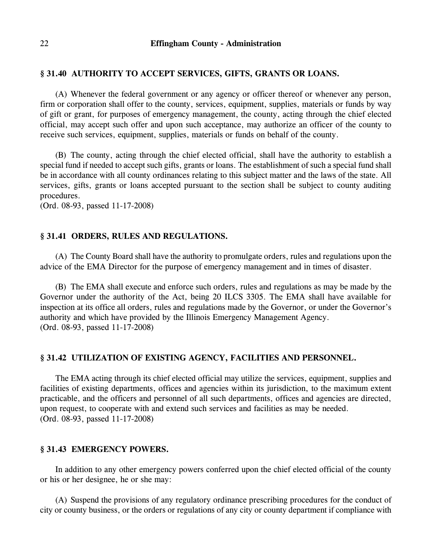## **§ 31.40 AUTHORITY TO ACCEPT SERVICES, GIFTS, GRANTS OR LOANS.**

(A) Whenever the federal government or any agency or officer thereof or whenever any person, firm or corporation shall offer to the county, services, equipment, supplies, materials or funds by way of gift or grant, for purposes of emergency management, the county, acting through the chief elected official, may accept such offer and upon such acceptance, may authorize an officer of the county to receive such services, equipment, supplies, materials or funds on behalf of the county.

(B) The county, acting through the chief elected official, shall have the authority to establish a special fund if needed to accept such gifts, grants or loans. The establishment of such a special fund shall be in accordance with all county ordinances relating to this subject matter and the laws of the state. All services, gifts, grants or loans accepted pursuant to the section shall be subject to county auditing procedures.

(Ord. 08-93, passed 11-17-2008)

### **§ 31.41 ORDERS, RULES AND REGULATIONS.**

(A) The County Board shall have the authority to promulgate orders, rules and regulations upon the advice of the EMA Director for the purpose of emergency management and in times of disaster.

(B) The EMA shall execute and enforce such orders, rules and regulations as may be made by the Governor under the authority of the Act, being 20 ILCS 3305. The EMA shall have available for inspection at its office all orders, rules and regulations made by the Governor, or under the Governor's authority and which have provided by the Illinois Emergency Management Agency. (Ord. 08-93, passed 11-17-2008)

# **§ 31.42 UTILIZATION OF EXISTING AGENCY, FACILITIES AND PERSONNEL.**

The EMA acting through its chief elected official may utilize the services, equipment, supplies and facilities of existing departments, offices and agencies within its jurisdiction, to the maximum extent practicable, and the officers and personnel of all such departments, offices and agencies are directed, upon request, to cooperate with and extend such services and facilities as may be needed. (Ord. 08-93, passed 11-17-2008)

### **§ 31.43 EMERGENCY POWERS.**

In addition to any other emergency powers conferred upon the chief elected official of the county or his or her designee, he or she may:

(A) Suspend the provisions of any regulatory ordinance prescribing procedures for the conduct of city or county business, or the orders or regulations of any city or county department if compliance with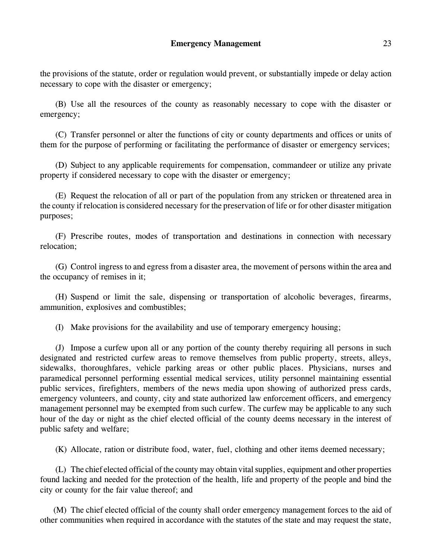the provisions of the statute, order or regulation would prevent, or substantially impede or delay action necessary to cope with the disaster or emergency;

(B) Use all the resources of the county as reasonably necessary to cope with the disaster or emergency;

(C) Transfer personnel or alter the functions of city or county departments and offices or units of them for the purpose of performing or facilitating the performance of disaster or emergency services;

(D) Subject to any applicable requirements for compensation, commandeer or utilize any private property if considered necessary to cope with the disaster or emergency;

(E) Request the relocation of all or part of the population from any stricken or threatened area in the county if relocation is considered necessary for the preservation of life or for other disaster mitigation purposes;

(F) Prescribe routes, modes of transportation and destinations in connection with necessary relocation;

(G) Control ingress to and egress from a disaster area, the movement of persons within the area and the occupancy of remises in it;

(H) Suspend or limit the sale, dispensing or transportation of alcoholic beverages, firearms, ammunition, explosives and combustibles;

(I) Make provisions for the availability and use of temporary emergency housing;

(J) Impose a curfew upon all or any portion of the county thereby requiring all persons in such designated and restricted curfew areas to remove themselves from public property, streets, alleys, sidewalks, thoroughfares, vehicle parking areas or other public places. Physicians, nurses and paramedical personnel performing essential medical services, utility personnel maintaining essential public services, firefighters, members of the news media upon showing of authorized press cards, emergency volunteers, and county, city and state authorized law enforcement officers, and emergency management personnel may be exempted from such curfew. The curfew may be applicable to any such hour of the day or night as the chief elected official of the county deems necessary in the interest of public safety and welfare;

(K) Allocate, ration or distribute food, water, fuel, clothing and other items deemed necessary;

(L) The chief elected official of the county may obtain vital supplies, equipment and other properties found lacking and needed for the protection of the health, life and property of the people and bind the city or county for the fair value thereof; and

(M) The chief elected official of the county shall order emergency management forces to the aid of other communities when required in accordance with the statutes of the state and may request the state,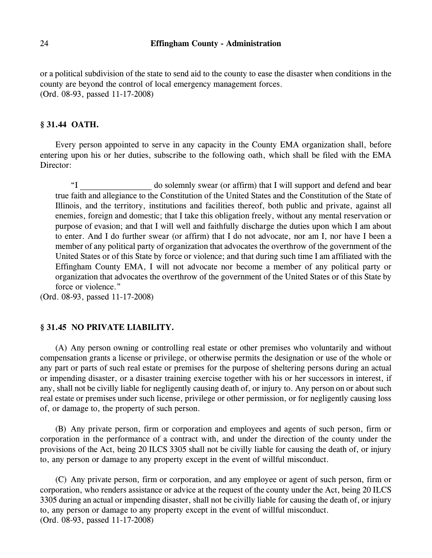or a political subdivision of the state to send aid to the county to ease the disaster when conditions in the county are beyond the control of local emergency management forces. (Ord. 08-93, passed 11-17-2008)

## **§ 31.44 OATH.**

Every person appointed to serve in any capacity in the County EMA organization shall, before entering upon his or her duties, subscribe to the following oath, which shall be filed with the EMA Director:

"I \_\_\_\_\_\_\_\_\_\_\_\_\_\_\_\_\_ do solemnly swear (or affirm) that I will support and defend and bear true faith and allegiance to the Constitution of the United States and the Constitution of the State of Illinois, and the territory, institutions and facilities thereof, both public and private, against all enemies, foreign and domestic; that I take this obligation freely, without any mental reservation or purpose of evasion; and that I will well and faithfully discharge the duties upon which I am about to enter. And I do further swear (or affirm) that I do not advocate, nor am I, nor have I been a member of any political party of organization that advocates the overthrow of the government of the United States or of this State by force or violence; and that during such time I am affiliated with the Effingham County EMA, I will not advocate nor become a member of any political party or organization that advocates the overthrow of the government of the United States or of this State by force or violence."

(Ord. 08-93, passed 11-17-2008)

## **§ 31.45 NO PRIVATE LIABILITY.**

(A) Any person owning or controlling real estate or other premises who voluntarily and without compensation grants a license or privilege, or otherwise permits the designation or use of the whole or any part or parts of such real estate or premises for the purpose of sheltering persons during an actual or impending disaster, or a disaster training exercise together with his or her successors in interest, if any, shall not be civilly liable for negligently causing death of, or injury to. Any person on or about such real estate or premises under such license, privilege or other permission, or for negligently causing loss of, or damage to, the property of such person.

(B) Any private person, firm or corporation and employees and agents of such person, firm or corporation in the performance of a contract with, and under the direction of the county under the provisions of the Act, being 20 ILCS 3305 shall not be civilly liable for causing the death of, or injury to, any person or damage to any property except in the event of willful misconduct.

(C) Any private person, firm or corporation, and any employee or agent of such person, firm or corporation, who renders assistance or advice at the request of the county under the Act, being 20 ILCS 3305 during an actual or impending disaster, shall not be civilly liable for causing the death of, or injury to, any person or damage to any property except in the event of willful misconduct. (Ord. 08-93, passed 11-17-2008)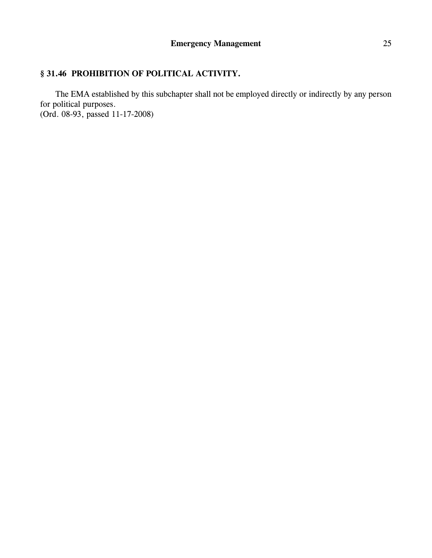# **§ 31.46 PROHIBITION OF POLITICAL ACTIVITY.**

The EMA established by this subchapter shall not be employed directly or indirectly by any person for political purposes. (Ord. 08-93, passed 11-17-2008)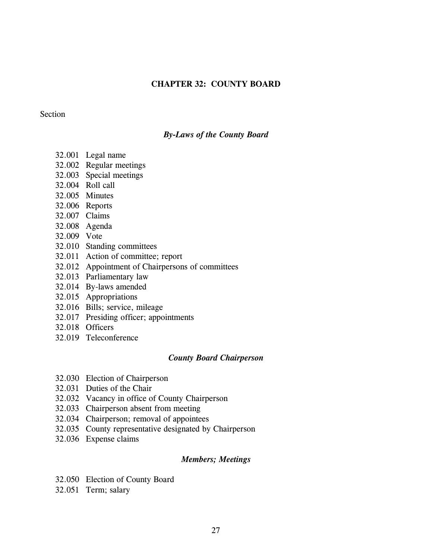## **CHAPTER 32: COUNTY BOARD**

## Section

# *By-Laws of the County Board*

- 32.001 Legal name
- 32.002 Regular meetings
- 32.003 Special meetings
- 32.004 Roll call
- 32.005 Minutes
- 32.006 Reports
- 32.007 Claims
- 32.008 Agenda
- 32.009 Vote
- 32.010 Standing committees
- 32.011 Action of committee; report
- 32.012 Appointment of Chairpersons of committees
- 32.013 Parliamentary law
- 32.014 By-laws amended
- 32.015 Appropriations
- 32.016 Bills; service, mileage
- 32.017 Presiding officer; appointments
- 32.018 Officers
- 32.019 Teleconference

### *County Board Chairperson*

- 32.030 Election of Chairperson
- 32.031 Duties of the Chair
- 32.032 Vacancy in office of County Chairperson
- 32.033 Chairperson absent from meeting
- 32.034 Chairperson; removal of appointees
- 32.035 County representative designated by Chairperson
- 32.036 Expense claims

### *Members; Meetings*

- 32.050 Election of County Board
- 32.051 Term; salary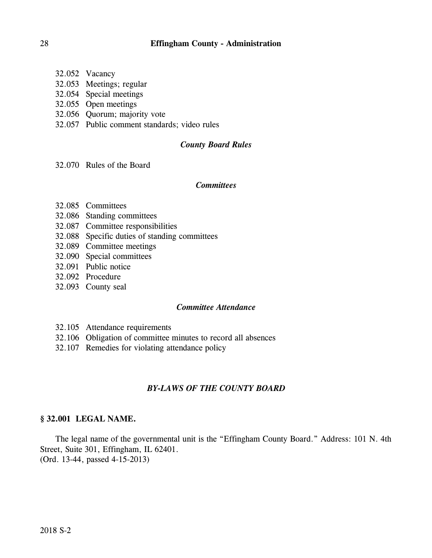- 32.052 Vacancy
- 32.053 Meetings; regular
- 32.054 Special meetings
- 32.055 Open meetings
- 32.056 Quorum; majority vote
- 32.057 Public comment standards; video rules

### *County Board Rules*

32.070 Rules of the Board

### *Committees*

- 32.085 Committees
- 32.086 Standing committees
- 32.087 Committee responsibilities
- 32.088 Specific duties of standing committees
- 32.089 Committee meetings
- 32.090 Special committees
- 32.091 Public notice
- 32.092 Procedure
- 32.093 County seal

## *Committee Attendance*

- 32.105 Attendance requirements
- 32.106 Obligation of committee minutes to record all absences
- 32.107 Remedies for violating attendance policy

## *BY-LAWS OF THE COUNTY BOARD*

# **§ 32.001 LEGAL NAME.**

The legal name of the governmental unit is the "Effingham County Board." Address: 101 N. 4th Street, Suite 301, Effingham, IL 62401. (Ord. 13-44, passed 4-15-2013)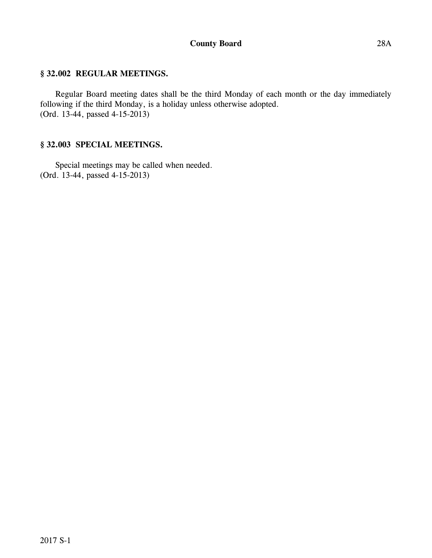# **County Board** 28A

# **§ 32.002 REGULAR MEETINGS.**

Regular Board meeting dates shall be the third Monday of each month or the day immediately following if the third Monday, is a holiday unless otherwise adopted. (Ord. 13-44, passed 4-15-2013)

# **§ 32.003 SPECIAL MEETINGS.**

Special meetings may be called when needed. (Ord. 13-44, passed 4-15-2013)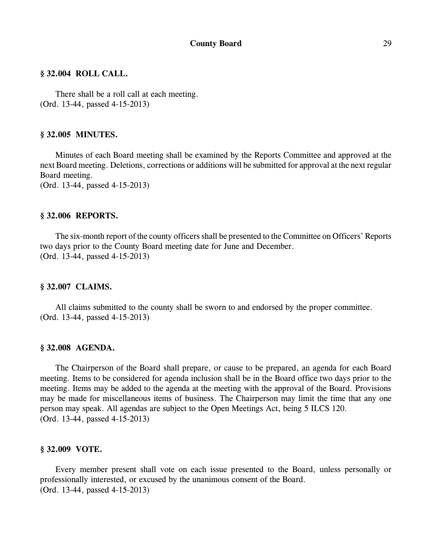#### **§ 32.004 ROLL CALL.**

There shall be a roll call at each meeting. (Ord. 13-44, passed 4-15-2013)

### **§ 32.005 MINUTES.**

Minutes of each Board meeting shall be examined by the Reports Committee and approved at the next Board meeting. Deletions, corrections or additions will be submitted for approval at the next regular Board meeting. (Ord. 13-44, passed 4-15-2013)

**§ 32.006 REPORTS.**

The six-month report of the county officers shall be presented to the Committee on Officers' Reports two days prior to the County Board meeting date for June and December. (Ord. 13-44, passed 4-15-2013)

### **§ 32.007 CLAIMS.**

All claims submitted to the county shall be sworn to and endorsed by the proper committee. (Ord. 13-44, passed 4-15-2013)

#### **§ 32.008 AGENDA.**

The Chairperson of the Board shall prepare, or cause to be prepared, an agenda for each Board meeting. Items to be considered for agenda inclusion shall be in the Board office two days prior to the meeting. Items may be added to the agenda at the meeting with the approval of the Board. Provisions may be made for miscellaneous items of business. The Chairperson may limit the time that any one person may speak. All agendas are subject to the Open Meetings Act, being 5 ILCS 120. (Ord. 13-44, passed 4-15-2013)

### **§ 32.009 VOTE.**

Every member present shall vote on each issue presented to the Board, unless personally or professionally interested, or excused by the unanimous consent of the Board. (Ord. 13-44, passed 4-15-2013)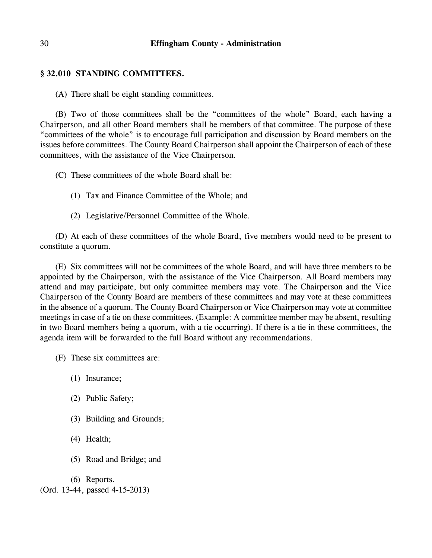# **§ 32.010 STANDING COMMITTEES.**

(A) There shall be eight standing committees.

(B) Two of those committees shall be the "committees of the whole" Board, each having a Chairperson, and all other Board members shall be members of that committee. The purpose of these "committees of the whole" is to encourage full participation and discussion by Board members on the issues before committees. The County Board Chairperson shall appoint the Chairperson of each of these committees, with the assistance of the Vice Chairperson.

(C) These committees of the whole Board shall be:

- (1) Tax and Finance Committee of the Whole; and
- (2) Legislative/Personnel Committee of the Whole.

(D) At each of these committees of the whole Board, five members would need to be present to constitute a quorum.

(E) Six committees will not be committees of the whole Board, and will have three members to be appointed by the Chairperson, with the assistance of the Vice Chairperson. All Board members may attend and may participate, but only committee members may vote. The Chairperson and the Vice Chairperson of the County Board are members of these committees and may vote at these committees in the absence of a quorum. The County Board Chairperson or Vice Chairperson may vote at committee meetings in case of a tie on these committees. (Example: A committee member may be absent, resulting in two Board members being a quorum, with a tie occurring). If there is a tie in these committees, the agenda item will be forwarded to the full Board without any recommendations.

(F) These six committees are:

- (1) Insurance;
- (2) Public Safety;
- (3) Building and Grounds;
- (4) Health;
- (5) Road and Bridge; and

(6) Reports.

(Ord. 13-44, passed 4-15-2013)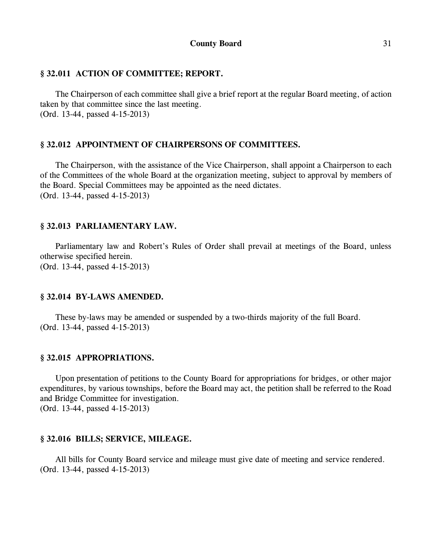### **§ 32.011 ACTION OF COMMITTEE; REPORT.**

The Chairperson of each committee shall give a brief report at the regular Board meeting, of action taken by that committee since the last meeting. (Ord. 13-44, passed 4-15-2013)

## **§ 32.012 APPOINTMENT OF CHAIRPERSONS OF COMMITTEES.**

The Chairperson, with the assistance of the Vice Chairperson, shall appoint a Chairperson to each of the Committees of the whole Board at the organization meeting, subject to approval by members of the Board. Special Committees may be appointed as the need dictates. (Ord. 13-44, passed 4-15-2013)

## **§ 32.013 PARLIAMENTARY LAW.**

Parliamentary law and Robert's Rules of Order shall prevail at meetings of the Board, unless otherwise specified herein. (Ord. 13-44, passed 4-15-2013)

### **§ 32.014 BY-LAWS AMENDED.**

These by-laws may be amended or suspended by a two-thirds majority of the full Board. (Ord. 13-44, passed 4-15-2013)

### **§ 32.015 APPROPRIATIONS.**

Upon presentation of petitions to the County Board for appropriations for bridges, or other major expenditures, by various townships, before the Board may act, the petition shall be referred to the Road and Bridge Committee for investigation. (Ord. 13-44, passed 4-15-2013)

### **§ 32.016 BILLS; SERVICE, MILEAGE.**

All bills for County Board service and mileage must give date of meeting and service rendered. (Ord. 13-44, passed 4-15-2013)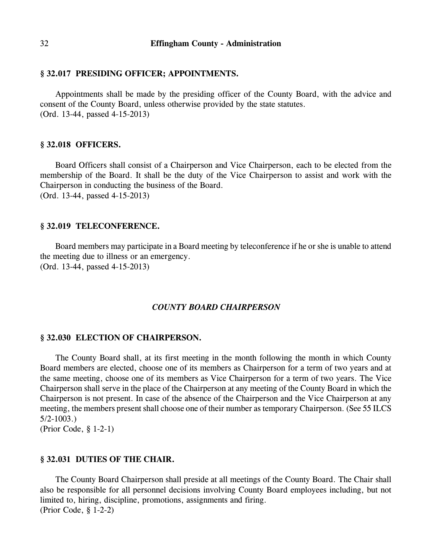### **§ 32.017 PRESIDING OFFICER; APPOINTMENTS.**

Appointments shall be made by the presiding officer of the County Board, with the advice and consent of the County Board, unless otherwise provided by the state statutes. (Ord. 13-44, passed 4-15-2013)

### **§ 32.018 OFFICERS.**

Board Officers shall consist of a Chairperson and Vice Chairperson, each to be elected from the membership of the Board. It shall be the duty of the Vice Chairperson to assist and work with the Chairperson in conducting the business of the Board. (Ord. 13-44, passed 4-15-2013)

### **§ 32.019 TELECONFERENCE.**

Board members may participate in a Board meeting by teleconference if he or she is unable to attend the meeting due to illness or an emergency. (Ord. 13-44, passed 4-15-2013)

### *COUNTY BOARD CHAIRPERSON*

### **§ 32.030 ELECTION OF CHAIRPERSON.**

The County Board shall, at its first meeting in the month following the month in which County Board members are elected, choose one of its members as Chairperson for a term of two years and at the same meeting, choose one of its members as Vice Chairperson for a term of two years. The Vice Chairperson shall serve in the place of the Chairperson at any meeting of the County Board in which the Chairperson is not present. In case of the absence of the Chairperson and the Vice Chairperson at any meeting, the members present shall choose one of their number as temporary Chairperson. (See 55 ILCS 5/2-1003.)

(Prior Code, § 1-2-1)

### **§ 32.031 DUTIES OF THE CHAIR.**

The County Board Chairperson shall preside at all meetings of the County Board. The Chair shall also be responsible for all personnel decisions involving County Board employees including, but not limited to, hiring, discipline, promotions, assignments and firing. (Prior Code, § 1-2-2)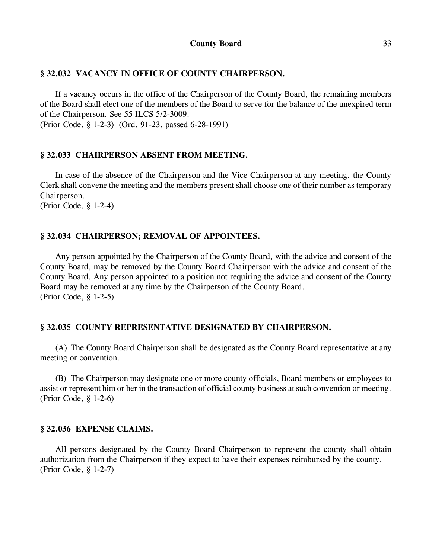## **§ 32.032 VACANCY IN OFFICE OF COUNTY CHAIRPERSON.**

If a vacancy occurs in the office of the Chairperson of the County Board, the remaining members of the Board shall elect one of the members of the Board to serve for the balance of the unexpired term of the Chairperson. See 55 ILCS 5/2-3009.

(Prior Code, § 1-2-3) (Ord. 91-23, passed 6-28-1991)

## **§ 32.033 CHAIRPERSON ABSENT FROM MEETING.**

In case of the absence of the Chairperson and the Vice Chairperson at any meeting, the County Clerk shall convene the meeting and the members present shall choose one of their number as temporary Chairperson.

(Prior Code, § 1-2-4)

## **§ 32.034 CHAIRPERSON; REMOVAL OF APPOINTEES.**

Any person appointed by the Chairperson of the County Board, with the advice and consent of the County Board, may be removed by the County Board Chairperson with the advice and consent of the County Board. Any person appointed to a position not requiring the advice and consent of the County Board may be removed at any time by the Chairperson of the County Board. (Prior Code, § 1-2-5)

## **§ 32.035 COUNTY REPRESENTATIVE DESIGNATED BY CHAIRPERSON.**

(A) The County Board Chairperson shall be designated as the County Board representative at any meeting or convention.

(B) The Chairperson may designate one or more county officials, Board members or employees to assist or represent him or her in the transaction of official county business at such convention or meeting. (Prior Code, § 1-2-6)

### **§ 32.036 EXPENSE CLAIMS.**

All persons designated by the County Board Chairperson to represent the county shall obtain authorization from the Chairperson if they expect to have their expenses reimbursed by the county. (Prior Code, § 1-2-7)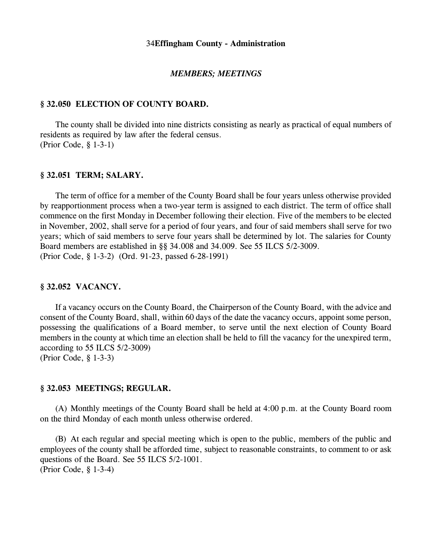#### 34**Effingham County - Administration**

#### *MEMBERS; MEETINGS*

## **§ 32.050 ELECTION OF COUNTY BOARD.**

The county shall be divided into nine districts consisting as nearly as practical of equal numbers of residents as required by law after the federal census. (Prior Code, § 1-3-1)

### **§ 32.051 TERM; SALARY.**

The term of office for a member of the County Board shall be four years unless otherwise provided by reapportionment process when a two-year term is assigned to each district. The term of office shall commence on the first Monday in December following their election. Five of the members to be elected in November, 2002, shall serve for a period of four years, and four of said members shall serve for two years; which of said members to serve four years shall be determined by lot. The salaries for County Board members are established in §§ 34.008 and 34.009. See 55 ILCS 5/2-3009. (Prior Code, § 1-3-2) (Ord. 91-23, passed 6-28-1991)

### **§ 32.052 VACANCY.**

If a vacancy occurs on the County Board, the Chairperson of the County Board, with the advice and consent of the County Board, shall, within 60 days of the date the vacancy occurs, appoint some person, possessing the qualifications of a Board member, to serve until the next election of County Board members in the county at which time an election shall be held to fill the vacancy for the unexpired term, according to 55 ILCS 5/2-3009) (Prior Code, § 1-3-3)

## **§ 32.053 MEETINGS; REGULAR.**

(A) Monthly meetings of the County Board shall be held at 4:00 p.m. at the County Board room on the third Monday of each month unless otherwise ordered.

(B) At each regular and special meeting which is open to the public, members of the public and employees of the county shall be afforded time, subject to reasonable constraints, to comment to or ask questions of the Board. See 55 ILCS 5/2-1001. (Prior Code, § 1-3-4)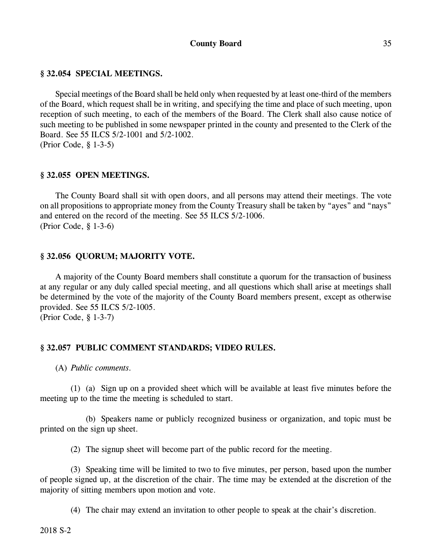## **County Board** 35

### **§ 32.054 SPECIAL MEETINGS.**

Special meetings of the Board shall be held only when requested by at least one-third of the members of the Board, which request shall be in writing, and specifying the time and place of such meeting, upon reception of such meeting, to each of the members of the Board. The Clerk shall also cause notice of such meeting to be published in some newspaper printed in the county and presented to the Clerk of the Board. See 55 ILCS 5/2-1001 and 5/2-1002. (Prior Code, § 1-3-5)

### **§ 32.055 OPEN MEETINGS.**

The County Board shall sit with open doors, and all persons may attend their meetings. The vote on all propositions to appropriate money from the County Treasury shall be taken by "ayes" and "nays" and entered on the record of the meeting. See 55 ILCS 5/2-1006. (Prior Code, § 1-3-6)

### **§ 32.056 QUORUM; MAJORITY VOTE.**

A majority of the County Board members shall constitute a quorum for the transaction of business at any regular or any duly called special meeting, and all questions which shall arise at meetings shall be determined by the vote of the majority of the County Board members present, except as otherwise provided. See 55 ILCS 5/2-1005. (Prior Code, § 1-3-7)

### **§ 32.057 PUBLIC COMMENT STANDARDS; VIDEO RULES.**

(A) *Public comments.*

(1) (a) Sign up on a provided sheet which will be available at least five minutes before the meeting up to the time the meeting is scheduled to start.

(b) Speakers name or publicly recognized business or organization, and topic must be printed on the sign up sheet.

(2) The signup sheet will become part of the public record for the meeting.

(3) Speaking time will be limited to two to five minutes, per person, based upon the number of people signed up, at the discretion of the chair. The time may be extended at the discretion of the majority of sitting members upon motion and vote.

(4) The chair may extend an invitation to other people to speak at the chair's discretion.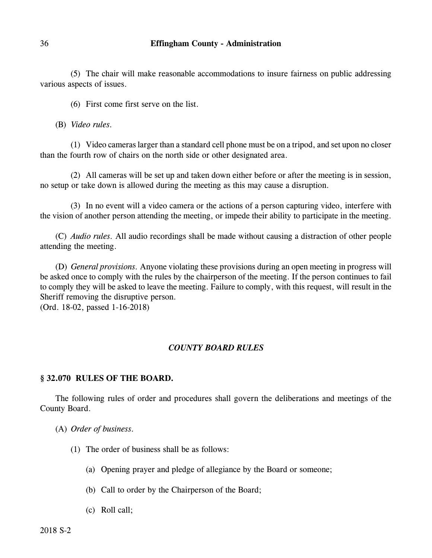(5) The chair will make reasonable accommodations to insure fairness on public addressing various aspects of issues.

(6) First come first serve on the list.

(B) *Video rules.*

(1) Video cameras larger than a standard cell phone must be on a tripod, and set upon no closer than the fourth row of chairs on the north side or other designated area.

(2) All cameras will be set up and taken down either before or after the meeting is in session, no setup or take down is allowed during the meeting as this may cause a disruption.

(3) In no event will a video camera or the actions of a person capturing video, interfere with the vision of another person attending the meeting, or impede their ability to participate in the meeting.

(C) *Audio rules.* All audio recordings shall be made without causing a distraction of other people attending the meeting.

(D) *General provisions.* Anyone violating these provisions during an open meeting in progress will be asked once to comply with the rules by the chairperson of the meeting. If the person continues to fail to comply they will be asked to leave the meeting. Failure to comply, with this request, will result in the Sheriff removing the disruptive person.

(Ord. 18-02, passed 1-16-2018)

### *COUNTY BOARD RULES*

#### **§ 32.070 RULES OF THE BOARD.**

The following rules of order and procedures shall govern the deliberations and meetings of the County Board.

(A) *Order of business.*

- (1) The order of business shall be as follows:
	- (a) Opening prayer and pledge of allegiance by the Board or someone;
	- (b) Call to order by the Chairperson of the Board;
	- (c) Roll call;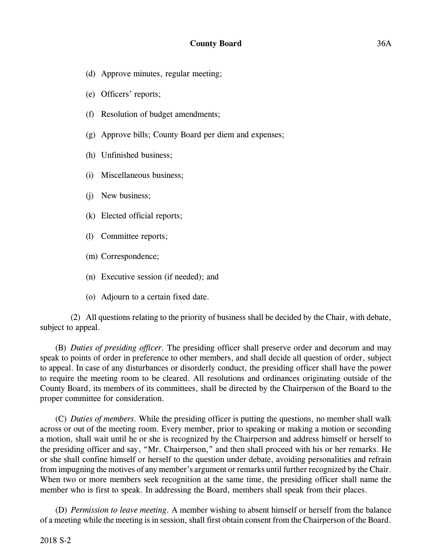- (d) Approve minutes, regular meeting;
- (e) Officers' reports;
- (f) Resolution of budget amendments;
- (g) Approve bills; County Board per diem and expenses;
- (h) Unfinished business;
- (i) Miscellaneous business;
- (j) New business;
- (k) Elected official reports;
- (l) Committee reports;
- (m) Correspondence;
- (n) Executive session (if needed); and
- (o) Adjourn to a certain fixed date.

(2) All questions relating to the priority of business shall be decided by the Chair, with debate, subject to appeal.

(B) *Duties of presiding officer.* The presiding officer shall preserve order and decorum and may speak to points of order in preference to other members, and shall decide all question of order, subject to appeal. In case of any disturbances or disorderly conduct, the presiding officer shall have the power to require the meeting room to be cleared. All resolutions and ordinances originating outside of the County Board, its members of its committees, shall be directed by the Chairperson of the Board to the proper committee for consideration.

(C) *Duties of members.* While the presiding officer is putting the questions, no member shall walk across or out of the meeting room. Every member, prior to speaking or making a motion or seconding a motion, shall wait until he or she is recognized by the Chairperson and address himself or herself to the presiding officer and say, "Mr. Chairperson," and then shall proceed with his or her remarks. He or she shall confine himself or herself to the question under debate, avoiding personalities and refrain from impugning the motives of any member's argument or remarks until further recognized by the Chair. When two or more members seek recognition at the same time, the presiding officer shall name the member who is first to speak. In addressing the Board, members shall speak from their places.

(D) *Permission to leave meeting.* A member wishing to absent himself or herself from the balance of a meeting while the meeting is in session, shall first obtain consent from the Chairperson of the Board.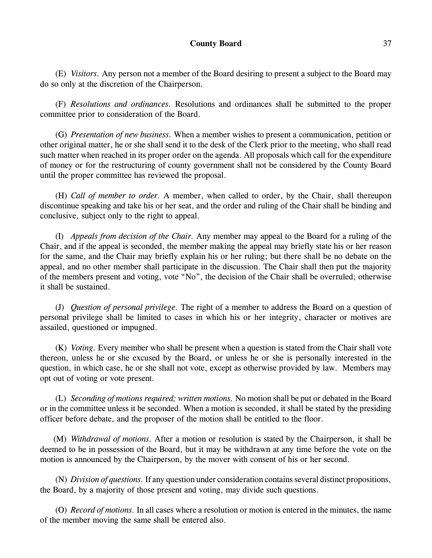## **County Board** 37

(E) *Visitors.* Any person not a member of the Board desiring to present a subject to the Board may do so only at the discretion of the Chairperson.

(F) *Resolutions and ordinances.* Resolutions and ordinances shall be submitted to the proper committee prior to consideration of the Board.

(G) *Presentation of new business.* When a member wishes to present a communication, petition or other original matter, he or she shall send it to the desk of the Clerk prior to the meeting, who shall read such matter when reached in its proper order on the agenda. All proposals which call for the expenditure of money or for the restructuring of county government shall not be considered by the County Board until the proper committee has reviewed the proposal.

(H) *Call of member to order.* A member, when called to order, by the Chair, shall thereupon discontinue speaking and take his or her seat, and the order and ruling of the Chair shall be binding and conclusive, subject only to the right to appeal.

(I) *Appeals from decision of the Chair.* Any member may appeal to the Board for a ruling of the Chair, and if the appeal is seconded, the member making the appeal may briefly state his or her reason for the same, and the Chair may briefly explain his or her ruling; but there shall be no debate on the appeal, and no other member shall participate in the discussion. The Chair shall then put the majority of the members present and voting, vote "No", the decision of the Chair shall be overruled; otherwise it shall be sustained.

(J) *Question of personal privilege.* The right of a member to address the Board on a question of personal privilege shall be limited to cases in which his or her integrity, character or motives are assailed, questioned or impugned.

(K) *Voting.* Every member who shall be present when a question is stated from the Chair shall vote thereon, unless he or she excused by the Board, or unless he or she is personally interested in the question, in which case, he or she shall not vote, except as otherwise provided by law. Members may opt out of voting or vote present.

(L) *Seconding of motions required; written motions.* No motion shall be put or debated in the Board or in the committee unless it be seconded. When a motion is seconded, it shall be stated by the presiding officer before debate, and the proposer of the motion shall be entitled to the floor.

(M) *Withdrawal of motions.* After a motion or resolution is stated by the Chairperson, it shall be deemed to be in possession of the Board, but it may be withdrawn at any time before the vote on the motion is announced by the Chairperson, by the mover with consent of his or her second.

(N) *Division of questions.* If any question under consideration contains several distinct propositions, the Board, by a majority of those present and voting, may divide such questions.

(O) *Record of motions.* In all cases where a resolution or motion is entered in the minutes, the name of the member moving the same shall be entered also.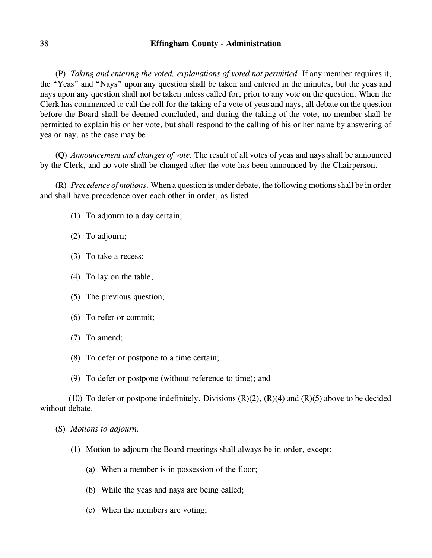### 38 **Effingham County - Administration**

(P) *Taking and entering the voted; explanations of voted not permitted.* If any member requires it, the "Yeas" and "Nays" upon any question shall be taken and entered in the minutes, but the yeas and nays upon any question shall not be taken unless called for, prior to any vote on the question. When the Clerk has commenced to call the roll for the taking of a vote of yeas and nays, all debate on the question before the Board shall be deemed concluded, and during the taking of the vote, no member shall be permitted to explain his or her vote, but shall respond to the calling of his or her name by answering of yea or nay, as the case may be.

(Q) *Announcement and changes of vote.* The result of all votes of yeas and nays shall be announced by the Clerk, and no vote shall be changed after the vote has been announced by the Chairperson.

(R) *Precedence of motions.* When a question is under debate, the following motions shall be in order and shall have precedence over each other in order, as listed:

- (1) To adjourn to a day certain;
- (2) To adjourn;
- (3) To take a recess;
- (4) To lay on the table;
- (5) The previous question;
- (6) To refer or commit;
- (7) To amend;
- (8) To defer or postpone to a time certain;
- (9) To defer or postpone (without reference to time); and

(10) To defer or postpone indefinitely. Divisions  $(R)(2)$ ,  $(R)(4)$  and  $(R)(5)$  above to be decided without debate.

(S) *Motions to adjourn.*

- (1) Motion to adjourn the Board meetings shall always be in order, except:
	- (a) When a member is in possession of the floor;
	- (b) While the yeas and nays are being called;
	- (c) When the members are voting;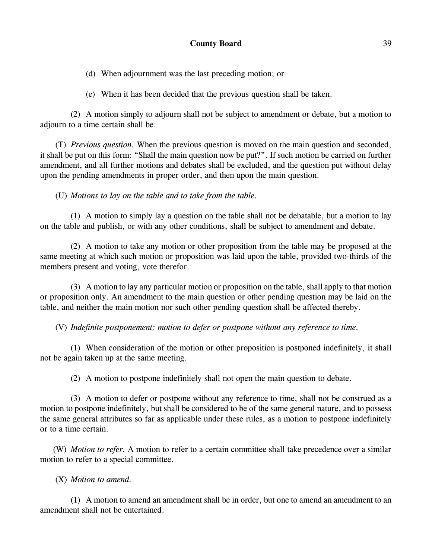(d) When adjournment was the last preceding motion; or

(e) When it has been decided that the previous question shall be taken.

(2) A motion simply to adjourn shall not be subject to amendment or debate, but a motion to adjourn to a time certain shall be.

(T) *Previous question.* When the previous question is moved on the main question and seconded, it shall be put on this form: "Shall the main question now be put?". If such motion be carried on further amendment, and all further motions and debates shall be excluded, and the question put without delay upon the pending amendments in proper order, and then upon the main question.

(U) *Motions to lay on the table and to take from the table.*

(1) A motion to simply lay a question on the table shall not be debatable, but a motion to lay on the table and publish, or with any other conditions, shall be subject to amendment and debate.

(2) A motion to take any motion or other proposition from the table may be proposed at the same meeting at which such motion or proposition was laid upon the table, provided two-thirds of the members present and voting, vote therefor.

(3) A motion to lay any particular motion or proposition on the table, shall apply to that motion or proposition only. An amendment to the main question or other pending question may be laid on the table, and neither the main motion nor such other pending question shall be affected thereby.

(V) *Indefinite postponement; motion to defer or postpone without any reference to time.*

(1) When consideration of the motion or other proposition is postponed indefinitely, it shall not be again taken up at the same meeting.

(2) A motion to postpone indefinitely shall not open the main question to debate.

(3) A motion to defer or postpone without any reference to time, shall not be construed as a motion to postpone indefinitely, but shall be considered to be of the same general nature, and to possess the same general attributes so far as applicable under these rules, as a motion to postpone indefinitely or to a time certain.

(W) *Motion to refer.* A motion to refer to a certain committee shall take precedence over a similar motion to refer to a special committee.

(X) *Motion to amend.*

(1) A motion to amend an amendment shall be in order, but one to amend an amendment to an amendment shall not be entertained.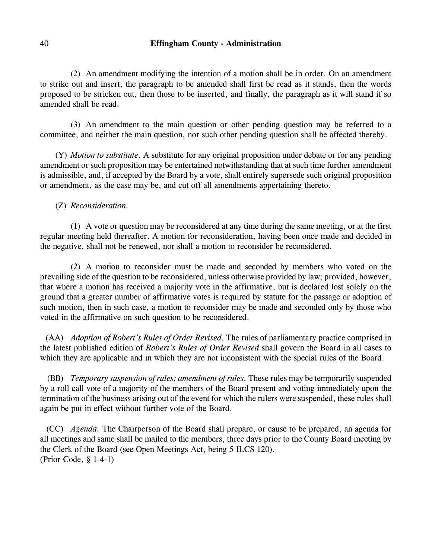#### 40 **Effingham County - Administration**

(2) An amendment modifying the intention of a motion shall be in order. On an amendment to strike out and insert, the paragraph to be amended shall first be read as it stands, then the words proposed to be stricken out, then those to be inserted, and finally, the paragraph as it will stand if so amended shall be read.

(3) An amendment to the main question or other pending question may be referred to a committee, and neither the main question, nor such other pending question shall be affected thereby.

(Y) *Motion to substitute.* A substitute for any original proposition under debate or for any pending amendment or such proposition may be entertained notwithstanding that at such time further amendment is admissible, and, if accepted by the Board by a vote, shall entirely supersede such original proposition or amendment, as the case may be, and cut off all amendments appertaining thereto.

(Z) *Reconsideration.*

(1) A vote or question may be reconsidered at any time during the same meeting, or at the first regular meeting held thereafter. A motion for reconsideration, having been once made and decided in the negative, shall not be renewed, nor shall a motion to reconsider be reconsidered.

(2) A motion to reconsider must be made and seconded by members who voted on the prevailing side of the question to be reconsidered, unless otherwise provided by law; provided, however, that where a motion has received a majority vote in the affirmative, but is declared lost solely on the ground that a greater number of affirmative votes is required by statute for the passage or adoption of such motion, then in such case, a motion to reconsider may be made and seconded only by those who voted in the affirmative on such question to be reconsidered.

(AA) *Adoption of Robert's Rules of Order Revised.* The rules of parliamentary practice comprised in the latest published edition of *Robert's Rules of Order Revised* shall govern the Board in all cases to which they are applicable and in which they are not inconsistent with the special rules of the Board.

(BB) *Temporary suspension of rules; amendment of rules.* These rules may be temporarily suspended by a roll call vote of a majority of the members of the Board present and voting immediately upon the termination of the business arising out of the event for which the rulers were suspended, these rules shall again be put in effect without further vote of the Board.

(CC) *Agenda.* The Chairperson of the Board shall prepare, or cause to be prepared, an agenda for all meetings and same shall be mailed to the members, three days prior to the County Board meeting by the Clerk of the Board (see Open Meetings Act, being 5 ILCS 120). (Prior Code, § 1-4-1)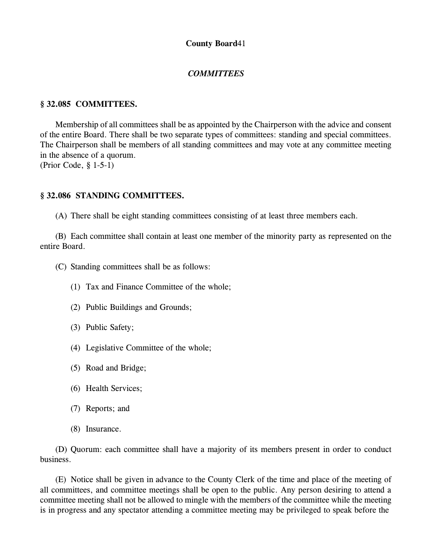### **County Board**41

#### *COMMITTEES*

#### **§ 32.085 COMMITTEES.**

Membership of all committees shall be as appointed by the Chairperson with the advice and consent of the entire Board. There shall be two separate types of committees: standing and special committees. The Chairperson shall be members of all standing committees and may vote at any committee meeting in the absence of a quorum. (Prior Code, § 1-5-1)

#### **§ 32.086 STANDING COMMITTEES.**

(A) There shall be eight standing committees consisting of at least three members each.

(B) Each committee shall contain at least one member of the minority party as represented on the entire Board.

(C) Standing committees shall be as follows:

- (1) Tax and Finance Committee of the whole;
- (2) Public Buildings and Grounds;
- (3) Public Safety;
- (4) Legislative Committee of the whole;
- (5) Road and Bridge;
- (6) Health Services;
- (7) Reports; and
- (8) Insurance.

(D) Quorum: each committee shall have a majority of its members present in order to conduct business.

(E) Notice shall be given in advance to the County Clerk of the time and place of the meeting of all committees, and committee meetings shall be open to the public. Any person desiring to attend a committee meeting shall not be allowed to mingle with the members of the committee while the meeting is in progress and any spectator attending a committee meeting may be privileged to speak before the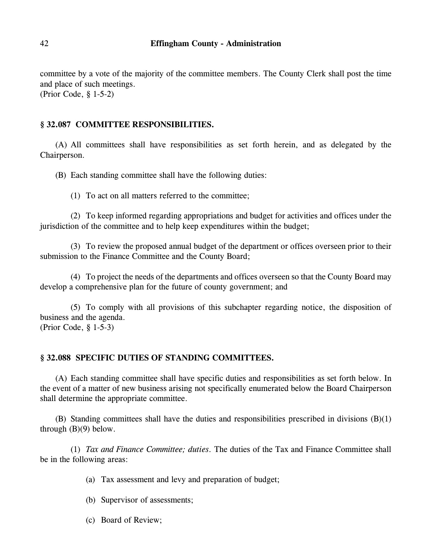committee by a vote of the majority of the committee members. The County Clerk shall post the time and place of such meetings. (Prior Code, § 1-5-2)

### **§ 32.087 COMMITTEE RESPONSIBILITIES.**

(A) All committees shall have responsibilities as set forth herein, and as delegated by the Chairperson.

(B) Each standing committee shall have the following duties:

(1) To act on all matters referred to the committee;

(2) To keep informed regarding appropriations and budget for activities and offices under the jurisdiction of the committee and to help keep expenditures within the budget;

(3) To review the proposed annual budget of the department or offices overseen prior to their submission to the Finance Committee and the County Board;

(4) To project the needs of the departments and offices overseen so that the County Board may develop a comprehensive plan for the future of county government; and

(5) To comply with all provisions of this subchapter regarding notice, the disposition of business and the agenda. (Prior Code, § 1-5-3)

### **§ 32.088 SPECIFIC DUTIES OF STANDING COMMITTEES.**

(A) Each standing committee shall have specific duties and responsibilities as set forth below. In the event of a matter of new business arising not specifically enumerated below the Board Chairperson shall determine the appropriate committee.

(B) Standing committees shall have the duties and responsibilities prescribed in divisions (B)(1) through  $(B)(9)$  below.

(1) *Tax and Finance Committee; duties.* The duties of the Tax and Finance Committee shall be in the following areas:

- (a) Tax assessment and levy and preparation of budget;
- (b) Supervisor of assessments;
- (c) Board of Review;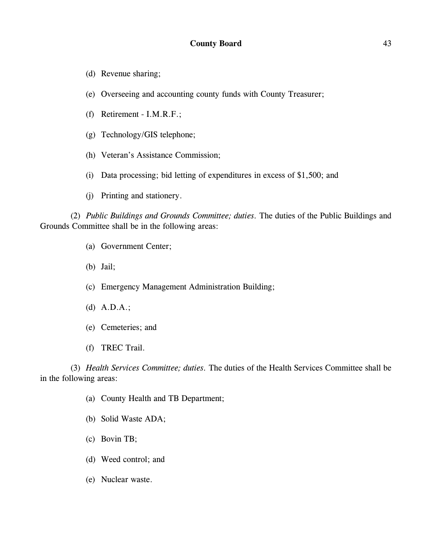### **County Board** 43

- (d) Revenue sharing;
- (e) Overseeing and accounting county funds with County Treasurer;
- (f) Retirement I.M.R.F.;
- (g) Technology/GIS telephone;
- (h) Veteran's Assistance Commission;
- (i) Data processing; bid letting of expenditures in excess of \$1,500; and
- (j) Printing and stationery.

(2) *Public Buildings and Grounds Committee; duties.* The duties of the Public Buildings and Grounds Committee shall be in the following areas:

- (a) Government Center;
- (b) Jail;
- (c) Emergency Management Administration Building;
- (d) A.D.A.;
- (e) Cemeteries; and
- (f) TREC Trail.

(3) *Health Services Committee; duties.* The duties of the Health Services Committee shall be in the following areas:

- (a) County Health and TB Department;
- (b) Solid Waste ADA;
- (c) Bovin TB;
- (d) Weed control; and
- (e) Nuclear waste.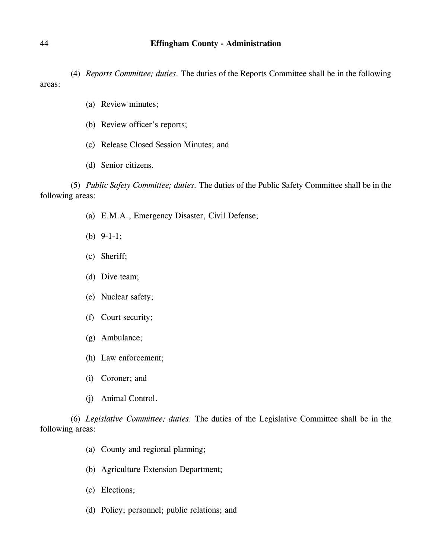(4) *Reports Committee; duties.* The duties of the Reports Committee shall be in the following areas:

- (a) Review minutes;
- (b) Review officer's reports;
- (c) Release Closed Session Minutes; and
- (d) Senior citizens.

(5) *Public Safety Committee; duties.* The duties of the Public Safety Committee shall be in the following areas:

- (a) E.M.A., Emergency Disaster, Civil Defense;
- (b) 9-1-1;
- (c) Sheriff;
- (d) Dive team;
- (e) Nuclear safety;
- (f) Court security;
- (g) Ambulance;
- (h) Law enforcement;
- (i) Coroner; and
- (j) Animal Control.

(6) *Legislative Committee; duties.* The duties of the Legislative Committee shall be in the following areas:

- (a) County and regional planning;
- (b) Agriculture Extension Department;
- (c) Elections;
- (d) Policy; personnel; public relations; and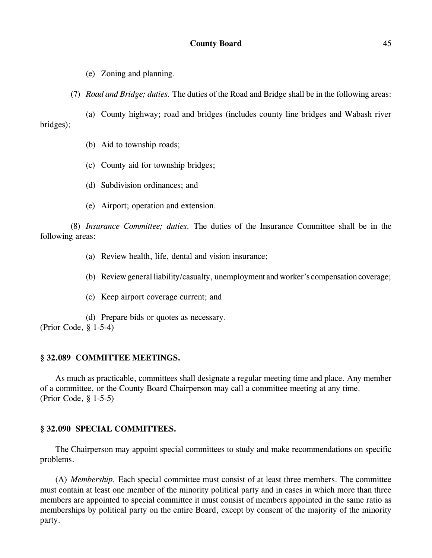#### **County Board** 45

(e) Zoning and planning.

(7) *Road and Bridge; duties.* The duties of the Road and Bridge shall be in the following areas:

(a) County highway; road and bridges (includes county line bridges and Wabash river bridges);

- (b) Aid to township roads;
- (c) County aid for township bridges;
- (d) Subdivision ordinances; and
- (e) Airport; operation and extension.

(8) *Insurance Committee; duties.* The duties of the Insurance Committee shall be in the following areas:

- (a) Review health, life, dental and vision insurance;
- (b) Review general liability/casualty, unemployment and worker's compensation coverage;
- (c) Keep airport coverage current; and

(d) Prepare bids or quotes as necessary. (Prior Code, § 1-5-4)

# **§ 32.089 COMMITTEE MEETINGS.**

As much as practicable, committees shall designate a regular meeting time and place. Any member of a committee, or the County Board Chairperson may call a committee meeting at any time. (Prior Code, § 1-5-5)

# **§ 32.090 SPECIAL COMMITTEES.**

The Chairperson may appoint special committees to study and make recommendations on specific problems.

(A) *Membership.* Each special committee must consist of at least three members. The committee must contain at least one member of the minority political party and in cases in which more than three members are appointed to special committee it must consist of members appointed in the same ratio as memberships by political party on the entire Board, except by consent of the majority of the minority party.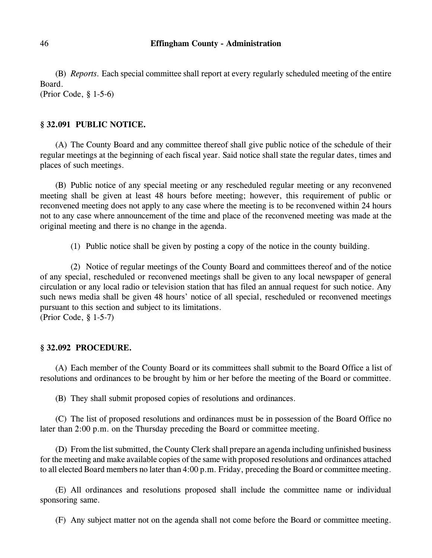(B) *Reports.* Each special committee shall report at every regularly scheduled meeting of the entire Board. (Prior Code, § 1-5-6)

**§ 32.091 PUBLIC NOTICE.**

(A) The County Board and any committee thereof shall give public notice of the schedule of their regular meetings at the beginning of each fiscal year. Said notice shall state the regular dates, times and places of such meetings.

(B) Public notice of any special meeting or any rescheduled regular meeting or any reconvened meeting shall be given at least 48 hours before meeting; however, this requirement of public or reconvened meeting does not apply to any case where the meeting is to be reconvened within 24 hours not to any case where announcement of the time and place of the reconvened meeting was made at the original meeting and there is no change in the agenda.

(1) Public notice shall be given by posting a copy of the notice in the county building.

(2) Notice of regular meetings of the County Board and committees thereof and of the notice of any special, rescheduled or reconvened meetings shall be given to any local newspaper of general circulation or any local radio or television station that has filed an annual request for such notice. Any such news media shall be given 48 hours' notice of all special, rescheduled or reconvened meetings pursuant to this section and subject to its limitations. (Prior Code, § 1-5-7)

### **§ 32.092 PROCEDURE.**

(A) Each member of the County Board or its committees shall submit to the Board Office a list of resolutions and ordinances to be brought by him or her before the meeting of the Board or committee.

(B) They shall submit proposed copies of resolutions and ordinances.

(C) The list of proposed resolutions and ordinances must be in possession of the Board Office no later than 2:00 p.m. on the Thursday preceding the Board or committee meeting.

(D) From the list submitted, the County Clerk shall prepare an agenda including unfinished business for the meeting and make available copies of the same with proposed resolutions and ordinances attached to all elected Board members no later than 4:00 p.m. Friday, preceding the Board or committee meeting.

(E) All ordinances and resolutions proposed shall include the committee name or individual sponsoring same.

(F) Any subject matter not on the agenda shall not come before the Board or committee meeting.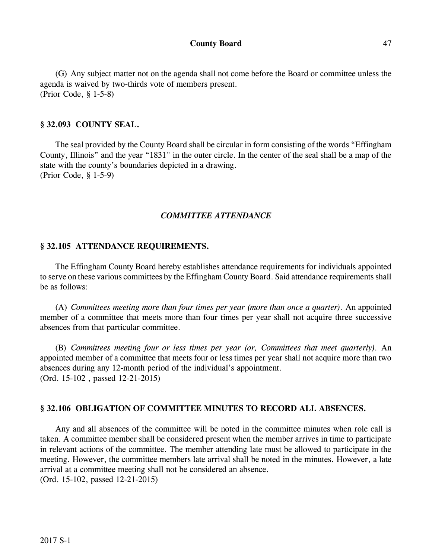### **County Board** 47

(G) Any subject matter not on the agenda shall not come before the Board or committee unless the agenda is waived by two-thirds vote of members present. (Prior Code, § 1-5-8)

#### **§ 32.093 COUNTY SEAL.**

The seal provided by the County Board shall be circular in form consisting of the words "Effingham County, Illinois" and the year "1831" in the outer circle. In the center of the seal shall be a map of the state with the county's boundaries depicted in a drawing. (Prior Code, § 1-5-9)

#### *COMMITTEE ATTENDANCE*

#### **§ 32.105 ATTENDANCE REQUIREMENTS.**

The Effingham County Board hereby establishes attendance requirements for individuals appointed to serve on these various committees by the Effingham County Board. Said attendance requirements shall be as follows:

(A) *Committees meeting more than four times per year (more than once a quarter).* An appointed member of a committee that meets more than four times per year shall not acquire three successive absences from that particular committee.

(B) *Committees meeting four or less times per year (or, Committees that meet quarterly).* An appointed member of a committee that meets four or less times per year shall not acquire more than two absences during any 12-month period of the individual's appointment. (Ord. 15-102 , passed 12-21-2015)

### **§ 32.106 OBLIGATION OF COMMITTEE MINUTES TO RECORD ALL ABSENCES.**

Any and all absences of the committee will be noted in the committee minutes when role call is taken. A committee member shall be considered present when the member arrives in time to participate in relevant actions of the committee. The member attending late must be allowed to participate in the meeting. However, the committee members late arrival shall be noted in the minutes. However, a late arrival at a committee meeting shall not be considered an absence. (Ord. 15-102, passed 12-21-2015)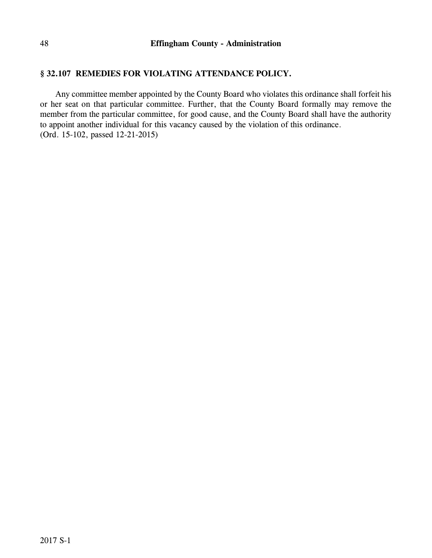# **§ 32.107 REMEDIES FOR VIOLATING ATTENDANCE POLICY.**

Any committee member appointed by the County Board who violates this ordinance shall forfeit his or her seat on that particular committee. Further, that the County Board formally may remove the member from the particular committee, for good cause, and the County Board shall have the authority to appoint another individual for this vacancy caused by the violation of this ordinance. (Ord. 15-102, passed 12-21-2015)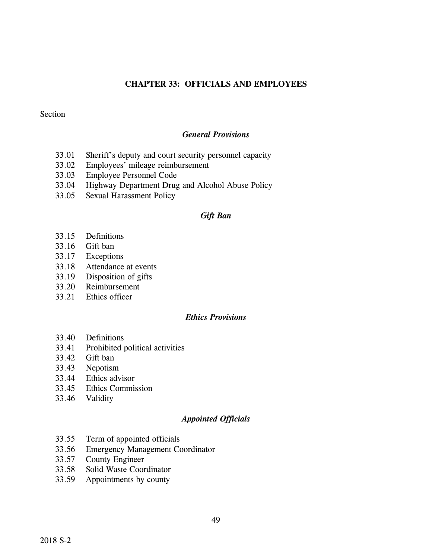# **CHAPTER 33: OFFICIALS AND EMPLOYEES**

#### Section

#### *General Provisions*

- 33.01 Sheriff's deputy and court security personnel capacity
- 33.02 Employees' mileage reimbursement
- 33.03 Employee Personnel Code
- 33.04 Highway Department Drug and Alcohol Abuse Policy
- 33.05 Sexual Harassment Policy

#### *Gift Ban*

- 33.15 Definitions
- 33.16 Gift ban
- 33.17 Exceptions
- 33.18 Attendance at events
- 33.19 Disposition of gifts
- 33.20 Reimbursement
- 33.21 Ethics officer

### *Ethics Provisions*

- 33.40 Definitions
- 33.41 Prohibited political activities
- 33.42 Gift ban
- 33.43 Nepotism
- 33.44 Ethics advisor
- 33.45 Ethics Commission
- 33.46 Validity

## *Appointed Officials*

- 33.55 Term of appointed officials
- 33.56 Emergency Management Coordinator
- 33.57 County Engineer
- 33.58 Solid Waste Coordinator
- 33.59 Appointments by county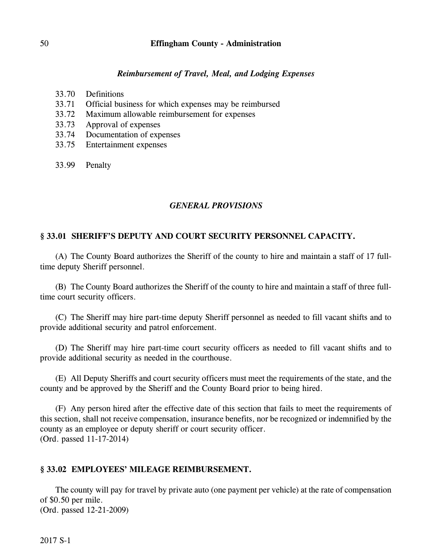### *Reimbursement of Travel, Meal, and Lodging Expenses*

| 33.70 | Definitions |
|-------|-------------|
|       |             |

- 33.71 Official business for which expenses may be reimbursed
- 33.72 Maximum allowable reimbursement for expenses
- 33.73 Approval of expenses
- 33.74 Documentation of expenses
- 33.75 Entertainment expenses
- 33.99 Penalty

# *GENERAL PROVISIONS*

#### **§ 33.01 SHERIFF'S DEPUTY AND COURT SECURITY PERSONNEL CAPACITY.**

(A) The County Board authorizes the Sheriff of the county to hire and maintain a staff of 17 fulltime deputy Sheriff personnel.

(B) The County Board authorizes the Sheriff of the county to hire and maintain a staff of three fulltime court security officers.

(C) The Sheriff may hire part-time deputy Sheriff personnel as needed to fill vacant shifts and to provide additional security and patrol enforcement.

(D) The Sheriff may hire part-time court security officers as needed to fill vacant shifts and to provide additional security as needed in the courthouse.

(E) All Deputy Sheriffs and court security officers must meet the requirements of the state, and the county and be approved by the Sheriff and the County Board prior to being hired.

(F) Any person hired after the effective date of this section that fails to meet the requirements of this section, shall not receive compensation, insurance benefits, nor be recognized or indemnified by the county as an employee or deputy sheriff or court security officer. (Ord. passed 11-17-2014)

### **§ 33.02 EMPLOYEES' MILEAGE REIMBURSEMENT.**

The county will pay for travel by private auto (one payment per vehicle) at the rate of compensation of \$0.50 per mile. (Ord. passed 12-21-2009)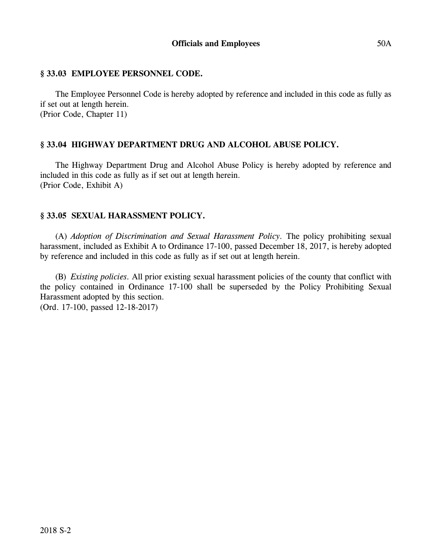# **§ 33.03 EMPLOYEE PERSONNEL CODE.**

The Employee Personnel Code is hereby adopted by reference and included in this code as fully as if set out at length herein. (Prior Code, Chapter 11)

# **§ 33.04 HIGHWAY DEPARTMENT DRUG AND ALCOHOL ABUSE POLICY.**

The Highway Department Drug and Alcohol Abuse Policy is hereby adopted by reference and included in this code as fully as if set out at length herein. (Prior Code, Exhibit A)

# **§ 33.05 SEXUAL HARASSMENT POLICY.**

(A) *Adoption of Discrimination and Sexual Harassment Policy.* The policy prohibiting sexual harassment, included as Exhibit A to Ordinance 17-100, passed December 18, 2017, is hereby adopted by reference and included in this code as fully as if set out at length herein.

(B) *Existing policies.* All prior existing sexual harassment policies of the county that conflict with the policy contained in Ordinance 17-100 shall be superseded by the Policy Prohibiting Sexual Harassment adopted by this section.

(Ord. 17-100, passed 12-18-2017)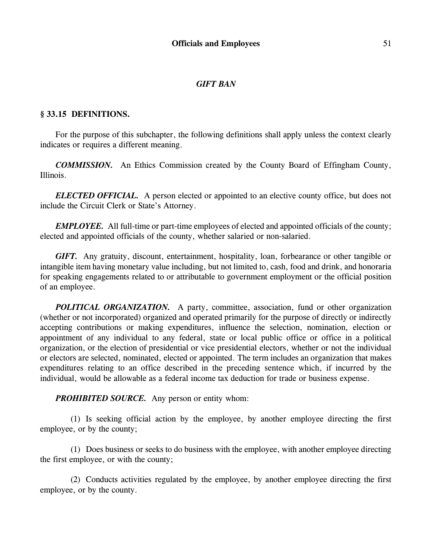### *GIFT BAN*

#### **§ 33.15 DEFINITIONS.**

For the purpose of this subchapter, the following definitions shall apply unless the context clearly indicates or requires a different meaning.

**COMMISSION.** An Ethics Commission created by the County Board of Effingham County, Illinois.

*ELECTED OFFICIAL.* A person elected or appointed to an elective county office, but does not include the Circuit Clerk or State's Attorney.

*EMPLOYEE.* All full-time or part-time employees of elected and appointed officials of the county; elected and appointed officials of the county, whether salaried or non-salaried.

*GIFT.* Any gratuity, discount, entertainment, hospitality, loan, forbearance or other tangible or intangible item having monetary value including, but not limited to, cash, food and drink, and honoraria for speaking engagements related to or attributable to government employment or the official position of an employee.

**POLITICAL ORGANIZATION.** A party, committee, association, fund or other organization (whether or not incorporated) organized and operated primarily for the purpose of directly or indirectly accepting contributions or making expenditures, influence the selection, nomination, election or appointment of any individual to any federal, state or local public office or office in a political organization, or the election of presidential or vice presidential electors, whether or not the individual or electors are selected, nominated, elected or appointed. The term includes an organization that makes expenditures relating to an office described in the preceding sentence which, if incurred by the individual, would be allowable as a federal income tax deduction for trade or business expense.

*PROHIBITED SOURCE.* Any person or entity whom:

(1) Is seeking official action by the employee, by another employee directing the first employee, or by the county;

(1) Does business or seeks to do business with the employee, with another employee directing the first employee, or with the county;

(2) Conducts activities regulated by the employee, by another employee directing the first employee, or by the county.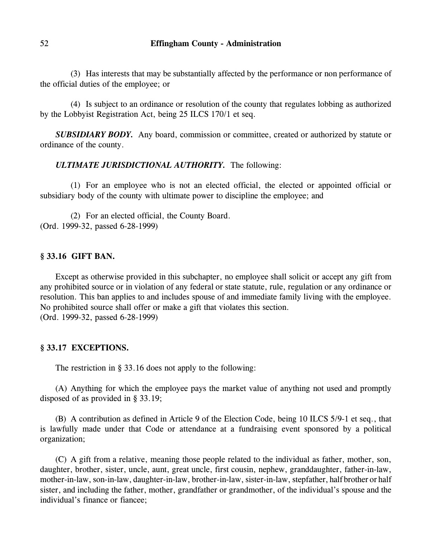(3) Has interests that may be substantially affected by the performance or non performance of the official duties of the employee; or

(4) Is subject to an ordinance or resolution of the county that regulates lobbing as authorized by the Lobbyist Registration Act, being 25 ILCS 170/1 et seq.

*SUBSIDIARY BODY.* Any board, commission or committee, created or authorized by statute or ordinance of the county.

#### *ULTIMATE JURISDICTIONAL AUTHORITY.* The following:

(1) For an employee who is not an elected official, the elected or appointed official or subsidiary body of the county with ultimate power to discipline the employee; and

(2) For an elected official, the County Board. (Ord. 1999-32, passed 6-28-1999)

# **§ 33.16 GIFT BAN.**

Except as otherwise provided in this subchapter, no employee shall solicit or accept any gift from any prohibited source or in violation of any federal or state statute, rule, regulation or any ordinance or resolution. This ban applies to and includes spouse of and immediate family living with the employee. No prohibited source shall offer or make a gift that violates this section. (Ord. 1999-32, passed 6-28-1999)

#### **§ 33.17 EXCEPTIONS.**

The restriction in § 33.16 does not apply to the following:

(A) Anything for which the employee pays the market value of anything not used and promptly disposed of as provided in § 33.19;

(B) A contribution as defined in Article 9 of the Election Code, being 10 ILCS 5/9-1 et seq., that is lawfully made under that Code or attendance at a fundraising event sponsored by a political organization;

(C) A gift from a relative, meaning those people related to the individual as father, mother, son, daughter, brother, sister, uncle, aunt, great uncle, first cousin, nephew, granddaughter, father-in-law, mother-in-law, son-in-law, daughter-in-law, brother-in-law, sister-in-law, stepfather, half brother or half sister, and including the father, mother, grandfather or grandmother, of the individual's spouse and the individual's finance or fiancee;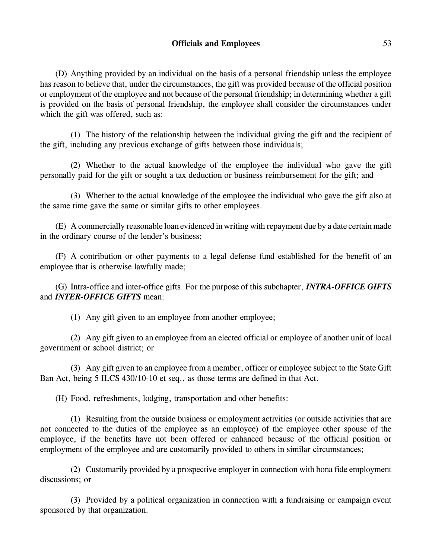(D) Anything provided by an individual on the basis of a personal friendship unless the employee has reason to believe that, under the circumstances, the gift was provided because of the official position or employment of the employee and not because of the personal friendship; in determining whether a gift is provided on the basis of personal friendship, the employee shall consider the circumstances under which the gift was offered, such as:

(1) The history of the relationship between the individual giving the gift and the recipient of the gift, including any previous exchange of gifts between those individuals;

(2) Whether to the actual knowledge of the employee the individual who gave the gift personally paid for the gift or sought a tax deduction or business reimbursement for the gift; and

(3) Whether to the actual knowledge of the employee the individual who gave the gift also at the same time gave the same or similar gifts to other employees.

(E) A commercially reasonable loan evidenced in writing with repayment due by a date certain made in the ordinary course of the lender's business;

(F) A contribution or other payments to a legal defense fund established for the benefit of an employee that is otherwise lawfully made;

(G) Intra-office and inter-office gifts. For the purpose of this subchapter, *INTRA-OFFICE GIFTS* and *INTER-OFFICE GIFTS* mean:

(1) Any gift given to an employee from another employee;

(2) Any gift given to an employee from an elected official or employee of another unit of local government or school district; or

(3) Any gift given to an employee from a member, officer or employee subject to the State Gift Ban Act, being 5 ILCS 430/10-10 et seq., as those terms are defined in that Act.

(H) Food, refreshments, lodging, transportation and other benefits:

(1) Resulting from the outside business or employment activities (or outside activities that are not connected to the duties of the employee as an employee) of the employee other spouse of the employee, if the benefits have not been offered or enhanced because of the official position or employment of the employee and are customarily provided to others in similar circumstances;

(2) Customarily provided by a prospective employer in connection with bona fide employment discussions; or

(3) Provided by a political organization in connection with a fundraising or campaign event sponsored by that organization.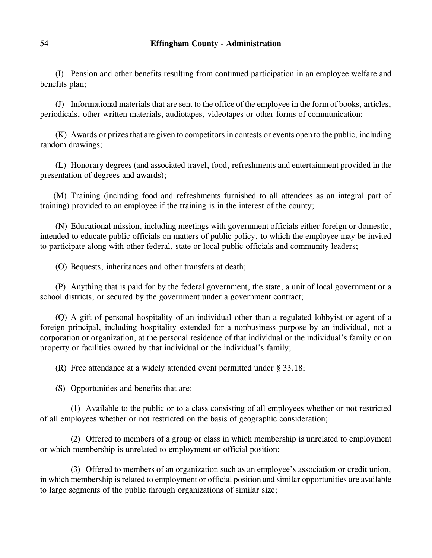(I) Pension and other benefits resulting from continued participation in an employee welfare and benefits plan;

(J) Informational materials that are sent to the office of the employee in the form of books, articles, periodicals, other written materials, audiotapes, videotapes or other forms of communication;

(K) Awards or prizes that are given to competitors in contests or events open to the public, including random drawings;

(L) Honorary degrees (and associated travel, food, refreshments and entertainment provided in the presentation of degrees and awards);

(M) Training (including food and refreshments furnished to all attendees as an integral part of training) provided to an employee if the training is in the interest of the county;

(N) Educational mission, including meetings with government officials either foreign or domestic, intended to educate public officials on matters of public policy, to which the employee may be invited to participate along with other federal, state or local public officials and community leaders;

(O) Bequests, inheritances and other transfers at death;

(P) Anything that is paid for by the federal government, the state, a unit of local government or a school districts, or secured by the government under a government contract;

(Q) A gift of personal hospitality of an individual other than a regulated lobbyist or agent of a foreign principal, including hospitality extended for a nonbusiness purpose by an individual, not a corporation or organization, at the personal residence of that individual or the individual's family or on property or facilities owned by that individual or the individual's family;

(R) Free attendance at a widely attended event permitted under § 33.18;

(S) Opportunities and benefits that are:

(1) Available to the public or to a class consisting of all employees whether or not restricted of all employees whether or not restricted on the basis of geographic consideration;

(2) Offered to members of a group or class in which membership is unrelated to employment or which membership is unrelated to employment or official position;

(3) Offered to members of an organization such as an employee's association or credit union, in which membership is related to employment or official position and similar opportunities are available to large segments of the public through organizations of similar size;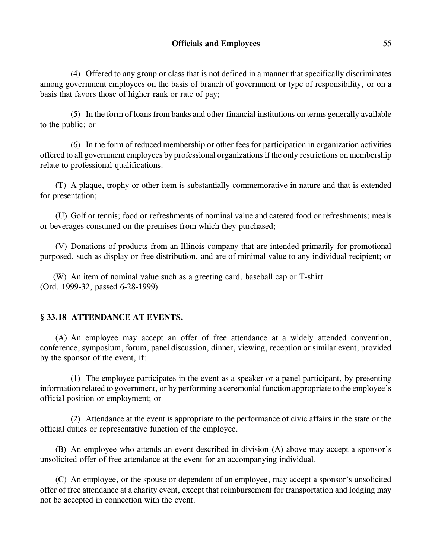(4) Offered to any group or class that is not defined in a manner that specifically discriminates among government employees on the basis of branch of government or type of responsibility, or on a basis that favors those of higher rank or rate of pay;

(5) In the form of loans from banks and other financial institutions on terms generally available to the public; or

(6) In the form of reduced membership or other fees for participation in organization activities offered to all government employees by professional organizations if the only restrictions on membership relate to professional qualifications.

(T) A plaque, trophy or other item is substantially commemorative in nature and that is extended for presentation;

(U) Golf or tennis; food or refreshments of nominal value and catered food or refreshments; meals or beverages consumed on the premises from which they purchased;

(V) Donations of products from an Illinois company that are intended primarily for promotional purposed, such as display or free distribution, and are of minimal value to any individual recipient; or

(W) An item of nominal value such as a greeting card, baseball cap or T-shirt. (Ord. 1999-32, passed 6-28-1999)

# **§ 33.18 ATTENDANCE AT EVENTS.**

(A) An employee may accept an offer of free attendance at a widely attended convention, conference, symposium, forum, panel discussion, dinner, viewing, reception or similar event, provided by the sponsor of the event, if:

(1) The employee participates in the event as a speaker or a panel participant, by presenting information related to government, or by performing a ceremonial function appropriate to the employee's official position or employment; or

(2) Attendance at the event is appropriate to the performance of civic affairs in the state or the official duties or representative function of the employee.

(B) An employee who attends an event described in division (A) above may accept a sponsor's unsolicited offer of free attendance at the event for an accompanying individual.

(C) An employee, or the spouse or dependent of an employee, may accept a sponsor's unsolicited offer of free attendance at a charity event, except that reimbursement for transportation and lodging may not be accepted in connection with the event.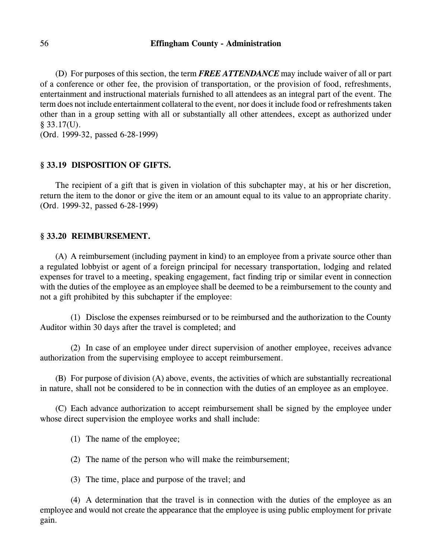(D) For purposes of this section, the term *FREE ATTENDANCE* may include waiver of all or part of a conference or other fee, the provision of transportation, or the provision of food, refreshments, entertainment and instructional materials furnished to all attendees as an integral part of the event. The term does not include entertainment collateral to the event, nor does it include food or refreshments taken other than in a group setting with all or substantially all other attendees, except as authorized under § 33.17(U).

(Ord. 1999-32, passed 6-28-1999)

#### **§ 33.19 DISPOSITION OF GIFTS.**

The recipient of a gift that is given in violation of this subchapter may, at his or her discretion, return the item to the donor or give the item or an amount equal to its value to an appropriate charity. (Ord. 1999-32, passed 6-28-1999)

#### **§ 33.20 REIMBURSEMENT.**

(A) A reimbursement (including payment in kind) to an employee from a private source other than a regulated lobbyist or agent of a foreign principal for necessary transportation, lodging and related expenses for travel to a meeting, speaking engagement, fact finding trip or similar event in connection with the duties of the employee as an employee shall be deemed to be a reimbursement to the county and not a gift prohibited by this subchapter if the employee:

(1) Disclose the expenses reimbursed or to be reimbursed and the authorization to the County Auditor within 30 days after the travel is completed; and

(2) In case of an employee under direct supervision of another employee, receives advance authorization from the supervising employee to accept reimbursement.

(B) For purpose of division (A) above, events, the activities of which are substantially recreational in nature, shall not be considered to be in connection with the duties of an employee as an employee.

(C) Each advance authorization to accept reimbursement shall be signed by the employee under whose direct supervision the employee works and shall include:

(1) The name of the employee;

(2) The name of the person who will make the reimbursement;

(3) The time, place and purpose of the travel; and

(4) A determination that the travel is in connection with the duties of the employee as an employee and would not create the appearance that the employee is using public employment for private gain.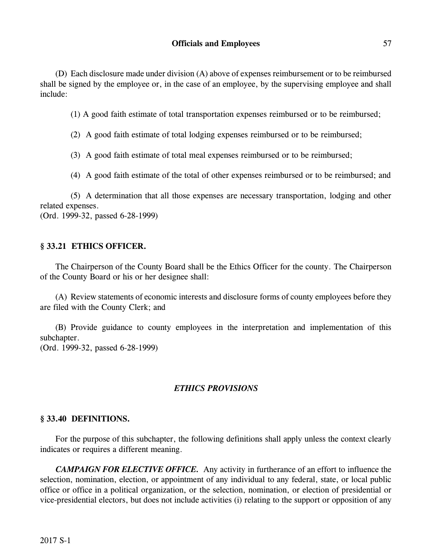(D) Each disclosure made under division (A) above of expenses reimbursement or to be reimbursed shall be signed by the employee or, in the case of an employee, by the supervising employee and shall include:

(1) A good faith estimate of total transportation expenses reimbursed or to be reimbursed;

(2) A good faith estimate of total lodging expenses reimbursed or to be reimbursed;

(3) A good faith estimate of total meal expenses reimbursed or to be reimbursed;

(4) A good faith estimate of the total of other expenses reimbursed or to be reimbursed; and

(5) A determination that all those expenses are necessary transportation, lodging and other related expenses.

(Ord. 1999-32, passed 6-28-1999)

### **§ 33.21 ETHICS OFFICER.**

The Chairperson of the County Board shall be the Ethics Officer for the county. The Chairperson of the County Board or his or her designee shall:

(A) Review statements of economic interests and disclosure forms of county employees before they are filed with the County Clerk; and

(B) Provide guidance to county employees in the interpretation and implementation of this subchapter. (Ord. 1999-32, passed 6-28-1999)

*ETHICS PROVISIONS*

### **§ 33.40 DEFINITIONS.**

For the purpose of this subchapter, the following definitions shall apply unless the context clearly indicates or requires a different meaning.

*CAMPAIGN FOR ELECTIVE OFFICE.* Any activity in furtherance of an effort to influence the selection, nomination, election, or appointment of any individual to any federal, state, or local public office or office in a political organization, or the selection, nomination, or election of presidential or vice-presidential electors, but does not include activities (i) relating to the support or opposition of any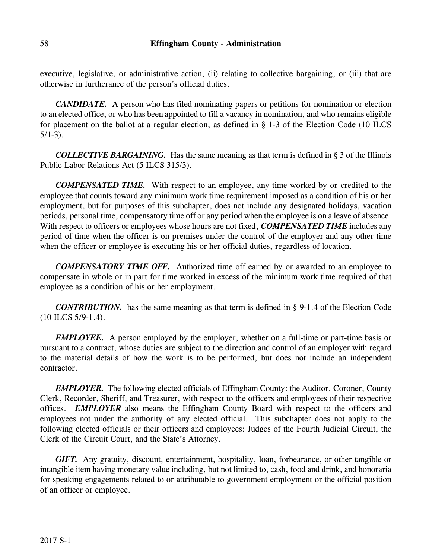executive, legislative, or administrative action, (ii) relating to collective bargaining, or (iii) that are otherwise in furtherance of the person's official duties.

*CANDIDATE.* A person who has filed nominating papers or petitions for nomination or election to an elected office, or who has been appointed to fill a vacancy in nomination, and who remains eligible for placement on the ballot at a regular election, as defined in § 1-3 of the Election Code (10 ILCS  $5/1-3$ ).

*COLLECTIVE BARGAINING.* Has the same meaning as that term is defined in § 3 of the Illinois Public Labor Relations Act (5 ILCS 315/3).

*COMPENSATED TIME.* With respect to an employee, any time worked by or credited to the employee that counts toward any minimum work time requirement imposed as a condition of his or her employment, but for purposes of this subchapter, does not include any designated holidays, vacation periods, personal time, compensatory time off or any period when the employee is on a leave of absence. With respect to officers or employees whose hours are not fixed, *COMPENSATED TIME* includes any period of time when the officer is on premises under the control of the employer and any other time when the officer or employee is executing his or her official duties, regardless of location.

*COMPENSATORY TIME OFF.* Authorized time off earned by or awarded to an employee to compensate in whole or in part for time worked in excess of the minimum work time required of that employee as a condition of his or her employment.

*CONTRIBUTION.* has the same meaning as that term is defined in § 9-1.4 of the Election Code (10 ILCS 5/9-1.4).

*EMPLOYEE.* A person employed by the employer, whether on a full-time or part-time basis or pursuant to a contract, whose duties are subject to the direction and control of an employer with regard to the material details of how the work is to be performed, but does not include an independent contractor.

*EMPLOYER.* The following elected officials of Effingham County: the Auditor, Coroner, County Clerk, Recorder, Sheriff, and Treasurer, with respect to the officers and employees of their respective offices. *EMPLOYER* also means the Effingham County Board with respect to the officers and employees not under the authority of any elected official. This subchapter does not apply to the following elected officials or their officers and employees: Judges of the Fourth Judicial Circuit, the Clerk of the Circuit Court, and the State's Attorney.

*GIFT.* Any gratuity, discount, entertainment, hospitality, loan, forbearance, or other tangible or intangible item having monetary value including, but not limited to, cash, food and drink, and honoraria for speaking engagements related to or attributable to government employment or the official position of an officer or employee.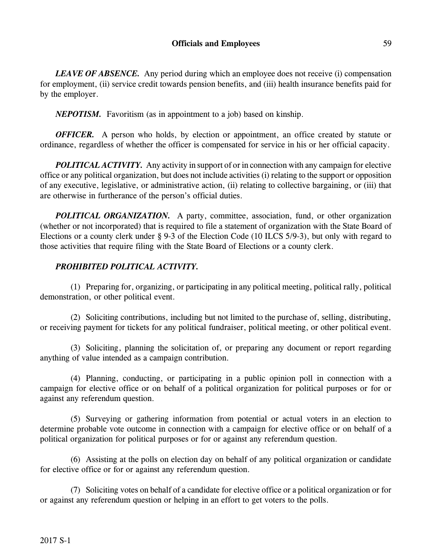*LEAVE OF ABSENCE.* Any period during which an employee does not receive (i) compensation for employment, (ii) service credit towards pension benefits, and (iii) health insurance benefits paid for by the employer.

*NEPOTISM.* Favoritism (as in appointment to a job) based on kinship.

*OFFICER.* A person who holds, by election or appointment, an office created by statute or ordinance, regardless of whether the officer is compensated for service in his or her official capacity.

*POLITICAL ACTIVITY.* Any activity in support of or in connection with any campaign for elective office or any political organization, but does not include activities (i) relating to the support or opposition of any executive, legislative, or administrative action, (ii) relating to collective bargaining, or (iii) that are otherwise in furtherance of the person's official duties.

**POLITICAL ORGANIZATION.** A party, committee, association, fund, or other organization (whether or not incorporated) that is required to file a statement of organization with the State Board of Elections or a county clerk under § 9-3 of the Election Code (10 ILCS 5/9-3), but only with regard to those activities that require filing with the State Board of Elections or a county clerk.

# *PROHIBITED POLITICAL ACTIVITY.*

(1) Preparing for, organizing, or participating in any political meeting, political rally, political demonstration, or other political event.

(2) Soliciting contributions, including but not limited to the purchase of, selling, distributing, or receiving payment for tickets for any political fundraiser, political meeting, or other political event.

(3) Soliciting, planning the solicitation of, or preparing any document or report regarding anything of value intended as a campaign contribution.

(4) Planning, conducting, or participating in a public opinion poll in connection with a campaign for elective office or on behalf of a political organization for political purposes or for or against any referendum question.

(5) Surveying or gathering information from potential or actual voters in an election to determine probable vote outcome in connection with a campaign for elective office or on behalf of a political organization for political purposes or for or against any referendum question.

(6) Assisting at the polls on election day on behalf of any political organization or candidate for elective office or for or against any referendum question.

(7) Soliciting votes on behalf of a candidate for elective office or a political organization or for or against any referendum question or helping in an effort to get voters to the polls.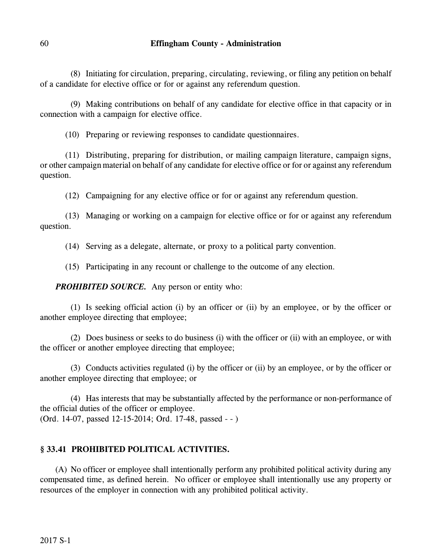# 60 **Effingham County - Administration**

(8) Initiating for circulation, preparing, circulating, reviewing, or filing any petition on behalf of a candidate for elective office or for or against any referendum question.

(9) Making contributions on behalf of any candidate for elective office in that capacity or in connection with a campaign for elective office.

(10) Preparing or reviewing responses to candidate questionnaires.

(11) Distributing, preparing for distribution, or mailing campaign literature, campaign signs, or other campaign material on behalf of any candidate for elective office or for or against any referendum question.

(12) Campaigning for any elective office or for or against any referendum question.

(13) Managing or working on a campaign for elective office or for or against any referendum question.

(14) Serving as a delegate, alternate, or proxy to a political party convention.

(15) Participating in any recount or challenge to the outcome of any election.

*PROHIBITED SOURCE.* Any person or entity who:

(1) Is seeking official action (i) by an officer or (ii) by an employee, or by the officer or another employee directing that employee;

(2) Does business or seeks to do business (i) with the officer or (ii) with an employee, or with the officer or another employee directing that employee;

(3) Conducts activities regulated (i) by the officer or (ii) by an employee, or by the officer or another employee directing that employee; or

(4) Has interests that may be substantially affected by the performance or non-performance of the official duties of the officer or employee. (Ord. 14-07, passed 12-15-2014; Ord. 17-48, passed - - )

# **§ 33.41 PROHIBITED POLITICAL ACTIVITIES.**

(A) No officer or employee shall intentionally perform any prohibited political activity during any compensated time, as defined herein. No officer or employee shall intentionally use any property or resources of the employer in connection with any prohibited political activity.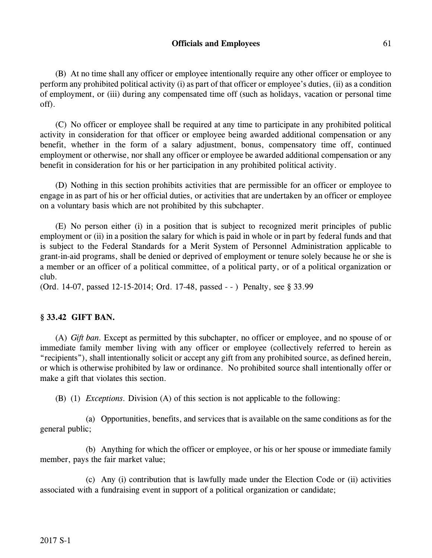(B) At no time shall any officer or employee intentionally require any other officer or employee to perform any prohibited political activity (i) as part of that officer or employee's duties, (ii) as a condition of employment, or (iii) during any compensated time off (such as holidays, vacation or personal time off).

(C) No officer or employee shall be required at any time to participate in any prohibited political activity in consideration for that officer or employee being awarded additional compensation or any benefit, whether in the form of a salary adjustment, bonus, compensatory time off, continued employment or otherwise, nor shall any officer or employee be awarded additional compensation or any benefit in consideration for his or her participation in any prohibited political activity.

(D) Nothing in this section prohibits activities that are permissible for an officer or employee to engage in as part of his or her official duties, or activities that are undertaken by an officer or employee on a voluntary basis which are not prohibited by this subchapter.

(E) No person either (i) in a position that is subject to recognized merit principles of public employment or (ii) in a position the salary for which is paid in whole or in part by federal funds and that is subject to the Federal Standards for a Merit System of Personnel Administration applicable to grant-in-aid programs, shall be denied or deprived of employment or tenure solely because he or she is a member or an officer of a political committee, of a political party, or of a political organization or club.

(Ord. 14-07, passed 12-15-2014; Ord. 17-48, passed - - ) Penalty, see § 33.99

### **§ 33.42 GIFT BAN.**

(A) *Gift ban.* Except as permitted by this subchapter, no officer or employee, and no spouse of or immediate family member living with any officer or employee (collectively referred to herein as "recipients"), shall intentionally solicit or accept any gift from any prohibited source, as defined herein, or which is otherwise prohibited by law or ordinance. No prohibited source shall intentionally offer or make a gift that violates this section.

(B) (1) *Exceptions.* Division (A) of this section is not applicable to the following:

(a) Opportunities, benefits, and services that is available on the same conditions as for the general public;

(b) Anything for which the officer or employee, or his or her spouse or immediate family member, pays the fair market value;

(c) Any (i) contribution that is lawfully made under the Election Code or (ii) activities associated with a fundraising event in support of a political organization or candidate;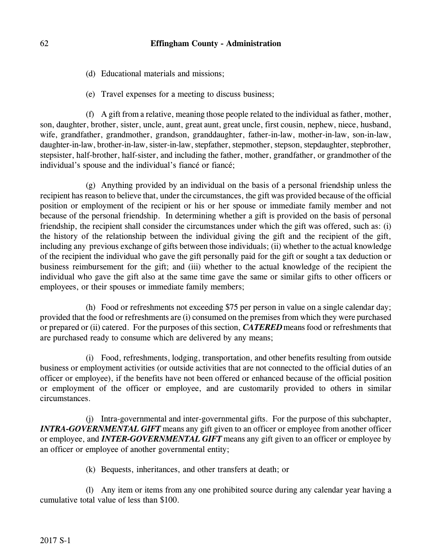- (d) Educational materials and missions;
- (e) Travel expenses for a meeting to discuss business;

(f) A gift from a relative, meaning those people related to the individual as father, mother, son, daughter, brother, sister, uncle, aunt, great aunt, great uncle, first cousin, nephew, niece, husband, wife, grandfather, grandmother, grandson, granddaughter, father-in-law, mother-in-law, son-in-law, daughter-in-law, brother-in-law, sister-in-law, stepfather, stepmother, stepson, stepdaughter, stepbrother, stepsister, half-brother, half-sister, and including the father, mother, grandfather, or grandmother of the individual's spouse and the individual's fiancé or fiancé;

(g) Anything provided by an individual on the basis of a personal friendship unless the recipient has reason to believe that, under the circumstances, the gift was provided because of the official position or employment of the recipient or his or her spouse or immediate family member and not because of the personal friendship. In determining whether a gift is provided on the basis of personal friendship, the recipient shall consider the circumstances under which the gift was offered, such as: (i) the history of the relationship between the individual giving the gift and the recipient of the gift, including any previous exchange of gifts between those individuals; (ii) whether to the actual knowledge of the recipient the individual who gave the gift personally paid for the gift or sought a tax deduction or business reimbursement for the gift; and (iii) whether to the actual knowledge of the recipient the individual who gave the gift also at the same time gave the same or similar gifts to other officers or employees, or their spouses or immediate family members;

(h) Food or refreshments not exceeding \$75 per person in value on a single calendar day; provided that the food or refreshments are (i) consumed on the premises from which they were purchased or prepared or (ii) catered. For the purposes of this section, *CATERED* means food or refreshments that are purchased ready to consume which are delivered by any means;

(i) Food, refreshments, lodging, transportation, and other benefits resulting from outside business or employment activities (or outside activities that are not connected to the official duties of an officer or employee), if the benefits have not been offered or enhanced because of the official position or employment of the officer or employee, and are customarily provided to others in similar circumstances.

(j) Intra-governmental and inter-governmental gifts. For the purpose of this subchapter, *INTRA-GOVERNMENTAL GIFT* means any gift given to an officer or employee from another officer or employee, and *INTER-GOVERNMENTAL GIFT* means any gift given to an officer or employee by an officer or employee of another governmental entity;

(k) Bequests, inheritances, and other transfers at death; or

(l) Any item or items from any one prohibited source during any calendar year having a cumulative total value of less than \$100.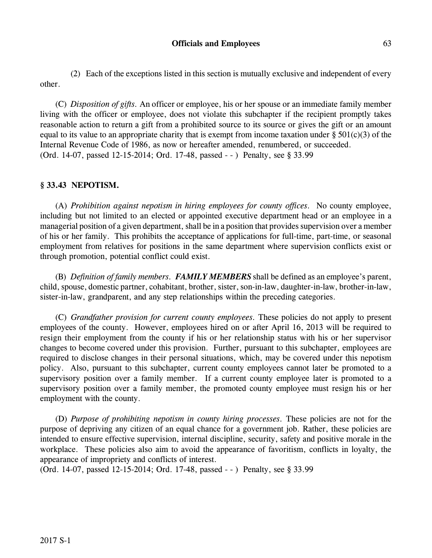(2) Each of the exceptions listed in this section is mutually exclusive and independent of every other.

(C) *Disposition of gifts.* An officer or employee, his or her spouse or an immediate family member living with the officer or employee, does not violate this subchapter if the recipient promptly takes reasonable action to return a gift from a prohibited source to its source or gives the gift or an amount equal to its value to an appropriate charity that is exempt from income taxation under  $\S 501(c)(3)$  of the Internal Revenue Code of 1986, as now or hereafter amended, renumbered, or succeeded. (Ord. 14-07, passed 12-15-2014; Ord. 17-48, passed - - ) Penalty, see § 33.99

# **§ 33.43 NEPOTISM.**

(A) *Prohibition against nepotism in hiring employees for county offices.* No county employee, including but not limited to an elected or appointed executive department head or an employee in a managerial position of a given department, shall be in a position that provides supervision over a member of his or her family. This prohibits the acceptance of applications for full-time, part-time, or seasonal employment from relatives for positions in the same department where supervision conflicts exist or through promotion, potential conflict could exist.

(B) *Definition of family members. FAMILY MEMBERS* shall be defined as an employee's parent, child, spouse, domestic partner, cohabitant, brother, sister, son-in-law, daughter-in-law, brother-in-law, sister-in-law, grandparent, and any step relationships within the preceding categories.

(C) *Grandfather provision for current county employees.* These policies do not apply to present employees of the county. However, employees hired on or after April 16, 2013 will be required to resign their employment from the county if his or her relationship status with his or her supervisor changes to become covered under this provision. Further, pursuant to this subchapter, employees are required to disclose changes in their personal situations, which, may be covered under this nepotism policy. Also, pursuant to this subchapter, current county employees cannot later be promoted to a supervisory position over a family member. If a current county employee later is promoted to a supervisory position over a family member, the promoted county employee must resign his or her employment with the county.

(D) *Purpose of prohibiting nepotism in county hiring processes.* These policies are not for the purpose of depriving any citizen of an equal chance for a government job. Rather, these policies are intended to ensure effective supervision, internal discipline, security, safety and positive morale in the workplace. These policies also aim to avoid the appearance of favoritism, conflicts in loyalty, the appearance of impropriety and conflicts of interest.

(Ord. 14-07, passed 12-15-2014; Ord. 17-48, passed - - ) Penalty, see § 33.99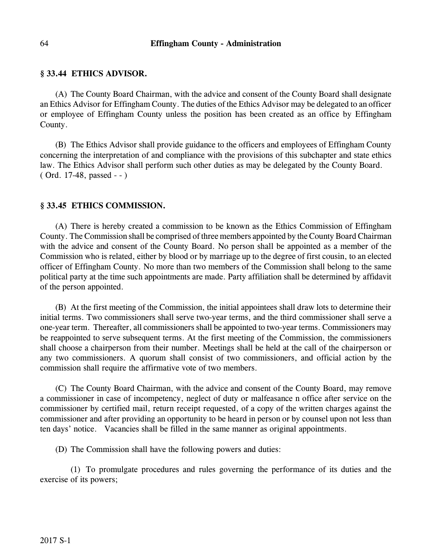# **§ 33.44 ETHICS ADVISOR.**

(A) The County Board Chairman, with the advice and consent of the County Board shall designate an Ethics Advisor for Effingham County. The duties of the Ethics Advisor may be delegated to an officer or employee of Effingham County unless the position has been created as an office by Effingham County.

(B) The Ethics Advisor shall provide guidance to the officers and employees of Effingham County concerning the interpretation of and compliance with the provisions of this subchapter and state ethics law. The Ethics Advisor shall perform such other duties as may be delegated by the County Board. ( Ord. 17-48, passed - - )

# **§ 33.45 ETHICS COMMISSION.**

(A) There is hereby created a commission to be known as the Ethics Commission of Effingham County. The Commission shall be comprised of three members appointed by the County Board Chairman with the advice and consent of the County Board. No person shall be appointed as a member of the Commission who is related, either by blood or by marriage up to the degree of first cousin, to an elected officer of Effingham County. No more than two members of the Commission shall belong to the same political party at the time such appointments are made. Party affiliation shall be determined by affidavit of the person appointed.

(B) At the first meeting of the Commission, the initial appointees shall draw lots to determine their initial terms. Two commissioners shall serve two-year terms, and the third commissioner shall serve a one-year term. Thereafter, all commissioners shall be appointed to two-year terms. Commissioners may be reappointed to serve subsequent terms. At the first meeting of the Commission, the commissioners shall choose a chairperson from their number. Meetings shall be held at the call of the chairperson or any two commissioners. A quorum shall consist of two commissioners, and official action by the commission shall require the affirmative vote of two members.

(C) The County Board Chairman, with the advice and consent of the County Board, may remove a commissioner in case of incompetency, neglect of duty or malfeasance n office after service on the commissioner by certified mail, return receipt requested, of a copy of the written charges against the commissioner and after providing an opportunity to be heard in person or by counsel upon not less than ten days' notice. Vacancies shall be filled in the same manner as original appointments.

(D) The Commission shall have the following powers and duties:

(1) To promulgate procedures and rules governing the performance of its duties and the exercise of its powers;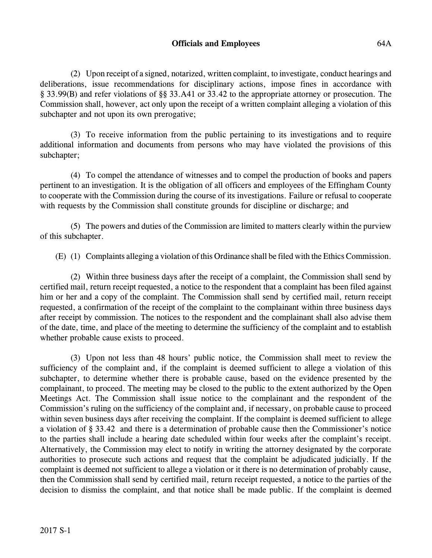# **Officials and Employees** 64A

(2) Upon receipt of a signed, notarized, written complaint, to investigate, conduct hearings and deliberations, issue recommendations for disciplinary actions, impose fines in accordance with § 33.99(B) and refer violations of §§ 33.A41 or 33.42 to the appropriate attorney or prosecution. The Commission shall, however, act only upon the receipt of a written complaint alleging a violation of this subchapter and not upon its own prerogative;

(3) To receive information from the public pertaining to its investigations and to require additional information and documents from persons who may have violated the provisions of this subchapter;

(4) To compel the attendance of witnesses and to compel the production of books and papers pertinent to an investigation. It is the obligation of all officers and employees of the Effingham County to cooperate with the Commission during the course of its investigations. Failure or refusal to cooperate with requests by the Commission shall constitute grounds for discipline or discharge; and

(5) The powers and duties of the Commission are limited to matters clearly within the purview of this subchapter.

(E) (1) Complaints alleging a violation of this Ordinance shall be filed with the Ethics Commission.

(2) Within three business days after the receipt of a complaint, the Commission shall send by certified mail, return receipt requested, a notice to the respondent that a complaint has been filed against him or her and a copy of the complaint. The Commission shall send by certified mail, return receipt requested, a confirmation of the receipt of the complaint to the complainant within three business days after receipt by commission. The notices to the respondent and the complainant shall also advise them of the date, time, and place of the meeting to determine the sufficiency of the complaint and to establish whether probable cause exists to proceed.

(3) Upon not less than 48 hours' public notice, the Commission shall meet to review the sufficiency of the complaint and, if the complaint is deemed sufficient to allege a violation of this subchapter, to determine whether there is probable cause, based on the evidence presented by the complainant, to proceed. The meeting may be closed to the public to the extent authorized by the Open Meetings Act. The Commission shall issue notice to the complainant and the respondent of the Commission's ruling on the sufficiency of the complaint and, if necessary, on probable cause to proceed within seven business days after receiving the complaint. If the complaint is deemed sufficient to allege a violation of § 33.42 and there is a determination of probable cause then the Commissioner's notice to the parties shall include a hearing date scheduled within four weeks after the complaint's receipt. Alternatively, the Commission may elect to notify in writing the attorney designated by the corporate authorities to prosecute such actions and request that the complaint be adjudicated judicially. If the complaint is deemed not sufficient to allege a violation or it there is no determination of probably cause, then the Commission shall send by certified mail, return receipt requested, a notice to the parties of the decision to dismiss the complaint, and that notice shall be made public. If the complaint is deemed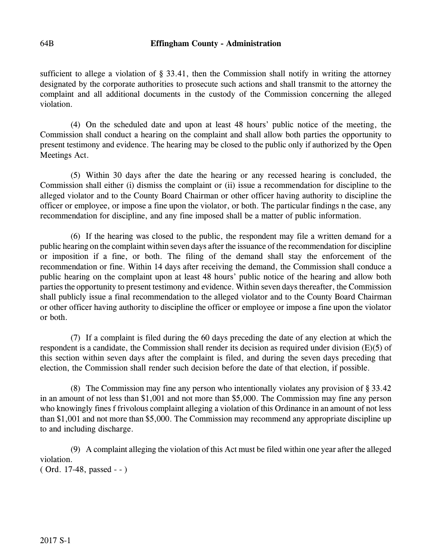sufficient to allege a violation of § 33.41, then the Commission shall notify in writing the attorney designated by the corporate authorities to prosecute such actions and shall transmit to the attorney the complaint and all additional documents in the custody of the Commission concerning the alleged violation.

(4) On the scheduled date and upon at least 48 hours' public notice of the meeting, the Commission shall conduct a hearing on the complaint and shall allow both parties the opportunity to present testimony and evidence. The hearing may be closed to the public only if authorized by the Open Meetings Act.

(5) Within 30 days after the date the hearing or any recessed hearing is concluded, the Commission shall either (i) dismiss the complaint or (ii) issue a recommendation for discipline to the alleged violator and to the County Board Chairman or other officer having authority to discipline the officer or employee, or impose a fine upon the violator, or both. The particular findings n the case, any recommendation for discipline, and any fine imposed shall be a matter of public information.

(6) If the hearing was closed to the public, the respondent may file a written demand for a public hearing on the complaint within seven days after the issuance of the recommendation for discipline or imposition if a fine, or both. The filing of the demand shall stay the enforcement of the recommendation or fine. Within 14 days after receiving the demand, the Commission shall conduce a public hearing on the complaint upon at least 48 hours' public notice of the hearing and allow both parties the opportunity to present testimony and evidence. Within seven days thereafter, the Commission shall publicly issue a final recommendation to the alleged violator and to the County Board Chairman or other officer having authority to discipline the officer or employee or impose a fine upon the violator or both.

(7) If a complaint is filed during the 60 days preceding the date of any election at which the respondent is a candidate, the Commission shall render its decision as required under division (E)(5) of this section within seven days after the complaint is filed, and during the seven days preceding that election, the Commission shall render such decision before the date of that election, if possible.

(8) The Commission may fine any person who intentionally violates any provision of § 33.42 in an amount of not less than \$1,001 and not more than \$5,000. The Commission may fine any person who knowingly fines f frivolous complaint alleging a violation of this Ordinance in an amount of not less than \$1,001 and not more than \$5,000. The Commission may recommend any appropriate discipline up to and including discharge.

(9) A complaint alleging the violation of this Act must be filed within one year after the alleged violation.

( Ord. 17-48, passed - - )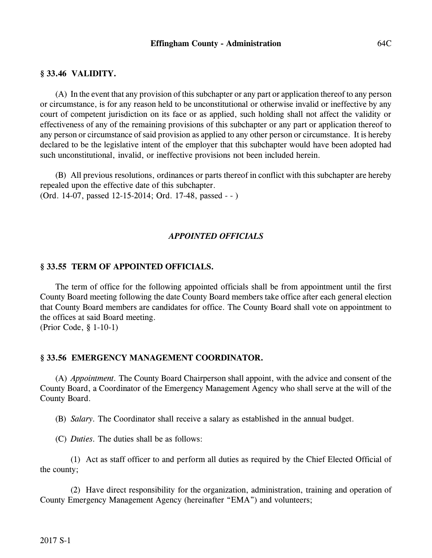# **§ 33.46 VALIDITY.**

(A) In the event that any provision of this subchapter or any part or application thereof to any person or circumstance, is for any reason held to be unconstitutional or otherwise invalid or ineffective by any court of competent jurisdiction on its face or as applied, such holding shall not affect the validity or effectiveness of any of the remaining provisions of this subchapter or any part or application thereof to any person or circumstance of said provision as applied to any other person or circumstance. It is hereby declared to be the legislative intent of the employer that this subchapter would have been adopted had such unconstitutional, invalid, or ineffective provisions not been included herein.

(B) All previous resolutions, ordinances or parts thereof in conflict with this subchapter are hereby repealed upon the effective date of this subchapter. (Ord. 14-07, passed 12-15-2014; Ord. 17-48, passed - - )

# *APPOINTED OFFICIALS*

### **§ 33.55 TERM OF APPOINTED OFFICIALS.**

The term of office for the following appointed officials shall be from appointment until the first County Board meeting following the date County Board members take office after each general election that County Board members are candidates for office. The County Board shall vote on appointment to the offices at said Board meeting. (Prior Code, § 1-10-1)

**§ 33.56 EMERGENCY MANAGEMENT COORDINATOR.**

(A) *Appointment.* The County Board Chairperson shall appoint, with the advice and consent of the County Board, a Coordinator of the Emergency Management Agency who shall serve at the will of the County Board.

(B) *Salary.* The Coordinator shall receive a salary as established in the annual budget.

(C) *Duties.* The duties shall be as follows:

(1) Act as staff officer to and perform all duties as required by the Chief Elected Official of the county;

(2) Have direct responsibility for the organization, administration, training and operation of County Emergency Management Agency (hereinafter "EMA") and volunteers;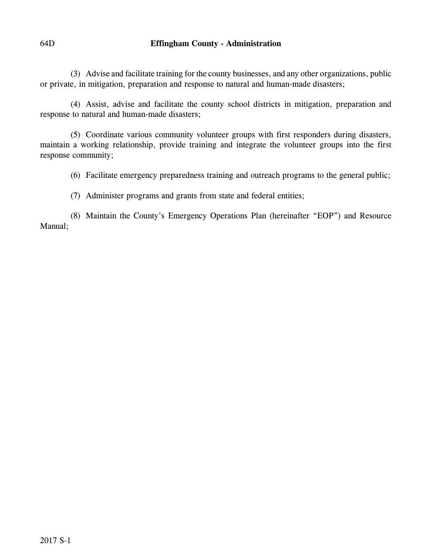# 64D **Effingham County - Administration**

(3) Advise and facilitate training for the county businesses, and any other organizations, public or private, in mitigation, preparation and response to natural and human-made disasters;

(4) Assist, advise and facilitate the county school districts in mitigation, preparation and response to natural and human-made disasters;

(5) Coordinate various community volunteer groups with first responders during disasters, maintain a working relationship, provide training and integrate the volunteer groups into the first response community;

(6) Facilitate emergency preparedness training and outreach programs to the general public;

(7) Administer programs and grants from state and federal entities;

(8) Maintain the County's Emergency Operations Plan (hereinafter "EOP") and Resource Manual;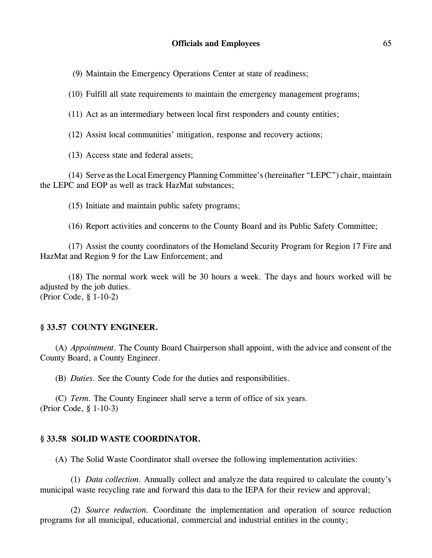(9) Maintain the Emergency Operations Center at state of readiness;

(10) Fulfill all state requirements to maintain the emergency management programs;

(11) Act as an intermediary between local first responders and county entities;

(12) Assist local communities' mitigation, response and recovery actions;

(13) Access state and federal assets;

(14) Serve as the Local Emergency Planning Committee's (hereinafter "LEPC") chair, maintain the LEPC and EOP as well as track HazMat substances;

(15) Initiate and maintain public safety programs;

(16) Report activities and concerns to the County Board and its Public Safety Committee;

(17) Assist the county coordinators of the Homeland Security Program for Region 17 Fire and HazMat and Region 9 for the Law Enforcement; and

(18) The normal work week will be 30 hours a week. The days and hours worked will be adjusted by the job duties. (Prior Code, § 1-10-2)

### **§ 33.57 COUNTY ENGINEER.**

(A) *Appointment.* The County Board Chairperson shall appoint, with the advice and consent of the County Board, a County Engineer.

(B) *Duties.* See the County Code for the duties and responsibilities.

(C) *Term.* The County Engineer shall serve a term of office of six years. (Prior Code, § 1-10-3)

# **§ 33.58 SOLID WASTE COORDINATOR.**

(A) The Solid Waste Coordinator shall oversee the following implementation activities:

(1) *Data collection.* Annually collect and analyze the data required to calculate the county's municipal waste recycling rate and forward this data to the IEPA for their review and approval;

(2) *Source reduction.* Coordinate the implementation and operation of source reduction programs for all municipal, educational, commercial and industrial entities in the county;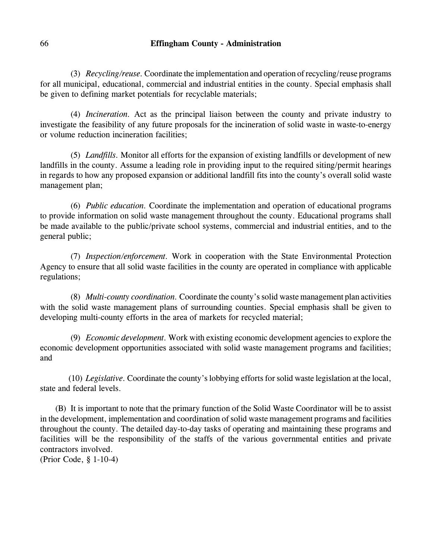# 66 **Effingham County - Administration**

(3) *Recycling/reuse.* Coordinate the implementation and operation ofrecycling/reuse programs for all municipal, educational, commercial and industrial entities in the county. Special emphasis shall be given to defining market potentials for recyclable materials;

(4) *Incineration.* Act as the principal liaison between the county and private industry to investigate the feasibility of any future proposals for the incineration of solid waste in waste-to-energy or volume reduction incineration facilities;

(5) *Landfills.* Monitor all efforts for the expansion of existing landfills or development of new landfills in the county. Assume a leading role in providing input to the required siting/permit hearings in regards to how any proposed expansion or additional landfill fits into the county's overall solid waste management plan;

(6) *Public education.* Coordinate the implementation and operation of educational programs to provide information on solid waste management throughout the county. Educational programs shall be made available to the public/private school systems, commercial and industrial entities, and to the general public;

(7) *Inspection/enforcement.* Work in cooperation with the State Environmental Protection Agency to ensure that all solid waste facilities in the county are operated in compliance with applicable regulations;

(8) *Multi-county coordination.* Coordinate the county's solid waste management plan activities with the solid waste management plans of surrounding counties. Special emphasis shall be given to developing multi-county efforts in the area of markets for recycled material;

(9) *Economic development.* Work with existing economic development agencies to explore the economic development opportunities associated with solid waste management programs and facilities; and

(10) *Legislative.* Coordinate the county's lobbying efforts for solid waste legislation at the local, state and federal levels.

(B) It is important to note that the primary function of the Solid Waste Coordinator will be to assist in the development, implementation and coordination of solid waste management programs and facilities throughout the county. The detailed day-to-day tasks of operating and maintaining these programs and facilities will be the responsibility of the staffs of the various governmental entities and private contractors involved.

(Prior Code, § 1-10-4)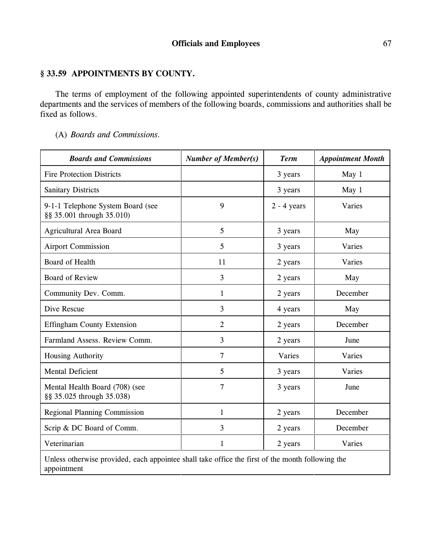# **§ 33.59 APPOINTMENTS BY COUNTY.**

The terms of employment of the following appointed superintendents of county administrative departments and the services of members of the following boards, commissions and authorities shall be fixed as follows.

|  |  |  | (A) Boards and Commissions. |
|--|--|--|-----------------------------|
|--|--|--|-----------------------------|

| <b>Boards and Commissions</b>                                                                                   | <b>Number of Member(s)</b> | <b>Term</b>   | <b>Appointment Month</b> |  |
|-----------------------------------------------------------------------------------------------------------------|----------------------------|---------------|--------------------------|--|
| <b>Fire Protection Districts</b>                                                                                |                            | 3 years       | May 1                    |  |
| <b>Sanitary Districts</b>                                                                                       |                            | 3 years       | May 1                    |  |
| 9-1-1 Telephone System Board (see<br>§§ 35.001 through 35.010)                                                  | 9                          | $2 - 4$ years | Varies                   |  |
| Agricultural Area Board                                                                                         | 5                          | 3 years       | May                      |  |
| <b>Airport Commission</b>                                                                                       | 5                          | 3 years       | Varies                   |  |
| Board of Health                                                                                                 | 11                         | 2 years       | Varies                   |  |
| Board of Review                                                                                                 | 3                          | 2 years       | May                      |  |
| Community Dev. Comm.                                                                                            | 1                          | 2 years       | December                 |  |
| Dive Rescue                                                                                                     | 3                          | 4 years       | May                      |  |
| <b>Effingham County Extension</b>                                                                               | $\overline{2}$             | 2 years       | December                 |  |
| Farmland Assess. Review Comm.                                                                                   | 3                          | 2 years       | June                     |  |
| Housing Authority                                                                                               | $\overline{7}$             | Varies        | Varies                   |  |
| <b>Mental Deficient</b>                                                                                         | 5                          | 3 years       | Varies                   |  |
| Mental Health Board (708) (see<br>§§ 35.025 through 35.038)                                                     | 7                          | 3 years       | June                     |  |
| <b>Regional Planning Commission</b>                                                                             | $\mathbf{1}$               | 2 years       | December                 |  |
| Scrip & DC Board of Comm.                                                                                       | 3                          | 2 years       | December                 |  |
| Veterinarian                                                                                                    | $\mathbf{1}$               | 2 years       | Varies                   |  |
| Unless otherwise provided, each appointee shall take office the first of the month following the<br>appointment |                            |               |                          |  |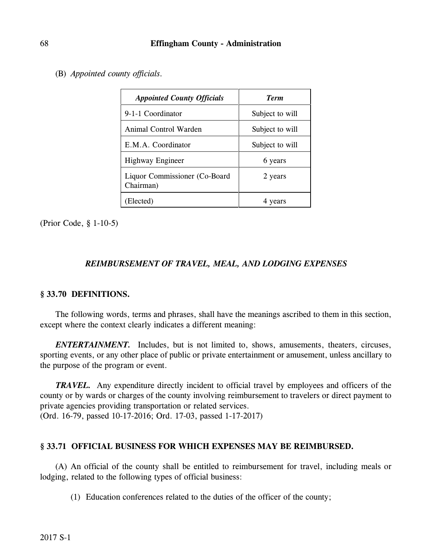(B) *Appointed county officials.*

| <b>Appointed County Officials</b>          | <b>Term</b>     |  |
|--------------------------------------------|-----------------|--|
| 9-1-1 Coordinator                          | Subject to will |  |
| Animal Control Warden                      | Subject to will |  |
| E.M.A. Coordinator                         | Subject to will |  |
| Highway Engineer                           | 6 years         |  |
| Liquor Commissioner (Co-Board<br>Chairman) | 2 years         |  |
| (Elected)                                  | vears           |  |

(Prior Code, § 1-10-5)

# *REIMBURSEMENT OF TRAVEL, MEAL, AND LODGING EXPENSES*

# **§ 33.70 DEFINITIONS.**

The following words, terms and phrases, shall have the meanings ascribed to them in this section, except where the context clearly indicates a different meaning:

*ENTERTAINMENT*. Includes, but is not limited to, shows, amusements, theaters, circuses, sporting events, or any other place of public or private entertainment or amusement, unless ancillary to the purpose of the program or event.

*TRAVEL.* Any expenditure directly incident to official travel by employees and officers of the county or by wards or charges of the county involving reimbursement to travelers or direct payment to private agencies providing transportation or related services. (Ord. 16-79, passed 10-17-2016; Ord. 17-03, passed 1-17-2017)

# **§ 33.71 OFFICIAL BUSINESS FOR WHICH EXPENSES MAY BE REIMBURSED.**

(A) An official of the county shall be entitled to reimbursement for travel, including meals or lodging, related to the following types of official business:

(1) Education conferences related to the duties of the officer of the county;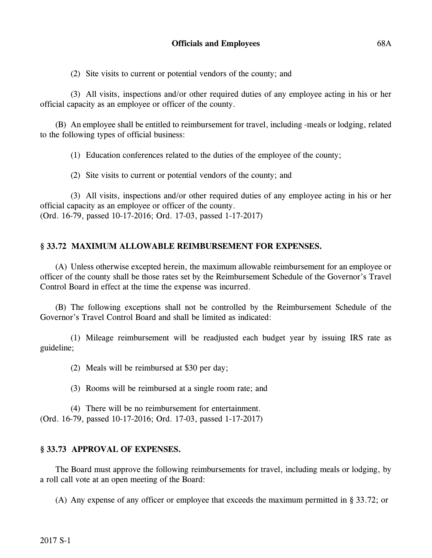(2) Site visits to current or potential vendors of the county; and

(3) All visits, inspections and/or other required duties of any employee acting in his or her official capacity as an employee or officer of the county.

(B) An employee shall be entitled to reimbursement for travel, including -meals or lodging, related to the following types of official business:

(1) Education conferences related to the duties of the employee of the county;

(2) Site visits to current or potential vendors of the county; and

(3) All visits, inspections and/or other required duties of any employee acting in his or her official capacity as an employee or officer of the county. (Ord. 16-79, passed 10-17-2016; Ord. 17-03, passed 1-17-2017)

# **§ 33.72 MAXIMUM ALLOWABLE REIMBURSEMENT FOR EXPENSES.**

(A) Unless otherwise excepted herein, the maximum allowable reimbursement for an employee or officer of the county shall be those rates set by the Reimbursement Schedule of the Governor's Travel Control Board in effect at the time the expense was incurred.

(B) The following exceptions shall not be controlled by the Reimbursement Schedule of the Governor's Travel Control Board and shall be limited as indicated:

(1) Mileage reimbursement will be readjusted each budget year by issuing IRS rate as guideline;

(2) Meals will be reimbursed at \$30 per day;

(3) Rooms will be reimbursed at a single room rate; and

(4) There will be no reimbursement for entertainment. (Ord. 16-79, passed 10-17-2016; Ord. 17-03, passed 1-17-2017)

# **§ 33.73 APPROVAL OF EXPENSES.**

The Board must approve the following reimbursements for travel, including meals or lodging, by a roll call vote at an open meeting of the Board:

(A) Any expense of any officer or employee that exceeds the maximum permitted in § 33.72; or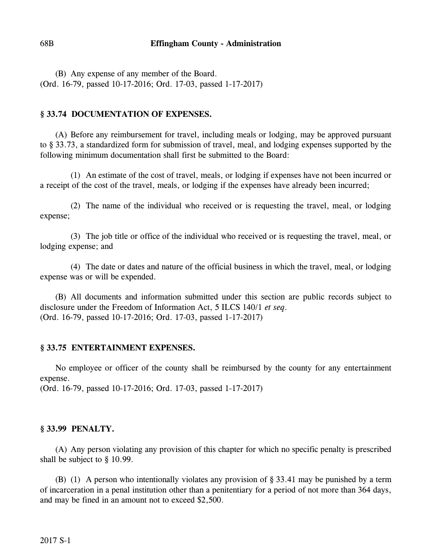(B) Any expense of any member of the Board. (Ord. 16-79, passed 10-17-2016; Ord. 17-03, passed 1-17-2017)

# **§ 33.74 DOCUMENTATION OF EXPENSES.**

(A) Before any reimbursement for travel, including meals or lodging, may be approved pursuant to § 33.73, a standardized form for submission of travel, meal, and lodging expenses supported by the following minimum documentation shall first be submitted to the Board:

(1) An estimate of the cost of travel, meals, or lodging if expenses have not been incurred or a receipt of the cost of the travel, meals, or lodging if the expenses have already been incurred;

(2) The name of the individual who received or is requesting the travel, meal, or lodging expense;

(3) The job title or office of the individual who received or is requesting the travel, meal, or lodging expense; and

(4) The date or dates and nature of the official business in which the travel, meal, or lodging expense was or will be expended.

(B) All documents and information submitted under this section are public records subject to disclosure under the Freedom of Information Act, 5 ILCS 140/1 *et seq*. (Ord. 16-79, passed 10-17-2016; Ord. 17-03, passed 1-17-2017)

# **§ 33.75 ENTERTAINMENT EXPENSES.**

No employee or officer of the county shall be reimbursed by the county for any entertainment expense.

(Ord. 16-79, passed 10-17-2016; Ord. 17-03, passed 1-17-2017)

# **§ 33.99 PENALTY.**

(A) Any person violating any provision of this chapter for which no specific penalty is prescribed shall be subject to § 10.99.

(B) (1) A person who intentionally violates any provision of § 33.41 may be punished by a term of incarceration in a penal institution other than a penitentiary for a period of not more than 364 days, and may be fined in an amount not to exceed \$2,500.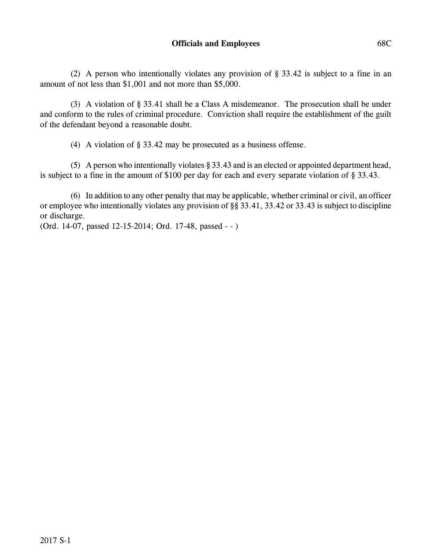(2) A person who intentionally violates any provision of § 33.42 is subject to a fine in an amount of not less than \$1,001 and not more than \$5,000.

(3) A violation of § 33.41 shall be a Class A misdemeanor. The prosecution shall be under and conform to the rules of criminal procedure. Conviction shall require the establishment of the guilt of the defendant beyond a reasonable doubt.

(4) A violation of § 33.42 may be prosecuted as a business offense.

(5) A person who intentionally violates § 33.43 and is an elected or appointed department head, is subject to a fine in the amount of \$100 per day for each and every separate violation of § 33.43.

(6) In addition to any other penalty that may be applicable, whether criminal or civil, an officer or employee who intentionally violates any provision of §§ 33.41, 33.42 or 33.43 is subject to discipline or discharge.

(Ord. 14-07, passed 12-15-2014; Ord. 17-48, passed - - )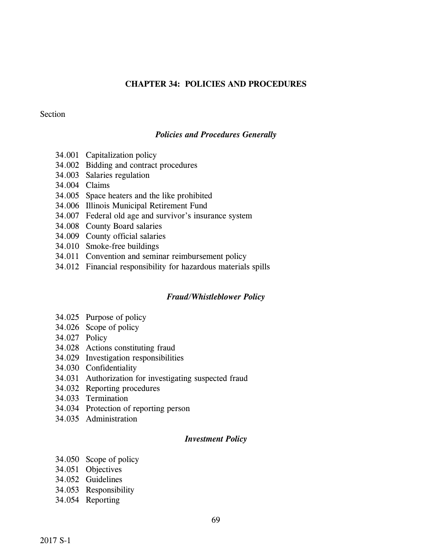# **CHAPTER 34: POLICIES AND PROCEDURES**

## Section

# *Policies and Procedures Generally*

- 34.001 Capitalization policy
- 34.002 Bidding and contract procedures
- 34.003 Salaries regulation
- 34.004 Claims
- 34.005 Space heaters and the like prohibited
- 34.006 Illinois Municipal Retirement Fund
- 34.007 Federal old age and survivor's insurance system
- 34.008 County Board salaries
- 34.009 County official salaries
- 34.010 Smoke-free buildings
- 34.011 Convention and seminar reimbursement policy
- 34.012 Financial responsibility for hazardous materials spills

# *Fraud/Whistleblower Policy*

- 34.025 Purpose of policy
- 34.026 Scope of policy
- 34.027 Policy
- 34.028 Actions constituting fraud
- 34.029 Investigation responsibilities
- 34.030 Confidentiality
- 34.031 Authorization for investigating suspected fraud
- 34.032 Reporting procedures
- 34.033 Termination
- 34.034 Protection of reporting person
- 34.035 Administration

### *Investment Policy*

- 34.050 Scope of policy
- 34.051 Objectives
- 34.052 Guidelines
- 34.053 Responsibility
- 34.054 Reporting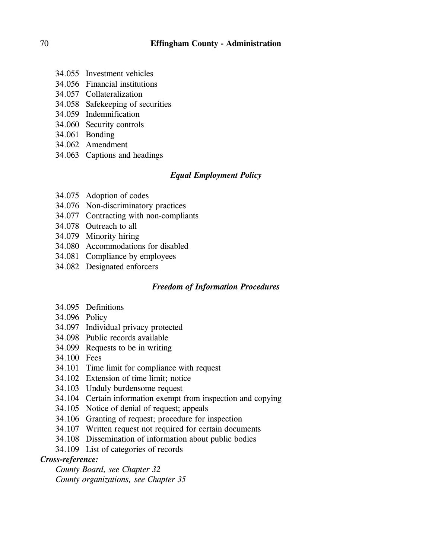- 34.055 Investment vehicles
- 34.056 Financial institutions
- 34.057 Collateralization
- 34.058 Safekeeping of securities
- 34.059 Indemnification
- 34.060 Security controls
- 34.061 Bonding
- 34.062 Amendment
- 34.063 Captions and headings

## *Equal Employment Policy*

- 34.075 Adoption of codes
- 34.076 Non-discriminatory practices
- 34.077 Contracting with non-compliants
- 34.078 Outreach to all
- 34.079 Minority hiring
- 34.080 Accommodations for disabled
- 34.081 Compliance by employees
- 34.082 Designated enforcers

# *Freedom of Information Procedures*

- 34.095 Definitions
- 34.096 Policy
- 34.097 Individual privacy protected
- 34.098 Public records available
- 34.099 Requests to be in writing
- 34.100 Fees
- 34.101 Time limit for compliance with request
- 34.102 Extension of time limit; notice
- 34.103 Unduly burdensome request
- 34.104 Certain information exempt from inspection and copying
- 34.105 Notice of denial of request; appeals
- 34.106 Granting of request; procedure for inspection
- 34.107 Written request not required for certain documents
- 34.108 Dissemination of information about public bodies
- 34.109 List of categories of records

# *Cross-reference:*

*County Board, see Chapter 32 County organizations, see Chapter 35*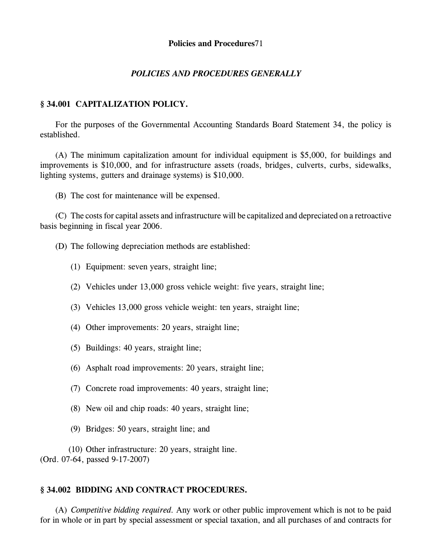## **Policies and Procedures**71

## *POLICIES AND PROCEDURES GENERALLY*

# **§ 34.001 CAPITALIZATION POLICY.**

For the purposes of the Governmental Accounting Standards Board Statement 34, the policy is established.

(A) The minimum capitalization amount for individual equipment is \$5,000, for buildings and improvements is \$10,000, and for infrastructure assets (roads, bridges, culverts, curbs, sidewalks, lighting systems, gutters and drainage systems) is \$10,000.

(B) The cost for maintenance will be expensed.

(C) The costs for capital assets and infrastructure will be capitalized and depreciated on a retroactive basis beginning in fiscal year 2006.

(D) The following depreciation methods are established:

- (1) Equipment: seven years, straight line;
- (2) Vehicles under 13,000 gross vehicle weight: five years, straight line;
- (3) Vehicles 13,000 gross vehicle weight: ten years, straight line;
- (4) Other improvements: 20 years, straight line;
- (5) Buildings: 40 years, straight line;
- (6) Asphalt road improvements: 20 years, straight line;
- (7) Concrete road improvements: 40 years, straight line;
- (8) New oil and chip roads: 40 years, straight line;
- (9) Bridges: 50 years, straight line; and

(10) Other infrastructure: 20 years, straight line. (Ord. 07-64, passed 9-17-2007)

### **§ 34.002 BIDDING AND CONTRACT PROCEDURES.**

(A) *Competitive bidding required.* Any work or other public improvement which is not to be paid for in whole or in part by special assessment or special taxation, and all purchases of and contracts for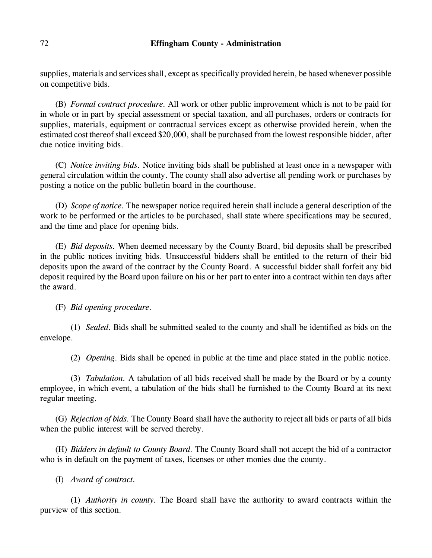# 72 **Effingham County - Administration**

supplies, materials and services shall, except as specifically provided herein, be based whenever possible on competitive bids.

(B) *Formal contract procedure.* All work or other public improvement which is not to be paid for in whole or in part by special assessment or special taxation, and all purchases, orders or contracts for supplies, materials, equipment or contractual services except as otherwise provided herein, when the estimated cost thereof shall exceed \$20,000, shall be purchased from the lowest responsible bidder, after due notice inviting bids.

(C) *Notice inviting bids.* Notice inviting bids shall be published at least once in a newspaper with general circulation within the county. The county shall also advertise all pending work or purchases by posting a notice on the public bulletin board in the courthouse.

(D) *Scope of notice.* The newspaper notice required herein shall include a general description of the work to be performed or the articles to be purchased, shall state where specifications may be secured, and the time and place for opening bids.

(E) *Bid deposits.* When deemed necessary by the County Board, bid deposits shall be prescribed in the public notices inviting bids. Unsuccessful bidders shall be entitled to the return of their bid deposits upon the award of the contract by the County Board. A successful bidder shall forfeit any bid deposit required by the Board upon failure on his or her part to enter into a contract within ten days after the award.

(F) *Bid opening procedure.*

(1) *Sealed.* Bids shall be submitted sealed to the county and shall be identified as bids on the envelope.

(2) *Opening.* Bids shall be opened in public at the time and place stated in the public notice.

(3) *Tabulation.* A tabulation of all bids received shall be made by the Board or by a county employee, in which event, a tabulation of the bids shall be furnished to the County Board at its next regular meeting.

(G) *Rejection of bids.* The County Board shall have the authority to reject all bids or parts of all bids when the public interest will be served thereby.

(H) *Bidders in default to County Board.* The County Board shall not accept the bid of a contractor who is in default on the payment of taxes, licenses or other monies due the county.

(I) *Award of contract.*

(1) *Authority in county.* The Board shall have the authority to award contracts within the purview of this section.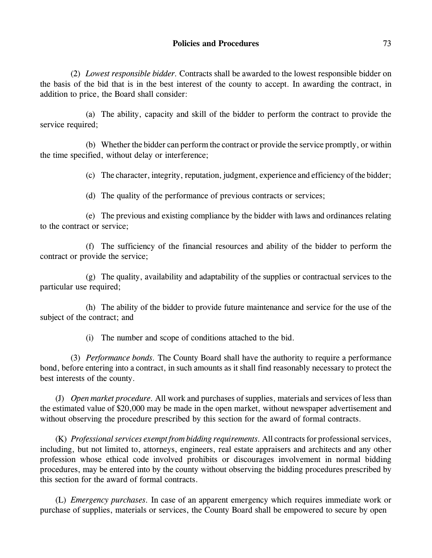(2) *Lowest responsible bidder.* Contracts shall be awarded to the lowest responsible bidder on the basis of the bid that is in the best interest of the county to accept. In awarding the contract, in addition to price, the Board shall consider:

(a) The ability, capacity and skill of the bidder to perform the contract to provide the service required;

(b) Whether the bidder can perform the contract or provide the service promptly, or within the time specified, without delay or interference;

(c) The character, integrity, reputation, judgment, experience and efficiency of the bidder;

(d) The quality of the performance of previous contracts or services;

(e) The previous and existing compliance by the bidder with laws and ordinances relating to the contract or service;

(f) The sufficiency of the financial resources and ability of the bidder to perform the contract or provide the service;

(g) The quality, availability and adaptability of the supplies or contractual services to the particular use required;

(h) The ability of the bidder to provide future maintenance and service for the use of the subject of the contract; and

(i) The number and scope of conditions attached to the bid.

(3) *Performance bonds.* The County Board shall have the authority to require a performance bond, before entering into a contract, in such amounts as it shall find reasonably necessary to protect the best interests of the county.

(J) *Open market procedure.* All work and purchases of supplies, materials and services of less than the estimated value of \$20,000 may be made in the open market, without newspaper advertisement and without observing the procedure prescribed by this section for the award of formal contracts.

(K) *Professional services exempt from bidding requirements.* All contracts for professional services, including, but not limited to, attorneys, engineers, real estate appraisers and architects and any other profession whose ethical code involved prohibits or discourages involvement in normal bidding procedures, may be entered into by the county without observing the bidding procedures prescribed by this section for the award of formal contracts.

(L) *Emergency purchases.* In case of an apparent emergency which requires immediate work or purchase of supplies, materials or services, the County Board shall be empowered to secure by open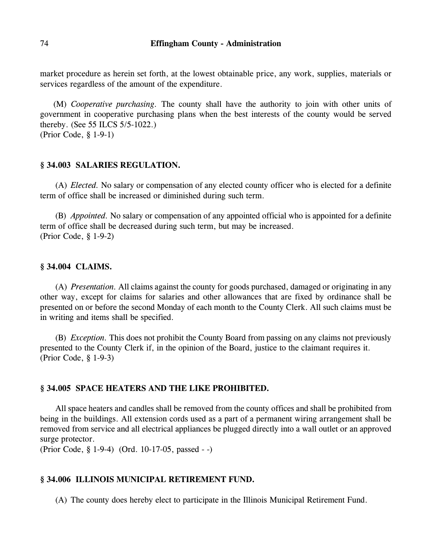market procedure as herein set forth, at the lowest obtainable price, any work, supplies, materials or services regardless of the amount of the expenditure.

(M) *Cooperative purchasing.* The county shall have the authority to join with other units of government in cooperative purchasing plans when the best interests of the county would be served thereby. (See 55 ILCS 5/5-1022.) (Prior Code, § 1-9-1)

#### **§ 34.003 SALARIES REGULATION.**

(A) *Elected.* No salary or compensation of any elected county officer who is elected for a definite term of office shall be increased or diminished during such term.

(B) *Appointed.* No salary or compensation of any appointed official who is appointed for a definite term of office shall be decreased during such term, but may be increased. (Prior Code, § 1-9-2)

### **§ 34.004 CLAIMS.**

(A) *Presentation.* All claims against the county for goods purchased, damaged or originating in any other way, except for claims for salaries and other allowances that are fixed by ordinance shall be presented on or before the second Monday of each month to the County Clerk. All such claims must be in writing and items shall be specified.

(B) *Exception.* This does not prohibit the County Board from passing on any claims not previously presented to the County Clerk if, in the opinion of the Board, justice to the claimant requires it. (Prior Code, § 1-9-3)

## **§ 34.005 SPACE HEATERS AND THE LIKE PROHIBITED.**

All space heaters and candles shall be removed from the county offices and shall be prohibited from being in the buildings. All extension cords used as a part of a permanent wiring arrangement shall be removed from service and all electrical appliances be plugged directly into a wall outlet or an approved surge protector.

(Prior Code, § 1-9-4) (Ord. 10-17-05, passed - -)

#### **§ 34.006 ILLINOIS MUNICIPAL RETIREMENT FUND.**

(A) The county does hereby elect to participate in the Illinois Municipal Retirement Fund.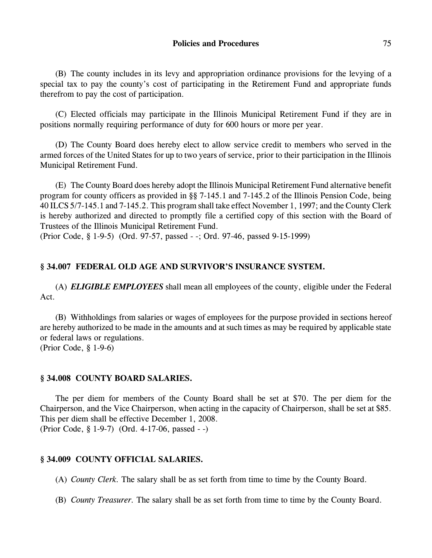(B) The county includes in its levy and appropriation ordinance provisions for the levying of a special tax to pay the county's cost of participating in the Retirement Fund and appropriate funds therefrom to pay the cost of participation.

(C) Elected officials may participate in the Illinois Municipal Retirement Fund if they are in positions normally requiring performance of duty for 600 hours or more per year.

(D) The County Board does hereby elect to allow service credit to members who served in the armed forces of the United States for up to two years of service, prior to their participation in the Illinois Municipal Retirement Fund.

(E) The County Board does hereby adopt the Illinois Municipal Retirement Fund alternative benefit program for county officers as provided in §§ 7-145.1 and 7-145.2 of the Illinois Pension Code, being 40 ILCS 5/7-145.1 and 7-145.2. This program shall take effect November 1, 1997; and the County Clerk is hereby authorized and directed to promptly file a certified copy of this section with the Board of Trustees of the Illinois Municipal Retirement Fund.

(Prior Code, § 1-9-5) (Ord. 97-57, passed - -; Ord. 97-46, passed 9-15-1999)

## **§ 34.007 FEDERAL OLD AGE AND SURVIVOR'S INSURANCE SYSTEM.**

(A) *ELIGIBLE EMPLOYEES* shall mean all employees of the county, eligible under the Federal Act.

(B) Withholdings from salaries or wages of employees for the purpose provided in sections hereof are hereby authorized to be made in the amounts and at such times as may be required by applicable state or federal laws or regulations.

(Prior Code, § 1-9-6)

### **§ 34.008 COUNTY BOARD SALARIES.**

The per diem for members of the County Board shall be set at \$70. The per diem for the Chairperson, and the Vice Chairperson, when acting in the capacity of Chairperson, shall be set at \$85. This per diem shall be effective December 1, 2008. (Prior Code, § 1-9-7) (Ord. 4-17-06, passed - -)

#### **§ 34.009 COUNTY OFFICIAL SALARIES.**

(A) *County Clerk.* The salary shall be as set forth from time to time by the County Board.

(B) *County Treasurer.* The salary shall be as set forth from time to time by the County Board.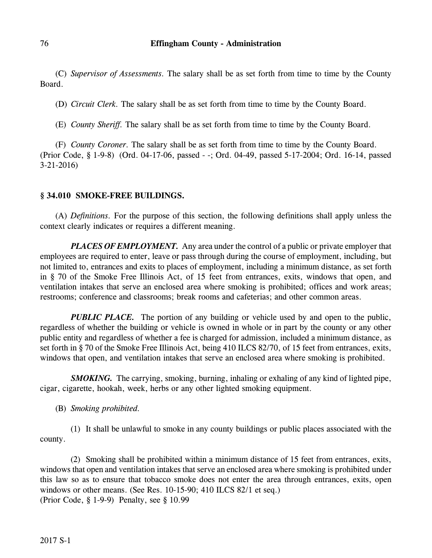(C) *Supervisor of Assessments.* The salary shall be as set forth from time to time by the County Board.

(D) *Circuit Clerk.* The salary shall be as set forth from time to time by the County Board.

(E) *County Sheriff.* The salary shall be as set forth from time to time by the County Board.

(F) *County Coroner.* The salary shall be as set forth from time to time by the County Board. (Prior Code, § 1-9-8) (Ord. 04-17-06, passed - -; Ord. 04-49, passed 5-17-2004; Ord. 16-14, passed 3-21-2016)

#### **§ 34.010 SMOKE-FREE BUILDINGS.**

(A) *Definitions.* For the purpose of this section, the following definitions shall apply unless the context clearly indicates or requires a different meaning.

**PLACES OF EMPLOYMENT.** Any area under the control of a public or private employer that employees are required to enter, leave or pass through during the course of employment, including, but not limited to, entrances and exits to places of employment, including a minimum distance, as set forth in § 70 of the Smoke Free Illinois Act, of 15 feet from entrances, exits, windows that open, and ventilation intakes that serve an enclosed area where smoking is prohibited; offices and work areas; restrooms; conference and classrooms; break rooms and cafeterias; and other common areas.

*PUBLIC PLACE.* The portion of any building or vehicle used by and open to the public, regardless of whether the building or vehicle is owned in whole or in part by the county or any other public entity and regardless of whether a fee is charged for admission, included a minimum distance, as set forth in § 70 of the Smoke Free Illinois Act, being 410 ILCS 82/70, of 15 feet from entrances, exits, windows that open, and ventilation intakes that serve an enclosed area where smoking is prohibited.

*SMOKING.* The carrying, smoking, burning, inhaling or exhaling of any kind of lighted pipe, cigar, cigarette, hookah, week, herbs or any other lighted smoking equipment.

(B) *Smoking prohibited.*

(1) It shall be unlawful to smoke in any county buildings or public places associated with the county.

(2) Smoking shall be prohibited within a minimum distance of 15 feet from entrances, exits, windows that open and ventilation intakes that serve an enclosed area where smoking is prohibited under this law so as to ensure that tobacco smoke does not enter the area through entrances, exits, open windows or other means. (See Res. 10-15-90; 410 ILCS 82/1 et seq.) (Prior Code, § 1-9-9) Penalty, see § 10.99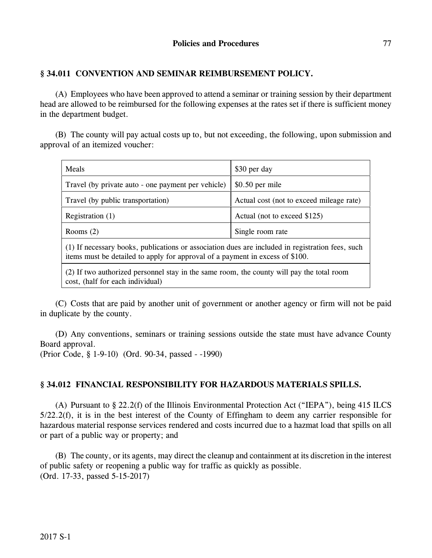# **§ 34.011 CONVENTION AND SEMINAR REIMBURSEMENT POLICY.**

(A) Employees who have been approved to attend a seminar or training session by their department head are allowed to be reimbursed for the following expenses at the rates set if there is sufficient money in the department budget.

(B) The county will pay actual costs up to, but not exceeding, the following, upon submission and approval of an itemized voucher:

| Meals                                                                                                                                                                             | \$30 per day                             |  |  |  |
|-----------------------------------------------------------------------------------------------------------------------------------------------------------------------------------|------------------------------------------|--|--|--|
| Travel (by private auto - one payment per vehicle)                                                                                                                                | $$0.50$ per mile                         |  |  |  |
| Travel (by public transportation)                                                                                                                                                 | Actual cost (not to exceed mileage rate) |  |  |  |
| Registration $(1)$                                                                                                                                                                | Actual (not to exceed \$125)             |  |  |  |
| Rooms $(2)$                                                                                                                                                                       | Single room rate                         |  |  |  |
| (1) If necessary books, publications or association dues are included in registration fees, such<br>items must be detailed to apply for approval of a payment in excess of \$100. |                                          |  |  |  |
| (2) If two authorized personnel stay in the same room, the county will pay the total room<br>cost, (half for each individual)                                                     |                                          |  |  |  |

(C) Costs that are paid by another unit of government or another agency or firm will not be paid in duplicate by the county.

(D) Any conventions, seminars or training sessions outside the state must have advance County Board approval.

(Prior Code, § 1-9-10) (Ord. 90-34, passed - -1990)

# **§ 34.012 FINANCIAL RESPONSIBILITY FOR HAZARDOUS MATERIALS SPILLS.**

(A) Pursuant to  $\S 22.2(f)$  of the Illinois Environmental Protection Act ("IEPA"), being 415 ILCS 5/22.2(f), it is in the best interest of the County of Effingham to deem any carrier responsible for hazardous material response services rendered and costs incurred due to a hazmat load that spills on all or part of a public way or property; and

(B) The county, or its agents, may direct the cleanup and containment at its discretion in the interest of public safety or reopening a public way for traffic as quickly as possible. (Ord. 17-33, passed 5-15-2017)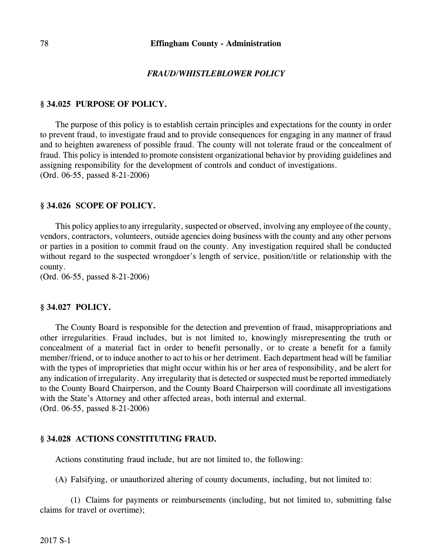## *FRAUD/WHISTLEBLOWER POLICY*

#### **§ 34.025 PURPOSE OF POLICY.**

The purpose of this policy is to establish certain principles and expectations for the county in order to prevent fraud, to investigate fraud and to provide consequences for engaging in any manner of fraud and to heighten awareness of possible fraud. The county will not tolerate fraud or the concealment of fraud. This policy is intended to promote consistent organizational behavior by providing guidelines and assigning responsibility for the development of controls and conduct of investigations. (Ord. 06-55, passed 8-21-2006)

#### **§ 34.026 SCOPE OF POLICY.**

This policy applies to any irregularity, suspected or observed, involving any employee of the county, vendors, contractors, volunteers, outside agencies doing business with the county and any other persons or parties in a position to commit fraud on the county. Any investigation required shall be conducted without regard to the suspected wrongdoer's length of service, position/title or relationship with the county.

(Ord. 06-55, passed 8-21-2006)

### **§ 34.027 POLICY.**

The County Board is responsible for the detection and prevention of fraud, misappropriations and other irregularities. Fraud includes, but is not limited to, knowingly misrepresenting the truth or concealment of a material fact in order to benefit personally, or to create a benefit for a family member/friend, or to induce another to act to his or her detriment. Each department head will be familiar with the types of improprieties that might occur within his or her area of responsibility, and be alert for any indication of irregularity. Any irregularity that is detected or suspected must be reported immediately to the County Board Chairperson, and the County Board Chairperson will coordinate all investigations with the State's Attorney and other affected areas, both internal and external. (Ord. 06-55, passed 8-21-2006)

#### **§ 34.028 ACTIONS CONSTITUTING FRAUD.**

Actions constituting fraud include, but are not limited to, the following:

(A) Falsifying, or unauthorized altering of county documents, including, but not limited to:

(1) Claims for payments or reimbursements (including, but not limited to, submitting false claims for travel or overtime);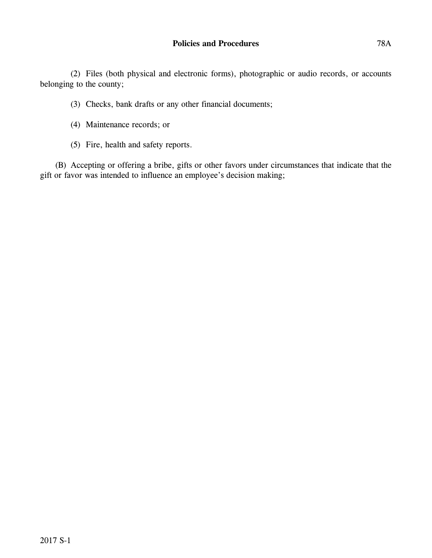(2) Files (both physical and electronic forms), photographic or audio records, or accounts belonging to the county;

- (3) Checks, bank drafts or any other financial documents;
- (4) Maintenance records; or
- (5) Fire, health and safety reports.

(B) Accepting or offering a bribe, gifts or other favors under circumstances that indicate that the gift or favor was intended to influence an employee's decision making;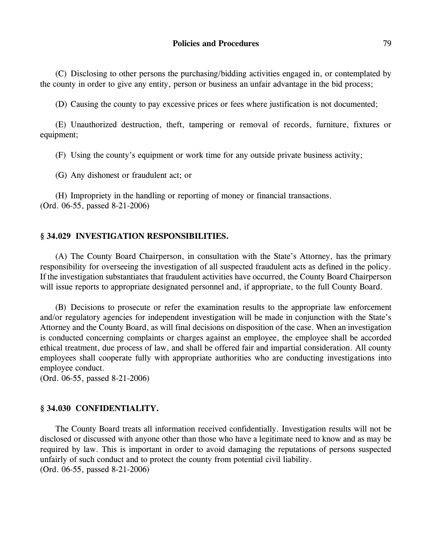(C) Disclosing to other persons the purchasing/bidding activities engaged in, or contemplated by the county in order to give any entity, person or business an unfair advantage in the bid process;

(D) Causing the county to pay excessive prices or fees where justification is not documented;

(E) Unauthorized destruction, theft, tampering or removal of records, furniture, fixtures or equipment;

(F) Using the county's equipment or work time for any outside private business activity;

(G) Any dishonest or fraudulent act; or

(H) Impropriety in the handling or reporting of money or financial transactions. (Ord. 06-55, passed 8-21-2006)

### **§ 34.029 INVESTIGATION RESPONSIBILITIES.**

(A) The County Board Chairperson, in consultation with the State's Attorney, has the primary responsibility for overseeing the investigation of all suspected fraudulent acts as defined in the policy. If the investigation substantiates that fraudulent activities have occurred, the County Board Chairperson will issue reports to appropriate designated personnel and, if appropriate, to the full County Board.

(B) Decisions to prosecute or refer the examination results to the appropriate law enforcement and/or regulatory agencies for independent investigation will be made in conjunction with the State's Attorney and the County Board, as will final decisions on disposition of the case. When an investigation is conducted concerning complaints or charges against an employee, the employee shall be accorded ethical treatment, due process of law, and shall be offered fair and impartial consideration. All county employees shall cooperate fully with appropriate authorities who are conducting investigations into employee conduct.

(Ord. 06-55, passed 8-21-2006)

## **§ 34.030 CONFIDENTIALITY.**

The County Board treats all information received confidentially. Investigation results will not be disclosed or discussed with anyone other than those who have a legitimate need to know and as may be required by law. This is important in order to avoid damaging the reputations of persons suspected unfairly of such conduct and to protect the county from potential civil liability. (Ord. 06-55, passed 8-21-2006)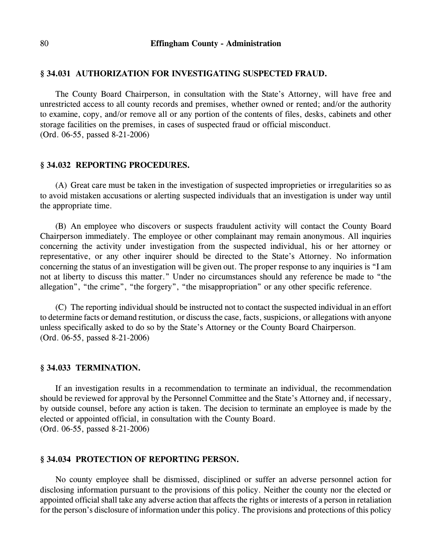## **§ 34.031 AUTHORIZATION FOR INVESTIGATING SUSPECTED FRAUD.**

The County Board Chairperson, in consultation with the State's Attorney, will have free and unrestricted access to all county records and premises, whether owned or rented; and/or the authority to examine, copy, and/or remove all or any portion of the contents of files, desks, cabinets and other storage facilities on the premises, in cases of suspected fraud or official misconduct. (Ord. 06-55, passed 8-21-2006)

#### **§ 34.032 REPORTING PROCEDURES.**

(A) Great care must be taken in the investigation of suspected improprieties or irregularities so as to avoid mistaken accusations or alerting suspected individuals that an investigation is under way until the appropriate time.

(B) An employee who discovers or suspects fraudulent activity will contact the County Board Chairperson immediately. The employee or other complainant may remain anonymous. All inquiries concerning the activity under investigation from the suspected individual, his or her attorney or representative, or any other inquirer should be directed to the State's Attorney. No information concerning the status of an investigation will be given out. The proper response to any inquiries is "I am not at liberty to discuss this matter." Under no circumstances should any reference be made to "the allegation", "the crime", "the forgery", "the misappropriation" or any other specific reference.

(C) The reporting individual should be instructed not to contact the suspected individual in an effort to determine facts or demand restitution, or discuss the case, facts, suspicions, or allegations with anyone unless specifically asked to do so by the State's Attorney or the County Board Chairperson. (Ord. 06-55, passed 8-21-2006)

#### **§ 34.033 TERMINATION.**

If an investigation results in a recommendation to terminate an individual, the recommendation should be reviewed for approval by the Personnel Committee and the State's Attorney and, if necessary, by outside counsel, before any action is taken. The decision to terminate an employee is made by the elected or appointed official, in consultation with the County Board. (Ord. 06-55, passed 8-21-2006)

### **§ 34.034 PROTECTION OF REPORTING PERSON.**

No county employee shall be dismissed, disciplined or suffer an adverse personnel action for disclosing information pursuant to the provisions of this policy. Neither the county nor the elected or appointed official shall take any adverse action that affects the rights or interests of a person in retaliation for the person's disclosure of information under this policy. The provisions and protections of this policy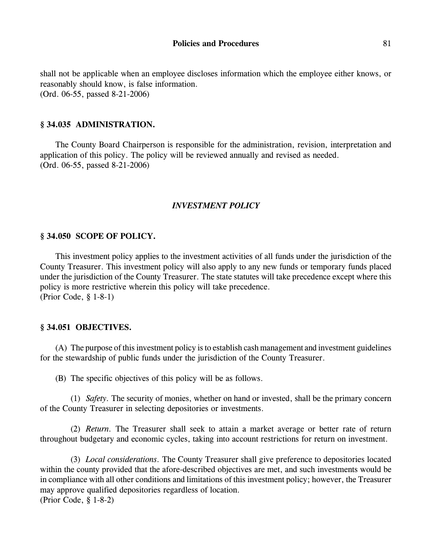shall not be applicable when an employee discloses information which the employee either knows, or reasonably should know, is false information. (Ord. 06-55, passed 8-21-2006)

# **§ 34.035 ADMINISTRATION.**

The County Board Chairperson is responsible for the administration, revision, interpretation and application of this policy. The policy will be reviewed annually and revised as needed. (Ord. 06-55, passed 8-21-2006)

# *INVESTMENT POLICY*

## **§ 34.050 SCOPE OF POLICY.**

This investment policy applies to the investment activities of all funds under the jurisdiction of the County Treasurer. This investment policy will also apply to any new funds or temporary funds placed under the jurisdiction of the County Treasurer. The state statutes will take precedence except where this policy is more restrictive wherein this policy will take precedence. (Prior Code, § 1-8-1)

### **§ 34.051 OBJECTIVES.**

(A) The purpose of this investment policy is to establish cash management and investment guidelines for the stewardship of public funds under the jurisdiction of the County Treasurer.

(B) The specific objectives of this policy will be as follows.

(1) *Safety.* The security of monies, whether on hand or invested, shall be the primary concern of the County Treasurer in selecting depositories or investments.

(2) *Return.* The Treasurer shall seek to attain a market average or better rate of return throughout budgetary and economic cycles, taking into account restrictions for return on investment.

(3) *Local considerations.* The County Treasurer shall give preference to depositories located within the county provided that the afore-described objectives are met, and such investments would be in compliance with all other conditions and limitations of this investment policy; however, the Treasurer may approve qualified depositories regardless of location. (Prior Code, § 1-8-2)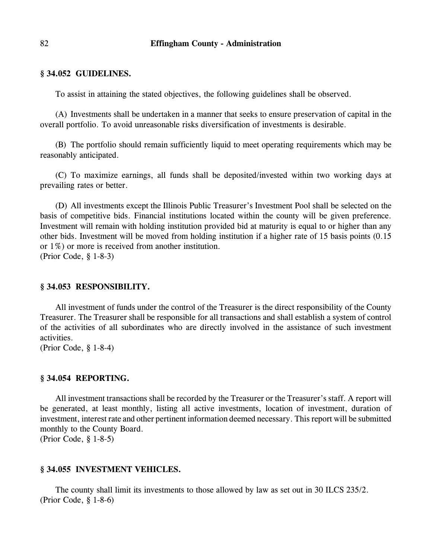# **§ 34.052 GUIDELINES.**

To assist in attaining the stated objectives, the following guidelines shall be observed.

(A) Investments shall be undertaken in a manner that seeks to ensure preservation of capital in the overall portfolio. To avoid unreasonable risks diversification of investments is desirable.

(B) The portfolio should remain sufficiently liquid to meet operating requirements which may be reasonably anticipated.

(C) To maximize earnings, all funds shall be deposited/invested within two working days at prevailing rates or better.

(D) All investments except the Illinois Public Treasurer's Investment Pool shall be selected on the basis of competitive bids. Financial institutions located within the county will be given preference. Investment will remain with holding institution provided bid at maturity is equal to or higher than any other bids. Investment will be moved from holding institution if a higher rate of 15 basis points (0.15 or 1%) or more is received from another institution. (Prior Code, § 1-8-3)

## **§ 34.053 RESPONSIBILITY.**

All investment of funds under the control of the Treasurer is the direct responsibility of the County Treasurer. The Treasurer shall be responsible for all transactions and shall establish a system of control of the activities of all subordinates who are directly involved in the assistance of such investment activities.

(Prior Code, § 1-8-4)

#### **§ 34.054 REPORTING.**

All investment transactions shall be recorded by the Treasurer or the Treasurer's staff. A report will be generated, at least monthly, listing all active investments, location of investment, duration of investment, interest rate and other pertinent information deemed necessary. This report will be submitted monthly to the County Board.

(Prior Code, § 1-8-5)

### **§ 34.055 INVESTMENT VEHICLES.**

The county shall limit its investments to those allowed by law as set out in 30 ILCS 235/2. (Prior Code, § 1-8-6)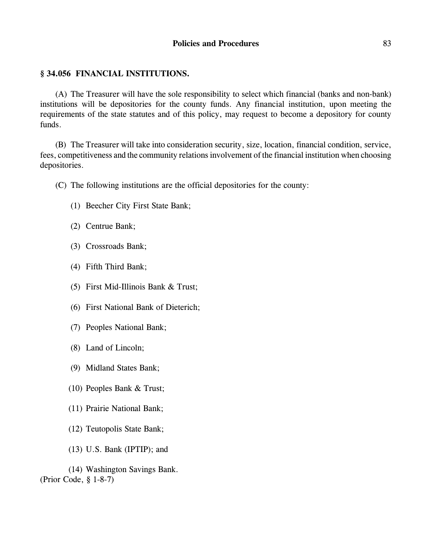# **§ 34.056 FINANCIAL INSTITUTIONS.**

(A) The Treasurer will have the sole responsibility to select which financial (banks and non-bank) institutions will be depositories for the county funds. Any financial institution, upon meeting the requirements of the state statutes and of this policy, may request to become a depository for county funds.

(B) The Treasurer will take into consideration security, size, location, financial condition, service, fees, competitiveness and the community relations involvement of the financial institution when choosing depositories.

(C) The following institutions are the official depositories for the county:

- (1) Beecher City First State Bank;
- (2) Centrue Bank;
- (3) Crossroads Bank;
- (4) Fifth Third Bank;
- (5) First Mid-Illinois Bank & Trust;
- (6) First National Bank of Dieterich;
- (7) Peoples National Bank;
- (8) Land of Lincoln;
- (9) Midland States Bank;
- (10) Peoples Bank & Trust;
- (11) Prairie National Bank;
- (12) Teutopolis State Bank;
- (13) U.S. Bank (IPTIP); and

(14) Washington Savings Bank. (Prior Code, § 1-8-7)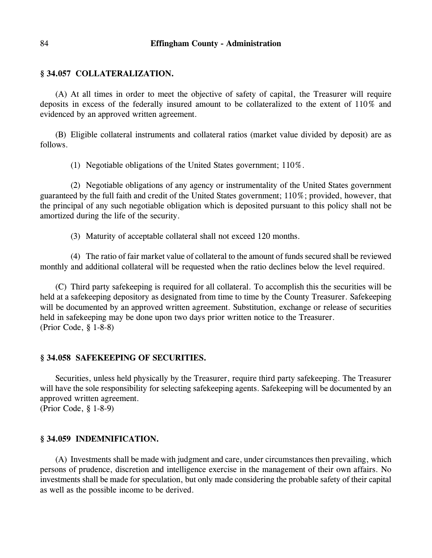## **§ 34.057 COLLATERALIZATION.**

(A) At all times in order to meet the objective of safety of capital, the Treasurer will require deposits in excess of the federally insured amount to be collateralized to the extent of 110% and evidenced by an approved written agreement.

(B) Eligible collateral instruments and collateral ratios (market value divided by deposit) are as follows.

(1) Negotiable obligations of the United States government; 110%.

(2) Negotiable obligations of any agency or instrumentality of the United States government guaranteed by the full faith and credit of the United States government; 110%; provided, however, that the principal of any such negotiable obligation which is deposited pursuant to this policy shall not be amortized during the life of the security.

(3) Maturity of acceptable collateral shall not exceed 120 months.

(4) The ratio of fair market value of collateral to the amount of funds secured shall be reviewed monthly and additional collateral will be requested when the ratio declines below the level required.

(C) Third party safekeeping is required for all collateral. To accomplish this the securities will be held at a safekeeping depository as designated from time to time by the County Treasurer. Safekeeping will be documented by an approved written agreement. Substitution, exchange or release of securities held in safekeeping may be done upon two days prior written notice to the Treasurer. (Prior Code, § 1-8-8)

# **§ 34.058 SAFEKEEPING OF SECURITIES.**

Securities, unless held physically by the Treasurer, require third party safekeeping. The Treasurer will have the sole responsibility for selecting safekeeping agents. Safekeeping will be documented by an approved written agreement.

(Prior Code, § 1-8-9)

### **§ 34.059 INDEMNIFICATION.**

(A) Investments shall be made with judgment and care, under circumstances then prevailing, which persons of prudence, discretion and intelligence exercise in the management of their own affairs. No investments shall be made for speculation, but only made considering the probable safety of their capital as well as the possible income to be derived.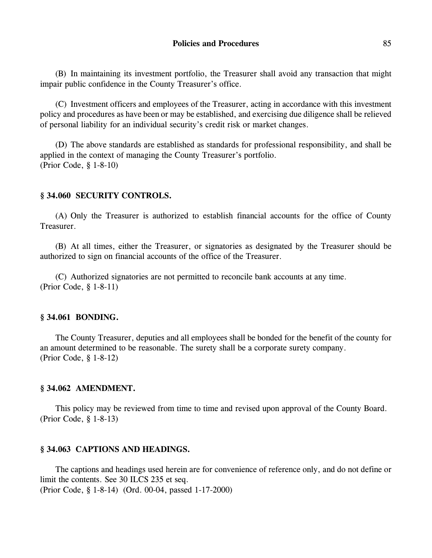(B) In maintaining its investment portfolio, the Treasurer shall avoid any transaction that might impair public confidence in the County Treasurer's office.

(C) Investment officers and employees of the Treasurer, acting in accordance with this investment policy and procedures as have been or may be established, and exercising due diligence shall be relieved of personal liability for an individual security's credit risk or market changes.

(D) The above standards are established as standards for professional responsibility, and shall be applied in the context of managing the County Treasurer's portfolio. (Prior Code, § 1-8-10)

#### **§ 34.060 SECURITY CONTROLS.**

(A) Only the Treasurer is authorized to establish financial accounts for the office of County Treasurer.

(B) At all times, either the Treasurer, or signatories as designated by the Treasurer should be authorized to sign on financial accounts of the office of the Treasurer.

(C) Authorized signatories are not permitted to reconcile bank accounts at any time. (Prior Code, § 1-8-11)

### **§ 34.061 BONDING.**

The County Treasurer, deputies and all employees shall be bonded for the benefit of the county for an amount determined to be reasonable. The surety shall be a corporate surety company. (Prior Code, § 1-8-12)

#### **§ 34.062 AMENDMENT.**

This policy may be reviewed from time to time and revised upon approval of the County Board. (Prior Code, § 1-8-13)

## **§ 34.063 CAPTIONS AND HEADINGS.**

The captions and headings used herein are for convenience of reference only, and do not define or limit the contents. See 30 ILCS 235 et seq. (Prior Code, § 1-8-14) (Ord. 00-04, passed 1-17-2000)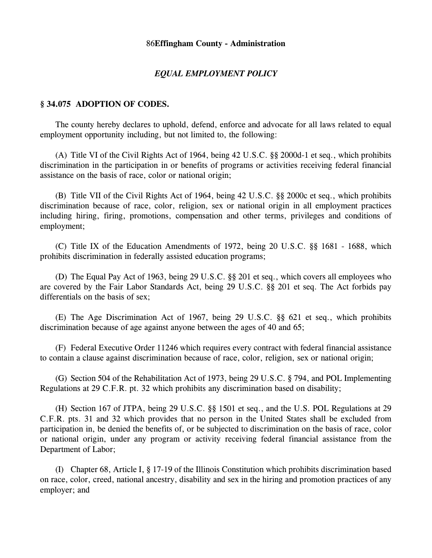# *EQUAL EMPLOYMENT POLICY*

## **§ 34.075 ADOPTION OF CODES.**

The county hereby declares to uphold, defend, enforce and advocate for all laws related to equal employment opportunity including, but not limited to, the following:

(A) Title VI of the Civil Rights Act of 1964, being 42 U.S.C. §§ 2000d-1 et seq., which prohibits discrimination in the participation in or benefits of programs or activities receiving federal financial assistance on the basis of race, color or national origin;

(B) Title VII of the Civil Rights Act of 1964, being 42 U.S.C. §§ 2000c et seq., which prohibits discrimination because of race, color, religion, sex or national origin in all employment practices including hiring, firing, promotions, compensation and other terms, privileges and conditions of employment;

(C) Title IX of the Education Amendments of 1972, being 20 U.S.C. §§ 1681 - 1688, which prohibits discrimination in federally assisted education programs;

(D) The Equal Pay Act of 1963, being 29 U.S.C. §§ 201 et seq., which covers all employees who are covered by the Fair Labor Standards Act, being 29 U.S.C. §§ 201 et seq. The Act forbids pay differentials on the basis of sex;

(E) The Age Discrimination Act of 1967, being 29 U.S.C. §§ 621 et seq., which prohibits discrimination because of age against anyone between the ages of 40 and 65;

(F) Federal Executive Order 11246 which requires every contract with federal financial assistance to contain a clause against discrimination because of race, color, religion, sex or national origin;

(G) Section 504 of the Rehabilitation Act of 1973, being 29 U.S.C. § 794, and POL Implementing Regulations at 29 C.F.R. pt. 32 which prohibits any discrimination based on disability;

(H) Section 167 of JTPA, being 29 U.S.C. §§ 1501 et seq., and the U.S. POL Regulations at 29 C.F.R. pts. 31 and 32 which provides that no person in the United States shall be excluded from participation in, be denied the benefits of, or be subjected to discrimination on the basis of race, color or national origin, under any program or activity receiving federal financial assistance from the Department of Labor;

(I) Chapter 68, Article I, § 17-19 of the Illinois Constitution which prohibits discrimination based on race, color, creed, national ancestry, disability and sex in the hiring and promotion practices of any employer; and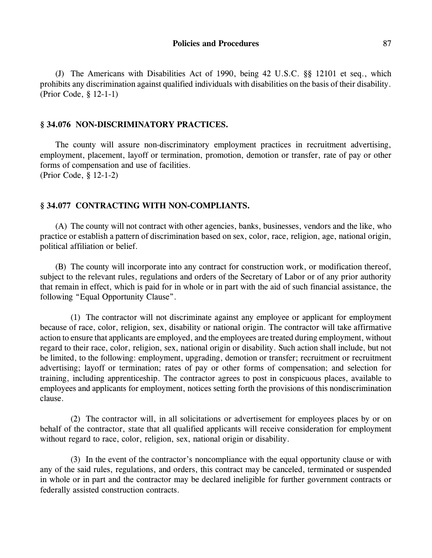(J) The Americans with Disabilities Act of 1990, being 42 U.S.C. §§ 12101 et seq., which prohibits any discrimination against qualified individuals with disabilities on the basis of their disability. (Prior Code, § 12-1-1)

# **§ 34.076 NON-DISCRIMINATORY PRACTICES.**

The county will assure non-discriminatory employment practices in recruitment advertising, employment, placement, layoff or termination, promotion, demotion or transfer, rate of pay or other forms of compensation and use of facilities. (Prior Code, § 12-1-2)

# **§ 34.077 CONTRACTING WITH NON-COMPLIANTS.**

(A) The county will not contract with other agencies, banks, businesses, vendors and the like, who practice or establish a pattern of discrimination based on sex, color, race, religion, age, national origin, political affiliation or belief.

(B) The county will incorporate into any contract for construction work, or modification thereof, subject to the relevant rules, regulations and orders of the Secretary of Labor or of any prior authority that remain in effect, which is paid for in whole or in part with the aid of such financial assistance, the following "Equal Opportunity Clause".

(1) The contractor will not discriminate against any employee or applicant for employment because of race, color, religion, sex, disability or national origin. The contractor will take affirmative action to ensure that applicants are employed, and the employees are treated during employment, without regard to their race, color, religion, sex, national origin or disability. Such action shall include, but not be limited, to the following: employment, upgrading, demotion or transfer; recruitment or recruitment advertising; layoff or termination; rates of pay or other forms of compensation; and selection for training, including apprenticeship. The contractor agrees to post in conspicuous places, available to employees and applicants for employment, notices setting forth the provisions of this nondiscrimination clause.

(2) The contractor will, in all solicitations or advertisement for employees places by or on behalf of the contractor, state that all qualified applicants will receive consideration for employment without regard to race, color, religion, sex, national origin or disability.

(3) In the event of the contractor's noncompliance with the equal opportunity clause or with any of the said rules, regulations, and orders, this contract may be canceled, terminated or suspended in whole or in part and the contractor may be declared ineligible for further government contracts or federally assisted construction contracts.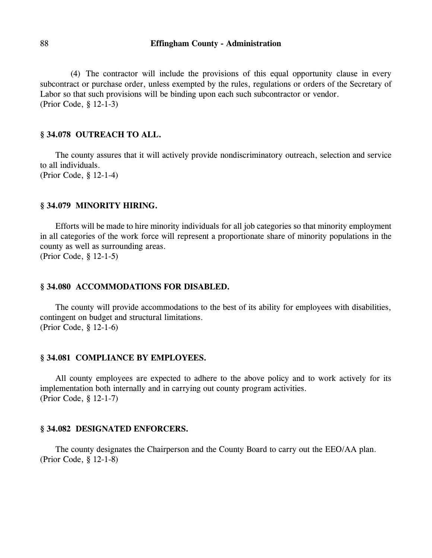(4) The contractor will include the provisions of this equal opportunity clause in every subcontract or purchase order, unless exempted by the rules, regulations or orders of the Secretary of Labor so that such provisions will be binding upon each such subcontractor or vendor. (Prior Code, § 12-1-3)

### **§ 34.078 OUTREACH TO ALL.**

The county assures that it will actively provide nondiscriminatory outreach, selection and service to all individuals. (Prior Code, § 12-1-4)

# **§ 34.079 MINORITY HIRING.**

Efforts will be made to hire minority individuals for all job categories so that minority employment in all categories of the work force will represent a proportionate share of minority populations in the county as well as surrounding areas.

(Prior Code, § 12-1-5)

## **§ 34.080 ACCOMMODATIONS FOR DISABLED.**

The county will provide accommodations to the best of its ability for employees with disabilities, contingent on budget and structural limitations. (Prior Code, § 12-1-6)

#### **§ 34.081 COMPLIANCE BY EMPLOYEES.**

All county employees are expected to adhere to the above policy and to work actively for its implementation both internally and in carrying out county program activities. (Prior Code, § 12-1-7)

#### **§ 34.082 DESIGNATED ENFORCERS.**

The county designates the Chairperson and the County Board to carry out the EEO/AA plan. (Prior Code, § 12-1-8)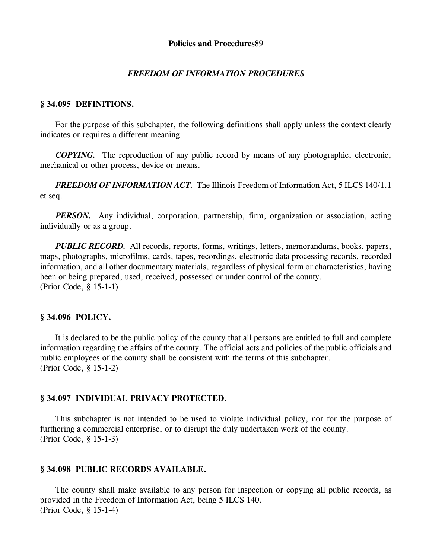#### **Policies and Procedures**89

## *FREEDOM OF INFORMATION PROCEDURES*

## **§ 34.095 DEFINITIONS.**

For the purpose of this subchapter, the following definitions shall apply unless the context clearly indicates or requires a different meaning.

*COPYING.* The reproduction of any public record by means of any photographic, electronic, mechanical or other process, device or means.

*FREEDOM OF INFORMATION ACT.* The Illinois Freedom of Information Act, 5 ILCS 140/1.1 et seq.

*PERSON.* Any individual, corporation, partnership, firm, organization or association, acting individually or as a group.

*PUBLIC RECORD.* All records, reports, forms, writings, letters, memorandums, books, papers, maps, photographs, microfilms, cards, tapes, recordings, electronic data processing records, recorded information, and all other documentary materials, regardless of physical form or characteristics, having been or being prepared, used, received, possessed or under control of the county. (Prior Code, § 15-1-1)

#### **§ 34.096 POLICY.**

It is declared to be the public policy of the county that all persons are entitled to full and complete information regarding the affairs of the county. The official acts and policies of the public officials and public employees of the county shall be consistent with the terms of this subchapter. (Prior Code, § 15-1-2)

#### **§ 34.097 INDIVIDUAL PRIVACY PROTECTED.**

This subchapter is not intended to be used to violate individual policy, nor for the purpose of furthering a commercial enterprise, or to disrupt the duly undertaken work of the county. (Prior Code, § 15-1-3)

### **§ 34.098 PUBLIC RECORDS AVAILABLE.**

The county shall make available to any person for inspection or copying all public records, as provided in the Freedom of Information Act, being 5 ILCS 140. (Prior Code, § 15-1-4)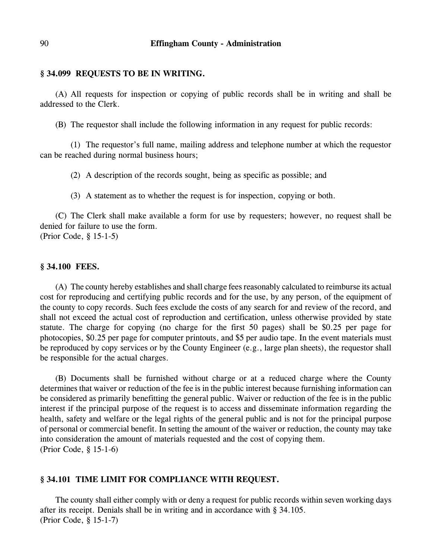## **§ 34.099 REQUESTS TO BE IN WRITING.**

(A) All requests for inspection or copying of public records shall be in writing and shall be addressed to the Clerk.

(B) The requestor shall include the following information in any request for public records:

(1) The requestor's full name, mailing address and telephone number at which the requestor can be reached during normal business hours;

(2) A description of the records sought, being as specific as possible; and

(3) A statement as to whether the request is for inspection, copying or both.

(C) The Clerk shall make available a form for use by requesters; however, no request shall be denied for failure to use the form. (Prior Code, § 15-1-5)

#### **§ 34.100 FEES.**

(A) The county hereby establishes and shall charge fees reasonably calculated to reimburse its actual cost for reproducing and certifying public records and for the use, by any person, of the equipment of the county to copy records. Such fees exclude the costs of any search for and review of the record, and shall not exceed the actual cost of reproduction and certification, unless otherwise provided by state statute. The charge for copying (no charge for the first 50 pages) shall be \$0.25 per page for photocopies, \$0.25 per page for computer printouts, and \$5 per audio tape. In the event materials must be reproduced by copy services or by the County Engineer (e.g., large plan sheets), the requestor shall be responsible for the actual charges.

(B) Documents shall be furnished without charge or at a reduced charge where the County determines that waiver or reduction of the fee is in the public interest because furnishing information can be considered as primarily benefitting the general public. Waiver or reduction of the fee is in the public interest if the principal purpose of the request is to access and disseminate information regarding the health, safety and welfare or the legal rights of the general public and is not for the principal purpose of personal or commercial benefit. In setting the amount of the waiver or reduction, the county may take into consideration the amount of materials requested and the cost of copying them. (Prior Code, § 15-1-6)

### **§ 34.101 TIME LIMIT FOR COMPLIANCE WITH REQUEST.**

The county shall either comply with or deny a request for public records within seven working days after its receipt. Denials shall be in writing and in accordance with § 34.105. (Prior Code, § 15-1-7)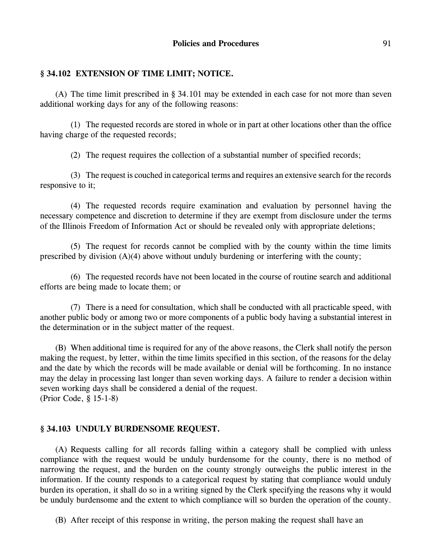# **§ 34.102 EXTENSION OF TIME LIMIT; NOTICE.**

(A) The time limit prescribed in § 34.101 may be extended in each case for not more than seven additional working days for any of the following reasons:

(1) The requested records are stored in whole or in part at other locations other than the office having charge of the requested records;

(2) The request requires the collection of a substantial number of specified records;

(3) The request is couched in categorical terms and requires an extensive search for the records responsive to it;

(4) The requested records require examination and evaluation by personnel having the necessary competence and discretion to determine if they are exempt from disclosure under the terms of the Illinois Freedom of Information Act or should be revealed only with appropriate deletions;

(5) The request for records cannot be complied with by the county within the time limits prescribed by division (A)(4) above without unduly burdening or interfering with the county;

(6) The requested records have not been located in the course of routine search and additional efforts are being made to locate them; or

(7) There is a need for consultation, which shall be conducted with all practicable speed, with another public body or among two or more components of a public body having a substantial interest in the determination or in the subject matter of the request.

(B) When additional time is required for any of the above reasons, the Clerk shall notify the person making the request, by letter, within the time limits specified in this section, of the reasons for the delay and the date by which the records will be made available or denial will be forthcoming. In no instance may the delay in processing last longer than seven working days. A failure to render a decision within seven working days shall be considered a denial of the request. (Prior Code, § 15-1-8)

# **§ 34.103 UNDULY BURDENSOME REQUEST.**

(A) Requests calling for all records falling within a category shall be complied with unless compliance with the request would be unduly burdensome for the county, there is no method of narrowing the request, and the burden on the county strongly outweighs the public interest in the information. If the county responds to a categorical request by stating that compliance would unduly burden its operation, it shall do so in a writing signed by the Clerk specifying the reasons why it would be unduly burdensome and the extent to which compliance will so burden the operation of the county.

(B) After receipt of this response in writing, the person making the request shall have an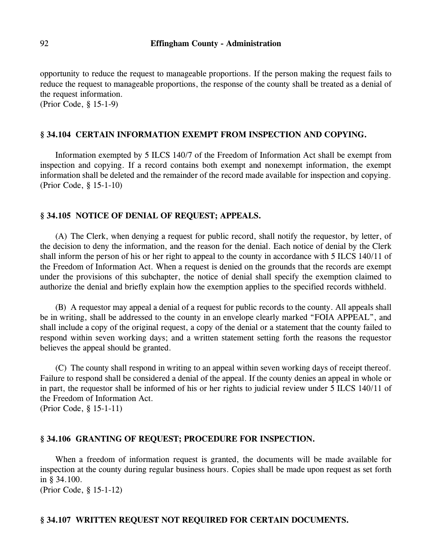opportunity to reduce the request to manageable proportions. If the person making the request fails to reduce the request to manageable proportions, the response of the county shall be treated as a denial of the request information.

(Prior Code, § 15-1-9)

## **§ 34.104 CERTAIN INFORMATION EXEMPT FROM INSPECTION AND COPYING.**

Information exempted by 5 ILCS 140/7 of the Freedom of Information Act shall be exempt from inspection and copying. If a record contains both exempt and nonexempt information, the exempt information shall be deleted and the remainder of the record made available for inspection and copying. (Prior Code, § 15-1-10)

### **§ 34.105 NOTICE OF DENIAL OF REQUEST; APPEALS.**

(A) The Clerk, when denying a request for public record, shall notify the requestor, by letter, of the decision to deny the information, and the reason for the denial. Each notice of denial by the Clerk shall inform the person of his or her right to appeal to the county in accordance with 5 ILCS 140/11 of the Freedom of Information Act. When a request is denied on the grounds that the records are exempt under the provisions of this subchapter, the notice of denial shall specify the exemption claimed to authorize the denial and briefly explain how the exemption applies to the specified records withheld.

(B) A requestor may appeal a denial of a request for public records to the county. All appeals shall be in writing, shall be addressed to the county in an envelope clearly marked "FOIA APPEAL", and shall include a copy of the original request, a copy of the denial or a statement that the county failed to respond within seven working days; and a written statement setting forth the reasons the requestor believes the appeal should be granted.

(C) The county shall respond in writing to an appeal within seven working days of receipt thereof. Failure to respond shall be considered a denial of the appeal. If the county denies an appeal in whole or in part, the requestor shall be informed of his or her rights to judicial review under 5 ILCS 140/11 of the Freedom of Information Act.

(Prior Code, § 15-1-11)

# **§ 34.106 GRANTING OF REQUEST; PROCEDURE FOR INSPECTION.**

When a freedom of information request is granted, the documents will be made available for inspection at the county during regular business hours. Copies shall be made upon request as set forth in § 34.100.

(Prior Code, § 15-1-12)

#### **§ 34.107 WRITTEN REQUEST NOT REQUIRED FOR CERTAIN DOCUMENTS.**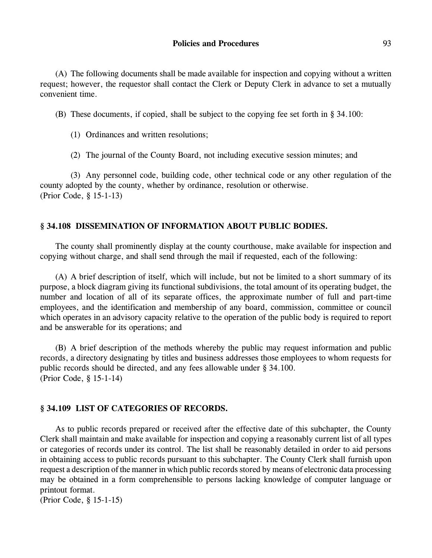(A) The following documents shall be made available for inspection and copying without a written request; however, the requestor shall contact the Clerk or Deputy Clerk in advance to set a mutually convenient time.

(B) These documents, if copied, shall be subject to the copying fee set forth in § 34.100:

- (1) Ordinances and written resolutions;
- (2) The journal of the County Board, not including executive session minutes; and

(3) Any personnel code, building code, other technical code or any other regulation of the county adopted by the county, whether by ordinance, resolution or otherwise. (Prior Code, § 15-1-13)

# **§ 34.108 DISSEMINATION OF INFORMATION ABOUT PUBLIC BODIES.**

The county shall prominently display at the county courthouse, make available for inspection and copying without charge, and shall send through the mail if requested, each of the following:

(A) A brief description of itself, which will include, but not be limited to a short summary of its purpose, a block diagram giving its functional subdivisions, the total amount of its operating budget, the number and location of all of its separate offices, the approximate number of full and part-time employees, and the identification and membership of any board, commission, committee or council which operates in an advisory capacity relative to the operation of the public body is required to report and be answerable for its operations; and

(B) A brief description of the methods whereby the public may request information and public records, a directory designating by titles and business addresses those employees to whom requests for public records should be directed, and any fees allowable under § 34.100. (Prior Code, § 15-1-14)

# **§ 34.109 LIST OF CATEGORIES OF RECORDS.**

As to public records prepared or received after the effective date of this subchapter, the County Clerk shall maintain and make available for inspection and copying a reasonably current list of all types or categories of records under its control. The list shall be reasonably detailed in order to aid persons in obtaining access to public records pursuant to this subchapter. The County Clerk shall furnish upon request a description of the manner in which public records stored by means of electronic data processing may be obtained in a form comprehensible to persons lacking knowledge of computer language or printout format.

(Prior Code, § 15-1-15)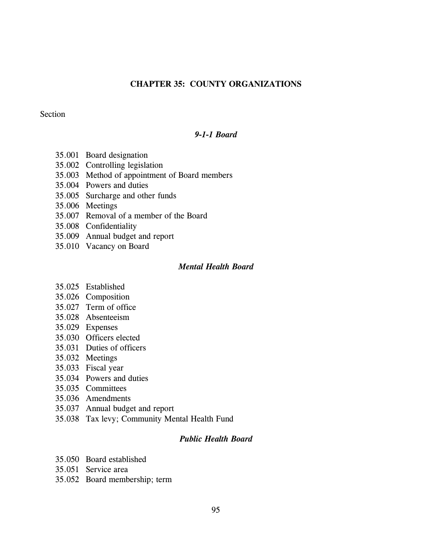## **CHAPTER 35: COUNTY ORGANIZATIONS**

### Section

### *9-1-1 Board*

- 35.001 Board designation
- 35.002 Controlling legislation
- 35.003 Method of appointment of Board members
- 35.004 Powers and duties
- 35.005 Surcharge and other funds
- 35.006 Meetings
- 35.007 Removal of a member of the Board
- 35.008 Confidentiality
- 35.009 Annual budget and report
- 35.010 Vacancy on Board

#### *Mental Health Board*

- 35.025 Established
- 35.026 Composition
- 35.027 Term of office
- 35.028 Absenteeism
- 35.029 Expenses
- 35.030 Officers elected
- 35.031 Duties of officers
- 35.032 Meetings
- 35.033 Fiscal year
- 35.034 Powers and duties
- 35.035 Committees
- 35.036 Amendments
- 35.037 Annual budget and report
- 35.038 Tax levy; Community Mental Health Fund

## *Public Health Board*

- 35.050 Board established
- 35.051 Service area
- 35.052 Board membership; term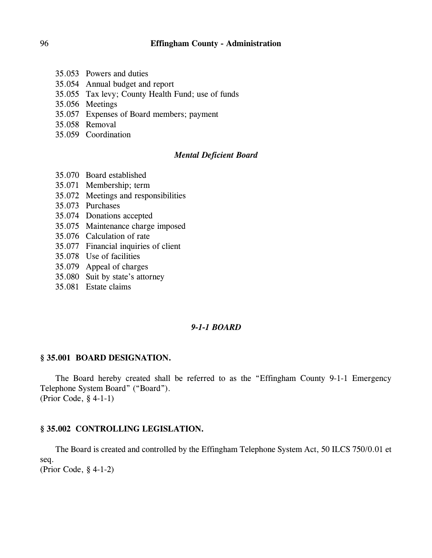## 96 **Effingham County - Administration**

- 35.053 Powers and duties
- 35.054 Annual budget and report
- 35.055 Tax levy; County Health Fund; use of funds
- 35.056 Meetings
- 35.057 Expenses of Board members; payment
- 35.058 Removal
- 35.059 Coordination

## *Mental Deficient Board*

- 35.070 Board established
- 35.071 Membership; term
- 35.072 Meetings and responsibilities
- 35.073 Purchases
- 35.074 Donations accepted
- 35.075 Maintenance charge imposed
- 35.076 Calculation of rate
- 35.077 Financial inquiries of client
- 35.078 Use of facilities
- 35.079 Appeal of charges
- 35.080 Suit by state's attorney
- 35.081 Estate claims

## *9-1-1 BOARD*

## **§ 35.001 BOARD DESIGNATION.**

The Board hereby created shall be referred to as the "Effingham County 9-1-1 Emergency Telephone System Board" ("Board"). (Prior Code, § 4-1-1)

#### **§ 35.002 CONTROLLING LEGISLATION.**

The Board is created and controlled by the Effingham Telephone System Act, 50 ILCS 750/0.01 et seq.

(Prior Code, § 4-1-2)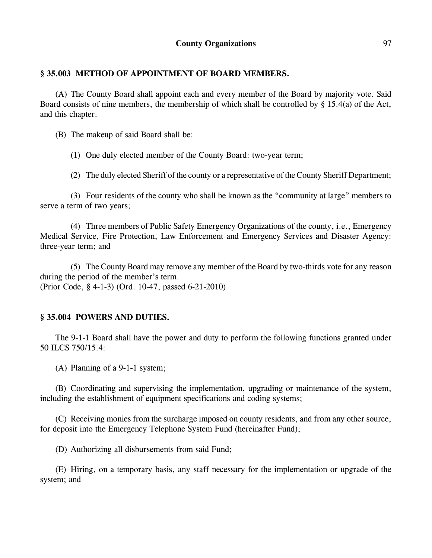# **§ 35.003 METHOD OF APPOINTMENT OF BOARD MEMBERS.**

(A) The County Board shall appoint each and every member of the Board by majority vote. Said Board consists of nine members, the membership of which shall be controlled by § 15.4(a) of the Act, and this chapter.

(B) The makeup of said Board shall be:

(1) One duly elected member of the County Board: two-year term;

(2) The duly elected Sheriff of the county or a representative of the County Sheriff Department;

(3) Four residents of the county who shall be known as the "community at large" members to serve a term of two years;

(4) Three members of Public Safety Emergency Organizations of the county, i.e., Emergency Medical Service, Fire Protection, Law Enforcement and Emergency Services and Disaster Agency: three-year term; and

(5) The County Board may remove any member of the Board by two-thirds vote for any reason during the period of the member's term. (Prior Code, § 4-1-3) (Ord. 10-47, passed 6-21-2010)

## **§ 35.004 POWERS AND DUTIES.**

The 9-1-1 Board shall have the power and duty to perform the following functions granted under 50 ILCS 750/15.4:

(A) Planning of a 9-1-1 system;

(B) Coordinating and supervising the implementation, upgrading or maintenance of the system, including the establishment of equipment specifications and coding systems;

(C) Receiving monies from the surcharge imposed on county residents, and from any other source, for deposit into the Emergency Telephone System Fund (hereinafter Fund);

(D) Authorizing all disbursements from said Fund;

(E) Hiring, on a temporary basis, any staff necessary for the implementation or upgrade of the system; and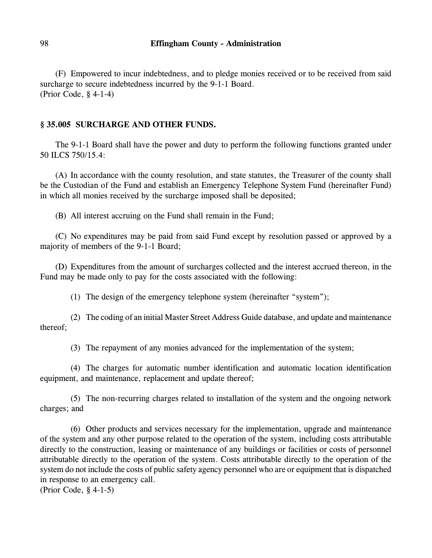(F) Empowered to incur indebtedness, and to pledge monies received or to be received from said surcharge to secure indebtedness incurred by the 9-1-1 Board. (Prior Code, § 4-1-4)

## **§ 35.005 SURCHARGE AND OTHER FUNDS.**

The 9-1-1 Board shall have the power and duty to perform the following functions granted under 50 ILCS 750/15.4:

(A) In accordance with the county resolution, and state statutes, the Treasurer of the county shall be the Custodian of the Fund and establish an Emergency Telephone System Fund (hereinafter Fund) in which all monies received by the surcharge imposed shall be deposited;

(B) All interest accruing on the Fund shall remain in the Fund;

(C) No expenditures may be paid from said Fund except by resolution passed or approved by a majority of members of the 9-1-1 Board;

(D) Expenditures from the amount of surcharges collected and the interest accrued thereon, in the Fund may be made only to pay for the costs associated with the following:

(1) The design of the emergency telephone system (hereinafter "system");

(2) The coding of an initial Master Street Address Guide database, and update and maintenance thereof;

(3) The repayment of any monies advanced for the implementation of the system;

(4) The charges for automatic number identification and automatic location identification equipment, and maintenance, replacement and update thereof;

(5) The non-recurring charges related to installation of the system and the ongoing network charges; and

(6) Other products and services necessary for the implementation, upgrade and maintenance of the system and any other purpose related to the operation of the system, including costs attributable directly to the construction, leasing or maintenance of any buildings or facilities or costs of personnel attributable directly to the operation of the system. Costs attributable directly to the operation of the system do not include the costs of public safety agency personnel who are or equipment that is dispatched in response to an emergency call.

(Prior Code, § 4-1-5)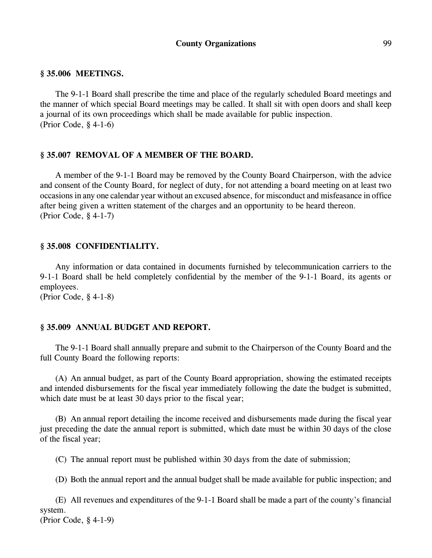#### **§ 35.006 MEETINGS.**

The 9-1-1 Board shall prescribe the time and place of the regularly scheduled Board meetings and the manner of which special Board meetings may be called. It shall sit with open doors and shall keep a journal of its own proceedings which shall be made available for public inspection. (Prior Code, § 4-1-6)

## **§ 35.007 REMOVAL OF A MEMBER OF THE BOARD.**

A member of the 9-1-1 Board may be removed by the County Board Chairperson, with the advice and consent of the County Board, for neglect of duty, for not attending a board meeting on at least two occasions in any one calendar year without an excused absence, for misconduct and misfeasance in office after being given a written statement of the charges and an opportunity to be heard thereon. (Prior Code, § 4-1-7)

### **§ 35.008 CONFIDENTIALITY.**

Any information or data contained in documents furnished by telecommunication carriers to the 9-1-1 Board shall be held completely confidential by the member of the 9-1-1 Board, its agents or employees.

(Prior Code, § 4-1-8)

#### **§ 35.009 ANNUAL BUDGET AND REPORT.**

The 9-1-1 Board shall annually prepare and submit to the Chairperson of the County Board and the full County Board the following reports:

(A) An annual budget, as part of the County Board appropriation, showing the estimated receipts and intended disbursements for the fiscal year immediately following the date the budget is submitted, which date must be at least 30 days prior to the fiscal year;

(B) An annual report detailing the income received and disbursements made during the fiscal year just preceding the date the annual report is submitted, which date must be within 30 days of the close of the fiscal year;

(C) The annual report must be published within 30 days from the date of submission;

(D) Both the annual report and the annual budget shall be made available for public inspection; and

(E) All revenues and expenditures of the 9-1-1 Board shall be made a part of the county's financial system.

(Prior Code, § 4-1-9)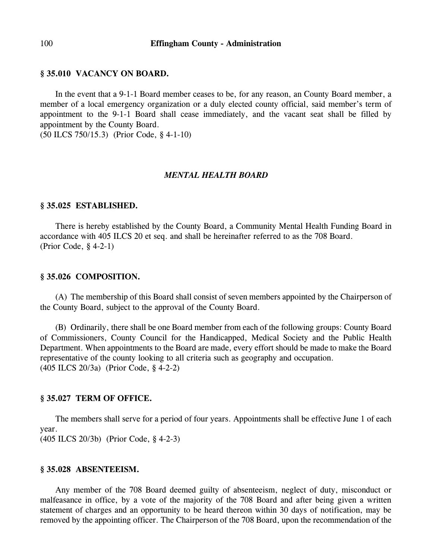### **§ 35.010 VACANCY ON BOARD.**

In the event that a 9-1-1 Board member ceases to be, for any reason, an County Board member, a member of a local emergency organization or a duly elected county official, said member's term of appointment to the 9-1-1 Board shall cease immediately, and the vacant seat shall be filled by appointment by the County Board.

(50 ILCS 750/15.3) (Prior Code, § 4-1-10)

### *MENTAL HEALTH BOARD*

#### **§ 35.025 ESTABLISHED.**

There is hereby established by the County Board, a Community Mental Health Funding Board in accordance with 405 ILCS 20 et seq. and shall be hereinafter referred to as the 708 Board. (Prior Code, § 4-2-1)

### **§ 35.026 COMPOSITION.**

(A) The membership of this Board shall consist of seven members appointed by the Chairperson of the County Board, subject to the approval of the County Board.

(B) Ordinarily, there shall be one Board member from each of the following groups: County Board of Commissioners, County Council for the Handicapped, Medical Society and the Public Health Department. When appointments to the Board are made, every effort should be made to make the Board representative of the county looking to all criteria such as geography and occupation. (405 ILCS 20/3a) (Prior Code, § 4-2-2)

#### **§ 35.027 TERM OF OFFICE.**

The members shall serve for a period of four years. Appointments shall be effective June 1 of each year. (405 ILCS 20/3b) (Prior Code, § 4-2-3)

### **§ 35.028 ABSENTEEISM.**

Any member of the 708 Board deemed guilty of absenteeism, neglect of duty, misconduct or malfeasance in office, by a vote of the majority of the 708 Board and after being given a written statement of charges and an opportunity to be heard thereon within 30 days of notification, may be removed by the appointing officer. The Chairperson of the 708 Board, upon the recommendation of the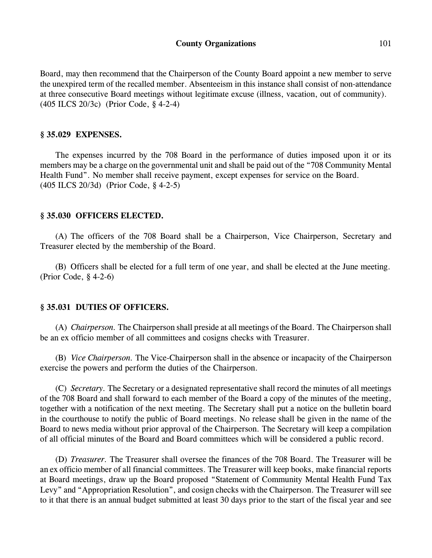### **County Organizations** 101

Board, may then recommend that the Chairperson of the County Board appoint a new member to serve the unexpired term of the recalled member. Absenteeism in this instance shall consist of non-attendance at three consecutive Board meetings without legitimate excuse (illness, vacation, out of community). (405 ILCS 20/3c) (Prior Code, § 4-2-4)

#### **§ 35.029 EXPENSES.**

The expenses incurred by the 708 Board in the performance of duties imposed upon it or its members may be a charge on the governmental unit and shall be paid out of the "708 Community Mental Health Fund". No member shall receive payment, except expenses for service on the Board. (405 ILCS 20/3d) (Prior Code, § 4-2-5)

#### **§ 35.030 OFFICERS ELECTED.**

(A) The officers of the 708 Board shall be a Chairperson, Vice Chairperson, Secretary and Treasurer elected by the membership of the Board.

(B) Officers shall be elected for a full term of one year, and shall be elected at the June meeting. (Prior Code, § 4-2-6)

#### **§ 35.031 DUTIES OF OFFICERS.**

(A) *Chairperson.* The Chairperson shall preside at all meetings of the Board. The Chairperson shall be an ex officio member of all committees and cosigns checks with Treasurer.

(B) *Vice Chairperson.* The Vice-Chairperson shall in the absence or incapacity of the Chairperson exercise the powers and perform the duties of the Chairperson.

(C) *Secretary.* The Secretary or a designated representative shall record the minutes of all meetings of the 708 Board and shall forward to each member of the Board a copy of the minutes of the meeting, together with a notification of the next meeting. The Secretary shall put a notice on the bulletin board in the courthouse to notify the public of Board meetings. No release shall be given in the name of the Board to news media without prior approval of the Chairperson. The Secretary will keep a compilation of all official minutes of the Board and Board committees which will be considered a public record.

(D) *Treasurer.* The Treasurer shall oversee the finances of the 708 Board. The Treasurer will be an ex officio member of all financial committees. The Treasurer will keep books, make financial reports at Board meetings, draw up the Board proposed "Statement of Community Mental Health Fund Tax Levy" and "Appropriation Resolution", and cosign checks with the Chairperson. The Treasurer will see to it that there is an annual budget submitted at least 30 days prior to the start of the fiscal year and see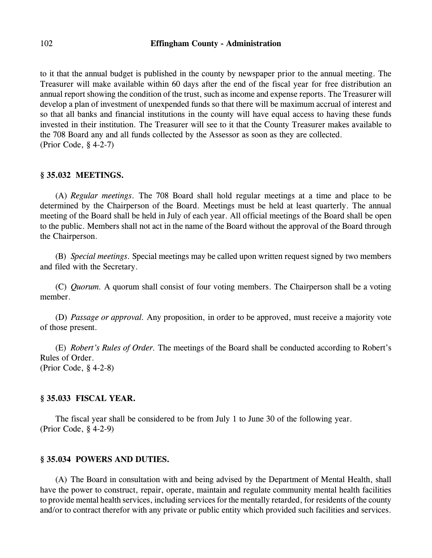to it that the annual budget is published in the county by newspaper prior to the annual meeting. The Treasurer will make available within 60 days after the end of the fiscal year for free distribution an annual report showing the condition of the trust, such as income and expense reports. The Treasurer will develop a plan of investment of unexpended funds so that there will be maximum accrual of interest and so that all banks and financial institutions in the county will have equal access to having these funds invested in their institution. The Treasurer will see to it that the County Treasurer makes available to the 708 Board any and all funds collected by the Assessor as soon as they are collected. (Prior Code, § 4-2-7)

### **§ 35.032 MEETINGS.**

(A) *Regular meetings.* The 708 Board shall hold regular meetings at a time and place to be determined by the Chairperson of the Board. Meetings must be held at least quarterly. The annual meeting of the Board shall be held in July of each year. All official meetings of the Board shall be open to the public. Members shall not act in the name of the Board without the approval of the Board through the Chairperson.

(B) *Special meetings.* Special meetings may be called upon written request signed by two members and filed with the Secretary.

(C) *Quorum.* A quorum shall consist of four voting members. The Chairperson shall be a voting member.

(D) *Passage or approval.* Any proposition, in order to be approved, must receive a majority vote of those present.

(E) *Robert's Rules of Order.* The meetings of the Board shall be conducted according to Robert's Rules of Order. (Prior Code, § 4-2-8)

#### **§ 35.033 FISCAL YEAR.**

The fiscal year shall be considered to be from July 1 to June 30 of the following year. (Prior Code, § 4-2-9)

### **§ 35.034 POWERS AND DUTIES.**

(A) The Board in consultation with and being advised by the Department of Mental Health, shall have the power to construct, repair, operate, maintain and regulate community mental health facilities to provide mental health services, including services for the mentally retarded, for residents of the county and/or to contract therefor with any private or public entity which provided such facilities and services.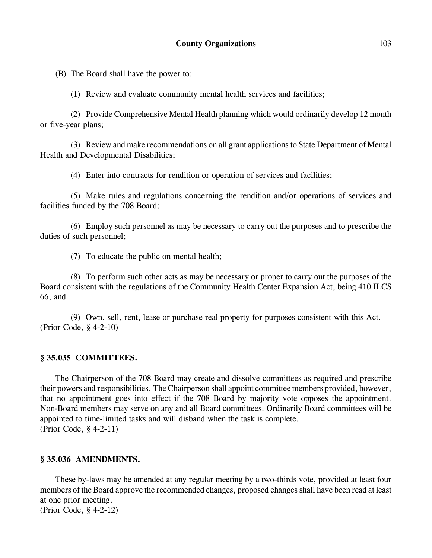(B) The Board shall have the power to:

(1) Review and evaluate community mental health services and facilities;

(2) Provide Comprehensive Mental Health planning which would ordinarily develop 12 month or five-year plans;

(3) Review and make recommendations on all grant applications to State Department of Mental Health and Developmental Disabilities;

(4) Enter into contracts for rendition or operation of services and facilities;

(5) Make rules and regulations concerning the rendition and/or operations of services and facilities funded by the 708 Board;

(6) Employ such personnel as may be necessary to carry out the purposes and to prescribe the duties of such personnel;

(7) To educate the public on mental health;

(8) To perform such other acts as may be necessary or proper to carry out the purposes of the Board consistent with the regulations of the Community Health Center Expansion Act, being 410 ILCS 66; and

(9) Own, sell, rent, lease or purchase real property for purposes consistent with this Act. (Prior Code, § 4-2-10)

## **§ 35.035 COMMITTEES.**

The Chairperson of the 708 Board may create and dissolve committees as required and prescribe their powers and responsibilities. The Chairperson shall appoint committee members provided, however, that no appointment goes into effect if the 708 Board by majority vote opposes the appointment. Non-Board members may serve on any and all Board committees. Ordinarily Board committees will be appointed to time-limited tasks and will disband when the task is complete. (Prior Code, § 4-2-11)

### **§ 35.036 AMENDMENTS.**

These by-laws may be amended at any regular meeting by a two-thirds vote, provided at least four members of the Board approve the recommended changes, proposed changes shall have been read at least at one prior meeting. (Prior Code, § 4-2-12)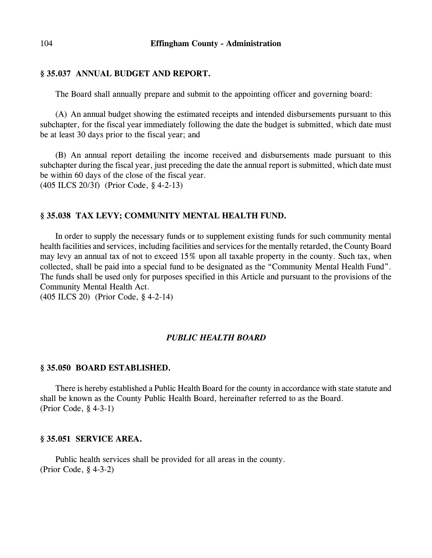### **§ 35.037 ANNUAL BUDGET AND REPORT.**

The Board shall annually prepare and submit to the appointing officer and governing board:

(A) An annual budget showing the estimated receipts and intended disbursements pursuant to this subchapter, for the fiscal year immediately following the date the budget is submitted, which date must be at least 30 days prior to the fiscal year; and

(B) An annual report detailing the income received and disbursements made pursuant to this subchapter during the fiscal year, just preceding the date the annual report is submitted, which date must be within 60 days of the close of the fiscal year. (405 ILCS 20/3f) (Prior Code, § 4-2-13)

## **§ 35.038 TAX LEVY; COMMUNITY MENTAL HEALTH FUND.**

In order to supply the necessary funds or to supplement existing funds for such community mental health facilities and services, including facilities and services for the mentally retarded, the County Board may levy an annual tax of not to exceed 15% upon all taxable property in the county. Such tax, when collected, shall be paid into a special fund to be designated as the "Community Mental Health Fund". The funds shall be used only for purposes specified in this Article and pursuant to the provisions of the Community Mental Health Act.

(405 ILCS 20) (Prior Code, § 4-2-14)

## *PUBLIC HEALTH BOARD*

#### **§ 35.050 BOARD ESTABLISHED.**

There is hereby established a Public Health Board for the county in accordance with state statute and shall be known as the County Public Health Board, hereinafter referred to as the Board. (Prior Code, § 4-3-1)

#### **§ 35.051 SERVICE AREA.**

Public health services shall be provided for all areas in the county. (Prior Code, § 4-3-2)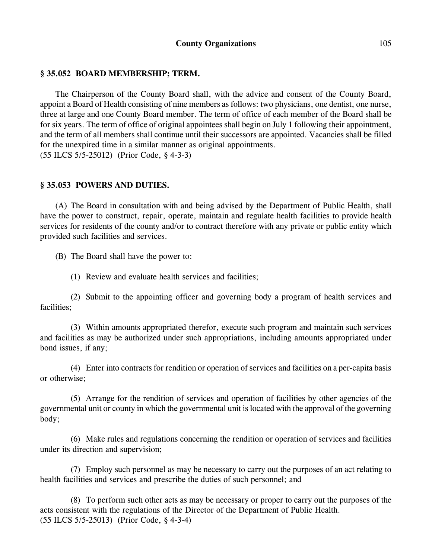## **§ 35.052 BOARD MEMBERSHIP; TERM.**

The Chairperson of the County Board shall, with the advice and consent of the County Board, appoint a Board of Health consisting of nine members as follows: two physicians, one dentist, one nurse, three at large and one County Board member. The term of office of each member of the Board shall be for six years. The term of office of original appointees shall begin on July 1 following their appointment, and the term of all members shall continue until their successors are appointed. Vacancies shall be filled for the unexpired time in a similar manner as original appointments. (55 ILCS 5/5-25012) (Prior Code, § 4-3-3)

## **§ 35.053 POWERS AND DUTIES.**

(A) The Board in consultation with and being advised by the Department of Public Health, shall have the power to construct, repair, operate, maintain and regulate health facilities to provide health services for residents of the county and/or to contract therefore with any private or public entity which provided such facilities and services.

(B) The Board shall have the power to:

(1) Review and evaluate health services and facilities;

(2) Submit to the appointing officer and governing body a program of health services and facilities;

(3) Within amounts appropriated therefor, execute such program and maintain such services and facilities as may be authorized under such appropriations, including amounts appropriated under bond issues, if any;

(4) Enter into contracts for rendition or operation of services and facilities on a per-capita basis or otherwise;

(5) Arrange for the rendition of services and operation of facilities by other agencies of the governmental unit or county in which the governmental unit is located with the approval of the governing body;

(6) Make rules and regulations concerning the rendition or operation of services and facilities under its direction and supervision;

(7) Employ such personnel as may be necessary to carry out the purposes of an act relating to health facilities and services and prescribe the duties of such personnel; and

(8) To perform such other acts as may be necessary or proper to carry out the purposes of the acts consistent with the regulations of the Director of the Department of Public Health. (55 ILCS 5/5-25013) (Prior Code, § 4-3-4)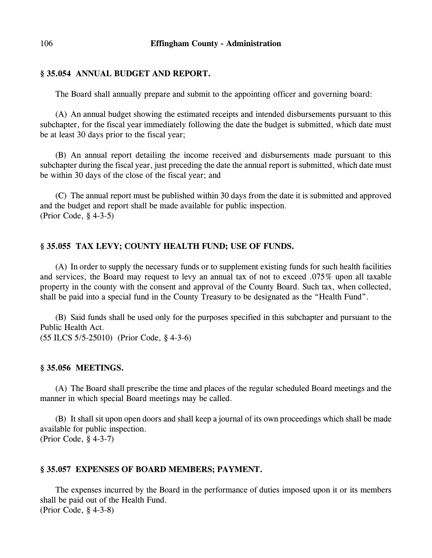## **§ 35.054 ANNUAL BUDGET AND REPORT.**

The Board shall annually prepare and submit to the appointing officer and governing board:

(A) An annual budget showing the estimated receipts and intended disbursements pursuant to this subchapter, for the fiscal year immediately following the date the budget is submitted, which date must be at least 30 days prior to the fiscal year;

(B) An annual report detailing the income received and disbursements made pursuant to this subchapter during the fiscal year, just preceding the date the annual report is submitted, which date must be within 30 days of the close of the fiscal year; and

(C) The annual report must be published within 30 days from the date it is submitted and approved and the budget and report shall be made available for public inspection. (Prior Code, § 4-3-5)

## **§ 35.055 TAX LEVY; COUNTY HEALTH FUND; USE OF FUNDS.**

(A) In order to supply the necessary funds or to supplement existing funds for such health facilities and services, the Board may request to levy an annual tax of not to exceed .075% upon all taxable property in the county with the consent and approval of the County Board. Such tax, when collected, shall be paid into a special fund in the County Treasury to be designated as the "Health Fund".

(B) Said funds shall be used only for the purposes specified in this subchapter and pursuant to the Public Health Act. (55 ILCS 5/5-25010) (Prior Code, § 4-3-6)

### **§ 35.056 MEETINGS.**

(A) The Board shall prescribe the time and places of the regular scheduled Board meetings and the manner in which special Board meetings may be called.

(B) It shall sit upon open doors and shall keep a journal of its own proceedings which shall be made available for public inspection. (Prior Code, § 4-3-7)

## **§ 35.057 EXPENSES OF BOARD MEMBERS; PAYMENT.**

The expenses incurred by the Board in the performance of duties imposed upon it or its members shall be paid out of the Health Fund. (Prior Code, § 4-3-8)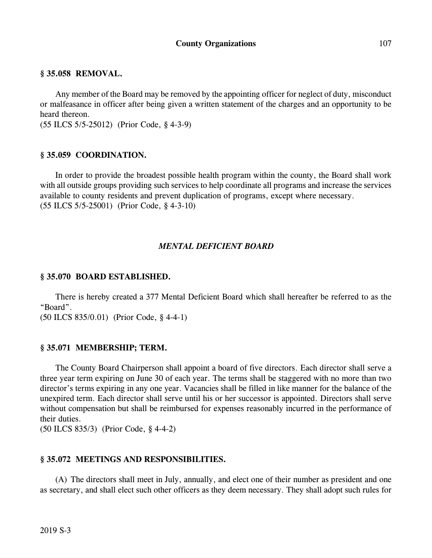### **County Organizations** 107

Any member of the Board may be removed by the appointing officer for neglect of duty, misconduct or malfeasance in officer after being given a written statement of the charges and an opportunity to be heard thereon.

(55 ILCS 5/5-25012) (Prior Code, § 4-3-9)

## **§ 35.059 COORDINATION.**

In order to provide the broadest possible health program within the county, the Board shall work with all outside groups providing such services to help coordinate all programs and increase the services available to county residents and prevent duplication of programs, except where necessary. (55 ILCS 5/5-25001) (Prior Code, § 4-3-10)

### *MENTAL DEFICIENT BOARD*

#### **§ 35.070 BOARD ESTABLISHED.**

There is hereby created a 377 Mental Deficient Board which shall hereafter be referred to as the "Board".

(50 ILCS 835/0.01) (Prior Code, § 4-4-1)

#### **§ 35.071 MEMBERSHIP; TERM.**

The County Board Chairperson shall appoint a board of five directors. Each director shall serve a three year term expiring on June 30 of each year. The terms shall be staggered with no more than two director's terms expiring in any one year. Vacancies shall be filled in like manner for the balance of the unexpired term. Each director shall serve until his or her successor is appointed. Directors shall serve without compensation but shall be reimbursed for expenses reasonably incurred in the performance of their duties.

(50 ILCS 835/3) (Prior Code, § 4-4-2)

#### **§ 35.072 MEETINGS AND RESPONSIBILITIES.**

(A) The directors shall meet in July, annually, and elect one of their number as president and one as secretary, and shall elect such other officers as they deem necessary. They shall adopt such rules for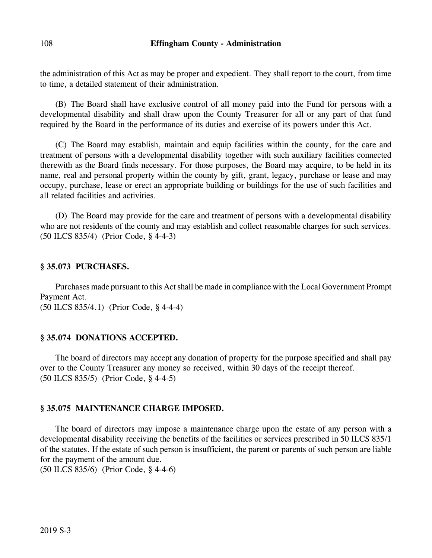the administration of this Act as may be proper and expedient. They shall report to the court, from time to time, a detailed statement of their administration.

(B) The Board shall have exclusive control of all money paid into the Fund for persons with a developmental disability and shall draw upon the County Treasurer for all or any part of that fund required by the Board in the performance of its duties and exercise of its powers under this Act.

(C) The Board may establish, maintain and equip facilities within the county, for the care and treatment of persons with a developmental disability together with such auxiliary facilities connected therewith as the Board finds necessary. For those purposes, the Board may acquire, to be held in its name, real and personal property within the county by gift, grant, legacy, purchase or lease and may occupy, purchase, lease or erect an appropriate building or buildings for the use of such facilities and all related facilities and activities.

(D) The Board may provide for the care and treatment of persons with a developmental disability who are not residents of the county and may establish and collect reasonable charges for such services. (50 ILCS 835/4) (Prior Code, § 4-4-3)

## **§ 35.073 PURCHASES.**

Purchases made pursuant to this Act shall be made in compliance with the Local Government Prompt Payment Act.

(50 ILCS 835/4.1) (Prior Code, § 4-4-4)

# **§ 35.074 DONATIONS ACCEPTED.**

The board of directors may accept any donation of property for the purpose specified and shall pay over to the County Treasurer any money so received, within 30 days of the receipt thereof. (50 ILCS 835/5) (Prior Code, § 4-4-5)

# **§ 35.075 MAINTENANCE CHARGE IMPOSED.**

The board of directors may impose a maintenance charge upon the estate of any person with a developmental disability receiving the benefits of the facilities or services prescribed in 50 ILCS 835/1 of the statutes. If the estate of such person is insufficient, the parent or parents of such person are liable for the payment of the amount due.

(50 ILCS 835/6) (Prior Code, § 4-4-6)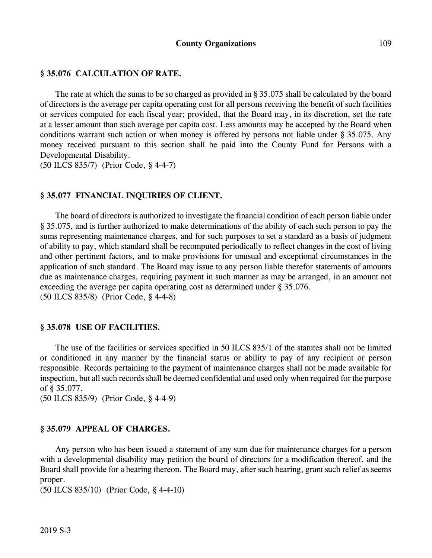### **County Organizations** 109

### **§ 35.076 CALCULATION OF RATE.**

The rate at which the sums to be so charged as provided in § 35.075 shall be calculated by the board of directors is the average per capita operating cost for all persons receiving the benefit of such facilities or services computed for each fiscal year; provided, that the Board may, in its discretion, set the rate at a lesser amount than such average per capita cost. Less amounts may be accepted by the Board when conditions warrant such action or when money is offered by persons not liable under § 35.075. Any money received pursuant to this section shall be paid into the County Fund for Persons with a Developmental Disability.

(50 ILCS 835/7) (Prior Code, § 4-4-7)

### **§ 35.077 FINANCIAL INQUIRIES OF CLIENT.**

The board of directors is authorized to investigate the financial condition of each person liable under § 35.075, and is further authorized to make determinations of the ability of each such person to pay the sums representing maintenance charges, and for such purposes to set a standard as a basis of judgment of ability to pay, which standard shall be recomputed periodically to reflect changes in the cost of living and other pertinent factors, and to make provisions for unusual and exceptional circumstances in the application of such standard. The Board may issue to any person liable therefor statements of amounts due as maintenance charges, requiring payment in such manner as may be arranged, in an amount not exceeding the average per capita operating cost as determined under § 35.076. (50 ILCS 835/8) (Prior Code, § 4-4-8)

### **§ 35.078 USE OF FACILITIES.**

The use of the facilities or services specified in 50 ILCS 835/1 of the statutes shall not be limited or conditioned in any manner by the financial status or ability to pay of any recipient or person responsible. Records pertaining to the payment of maintenance charges shall not be made available for inspection, but all such records shall be deemed confidential and used only when required for the purpose of § 35.077.

(50 ILCS 835/9) (Prior Code, § 4-4-9)

### **§ 35.079 APPEAL OF CHARGES.**

Any person who has been issued a statement of any sum due for maintenance charges for a person with a developmental disability may petition the board of directors for a modification thereof, and the Board shall provide for a hearing thereon. The Board may, after such hearing, grant such relief as seems proper.

(50 ILCS 835/10) (Prior Code, § 4-4-10)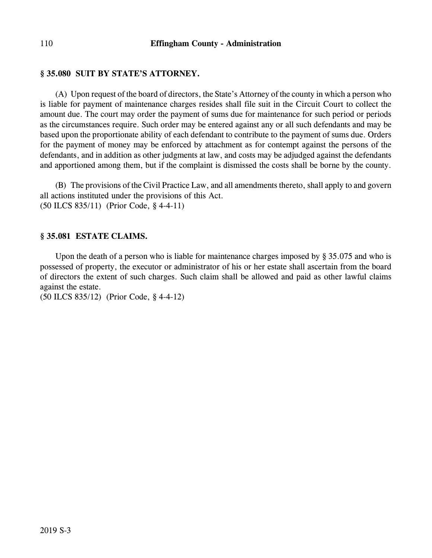# **§ 35.080 SUIT BY STATE'S ATTORNEY.**

(A) Upon request of the board of directors, the State's Attorney of the county in which a person who is liable for payment of maintenance charges resides shall file suit in the Circuit Court to collect the amount due. The court may order the payment of sums due for maintenance for such period or periods as the circumstances require. Such order may be entered against any or all such defendants and may be based upon the proportionate ability of each defendant to contribute to the payment of sums due. Orders for the payment of money may be enforced by attachment as for contempt against the persons of the defendants, and in addition as other judgments at law, and costs may be adjudged against the defendants and apportioned among them, but if the complaint is dismissed the costs shall be borne by the county.

(B) The provisions of the Civil Practice Law, and all amendments thereto, shall apply to and govern all actions instituted under the provisions of this Act. (50 ILCS 835/11) (Prior Code, § 4-4-11)

## **§ 35.081 ESTATE CLAIMS.**

Upon the death of a person who is liable for maintenance charges imposed by  $\S 35.075$  and who is possessed of property, the executor or administrator of his or her estate shall ascertain from the board of directors the extent of such charges. Such claim shall be allowed and paid as other lawful claims against the estate.

(50 ILCS 835/12) (Prior Code, § 4-4-12)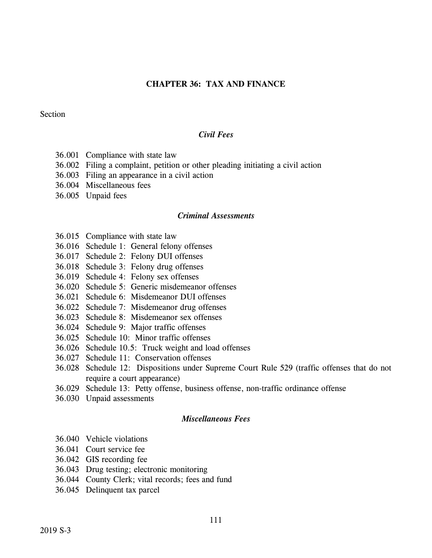## **CHAPTER 36: TAX AND FINANCE**

#### Section

### *Civil Fees*

- 36.001 Compliance with state law
- 36.002 Filing a complaint, petition or other pleading initiating a civil action
- 36.003 Filing an appearance in a civil action
- 36.004 Miscellaneous fees
- 36.005 Unpaid fees

#### *Criminal Assessments*

- 36.015 Compliance with state law
- 36.016 Schedule 1: General felony offenses
- 36.017 Schedule 2: Felony DUI offenses
- 36.018 Schedule 3: Felony drug offenses
- 36.019 Schedule 4: Felony sex offenses
- 36.020 Schedule 5: Generic misdemeanor offenses
- 36.021 Schedule 6: Misdemeanor DUI offenses
- 36.022 Schedule 7: Misdemeanor drug offenses
- 36.023 Schedule 8: Misdemeanor sex offenses
- 36.024 Schedule 9: Major traffic offenses
- 36.025 Schedule 10: Minor traffic offenses
- 36.026 Schedule 10.5: Truck weight and load offenses
- 36.027 Schedule 11: Conservation offenses
- 36.028 Schedule 12: Dispositions under Supreme Court Rule 529 (traffic offenses that do not require a court appearance)
- 36.029 Schedule 13: Petty offense, business offense, non-traffic ordinance offense
- 36.030 Unpaid assessments

### *Miscellaneous Fees*

- 36.040 Vehicle violations
- 36.041 Court service fee
- 36.042 GIS recording fee
- 36.043 Drug testing; electronic monitoring
- 36.044 County Clerk; vital records; fees and fund
- 36.045 Delinquent tax parcel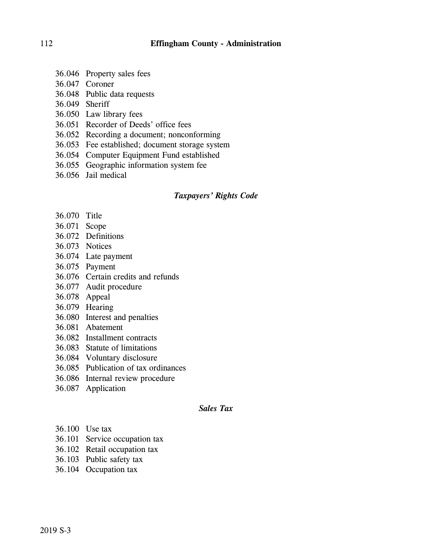- 36.046 Property sales fees
- 36.047 Coroner
- 36.048 Public data requests
- 36.049 Sheriff
- 36.050 Law library fees
- 36.051 Recorder of Deeds' office fees
- 36.052 Recording a document; nonconforming
- 36.053 Fee established; document storage system
- 36.054 Computer Equipment Fund established
- 36.055 Geographic information system fee
- 36.056 Jail medical

### *Taxpayers' Rights Code*

- 36.070 Title
- 36.071 Scope
- 36.072 Definitions
- 36.073 Notices
- 36.074 Late payment
- 36.075 Payment
- 36.076 Certain credits and refunds
- 36.077 Audit procedure
- 36.078 Appeal
- 36.079 Hearing
- 36.080 Interest and penalties
- 36.081 Abatement
- 36.082 Installment contracts
- 36.083 Statute of limitations
- 36.084 Voluntary disclosure
- 36.085 Publication of tax ordinances
- 36.086 Internal review procedure
- 36.087 Application

## *Sales Tax*

- 36.100 Use tax
- 36.101 Service occupation tax
- 36.102 Retail occupation tax
- 36.103 Public safety tax
- 36.104 Occupation tax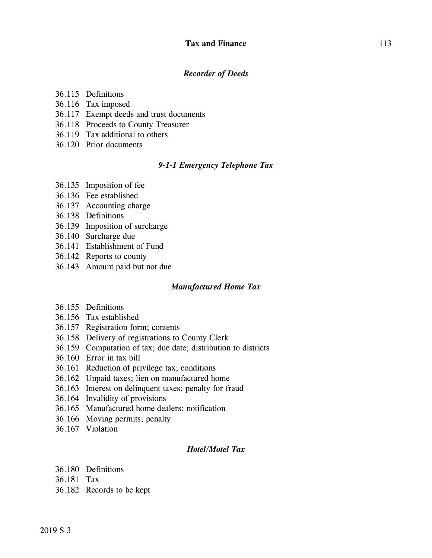## *Recorder of Deeds*

- 36.115 Definitions
- 36.116 Tax imposed
- 36.117 Exempt deeds and trust documents
- 36.118 Proceeds to County Treasurer
- 36.119 Tax additional to others
- 36.120 Prior documents

## *9-1-1 Emergency Telephone Tax*

- 36.135 Imposition of fee
- 36.136 Fee established
- 36.137 Accounting charge
- 36.138 Definitions
- 36.139 Imposition of surcharge
- 36.140 Surcharge due
- 36.141 Establishment of Fund
- 36.142 Reports to county
- 36.143 Amount paid but not due

## *Manufactured Home Tax*

- 36.155 Definitions
- 36.156 Tax established
- 36.157 Registration form; contents
- 36.158 Delivery of registrations to County Clerk
- 36.159 Computation of tax; due date; distribution to districts
- 36.160 Error in tax bill
- 36.161 Reduction of privilege tax; conditions
- 36.162 Unpaid taxes; lien on manufactured home
- 36.163 Interest on delinquent taxes; penalty for fraud
- 36.164 Invalidity of provisions
- 36.165 Manufactured home dealers; notification
- 36.166 Moving permits; penalty
- 36.167 Violation

## *Hotel/Motel Tax*

- 36.180 Definitions
- 36.181 Tax
- 36.182 Records to be kept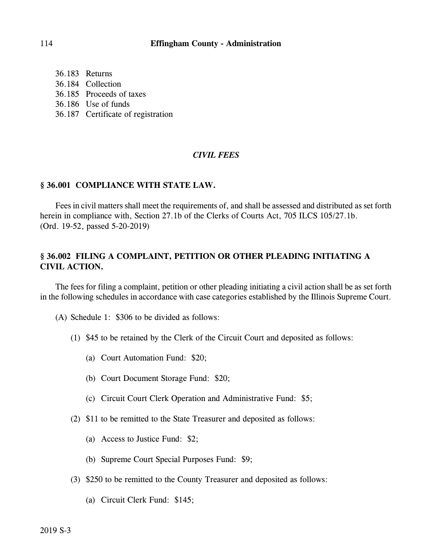36.183 Returns 36.184 Collection 36.185 Proceeds of taxes 36.186 Use of funds 36.187 Certificate of registration

# *CIVIL FEES*

## **§ 36.001 COMPLIANCE WITH STATE LAW.**

Fees in civil matters shall meet the requirements of, and shall be assessed and distributed as set forth herein in compliance with, Section 27.1b of the Clerks of Courts Act, 705 ILCS 105/27.1b. (Ord. 19-52, passed 5-20-2019)

# **§ 36.002 FILING A COMPLAINT, PETITION OR OTHER PLEADING INITIATING A CIVIL ACTION.**

The fees for filing a complaint, petition or other pleading initiating a civil action shall be as set forth in the following schedules in accordance with case categories established by the Illinois Supreme Court.

- (A) Schedule 1: \$306 to be divided as follows:
	- (1) \$45 to be retained by the Clerk of the Circuit Court and deposited as follows:
		- (a) Court Automation Fund: \$20;
		- (b) Court Document Storage Fund: \$20;
		- (c) Circuit Court Clerk Operation and Administrative Fund: \$5;
	- (2) \$11 to be remitted to the State Treasurer and deposited as follows:
		- (a) Access to Justice Fund: \$2;
		- (b) Supreme Court Special Purposes Fund: \$9;
	- (3) \$250 to be remitted to the County Treasurer and deposited as follows:
		- (a) Circuit Clerk Fund: \$145;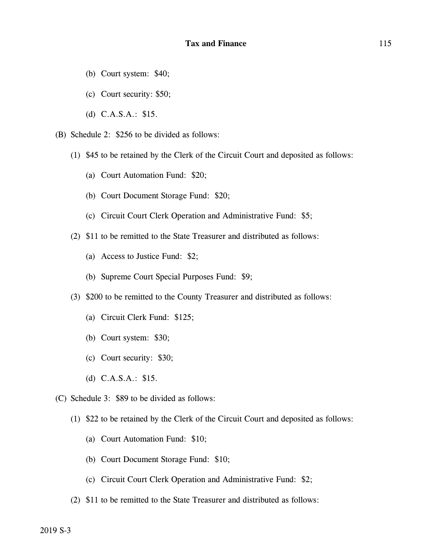- (b) Court system: \$40;
- (c) Court security: \$50;
- (d) C.A.S.A.: \$15.
- (B) Schedule 2: \$256 to be divided as follows:
	- (1) \$45 to be retained by the Clerk of the Circuit Court and deposited as follows:
		- (a) Court Automation Fund: \$20;
		- (b) Court Document Storage Fund: \$20;
		- (c) Circuit Court Clerk Operation and Administrative Fund: \$5;
	- (2) \$11 to be remitted to the State Treasurer and distributed as follows:
		- (a) Access to Justice Fund: \$2;
		- (b) Supreme Court Special Purposes Fund: \$9;
	- (3) \$200 to be remitted to the County Treasurer and distributed as follows:
		- (a) Circuit Clerk Fund: \$125;
		- (b) Court system: \$30;
		- (c) Court security: \$30;
		- (d) C.A.S.A.: \$15.
- (C) Schedule 3: \$89 to be divided as follows:
	- (1) \$22 to be retained by the Clerk of the Circuit Court and deposited as follows:
		- (a) Court Automation Fund: \$10;
		- (b) Court Document Storage Fund: \$10;
		- (c) Circuit Court Clerk Operation and Administrative Fund: \$2;
	- (2) \$11 to be remitted to the State Treasurer and distributed as follows: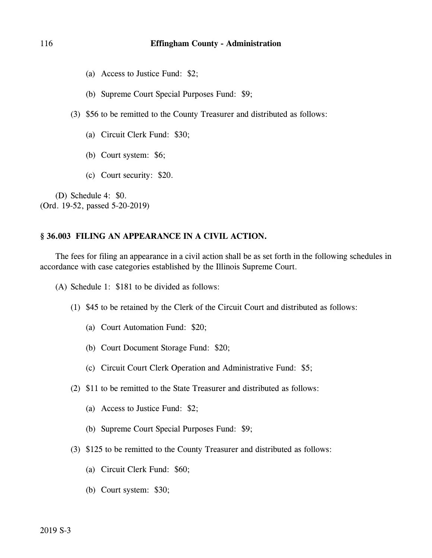- (a) Access to Justice Fund: \$2;
- (b) Supreme Court Special Purposes Fund: \$9;
- (3) \$56 to be remitted to the County Treasurer and distributed as follows:
	- (a) Circuit Clerk Fund: \$30;
	- (b) Court system: \$6;
	- (c) Court security: \$20.

(D) Schedule 4: \$0. (Ord. 19-52, passed 5-20-2019)

### **§ 36.003 FILING AN APPEARANCE IN A CIVIL ACTION.**

The fees for filing an appearance in a civil action shall be as set forth in the following schedules in accordance with case categories established by the Illinois Supreme Court.

(A) Schedule 1: \$181 to be divided as follows:

- (1) \$45 to be retained by the Clerk of the Circuit Court and distributed as follows:
	- (a) Court Automation Fund: \$20;
	- (b) Court Document Storage Fund: \$20;
	- (c) Circuit Court Clerk Operation and Administrative Fund: \$5;
- (2) \$11 to be remitted to the State Treasurer and distributed as follows:
	- (a) Access to Justice Fund: \$2;
	- (b) Supreme Court Special Purposes Fund: \$9;
- (3) \$125 to be remitted to the County Treasurer and distributed as follows:
	- (a) Circuit Clerk Fund: \$60;
	- (b) Court system: \$30;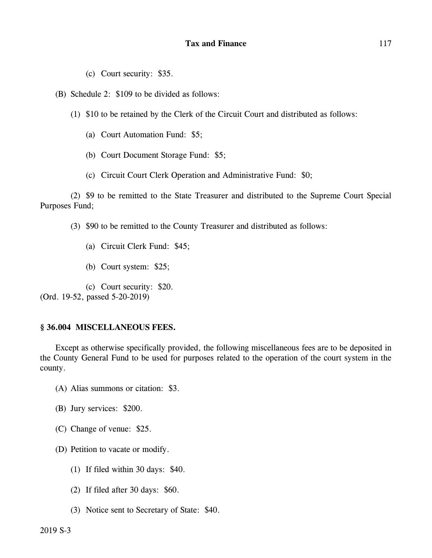- (c) Court security: \$35.
- (B) Schedule 2: \$109 to be divided as follows:
	- (1) \$10 to be retained by the Clerk of the Circuit Court and distributed as follows:
		- (a) Court Automation Fund: \$5;
		- (b) Court Document Storage Fund: \$5;
		- (c) Circuit Court Clerk Operation and Administrative Fund: \$0;

(2) \$9 to be remitted to the State Treasurer and distributed to the Supreme Court Special Purposes Fund;

- (3) \$90 to be remitted to the County Treasurer and distributed as follows:
	- (a) Circuit Clerk Fund: \$45;
	- (b) Court system: \$25;

(c) Court security: \$20. (Ord. 19-52, passed 5-20-2019)

### **§ 36.004 MISCELLANEOUS FEES.**

Except as otherwise specifically provided, the following miscellaneous fees are to be deposited in the County General Fund to be used for purposes related to the operation of the court system in the county.

- (A) Alias summons or citation: \$3.
- (B) Jury services: \$200.
- (C) Change of venue: \$25.
- (D) Petition to vacate or modify.
	- (1) If filed within 30 days: \$40.
	- (2) If filed after 30 days: \$60.
	- (3) Notice sent to Secretary of State: \$40.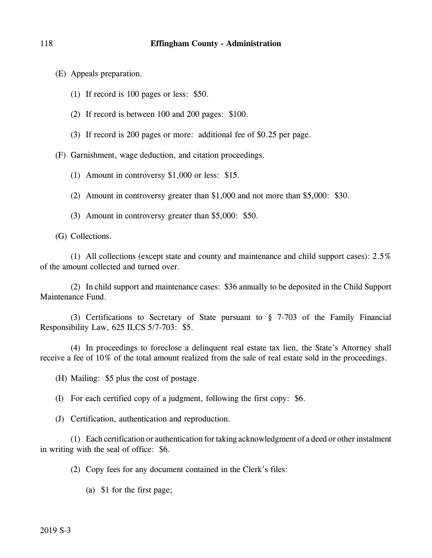- (E) Appeals preparation.
	- (1) If record is 100 pages or less: \$50.
	- (2) If record is between 100 and 200 pages: \$100.
	- (3) If record is 200 pages or more: additional fee of \$0.25 per page.
- (F) Garnishment, wage deduction, and citation proceedings.
	- (1) Amount in controversy \$1,000 or less: \$15.
	- (2) Amount in controversy greater than \$1,000 and not more than \$5,000: \$30.
	- (3) Amount in controversy greater than \$5,000: \$50.

(G) Collections.

(1) All collections (except state and county and maintenance and child support cases): 2.5% of the amount collected and turned over.

(2) In child support and maintenance cases: \$36 annually to be deposited in the Child Support Maintenance Fund.

(3) Certifications to Secretary of State pursuant to § 7-703 of the Family Financial Responsibility Law, 625 ILCS 5/7-703: \$5.

(4) In proceedings to foreclose a delinquent real estate tax lien, the State's Attorney shall receive a fee of 10% of the total amount realized from the sale of real estate sold in the proceedings.

(H) Mailing: \$5 plus the cost of postage.

(I) For each certified copy of a judgment, following the first copy: \$6.

(J) Certification, authentication and reproduction.

(1) Each certification or authentication for taking acknowledgment of a deed or other instalment in writing with the seal of office: \$6.

(2) Copy fees for any document contained in the Clerk's files:

(a) \$1 for the first page;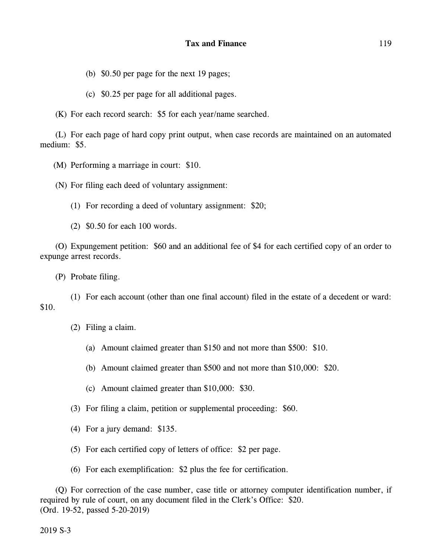(b) \$0.50 per page for the next 19 pages;

(c) \$0.25 per page for all additional pages.

(K) For each record search: \$5 for each year/name searched.

(L) For each page of hard copy print output, when case records are maintained on an automated medium: \$5.

(M) Performing a marriage in court: \$10.

(N) For filing each deed of voluntary assignment:

(1) For recording a deed of voluntary assignment: \$20;

(2) \$0.50 for each 100 words.

(O) Expungement petition: \$60 and an additional fee of \$4 for each certified copy of an order to expunge arrest records.

(P) Probate filing.

(1) For each account (other than one final account) filed in the estate of a decedent or ward: \$10.

(2) Filing a claim.

- (a) Amount claimed greater than \$150 and not more than \$500: \$10.
- (b) Amount claimed greater than \$500 and not more than \$10,000: \$20.
- (c) Amount claimed greater than \$10,000: \$30.
- (3) For filing a claim, petition or supplemental proceeding: \$60.
- (4) For a jury demand: \$135.
- (5) For each certified copy of letters of office: \$2 per page.
- (6) For each exemplification: \$2 plus the fee for certification.

(Q) For correction of the case number, case title or attorney computer identification number, if required by rule of court, on any document filed in the Clerk's Office: \$20. (Ord. 19-52, passed 5-20-2019)

2019 S-3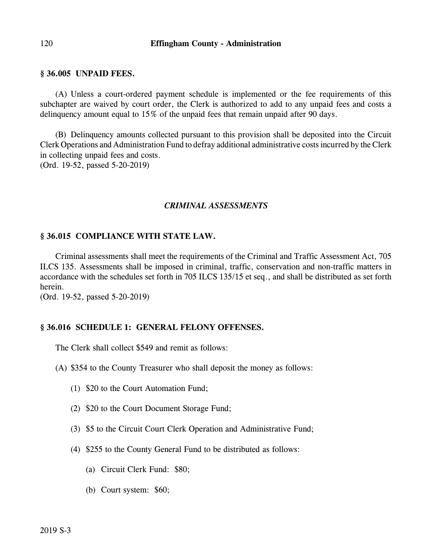#### 120 **Effingham County - Administration**

### **§ 36.005 UNPAID FEES.**

(A) Unless a court-ordered payment schedule is implemented or the fee requirements of this subchapter are waived by court order, the Clerk is authorized to add to any unpaid fees and costs a delinquency amount equal to 15% of the unpaid fees that remain unpaid after 90 days.

(B) Delinquency amounts collected pursuant to this provision shall be deposited into the Circuit Clerk Operations and Administration Fund to defray additional administrative costs incurred by the Clerk in collecting unpaid fees and costs.

(Ord. 19-52, passed 5-20-2019)

### *CRIMINAL ASSESSMENTS*

### **§ 36.015 COMPLIANCE WITH STATE LAW.**

Criminal assessments shall meet the requirements of the Criminal and Traffic Assessment Act, 705 ILCS 135. Assessments shall be imposed in criminal, traffic, conservation and non-traffic matters in accordance with the schedules set forth in 705 ILCS 135/15 et seq., and shall be distributed as set forth herein.

(Ord. 19-52, passed 5-20-2019)

#### **§ 36.016 SCHEDULE 1: GENERAL FELONY OFFENSES.**

The Clerk shall collect \$549 and remit as follows:

- (A) \$354 to the County Treasurer who shall deposit the money as follows:
	- (1) \$20 to the Court Automation Fund;
	- (2) \$20 to the Court Document Storage Fund;
	- (3) \$5 to the Circuit Court Clerk Operation and Administrative Fund;
	- (4) \$255 to the County General Fund to be distributed as follows:
		- (a) Circuit Clerk Fund: \$80;
		- (b) Court system: \$60;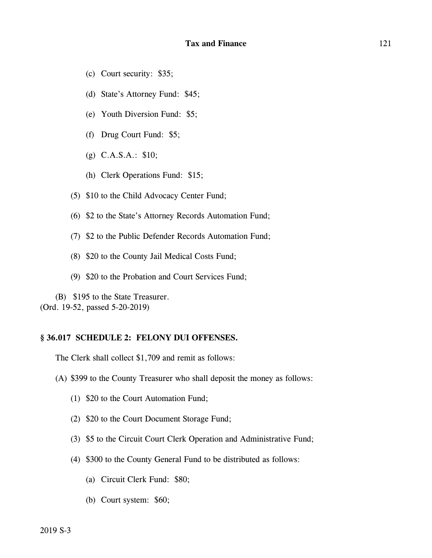- (c) Court security: \$35;
- (d) State's Attorney Fund: \$45;
- (e) Youth Diversion Fund: \$5;
- (f) Drug Court Fund: \$5;
- (g) C.A.S.A.: \$10;
- (h) Clerk Operations Fund: \$15;
- (5) \$10 to the Child Advocacy Center Fund;
- (6) \$2 to the State's Attorney Records Automation Fund;
- (7) \$2 to the Public Defender Records Automation Fund;
- (8) \$20 to the County Jail Medical Costs Fund;
- (9) \$20 to the Probation and Court Services Fund;

(B) \$195 to the State Treasurer. (Ord. 19-52, passed 5-20-2019)

### **§ 36.017 SCHEDULE 2: FELONY DUI OFFENSES.**

The Clerk shall collect \$1,709 and remit as follows:

- (A) \$399 to the County Treasurer who shall deposit the money as follows:
	- (1) \$20 to the Court Automation Fund;
	- (2) \$20 to the Court Document Storage Fund;
	- (3) \$5 to the Circuit Court Clerk Operation and Administrative Fund;
	- (4) \$300 to the County General Fund to be distributed as follows:
		- (a) Circuit Clerk Fund: \$80;
		- (b) Court system: \$60;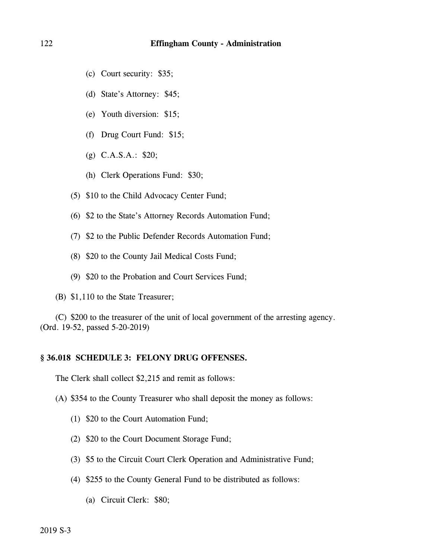- (c) Court security: \$35;
- (d) State's Attorney: \$45;
- (e) Youth diversion: \$15;
- (f) Drug Court Fund: \$15;
- (g) C.A.S.A.: \$20;
- (h) Clerk Operations Fund: \$30;
- (5) \$10 to the Child Advocacy Center Fund;
- (6) \$2 to the State's Attorney Records Automation Fund;
- (7) \$2 to the Public Defender Records Automation Fund;
- (8) \$20 to the County Jail Medical Costs Fund;
- (9) \$20 to the Probation and Court Services Fund;
- (B) \$1,110 to the State Treasurer;

(C) \$200 to the treasurer of the unit of local government of the arresting agency. (Ord. 19-52, passed 5-20-2019)

## **§ 36.018 SCHEDULE 3: FELONY DRUG OFFENSES.**

The Clerk shall collect \$2,215 and remit as follows:

- (A) \$354 to the County Treasurer who shall deposit the money as follows:
	- (1) \$20 to the Court Automation Fund;
	- (2) \$20 to the Court Document Storage Fund;
	- (3) \$5 to the Circuit Court Clerk Operation and Administrative Fund;
	- (4) \$255 to the County General Fund to be distributed as follows:
		- (a) Circuit Clerk: \$80;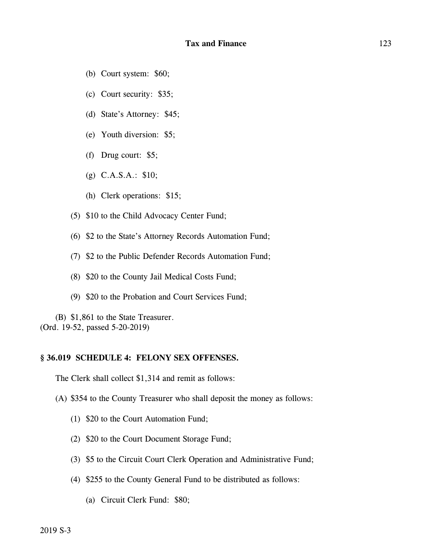- (b) Court system: \$60;
- (c) Court security: \$35;
- (d) State's Attorney: \$45;
- (e) Youth diversion: \$5;
- (f) Drug court: \$5;
- (g) C.A.S.A.: \$10;
- (h) Clerk operations: \$15;
- (5) \$10 to the Child Advocacy Center Fund;
- (6) \$2 to the State's Attorney Records Automation Fund;
- (7) \$2 to the Public Defender Records Automation Fund;
- (8) \$20 to the County Jail Medical Costs Fund;
- (9) \$20 to the Probation and Court Services Fund;

(B) \$1,861 to the State Treasurer. (Ord. 19-52, passed 5-20-2019)

## **§ 36.019 SCHEDULE 4: FELONY SEX OFFENSES.**

The Clerk shall collect \$1,314 and remit as follows:

- (A) \$354 to the County Treasurer who shall deposit the money as follows:
	- (1) \$20 to the Court Automation Fund;
	- (2) \$20 to the Court Document Storage Fund;
	- (3) \$5 to the Circuit Court Clerk Operation and Administrative Fund;
	- (4) \$255 to the County General Fund to be distributed as follows:
		- (a) Circuit Clerk Fund: \$80;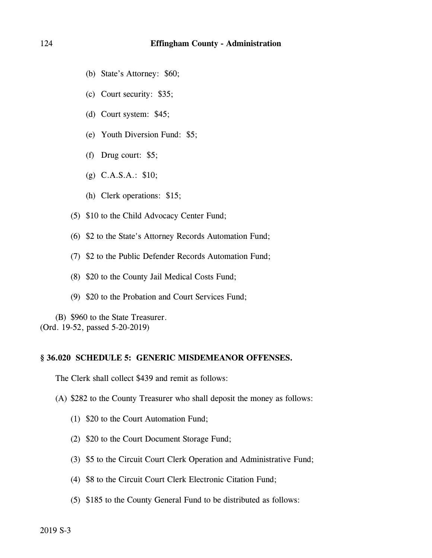- (b) State's Attorney: \$60;
- (c) Court security: \$35;
- (d) Court system: \$45;
- (e) Youth Diversion Fund: \$5;
- (f) Drug court: \$5;
- (g) C.A.S.A.: \$10;
- (h) Clerk operations: \$15;
- (5) \$10 to the Child Advocacy Center Fund;
- (6) \$2 to the State's Attorney Records Automation Fund;
- (7) \$2 to the Public Defender Records Automation Fund;
- (8) \$20 to the County Jail Medical Costs Fund;
- (9) \$20 to the Probation and Court Services Fund;

(B) \$960 to the State Treasurer. (Ord. 19-52, passed 5-20-2019)

### **§ 36.020 SCHEDULE 5: GENERIC MISDEMEANOR OFFENSES.**

The Clerk shall collect \$439 and remit as follows:

(A) \$282 to the County Treasurer who shall deposit the money as follows:

- (1) \$20 to the Court Automation Fund;
- (2) \$20 to the Court Document Storage Fund;
- (3) \$5 to the Circuit Court Clerk Operation and Administrative Fund;
- (4) \$8 to the Circuit Court Clerk Electronic Citation Fund;
- (5) \$185 to the County General Fund to be distributed as follows: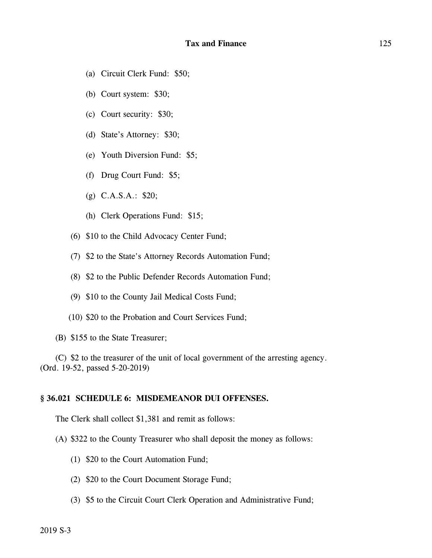- (a) Circuit Clerk Fund: \$50;
- (b) Court system: \$30;
- (c) Court security: \$30;
- (d) State's Attorney: \$30;
- (e) Youth Diversion Fund: \$5;
- (f) Drug Court Fund: \$5;
- (g) C.A.S.A.: \$20;
- (h) Clerk Operations Fund: \$15;
- (6) \$10 to the Child Advocacy Center Fund;
- (7) \$2 to the State's Attorney Records Automation Fund;
- (8) \$2 to the Public Defender Records Automation Fund;
- (9) \$10 to the County Jail Medical Costs Fund;
- (10) \$20 to the Probation and Court Services Fund;
- (B) \$155 to the State Treasurer;

(C) \$2 to the treasurer of the unit of local government of the arresting agency. (Ord. 19-52, passed 5-20-2019)

### **§ 36.021 SCHEDULE 6: MISDEMEANOR DUI OFFENSES.**

The Clerk shall collect \$1,381 and remit as follows:

- (A) \$322 to the County Treasurer who shall deposit the money as follows:
	- (1) \$20 to the Court Automation Fund;
	- (2) \$20 to the Court Document Storage Fund;
	- (3) \$5 to the Circuit Court Clerk Operation and Administrative Fund;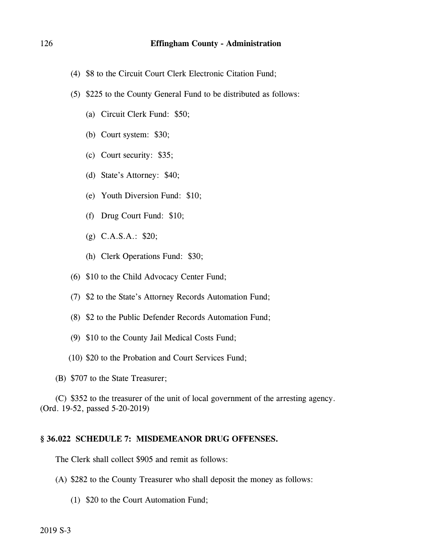- (4) \$8 to the Circuit Court Clerk Electronic Citation Fund;
- (5) \$225 to the County General Fund to be distributed as follows:
	- (a) Circuit Clerk Fund: \$50;
	- (b) Court system: \$30;
	- (c) Court security: \$35;
	- (d) State's Attorney: \$40;
	- (e) Youth Diversion Fund: \$10;
	- (f) Drug Court Fund: \$10;
	- (g) C.A.S.A.: \$20;
	- (h) Clerk Operations Fund: \$30;
- (6) \$10 to the Child Advocacy Center Fund;
- (7) \$2 to the State's Attorney Records Automation Fund;
- (8) \$2 to the Public Defender Records Automation Fund;
- (9) \$10 to the County Jail Medical Costs Fund;
- (10) \$20 to the Probation and Court Services Fund;
- (B) \$707 to the State Treasurer;

(C) \$352 to the treasurer of the unit of local government of the arresting agency. (Ord. 19-52, passed 5-20-2019)

#### **§ 36.022 SCHEDULE 7: MISDEMEANOR DRUG OFFENSES.**

The Clerk shall collect \$905 and remit as follows:

- (A) \$282 to the County Treasurer who shall deposit the money as follows:
	- (1) \$20 to the Court Automation Fund;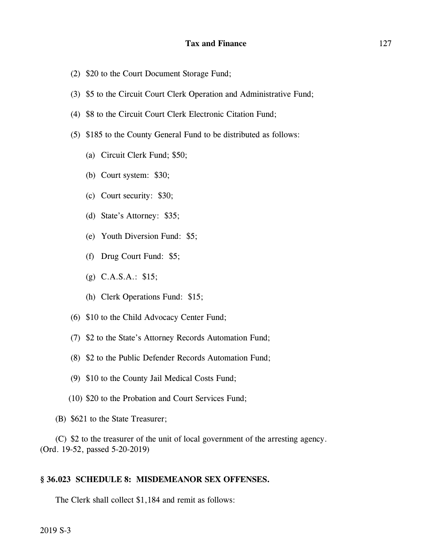- (2) \$20 to the Court Document Storage Fund;
- (3) \$5 to the Circuit Court Clerk Operation and Administrative Fund;
- (4) \$8 to the Circuit Court Clerk Electronic Citation Fund;
- (5) \$185 to the County General Fund to be distributed as follows:
	- (a) Circuit Clerk Fund; \$50;
	- (b) Court system: \$30;
	- (c) Court security: \$30;
	- (d) State's Attorney: \$35;
	- (e) Youth Diversion Fund: \$5;
	- (f) Drug Court Fund: \$5;
	- (g) C.A.S.A.: \$15;
	- (h) Clerk Operations Fund: \$15;
- (6) \$10 to the Child Advocacy Center Fund;
- (7) \$2 to the State's Attorney Records Automation Fund;
- (8) \$2 to the Public Defender Records Automation Fund;
- (9) \$10 to the County Jail Medical Costs Fund;
- (10) \$20 to the Probation and Court Services Fund;
- (B) \$621 to the State Treasurer;

(C) \$2 to the treasurer of the unit of local government of the arresting agency. (Ord. 19-52, passed 5-20-2019)

### **§ 36.023 SCHEDULE 8: MISDEMEANOR SEX OFFENSES.**

The Clerk shall collect \$1,184 and remit as follows: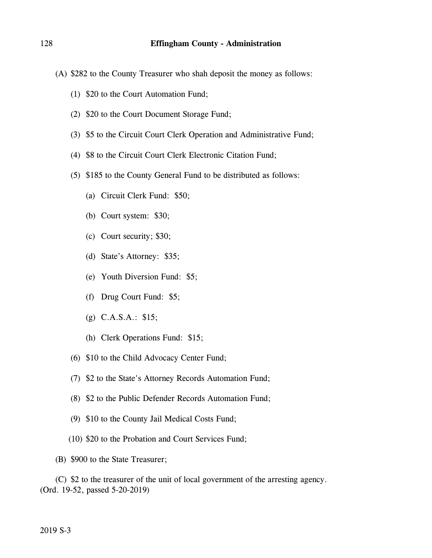- (A) \$282 to the County Treasurer who shah deposit the money as follows:
	- (1) \$20 to the Court Automation Fund;
	- (2) \$20 to the Court Document Storage Fund;
	- (3) \$5 to the Circuit Court Clerk Operation and Administrative Fund;
	- (4) \$8 to the Circuit Court Clerk Electronic Citation Fund;
	- (5) \$185 to the County General Fund to be distributed as follows:
		- (a) Circuit Clerk Fund: \$50;
		- (b) Court system: \$30;
		- (c) Court security; \$30;
		- (d) State's Attorney: \$35;
		- (e) Youth Diversion Fund: \$5;
		- (f) Drug Court Fund: \$5;
		- (g) C.A.S.A.: \$15;
		- (h) Clerk Operations Fund: \$15;
	- (6) \$10 to the Child Advocacy Center Fund;
	- (7) \$2 to the State's Attorney Records Automation Fund;
	- (8) \$2 to the Public Defender Records Automation Fund;
	- (9) \$10 to the County Jail Medical Costs Fund;
	- (10) \$20 to the Probation and Court Services Fund;
- (B) \$900 to the State Treasurer;

(C) \$2 to the treasurer of the unit of local government of the arresting agency. (Ord. 19-52, passed 5-20-2019)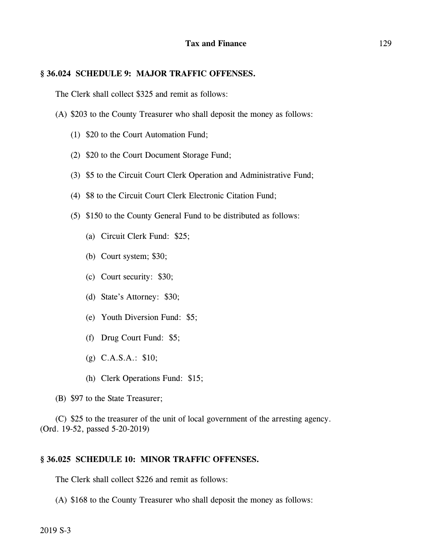# **§ 36.024 SCHEDULE 9: MAJOR TRAFFIC OFFENSES.**

The Clerk shall collect \$325 and remit as follows:

- (A) \$203 to the County Treasurer who shall deposit the money as follows:
	- (1) \$20 to the Court Automation Fund;
	- (2) \$20 to the Court Document Storage Fund;
	- (3) \$5 to the Circuit Court Clerk Operation and Administrative Fund;
	- (4) \$8 to the Circuit Court Clerk Electronic Citation Fund;
	- (5) \$150 to the County General Fund to be distributed as follows:
		- (a) Circuit Clerk Fund: \$25;
		- (b) Court system; \$30;
		- (c) Court security: \$30;
		- (d) State's Attorney: \$30;
		- (e) Youth Diversion Fund: \$5;
		- (f) Drug Court Fund: \$5;
		- (g) C.A.S.A.: \$10;
		- (h) Clerk Operations Fund: \$15;
- (B) \$97 to the State Treasurer;

(C) \$25 to the treasurer of the unit of local government of the arresting agency. (Ord. 19-52, passed 5-20-2019)

#### **§ 36.025 SCHEDULE 10: MINOR TRAFFIC OFFENSES.**

The Clerk shall collect \$226 and remit as follows:

(A) \$168 to the County Treasurer who shall deposit the money as follows:

2019 S-3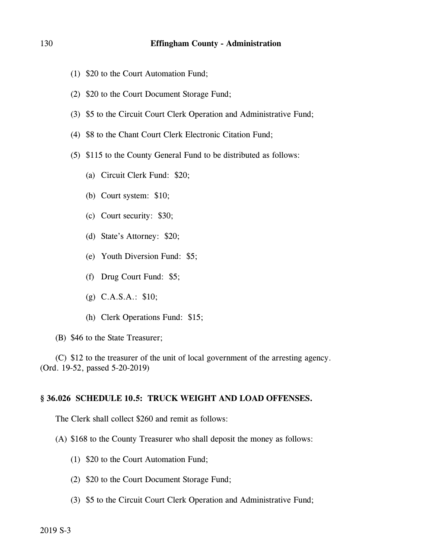- (1) \$20 to the Court Automation Fund;
- (2) \$20 to the Court Document Storage Fund;
- (3) \$5 to the Circuit Court Clerk Operation and Administrative Fund;
- (4) \$8 to the Chant Court Clerk Electronic Citation Fund;
- (5) \$115 to the County General Fund to be distributed as follows:
	- (a) Circuit Clerk Fund: \$20;
	- (b) Court system: \$10;
	- (c) Court security: \$30;
	- (d) State's Attorney: \$20;
	- (e) Youth Diversion Fund: \$5;
	- (f) Drug Court Fund: \$5;
	- (g) C.A.S.A.: \$10;
	- (h) Clerk Operations Fund: \$15;
- (B) \$46 to the State Treasurer;

(C) \$12 to the treasurer of the unit of local government of the arresting agency. (Ord. 19-52, passed 5-20-2019)

#### **§ 36.026 SCHEDULE 10.5: TRUCK WEIGHT AND LOAD OFFENSES.**

The Clerk shall collect \$260 and remit as follows:

- (A) \$168 to the County Treasurer who shall deposit the money as follows:
	- (1) \$20 to the Court Automation Fund;
	- (2) \$20 to the Court Document Storage Fund;
	- (3) \$5 to the Circuit Court Clerk Operation and Administrative Fund;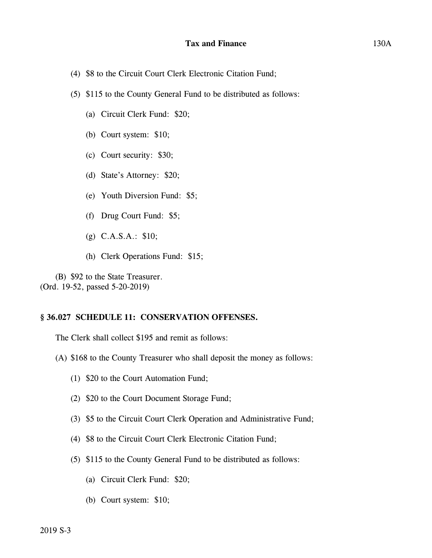- (4) \$8 to the Circuit Court Clerk Electronic Citation Fund;
- (5) \$115 to the County General Fund to be distributed as follows:
	- (a) Circuit Clerk Fund: \$20;
	- (b) Court system: \$10;
	- (c) Court security: \$30;
	- (d) State's Attorney: \$20;
	- (e) Youth Diversion Fund: \$5;
	- (f) Drug Court Fund: \$5;
	- (g) C.A.S.A.: \$10;
	- (h) Clerk Operations Fund: \$15;

(B) \$92 to the State Treasurer. (Ord. 19-52, passed 5-20-2019)

# **§ 36.027 SCHEDULE 11: CONSERVATION OFFENSES.**

The Clerk shall collect \$195 and remit as follows:

- (A) \$168 to the County Treasurer who shall deposit the money as follows:
	- (1) \$20 to the Court Automation Fund;
	- (2) \$20 to the Court Document Storage Fund;
	- (3) \$5 to the Circuit Court Clerk Operation and Administrative Fund;
	- (4) \$8 to the Circuit Court Clerk Electronic Citation Fund;
	- (5) \$115 to the County General Fund to be distributed as follows:
		- (a) Circuit Clerk Fund: \$20;
		- (b) Court system: \$10;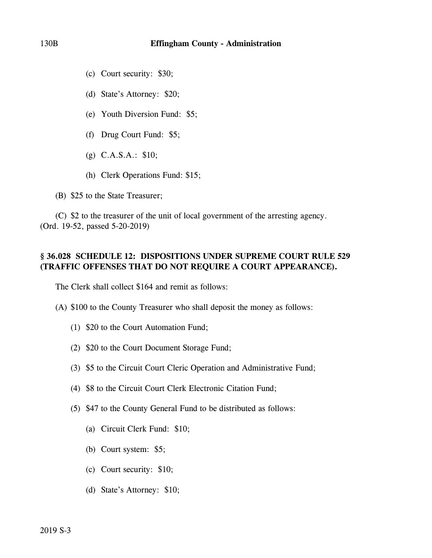- (c) Court security: \$30;
- (d) State's Attorney: \$20;
- (e) Youth Diversion Fund: \$5;
- (f) Drug Court Fund: \$5;
- (g) C.A.S.A.: \$10;
- (h) Clerk Operations Fund: \$15;
- (B) \$25 to the State Treasurer;

(C) \$2 to the treasurer of the unit of local government of the arresting agency. (Ord. 19-52, passed 5-20-2019)

# **§ 36.028 SCHEDULE 12: DISPOSITIONS UNDER SUPREME COURT RULE 529 (TRAFFIC OFFENSES THAT DO NOT REQUIRE A COURT APPEARANCE).**

The Clerk shall collect \$164 and remit as follows:

- (A) \$100 to the County Treasurer who shall deposit the money as follows:
	- (1) \$20 to the Court Automation Fund;
	- (2) \$20 to the Court Document Storage Fund;
	- (3) \$5 to the Circuit Court Cleric Operation and Administrative Fund;
	- (4) \$8 to the Circuit Court Clerk Electronic Citation Fund;
	- (5) \$47 to the County General Fund to be distributed as follows:
		- (a) Circuit Clerk Fund: \$10;
		- (b) Court system: \$5;
		- (c) Court security: \$10;
		- (d) State's Attorney: \$10;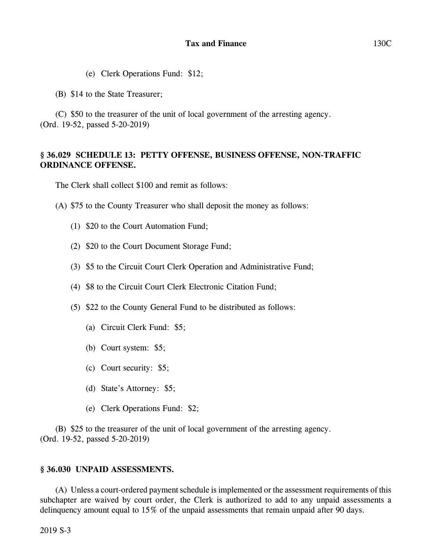- (e) Clerk Operations Fund: \$12;
- (B) \$14 to the State Treasurer;

(C) \$50 to the treasurer of the unit of local government of the arresting agency. (Ord. 19-52, passed 5-20-2019)

# **§ 36.029 SCHEDULE 13: PETTY OFFENSE, BUSINESS OFFENSE, NON-TRAFFIC ORDINANCE OFFENSE.**

The Clerk shall collect \$100 and remit as follows:

- (A) \$75 to the County Treasurer who shall deposit the money as follows:
	- (1) \$20 to the Court Automation Fund;
	- (2) \$20 to the Court Document Storage Fund;
	- (3) \$5 to the Circuit Court Clerk Operation and Administrative Fund;
	- (4) \$8 to the Circuit Court Clerk Electronic Citation Fund;
	- (5) \$22 to the County General Fund to be distributed as follows:
		- (a) Circuit Clerk Fund: \$5;
		- (b) Court system: \$5;
		- (c) Court security: \$5;
		- (d) State's Attorney: \$5;
		- (e) Clerk Operations Fund: \$2;

(B) \$25 to the treasurer of the unit of local government of the arresting agency. (Ord. 19-52, passed 5-20-2019)

## **§ 36.030 UNPAID ASSESSMENTS.**

(A) Unless a court-ordered payment schedule is implemented or the assessment requirements of this subchapter are waived by court order, the Clerk is authorized to add to any unpaid assessments a delinquency amount equal to 15% of the unpaid assessments that remain unpaid after 90 days.

2019 S-3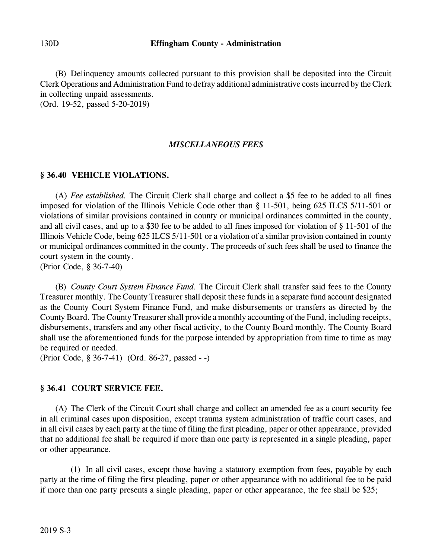(B) Delinquency amounts collected pursuant to this provision shall be deposited into the Circuit Clerk Operations and Administration Fund to defray additional administrative costs incurred by the Clerk in collecting unpaid assessments.

(Ord. 19-52, passed 5-20-2019)

# *MISCELLANEOUS FEES*

# **§ 36.40 VEHICLE VIOLATIONS.**

(A) *Fee established.* The Circuit Clerk shall charge and collect a \$5 fee to be added to all fines imposed for violation of the Illinois Vehicle Code other than § 11-501, being 625 ILCS 5/11-501 or violations of similar provisions contained in county or municipal ordinances committed in the county, and all civil cases, and up to a \$30 fee to be added to all fines imposed for violation of § 11-501 of the Illinois Vehicle Code, being 625 ILCS 5/11-501 or a violation of a similar provision contained in county or municipal ordinances committed in the county. The proceeds of such fees shall be used to finance the court system in the county.

(Prior Code, § 36-7-40)

(B) *County Court System Finance Fund.* The Circuit Clerk shall transfer said fees to the County Treasurer monthly. The County Treasurer shall deposit these funds in a separate fund account designated as the County Court System Finance Fund, and make disbursements or transfers as directed by the County Board. The County Treasurer shall provide a monthly accounting of the Fund, including receipts, disbursements, transfers and any other fiscal activity, to the County Board monthly. The County Board shall use the aforementioned funds for the purpose intended by appropriation from time to time as may be required or needed.

(Prior Code, § 36-7-41) (Ord. 86-27, passed - -)

# **§ 36.41 COURT SERVICE FEE.**

(A) The Clerk of the Circuit Court shall charge and collect an amended fee as a court security fee in all criminal cases upon disposition, except trauma system administration of traffic court cases, and in all civil cases by each party at the time of filing the first pleading, paper or other appearance, provided that no additional fee shall be required if more than one party is represented in a single pleading, paper or other appearance.

(1) In all civil cases, except those having a statutory exemption from fees, payable by each party at the time of filing the first pleading, paper or other appearance with no additional fee to be paid if more than one party presents a single pleading, paper or other appearance, the fee shall be \$25;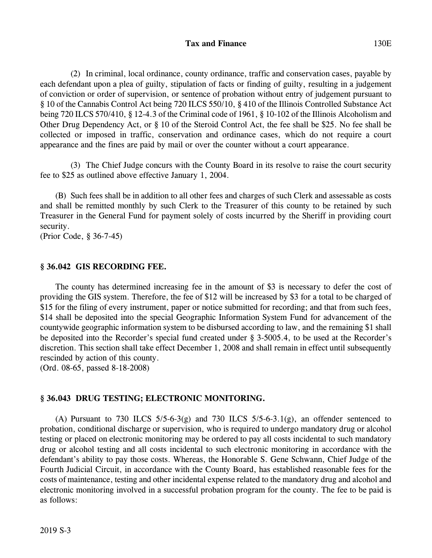## **Tax and Finance** 130E

(2) In criminal, local ordinance, county ordinance, traffic and conservation cases, payable by each defendant upon a plea of guilty, stipulation of facts or finding of guilty, resulting in a judgement of conviction or order of supervision, or sentence of probation without entry of judgement pursuant to § 10 of the Cannabis Control Act being 720 ILCS 550/10, § 410 of the Illinois Controlled Substance Act being 720 ILCS 570/410, § 12-4.3 of the Criminal code of 1961, § 10-102 of the Illinois Alcoholism and Other Drug Dependency Act, or § 10 of the Steroid Control Act, the fee shall be \$25. No fee shall be collected or imposed in traffic, conservation and ordinance cases, which do not require a court appearance and the fines are paid by mail or over the counter without a court appearance.

(3) The Chief Judge concurs with the County Board in its resolve to raise the court security fee to \$25 as outlined above effective January 1, 2004.

(B) Such fees shall be in addition to all other fees and charges of such Clerk and assessable as costs and shall be remitted monthly by such Clerk to the Treasurer of this county to be retained by such Treasurer in the General Fund for payment solely of costs incurred by the Sheriff in providing court security.

(Prior Code, § 36-7-45)

### **§ 36.042 GIS RECORDING FEE.**

The county has determined increasing fee in the amount of \$3 is necessary to defer the cost of providing the GIS system. Therefore, the fee of \$12 will be increased by \$3 for a total to be charged of \$15 for the filing of every instrument, paper or notice submitted for recording; and that from such fees, \$14 shall be deposited into the special Geographic Information System Fund for advancement of the countywide geographic information system to be disbursed according to law, and the remaining \$1 shall be deposited into the Recorder's special fund created under § 3-5005.4, to be used at the Recorder's discretion. This section shall take effect December 1, 2008 and shall remain in effect until subsequently rescinded by action of this county.

(Ord. 08-65, passed 8-18-2008)

# **§ 36.043 DRUG TESTING; ELECTRONIC MONITORING.**

(A) Pursuant to 730 ILCS  $5/5-6-3(g)$  and 730 ILCS  $5/5-6-3.1(g)$ , an offender sentenced to probation, conditional discharge or supervision, who is required to undergo mandatory drug or alcohol testing or placed on electronic monitoring may be ordered to pay all costs incidental to such mandatory drug or alcohol testing and all costs incidental to such electronic monitoring in accordance with the defendant's ability to pay those costs. Whereas, the Honorable S. Gene Schwann, Chief Judge of the Fourth Judicial Circuit, in accordance with the County Board, has established reasonable fees for the costs of maintenance, testing and other incidental expense related to the mandatory drug and alcohol and electronic monitoring involved in a successful probation program for the county. The fee to be paid is as follows: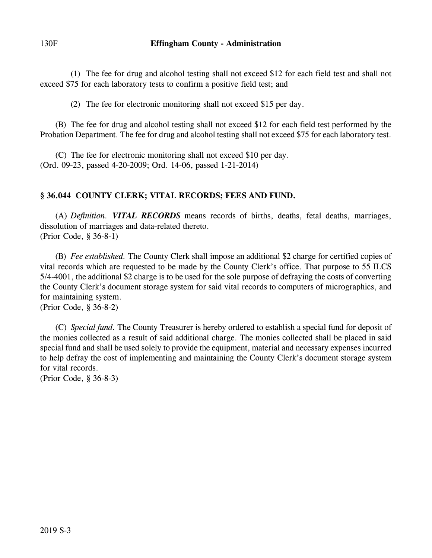(1) The fee for drug and alcohol testing shall not exceed \$12 for each field test and shall not exceed \$75 for each laboratory tests to confirm a positive field test; and

(2) The fee for electronic monitoring shall not exceed \$15 per day.

(B) The fee for drug and alcohol testing shall not exceed \$12 for each field test performed by the Probation Department. The fee for drug and alcohol testing shall not exceed \$75 for each laboratory test.

(C) The fee for electronic monitoring shall not exceed \$10 per day. (Ord. 09-23, passed 4-20-2009; Ord. 14-06, passed 1-21-2014)

# **§ 36.044 COUNTY CLERK; VITAL RECORDS; FEES AND FUND.**

(A) *Definition. VITAL RECORDS* means records of births, deaths, fetal deaths, marriages, dissolution of marriages and data-related thereto. (Prior Code, § 36-8-1)

(B) *Fee established.* The County Clerk shall impose an additional \$2 charge for certified copies of vital records which are requested to be made by the County Clerk's office. That purpose to 55 ILCS 5/4-4001, the additional \$2 charge is to be used for the sole purpose of defraying the costs of converting the County Clerk's document storage system for said vital records to computers of micrographics, and for maintaining system.

(Prior Code, § 36-8-2)

(C) *Special fund.* The County Treasurer is hereby ordered to establish a special fund for deposit of the monies collected as a result of said additional charge. The monies collected shall be placed in said special fund and shall be used solely to provide the equipment, material and necessary expenses incurred to help defray the cost of implementing and maintaining the County Clerk's document storage system for vital records.

(Prior Code, § 36-8-3)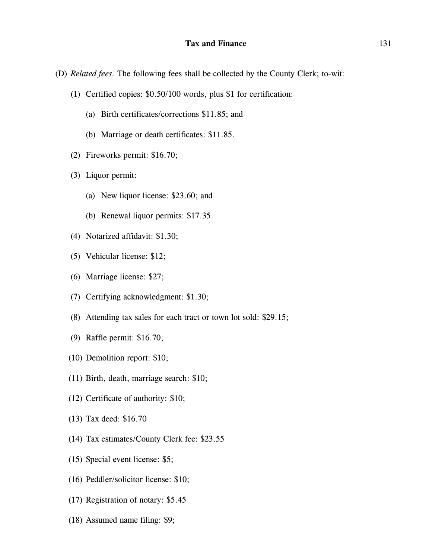- (D) *Related fees.* The following fees shall be collected by the County Clerk; to-wit:
	- (1) Certified copies: \$0.50/100 words, plus \$1 for certification:
		- (a) Birth certificates/corrections \$11.85; and
		- (b) Marriage or death certificates: \$11.85.
	- (2) Fireworks permit: \$16.70;
	- (3) Liquor permit:
		- (a) New liquor license: \$23.60; and
		- (b) Renewal liquor permits: \$17.35.
	- (4) Notarized affidavit: \$1.30;
	- (5) Vehicular license: \$12;
	- (6) Marriage license: \$27;
	- (7) Certifying acknowledgment: \$1.30;
	- (8) Attending tax sales for each tract or town lot sold: \$29.15;
	- (9) Raffle permit: \$16.70;
	- (10) Demolition report: \$10;
	- (11) Birth, death, marriage search: \$10;
	- (12) Certificate of authority: \$10;
	- (13) Tax deed: \$16.70
	- (14) Tax estimates/County Clerk fee: \$23.55
	- (15) Special event license: \$5;
	- (16) Peddler/solicitor license: \$10;
	- (17) Registration of notary: \$5.45
	- (18) Assumed name filing: \$9;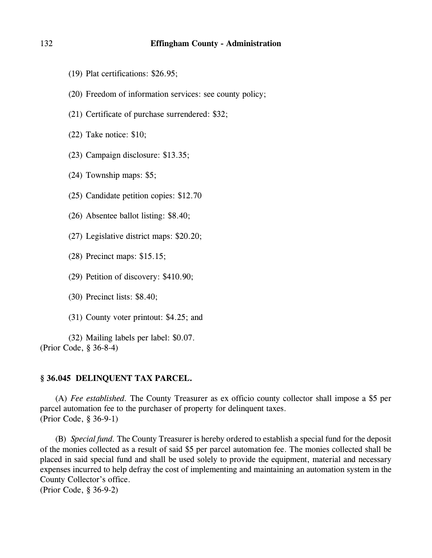- (19) Plat certifications: \$26.95;
- (20) Freedom of information services: see county policy;
- (21) Certificate of purchase surrendered: \$32;
- (22) Take notice: \$10;
- (23) Campaign disclosure: \$13.35;
- (24) Township maps: \$5;
- (25) Candidate petition copies: \$12.70
- (26) Absentee ballot listing: \$8.40;
- (27) Legislative district maps: \$20.20;
- (28) Precinct maps: \$15.15;
- (29) Petition of discovery: \$410.90;
- (30) Precinct lists: \$8.40;
- (31) County voter printout: \$4.25; and

(32) Mailing labels per label: \$0.07. (Prior Code, § 36-8-4)

### **§ 36.045 DELINQUENT TAX PARCEL.**

(A) *Fee established.* The County Treasurer as ex officio county collector shall impose a \$5 per parcel automation fee to the purchaser of property for delinquent taxes. (Prior Code, § 36-9-1)

(B) *Special fund.* The County Treasurer is hereby ordered to establish a special fund for the deposit of the monies collected as a result of said \$5 per parcel automation fee. The monies collected shall be placed in said special fund and shall be used solely to provide the equipment, material and necessary expenses incurred to help defray the cost of implementing and maintaining an automation system in the County Collector's office. (Prior Code, § 36-9-2)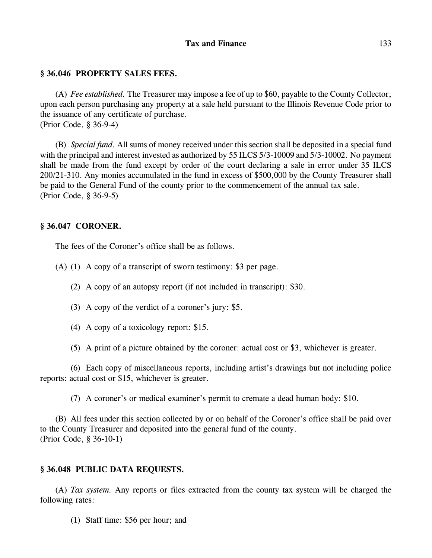# **§ 36.046 PROPERTY SALES FEES.**

(A) *Fee established.* The Treasurer may impose a fee of up to \$60, payable to the County Collector, upon each person purchasing any property at a sale held pursuant to the Illinois Revenue Code prior to the issuance of any certificate of purchase. (Prior Code, § 36-9-4)

(B) *Special fund.* All sums of money received under this section shall be deposited in a special fund with the principal and interest invested as authorized by 55 ILCS 5/3-10009 and 5/3-10002. No payment shall be made from the fund except by order of the court declaring a sale in error under 35 ILCS 200/21-310. Any monies accumulated in the fund in excess of \$500,000 by the County Treasurer shall be paid to the General Fund of the county prior to the commencement of the annual tax sale. (Prior Code, § 36-9-5)

# **§ 36.047 CORONER.**

The fees of the Coroner's office shall be as follows.

- (A) (1) A copy of a transcript of sworn testimony: \$3 per page.
	- (2) A copy of an autopsy report (if not included in transcript): \$30.
	- (3) A copy of the verdict of a coroner's jury: \$5.
	- (4) A copy of a toxicology report: \$15.
	- (5) A print of a picture obtained by the coroner: actual cost or \$3, whichever is greater.

(6) Each copy of miscellaneous reports, including artist's drawings but not including police reports: actual cost or \$15, whichever is greater.

(7) A coroner's or medical examiner's permit to cremate a dead human body: \$10.

(B) All fees under this section collected by or on behalf of the Coroner's office shall be paid over to the County Treasurer and deposited into the general fund of the county. (Prior Code, § 36-10-1)

# **§ 36.048 PUBLIC DATA REQUESTS.**

(A) *Tax system.* Any reports or files extracted from the county tax system will be charged the following rates:

(1) Staff time: \$56 per hour; and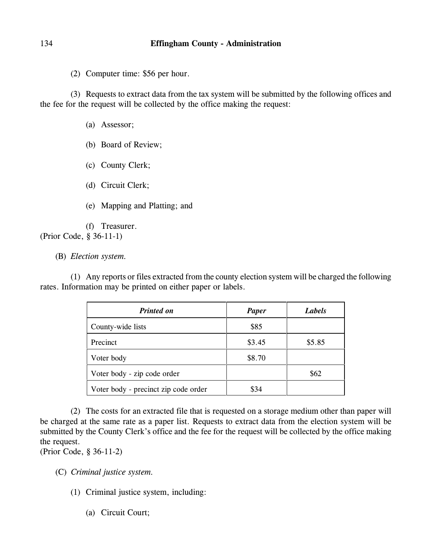(2) Computer time: \$56 per hour.

(3) Requests to extract data from the tax system will be submitted by the following offices and the fee for the request will be collected by the office making the request:

- (a) Assessor;
- (b) Board of Review;
- (c) County Clerk;
- (d) Circuit Clerk;
- (e) Mapping and Platting; and

(f) Treasurer.

(Prior Code, § 36-11-1)

(B) *Election system.*

(1) Any reports or files extracted from the county election system will be charged the following rates. Information may be printed on either paper or labels.

| <b>Printed on</b>                    | <b>Paper</b> | Labels |
|--------------------------------------|--------------|--------|
| County-wide lists                    | \$85         |        |
| Precinct                             | \$3.45       | \$5.85 |
| Voter body                           | \$8.70       |        |
| Voter body - zip code order          |              | \$62   |
| Voter body - precinct zip code order | \$34         |        |

(2) The costs for an extracted file that is requested on a storage medium other than paper will be charged at the same rate as a paper list. Requests to extract data from the election system will be submitted by the County Clerk's office and the fee for the request will be collected by the office making the request.

(Prior Code, § 36-11-2)

(C) *Criminal justice system.*

- (1) Criminal justice system, including:
	- (a) Circuit Court;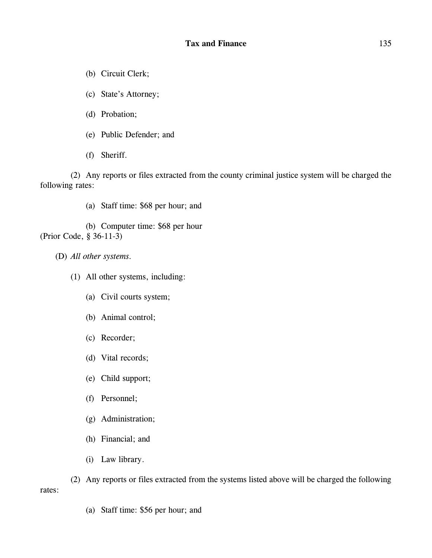- (b) Circuit Clerk;
- (c) State's Attorney;
- (d) Probation;
- (e) Public Defender; and
- (f) Sheriff.

(2) Any reports or files extracted from the county criminal justice system will be charged the following rates:

(a) Staff time: \$68 per hour; and

```
(b) Computer time: $68 per hour
(Prior Code, § 36-11-3)
```
- (D) *All other systems.*
	- (1) All other systems, including:
		- (a) Civil courts system;
		- (b) Animal control;
		- (c) Recorder;
		- (d) Vital records;
		- (e) Child support;
		- (f) Personnel;
		- (g) Administration;
		- (h) Financial; and
		- (i) Law library.

(2) Any reports or files extracted from the systems listed above will be charged the following rates:

(a) Staff time: \$56 per hour; and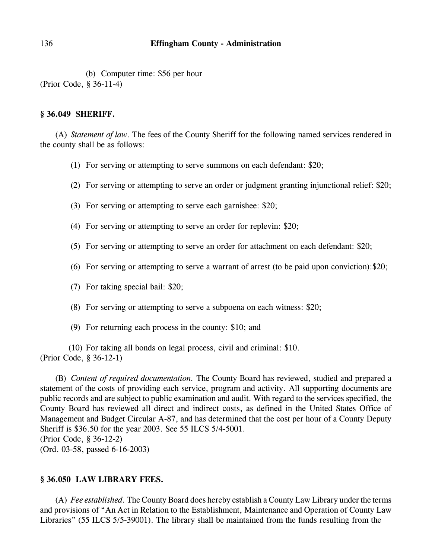(b) Computer time: \$56 per hour (Prior Code, § 36-11-4)

#### **§ 36.049 SHERIFF.**

(A) *Statement of law.* The fees of the County Sheriff for the following named services rendered in the county shall be as follows:

(1) For serving or attempting to serve summons on each defendant: \$20;

(2) For serving or attempting to serve an order or judgment granting injunctional relief: \$20;

(3) For serving or attempting to serve each garnishee: \$20;

(4) For serving or attempting to serve an order for replevin: \$20;

(5) For serving or attempting to serve an order for attachment on each defendant: \$20;

(6) For serving or attempting to serve a warrant of arrest (to be paid upon conviction):\$20;

- (7) For taking special bail: \$20;
- (8) For serving or attempting to serve a subpoena on each witness: \$20;
- (9) For returning each process in the county: \$10; and

(10) For taking all bonds on legal process, civil and criminal: \$10.

(Prior Code, § 36-12-1)

(B) *Content of required documentation.* The County Board has reviewed, studied and prepared a statement of the costs of providing each service, program and activity. All supporting documents are public records and are subject to public examination and audit. With regard to the services specified, the County Board has reviewed all direct and indirect costs, as defined in the United States Office of Management and Budget Circular A-87, and has determined that the cost per hour of a County Deputy Sheriff is \$36.50 for the year 2003. See 55 ILCS 5/4-5001. (Prior Code, § 36-12-2) (Ord. 03-58, passed 6-16-2003)

# **§ 36.050 LAW LIBRARY FEES.**

(A) *Fee established.* The County Board does hereby establish a County Law Library under the terms and provisions of "An Act in Relation to the Establishment, Maintenance and Operation of County Law Libraries" (55 ILCS 5/5-39001). The library shall be maintained from the funds resulting from the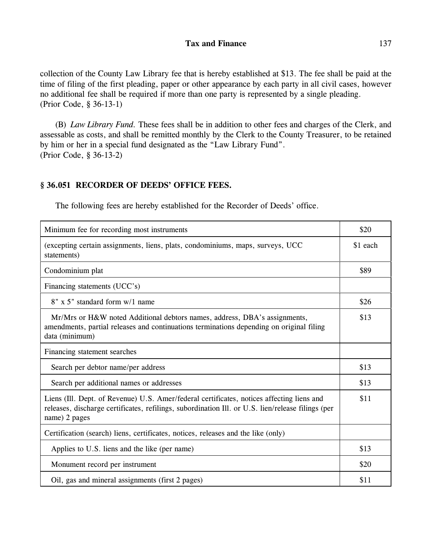collection of the County Law Library fee that is hereby established at \$13. The fee shall be paid at the time of filing of the first pleading, paper or other appearance by each party in all civil cases, however no additional fee shall be required if more than one party is represented by a single pleading. (Prior Code, § 36-13-1)

(B) *Law Library Fund.* These fees shall be in addition to other fees and charges of the Clerk, and assessable as costs, and shall be remitted monthly by the Clerk to the County Treasurer, to be retained by him or her in a special fund designated as the "Law Library Fund". (Prior Code, § 36-13-2)

# **§ 36.051 RECORDER OF DEEDS' OFFICE FEES.**

The following fees are hereby established for the Recorder of Deeds' office.

| Minimum fee for recording most instruments                                                                                                                                                                      |          |
|-----------------------------------------------------------------------------------------------------------------------------------------------------------------------------------------------------------------|----------|
| (excepting certain assignments, liens, plats, condominiums, maps, surveys, UCC<br>statements)                                                                                                                   | \$1 each |
| Condominium plat                                                                                                                                                                                                | \$89     |
| Financing statements (UCC's)                                                                                                                                                                                    |          |
| 8" x 5" standard form w/1 name                                                                                                                                                                                  | \$26     |
| Mr/Mrs or H&W noted Additional debtors names, address, DBA's assignments,<br>amendments, partial releases and continuations terminations depending on original filing<br>data (minimum)                         | \$13     |
| Financing statement searches                                                                                                                                                                                    |          |
| Search per debtor name/per address                                                                                                                                                                              | \$13     |
| Search per additional names or addresses                                                                                                                                                                        | \$13     |
| Liens (Ill. Dept. of Revenue) U.S. Amer/federal certificates, notices affecting liens and<br>releases, discharge certificates, refilings, subordination Ill. or U.S. lien/release filings (per<br>name) 2 pages |          |
| Certification (search) liens, certificates, notices, releases and the like (only)                                                                                                                               |          |
| Applies to U.S. liens and the like (per name)                                                                                                                                                                   | \$13     |
| Monument record per instrument                                                                                                                                                                                  | \$20     |
| Oil, gas and mineral assignments (first 2 pages)                                                                                                                                                                | \$11     |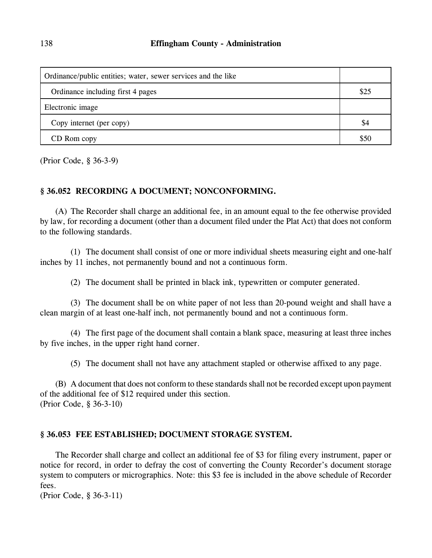| Ordinance/public entities; water, sewer services and the like |      |
|---------------------------------------------------------------|------|
| Ordinance including first 4 pages                             | \$25 |
| Electronic image                                              |      |
| Copy internet (per copy)                                      | \$4  |
| CD Rom copy                                                   | S50  |

(Prior Code, § 36-3-9)

# **§ 36.052 RECORDING A DOCUMENT; NONCONFORMING.**

(A) The Recorder shall charge an additional fee, in an amount equal to the fee otherwise provided by law, for recording a document (other than a document filed under the Plat Act) that does not conform to the following standards.

(1) The document shall consist of one or more individual sheets measuring eight and one-half inches by 11 inches, not permanently bound and not a continuous form.

(2) The document shall be printed in black ink, typewritten or computer generated.

(3) The document shall be on white paper of not less than 20-pound weight and shall have a clean margin of at least one-half inch, not permanently bound and not a continuous form.

(4) The first page of the document shall contain a blank space, measuring at least three inches by five inches, in the upper right hand corner.

(5) The document shall not have any attachment stapled or otherwise affixed to any page.

(B) A document that does not conform to these standards shall not be recorded except upon payment of the additional fee of \$12 required under this section. (Prior Code, § 36-3-10)

# **§ 36.053 FEE ESTABLISHED; DOCUMENT STORAGE SYSTEM.**

The Recorder shall charge and collect an additional fee of \$3 for filing every instrument, paper or notice for record, in order to defray the cost of converting the County Recorder's document storage system to computers or micrographics. Note: this \$3 fee is included in the above schedule of Recorder fees.

(Prior Code, § 36-3-11)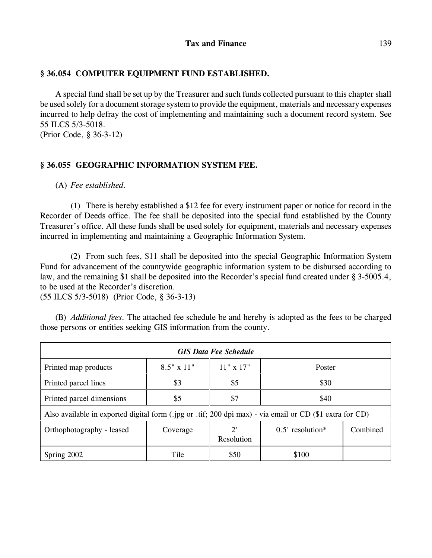# **§ 36.054 COMPUTER EQUIPMENT FUND ESTABLISHED.**

A special fund shall be set up by the Treasurer and such funds collected pursuant to this chapter shall be used solely for a document storage system to provide the equipment, materials and necessary expenses incurred to help defray the cost of implementing and maintaining such a document record system. See 55 ILCS 5/3-5018.

(Prior Code, § 36-3-12)

# **§ 36.055 GEOGRAPHIC INFORMATION SYSTEM FEE.**

(A) *Fee established.*

(1) There is hereby established a \$12 fee for every instrument paper or notice for record in the Recorder of Deeds office. The fee shall be deposited into the special fund established by the County Treasurer's office. All these funds shall be used solely for equipment, materials and necessary expenses incurred in implementing and maintaining a Geographic Information System.

(2) From such fees, \$11 shall be deposited into the special Geographic Information System Fund for advancement of the countywide geographic information system to be disbursed according to law, and the remaining \$1 shall be deposited into the Recorder's special fund created under § 3-5005.4, to be used at the Recorder's discretion.

(55 ILCS 5/3-5018) (Prior Code, § 36-3-13)

(B) *Additional fees.* The attached fee schedule be and hereby is adopted as the fees to be charged those persons or entities seeking GIS information from the county.

| <b>GIS Data Fee Schedule</b>                                                                             |              |                     |                    |          |
|----------------------------------------------------------------------------------------------------------|--------------|---------------------|--------------------|----------|
| Printed map products                                                                                     | $8.5"$ x 11" | $11"$ x $17"$       | Poster             |          |
| Printed parcel lines                                                                                     | \$3          | \$5                 | \$30               |          |
| Printed parcel dimensions                                                                                | \$5          | \$7                 | \$40               |          |
| Also available in exported digital form (.jpg or .tif; 200 dpi max) - via email or CD (\$1 extra for CD) |              |                     |                    |          |
| Orthophotography - leased                                                                                | Coverage     | $2$ '<br>Resolution | $0.5'$ resolution* | Combined |
| Spring 2002                                                                                              | Tile         | \$50                | \$100              |          |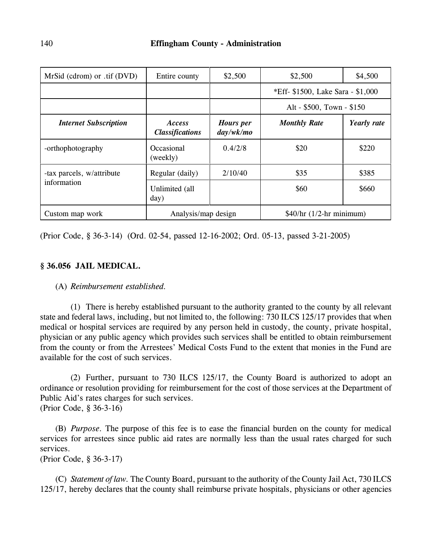| MrSid (cdrom) or .tif (DVD)  | Entire county                           | \$2,500                       | \$2,500                           | \$4,500            |
|------------------------------|-----------------------------------------|-------------------------------|-----------------------------------|--------------------|
|                              |                                         |                               | *Eff- \$1500, Lake Sara - \$1,000 |                    |
|                              |                                         |                               | Alt - \$500, Town - \$150         |                    |
| <b>Internet Subscription</b> | <b>Access</b><br><b>Classifications</b> | <b>Hours</b> per<br>day/wk/mo | <b>Monthly Rate</b>               | <b>Yearly</b> rate |
| -orthophotography            | Occasional<br>(weekly)                  | 0.4/2/8                       | \$20                              | \$220              |
| -tax parcels, w/attribute    | Regular (daily)                         | 2/10/40                       | \$35                              | \$385              |
| information                  | Unlimited (all<br>day)                  |                               | \$60                              | \$660              |
| Custom map work              | Analysis/map design                     |                               | $$40/hr$ (1/2-hr minimum)         |                    |

(Prior Code, § 36-3-14) (Ord. 02-54, passed 12-16-2002; Ord. 05-13, passed 3-21-2005)

# **§ 36.056 JAIL MEDICAL.**

# (A) *Reimbursement established.*

(1) There is hereby established pursuant to the authority granted to the county by all relevant state and federal laws, including, but not limited to, the following: 730 ILCS 125/17 provides that when medical or hospital services are required by any person held in custody, the county, private hospital, physician or any public agency which provides such services shall be entitled to obtain reimbursement from the county or from the Arrestees' Medical Costs Fund to the extent that monies in the Fund are available for the cost of such services.

(2) Further, pursuant to 730 ILCS 125/17, the County Board is authorized to adopt an ordinance or resolution providing for reimbursement for the cost of those services at the Department of Public Aid's rates charges for such services. (Prior Code, § 36-3-16)

(B) *Purpose.* The purpose of this fee is to ease the financial burden on the county for medical services for arrestees since public aid rates are normally less than the usual rates charged for such services.

(Prior Code, § 36-3-17)

(C) *Statement of law.* The County Board, pursuant to the authority of the County Jail Act, 730 ILCS 125/17, hereby declares that the county shall reimburse private hospitals, physicians or other agencies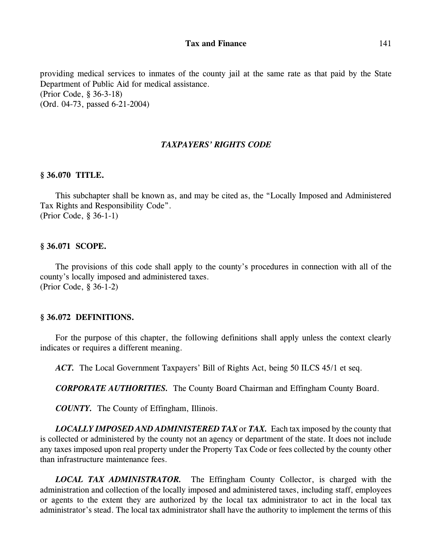providing medical services to inmates of the county jail at the same rate as that paid by the State Department of Public Aid for medical assistance. (Prior Code, § 36-3-18) (Ord. 04-73, passed 6-21-2004)

### *TAXPAYERS' RIGHTS CODE*

#### **§ 36.070 TITLE.**

This subchapter shall be known as, and may be cited as, the "Locally Imposed and Administered Tax Rights and Responsibility Code". (Prior Code, § 36-1-1)

#### **§ 36.071 SCOPE.**

The provisions of this code shall apply to the county's procedures in connection with all of the county's locally imposed and administered taxes. (Prior Code, § 36-1-2)

#### **§ 36.072 DEFINITIONS.**

For the purpose of this chapter, the following definitions shall apply unless the context clearly indicates or requires a different meaning.

*ACT.* The Local Government Taxpayers' Bill of Rights Act, being 50 ILCS 45/1 et seq.

*CORPORATE AUTHORITIES.* The County Board Chairman and Effingham County Board.

*COUNTY.* The County of Effingham, Illinois.

*LOCALLY IMPOSED AND ADMINISTERED TAX* or *TAX.* Each tax imposed by the county that is collected or administered by the county not an agency or department of the state. It does not include any taxes imposed upon real property under the Property Tax Code or fees collected by the county other than infrastructure maintenance fees.

*LOCAL TAX ADMINISTRATOR.* The Effingham County Collector, is charged with the administration and collection of the locally imposed and administered taxes, including staff, employees or agents to the extent they are authorized by the local tax administrator to act in the local tax administrator's stead. The local tax administrator shall have the authority to implement the terms of this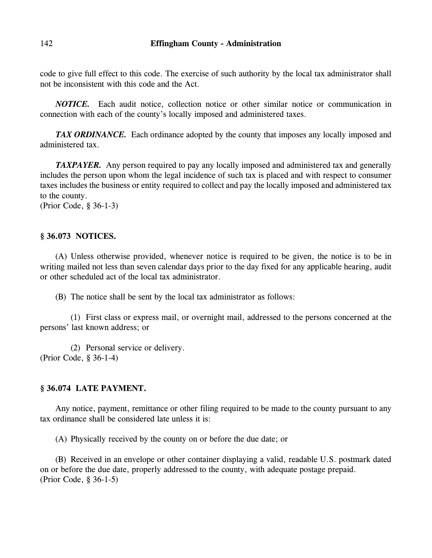code to give full effect to this code. The exercise of such authority by the local tax administrator shall not be inconsistent with this code and the Act.

*NOTICE.* Each audit notice, collection notice or other similar notice or communication in connection with each of the county's locally imposed and administered taxes.

*TAX ORDINANCE.* Each ordinance adopted by the county that imposes any locally imposed and administered tax.

*TAXPAYER.* Any person required to pay any locally imposed and administered tax and generally includes the person upon whom the legal incidence of such tax is placed and with respect to consumer taxes includes the business or entity required to collect and pay the locally imposed and administered tax to the county.

(Prior Code, § 36-1-3)

# **§ 36.073 NOTICES.**

(A) Unless otherwise provided, whenever notice is required to be given, the notice is to be in writing mailed not less than seven calendar days prior to the day fixed for any applicable hearing, audit or other scheduled act of the local tax administrator.

(B) The notice shall be sent by the local tax administrator as follows:

(1) First class or express mail, or overnight mail, addressed to the persons concerned at the persons' last known address; or

(2) Personal service or delivery. (Prior Code, § 36-1-4)

# **§ 36.074 LATE PAYMENT.**

Any notice, payment, remittance or other filing required to be made to the county pursuant to any tax ordinance shall be considered late unless it is:

(A) Physically received by the county on or before the due date; or

(B) Received in an envelope or other container displaying a valid, readable U.S. postmark dated on or before the due date, properly addressed to the county, with adequate postage prepaid. (Prior Code, § 36-1-5)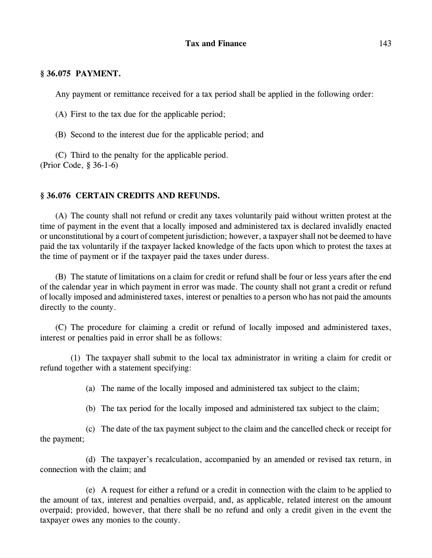## **§ 36.075 PAYMENT.**

Any payment or remittance received for a tax period shall be applied in the following order:

(A) First to the tax due for the applicable period;

(B) Second to the interest due for the applicable period; and

(C) Third to the penalty for the applicable period. (Prior Code, § 36-1-6)

### **§ 36.076 CERTAIN CREDITS AND REFUNDS.**

(A) The county shall not refund or credit any taxes voluntarily paid without written protest at the time of payment in the event that a locally imposed and administered tax is declared invalidly enacted or unconstitutional by a court of competent jurisdiction; however, a taxpayer shall not be deemed to have paid the tax voluntarily if the taxpayer lacked knowledge of the facts upon which to protest the taxes at the time of payment or if the taxpayer paid the taxes under duress.

(B) The statute of limitations on a claim for credit or refund shall be four or less years after the end of the calendar year in which payment in error was made. The county shall not grant a credit or refund of locally imposed and administered taxes, interest or penalties to a person who has not paid the amounts directly to the county.

(C) The procedure for claiming a credit or refund of locally imposed and administered taxes, interest or penalties paid in error shall be as follows:

(1) The taxpayer shall submit to the local tax administrator in writing a claim for credit or refund together with a statement specifying:

(a) The name of the locally imposed and administered tax subject to the claim;

(b) The tax period for the locally imposed and administered tax subject to the claim;

(c) The date of the tax payment subject to the claim and the cancelled check or receipt for the payment;

(d) The taxpayer's recalculation, accompanied by an amended or revised tax return, in connection with the claim; and

(e) A request for either a refund or a credit in connection with the claim to be applied to the amount of tax, interest and penalties overpaid, and, as applicable, related interest on the amount overpaid; provided, however, that there shall be no refund and only a credit given in the event the taxpayer owes any monies to the county.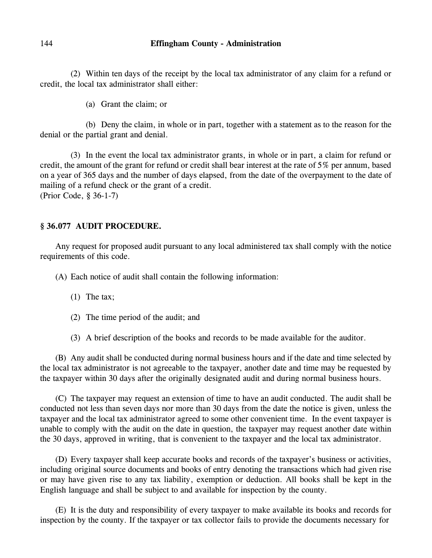(2) Within ten days of the receipt by the local tax administrator of any claim for a refund or credit, the local tax administrator shall either:

(a) Grant the claim; or

(b) Deny the claim, in whole or in part, together with a statement as to the reason for the denial or the partial grant and denial.

(3) In the event the local tax administrator grants, in whole or in part, a claim for refund or credit, the amount of the grant for refund or credit shall bear interest at the rate of 5% per annum, based on a year of 365 days and the number of days elapsed, from the date of the overpayment to the date of mailing of a refund check or the grant of a credit. (Prior Code, § 36-1-7)

# **§ 36.077 AUDIT PROCEDURE.**

Any request for proposed audit pursuant to any local administered tax shall comply with the notice requirements of this code.

(A) Each notice of audit shall contain the following information:

(1) The tax;

(2) The time period of the audit; and

(3) A brief description of the books and records to be made available for the auditor.

(B) Any audit shall be conducted during normal business hours and if the date and time selected by the local tax administrator is not agreeable to the taxpayer, another date and time may be requested by the taxpayer within 30 days after the originally designated audit and during normal business hours.

(C) The taxpayer may request an extension of time to have an audit conducted. The audit shall be conducted not less than seven days nor more than 30 days from the date the notice is given, unless the taxpayer and the local tax administrator agreed to some other convenient time. In the event taxpayer is unable to comply with the audit on the date in question, the taxpayer may request another date within the 30 days, approved in writing, that is convenient to the taxpayer and the local tax administrator.

(D) Every taxpayer shall keep accurate books and records of the taxpayer's business or activities, including original source documents and books of entry denoting the transactions which had given rise or may have given rise to any tax liability, exemption or deduction. All books shall be kept in the English language and shall be subject to and available for inspection by the county.

(E) It is the duty and responsibility of every taxpayer to make available its books and records for inspection by the county. If the taxpayer or tax collector fails to provide the documents necessary for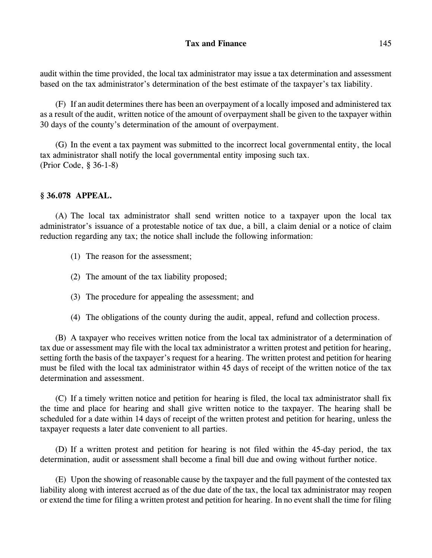audit within the time provided, the local tax administrator may issue a tax determination and assessment based on the tax administrator's determination of the best estimate of the taxpayer's tax liability.

(F) If an audit determines there has been an overpayment of a locally imposed and administered tax as a result of the audit, written notice of the amount of overpayment shall be given to the taxpayer within 30 days of the county's determination of the amount of overpayment.

(G) In the event a tax payment was submitted to the incorrect local governmental entity, the local tax administrator shall notify the local governmental entity imposing such tax. (Prior Code, § 36-1-8)

# **§ 36.078 APPEAL.**

(A) The local tax administrator shall send written notice to a taxpayer upon the local tax administrator's issuance of a protestable notice of tax due, a bill, a claim denial or a notice of claim reduction regarding any tax; the notice shall include the following information:

- (1) The reason for the assessment;
- (2) The amount of the tax liability proposed;
- (3) The procedure for appealing the assessment; and
- (4) The obligations of the county during the audit, appeal, refund and collection process.

(B) A taxpayer who receives written notice from the local tax administrator of a determination of tax due or assessment may file with the local tax administrator a written protest and petition for hearing, setting forth the basis of the taxpayer's request for a hearing. The written protest and petition for hearing must be filed with the local tax administrator within 45 days of receipt of the written notice of the tax determination and assessment.

(C) If a timely written notice and petition for hearing is filed, the local tax administrator shall fix the time and place for hearing and shall give written notice to the taxpayer. The hearing shall be scheduled for a date within 14 days of receipt of the written protest and petition for hearing, unless the taxpayer requests a later date convenient to all parties.

(D) If a written protest and petition for hearing is not filed within the 45-day period, the tax determination, audit or assessment shall become a final bill due and owing without further notice.

(E) Upon the showing of reasonable cause by the taxpayer and the full payment of the contested tax liability along with interest accrued as of the due date of the tax, the local tax administrator may reopen or extend the time for filing a written protest and petition for hearing. In no event shall the time for filing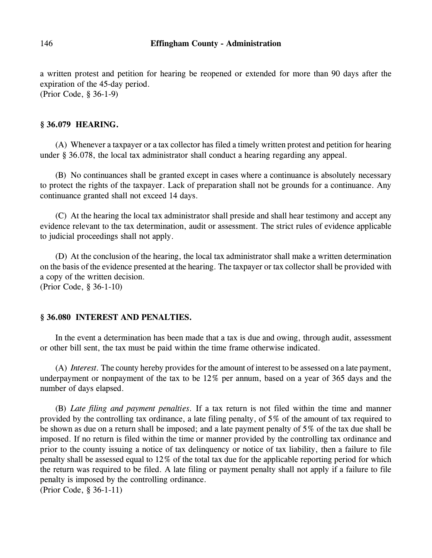a written protest and petition for hearing be reopened or extended for more than 90 days after the expiration of the 45-day period. (Prior Code, § 36-1-9)

#### **§ 36.079 HEARING.**

(A) Whenever a taxpayer or a tax collector has filed a timely written protest and petition for hearing under § 36.078, the local tax administrator shall conduct a hearing regarding any appeal.

(B) No continuances shall be granted except in cases where a continuance is absolutely necessary to protect the rights of the taxpayer. Lack of preparation shall not be grounds for a continuance. Any continuance granted shall not exceed 14 days.

(C) At the hearing the local tax administrator shall preside and shall hear testimony and accept any evidence relevant to the tax determination, audit or assessment. The strict rules of evidence applicable to judicial proceedings shall not apply.

(D) At the conclusion of the hearing, the local tax administrator shall make a written determination on the basis of the evidence presented at the hearing. The taxpayer or tax collector shall be provided with a copy of the written decision. (Prior Code, § 36-1-10)

#### **§ 36.080 INTEREST AND PENALTIES.**

In the event a determination has been made that a tax is due and owing, through audit, assessment or other bill sent, the tax must be paid within the time frame otherwise indicated.

(A) *Interest.* The county hereby provides for the amount of interest to be assessed on a late payment, underpayment or nonpayment of the tax to be 12% per annum, based on a year of 365 days and the number of days elapsed.

(B) *Late filing and payment penalties.* If a tax return is not filed within the time and manner provided by the controlling tax ordinance, a late filing penalty, of 5% of the amount of tax required to be shown as due on a return shall be imposed; and a late payment penalty of 5% of the tax due shall be imposed. If no return is filed within the time or manner provided by the controlling tax ordinance and prior to the county issuing a notice of tax delinquency or notice of tax liability, then a failure to file penalty shall be assessed equal to 12% of the total tax due for the applicable reporting period for which the return was required to be filed. A late filing or payment penalty shall not apply if a failure to file penalty is imposed by the controlling ordinance.

(Prior Code, § 36-1-11)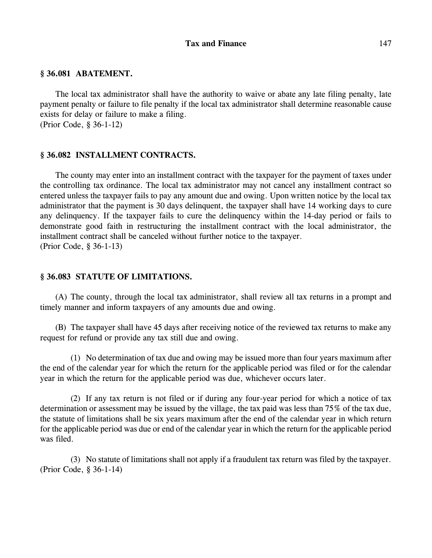#### **§ 36.081 ABATEMENT.**

The local tax administrator shall have the authority to waive or abate any late filing penalty, late payment penalty or failure to file penalty if the local tax administrator shall determine reasonable cause exists for delay or failure to make a filing. (Prior Code, § 36-1-12)

### **§ 36.082 INSTALLMENT CONTRACTS.**

The county may enter into an installment contract with the taxpayer for the payment of taxes under the controlling tax ordinance. The local tax administrator may not cancel any installment contract so entered unless the taxpayer fails to pay any amount due and owing. Upon written notice by the local tax administrator that the payment is 30 days delinquent, the taxpayer shall have 14 working days to cure any delinquency. If the taxpayer fails to cure the delinquency within the 14-day period or fails to demonstrate good faith in restructuring the installment contract with the local administrator, the installment contract shall be canceled without further notice to the taxpayer. (Prior Code, § 36-1-13)

# **§ 36.083 STATUTE OF LIMITATIONS.**

(A) The county, through the local tax administrator, shall review all tax returns in a prompt and timely manner and inform taxpayers of any amounts due and owing.

(B) The taxpayer shall have 45 days after receiving notice of the reviewed tax returns to make any request for refund or provide any tax still due and owing.

(1) No determination of tax due and owing may be issued more than four years maximum after the end of the calendar year for which the return for the applicable period was filed or for the calendar year in which the return for the applicable period was due, whichever occurs later.

(2) If any tax return is not filed or if during any four-year period for which a notice of tax determination or assessment may be issued by the village, the tax paid was less than 75% of the tax due, the statute of limitations shall be six years maximum after the end of the calendar year in which return for the applicable period was due or end of the calendar year in which the return for the applicable period was filed.

(3) No statute of limitations shall not apply if a fraudulent tax return was filed by the taxpayer. (Prior Code, § 36-1-14)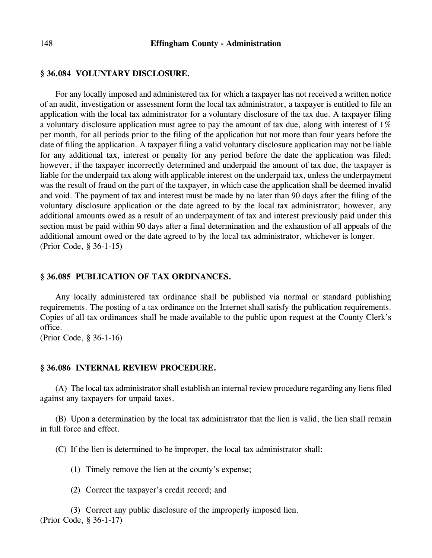### **§ 36.084 VOLUNTARY DISCLOSURE.**

For any locally imposed and administered tax for which a taxpayer has not received a written notice of an audit, investigation or assessment form the local tax administrator, a taxpayer is entitled to file an application with the local tax administrator for a voluntary disclosure of the tax due. A taxpayer filing a voluntary disclosure application must agree to pay the amount of tax due, along with interest of 1% per month, for all periods prior to the filing of the application but not more than four years before the date of filing the application. A taxpayer filing a valid voluntary disclosure application may not be liable for any additional tax, interest or penalty for any period before the date the application was filed; however, if the taxpayer incorrectly determined and underpaid the amount of tax due, the taxpayer is liable for the underpaid tax along with applicable interest on the underpaid tax, unless the underpayment was the result of fraud on the part of the taxpayer, in which case the application shall be deemed invalid and void. The payment of tax and interest must be made by no later than 90 days after the filing of the voluntary disclosure application or the date agreed to by the local tax administrator; however, any additional amounts owed as a result of an underpayment of tax and interest previously paid under this section must be paid within 90 days after a final determination and the exhaustion of all appeals of the additional amount owed or the date agreed to by the local tax administrator, whichever is longer. (Prior Code, § 36-1-15)

# **§ 36.085 PUBLICATION OF TAX ORDINANCES.**

Any locally administered tax ordinance shall be published via normal or standard publishing requirements. The posting of a tax ordinance on the Internet shall satisfy the publication requirements. Copies of all tax ordinances shall be made available to the public upon request at the County Clerk's office.

(Prior Code, § 36-1-16)

### **§ 36.086 INTERNAL REVIEW PROCEDURE.**

(A) The local tax administrator shall establish an internal review procedure regarding any liens filed against any taxpayers for unpaid taxes.

(B) Upon a determination by the local tax administrator that the lien is valid, the lien shall remain in full force and effect.

(C) If the lien is determined to be improper, the local tax administrator shall:

(1) Timely remove the lien at the county's expense;

(2) Correct the taxpayer's credit record; and

(3) Correct any public disclosure of the improperly imposed lien.

(Prior Code, § 36-1-17)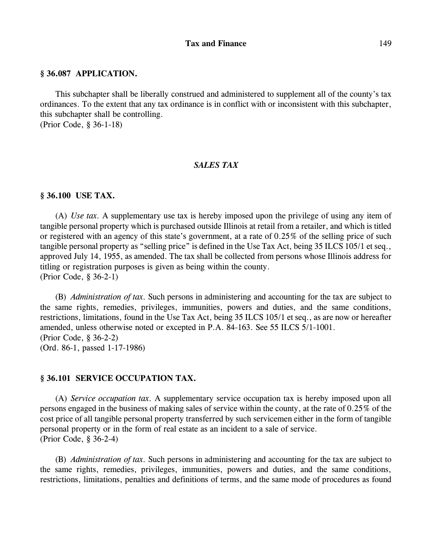#### **§ 36.087 APPLICATION.**

This subchapter shall be liberally construed and administered to supplement all of the county's tax ordinances. To the extent that any tax ordinance is in conflict with or inconsistent with this subchapter, this subchapter shall be controlling.

(Prior Code, § 36-1-18)

#### *SALES TAX*

#### **§ 36.100 USE TAX.**

(A) *Use tax.* A supplementary use tax is hereby imposed upon the privilege of using any item of tangible personal property which is purchased outside Illinois at retail from a retailer, and which is titled or registered with an agency of this state's government, at a rate of 0.25% of the selling price of such tangible personal property as "selling price" is defined in the Use Tax Act, being 35 ILCS 105/1 et seq., approved July 14, 1955, as amended. The tax shall be collected from persons whose Illinois address for titling or registration purposes is given as being within the county. (Prior Code, § 36-2-1)

(B) *Administration of tax.* Such persons in administering and accounting for the tax are subject to the same rights, remedies, privileges, immunities, powers and duties, and the same conditions, restrictions, limitations, found in the Use Tax Act, being 35 ILCS 105/1 et seq., as are now or hereafter amended, unless otherwise noted or excepted in P.A. 84-163. See 55 ILCS 5/1-1001. (Prior Code, § 36-2-2) (Ord. 86-1, passed 1-17-1986)

#### **§ 36.101 SERVICE OCCUPATION TAX.**

(A) *Service occupation tax.* A supplementary service occupation tax is hereby imposed upon all persons engaged in the business of making sales of service within the county, at the rate of 0.25% of the cost price of all tangible personal property transferred by such servicemen either in the form of tangible personal property or in the form of real estate as an incident to a sale of service. (Prior Code, § 36-2-4)

(B) *Administration of tax.* Such persons in administering and accounting for the tax are subject to the same rights, remedies, privileges, immunities, powers and duties, and the same conditions, restrictions, limitations, penalties and definitions of terms, and the same mode of procedures as found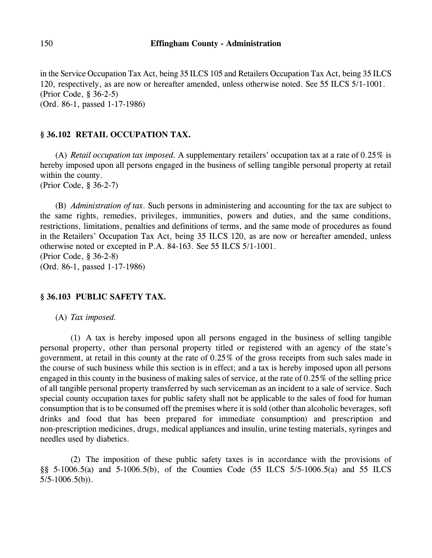in the Service Occupation Tax Act, being 35 ILCS 105 and Retailers Occupation Tax Act, being 35 ILCS 120, respectively, as are now or hereafter amended, unless otherwise noted. See 55 ILCS 5/1-1001. (Prior Code, § 36-2-5) (Ord. 86-1, passed 1-17-1986)

### **§ 36.102 RETAIL OCCUPATION TAX.**

(A) *Retail occupation tax imposed.* A supplementary retailers' occupation tax at a rate of 0.25% is hereby imposed upon all persons engaged in the business of selling tangible personal property at retail within the county. (Prior Code, § 36-2-7)

(B) *Administration of tax.* Such persons in administering and accounting for the tax are subject to the same rights, remedies, privileges, immunities, powers and duties, and the same conditions, restrictions, limitations, penalties and definitions of terms, and the same mode of procedures as found in the Retailers' Occupation Tax Act, being 35 ILCS 120, as are now or hereafter amended, unless otherwise noted or excepted in P.A. 84-163. See 55 ILCS 5/1-1001. (Prior Code, § 36-2-8) (Ord. 86-1, passed 1-17-1986)

#### **§ 36.103 PUBLIC SAFETY TAX.**

(A) *Tax imposed.*

(1) A tax is hereby imposed upon all persons engaged in the business of selling tangible personal property, other than personal property titled or registered with an agency of the state's government, at retail in this county at the rate of 0.25% of the gross receipts from such sales made in the course of such business while this section is in effect; and a tax is hereby imposed upon all persons engaged in this county in the business of making sales of service, at the rate of 0.25% of the selling price of all tangible personal property transferred by such serviceman as an incident to a sale of service. Such special county occupation taxes for public safety shall not be applicable to the sales of food for human consumption that is to be consumed off the premises where it is sold (other than alcoholic beverages, soft drinks and food that has been prepared for immediate consumption) and prescription and non-prescription medicines, drugs, medical appliances and insulin, urine testing materials, syringes and needles used by diabetics.

(2) The imposition of these public safety taxes is in accordance with the provisions of §§ 5-1006.5(a) and 5-1006.5(b), of the Counties Code (55 ILCS 5/5-1006.5(a) and 55 ILCS  $5/5 - 1006.5(b)$ .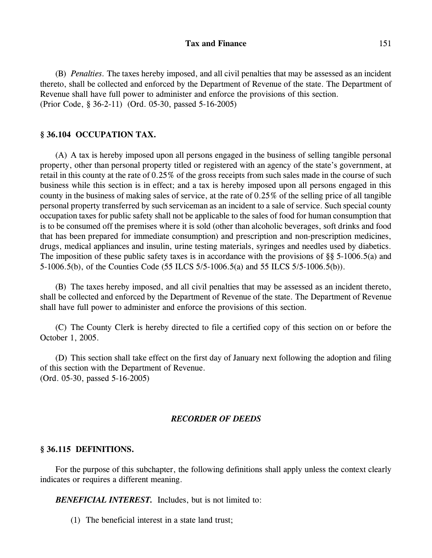(B) *Penalties.* The taxes hereby imposed, and all civil penalties that may be assessed as an incident thereto, shall be collected and enforced by the Department of Revenue of the state. The Department of Revenue shall have full power to administer and enforce the provisions of this section. (Prior Code, § 36-2-11) (Ord. 05-30, passed 5-16-2005)

### **§ 36.104 OCCUPATION TAX.**

(A) A tax is hereby imposed upon all persons engaged in the business of selling tangible personal property, other than personal property titled or registered with an agency of the state's government, at retail in this county at the rate of 0.25% of the gross receipts from such sales made in the course of such business while this section is in effect; and a tax is hereby imposed upon all persons engaged in this county in the business of making sales of service, at the rate of 0.25% of the selling price of all tangible personal property transferred by such serviceman as an incident to a sale of service. Such special county occupation taxes for public safety shall not be applicable to the sales of food for human consumption that is to be consumed off the premises where it is sold (other than alcoholic beverages, soft drinks and food that has been prepared for immediate consumption) and prescription and non-prescription medicines, drugs, medical appliances and insulin, urine testing materials, syringes and needles used by diabetics. The imposition of these public safety taxes is in accordance with the provisions of §§ 5-1006.5(a) and 5-1006.5(b), of the Counties Code (55 ILCS 5/5-1006.5(a) and 55 ILCS 5/5-1006.5(b)).

(B) The taxes hereby imposed, and all civil penalties that may be assessed as an incident thereto, shall be collected and enforced by the Department of Revenue of the state. The Department of Revenue shall have full power to administer and enforce the provisions of this section.

(C) The County Clerk is hereby directed to file a certified copy of this section on or before the October 1, 2005.

(D) This section shall take effect on the first day of January next following the adoption and filing of this section with the Department of Revenue. (Ord. 05-30, passed 5-16-2005)

#### *RECORDER OF DEEDS*

#### **§ 36.115 DEFINITIONS.**

For the purpose of this subchapter, the following definitions shall apply unless the context clearly indicates or requires a different meaning.

**BENEFICIAL INTEREST.** Includes, but is not limited to:

(1) The beneficial interest in a state land trust;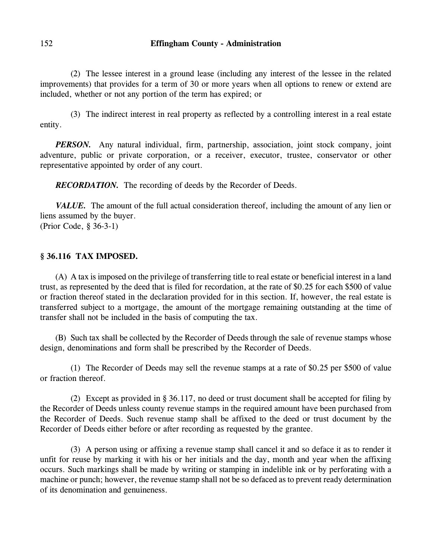## 152 **Effingham County - Administration**

(2) The lessee interest in a ground lease (including any interest of the lessee in the related improvements) that provides for a term of 30 or more years when all options to renew or extend are included, whether or not any portion of the term has expired; or

(3) The indirect interest in real property as reflected by a controlling interest in a real estate entity.

PERSON. Any natural individual, firm, partnership, association, joint stock company, joint adventure, public or private corporation, or a receiver, executor, trustee, conservator or other representative appointed by order of any court.

*RECORDATION.* The recording of deeds by the Recorder of Deeds.

*VALUE.* The amount of the full actual consideration thereof, including the amount of any lien or liens assumed by the buyer. (Prior Code, § 36-3-1)

# **§ 36.116 TAX IMPOSED.**

(A) A tax is imposed on the privilege of transferring title to real estate or beneficial interest in a land trust, as represented by the deed that is filed for recordation, at the rate of \$0.25 for each \$500 of value or fraction thereof stated in the declaration provided for in this section. If, however, the real estate is transferred subject to a mortgage, the amount of the mortgage remaining outstanding at the time of transfer shall not be included in the basis of computing the tax.

(B) Such tax shall be collected by the Recorder of Deeds through the sale of revenue stamps whose design, denominations and form shall be prescribed by the Recorder of Deeds.

(1) The Recorder of Deeds may sell the revenue stamps at a rate of \$0.25 per \$500 of value or fraction thereof.

(2) Except as provided in § 36.117, no deed or trust document shall be accepted for filing by the Recorder of Deeds unless county revenue stamps in the required amount have been purchased from the Recorder of Deeds. Such revenue stamp shall be affixed to the deed or trust document by the Recorder of Deeds either before or after recording as requested by the grantee.

(3) A person using or affixing a revenue stamp shall cancel it and so deface it as to render it unfit for reuse by marking it with his or her initials and the day, month and year when the affixing occurs. Such markings shall be made by writing or stamping in indelible ink or by perforating with a machine or punch; however, the revenue stamp shall not be so defaced as to prevent ready determination of its denomination and genuineness.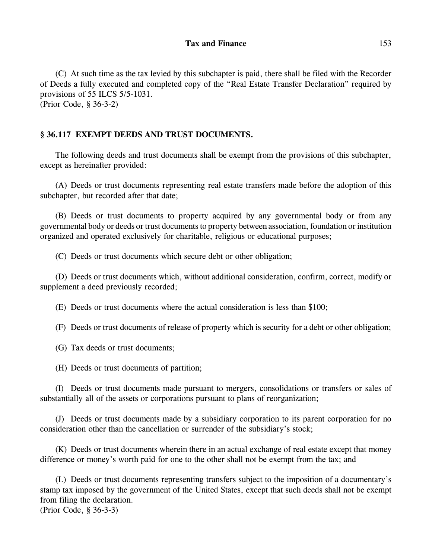(C) At such time as the tax levied by this subchapter is paid, there shall be filed with the Recorder of Deeds a fully executed and completed copy of the "Real Estate Transfer Declaration" required by provisions of 55 ILCS 5/5-1031. (Prior Code, § 36-3-2)

# **§ 36.117 EXEMPT DEEDS AND TRUST DOCUMENTS.**

The following deeds and trust documents shall be exempt from the provisions of this subchapter, except as hereinafter provided:

(A) Deeds or trust documents representing real estate transfers made before the adoption of this subchapter, but recorded after that date;

(B) Deeds or trust documents to property acquired by any governmental body or from any governmental body or deeds or trust documents to property between association, foundation or institution organized and operated exclusively for charitable, religious or educational purposes;

(C) Deeds or trust documents which secure debt or other obligation;

(D) Deeds or trust documents which, without additional consideration, confirm, correct, modify or supplement a deed previously recorded;

(E) Deeds or trust documents where the actual consideration is less than \$100;

(F) Deeds or trust documents of release of property which is security for a debt or other obligation;

(G) Tax deeds or trust documents;

(H) Deeds or trust documents of partition;

(I) Deeds or trust documents made pursuant to mergers, consolidations or transfers or sales of substantially all of the assets or corporations pursuant to plans of reorganization;

(J) Deeds or trust documents made by a subsidiary corporation to its parent corporation for no consideration other than the cancellation or surrender of the subsidiary's stock;

(K) Deeds or trust documents wherein there in an actual exchange of real estate except that money difference or money's worth paid for one to the other shall not be exempt from the tax; and

(L) Deeds or trust documents representing transfers subject to the imposition of a documentary's stamp tax imposed by the government of the United States, except that such deeds shall not be exempt from filing the declaration. (Prior Code, § 36-3-3)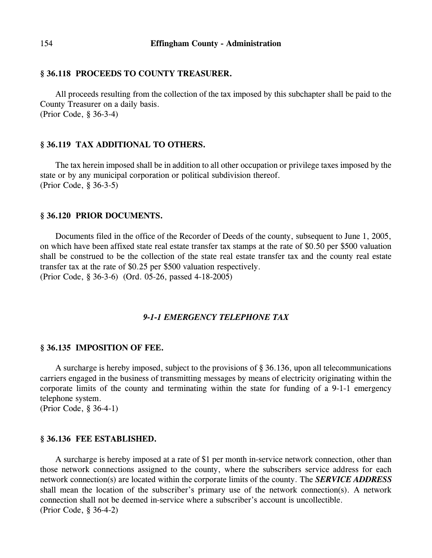## **§ 36.118 PROCEEDS TO COUNTY TREASURER.**

All proceeds resulting from the collection of the tax imposed by this subchapter shall be paid to the County Treasurer on a daily basis. (Prior Code, § 36-3-4)

## **§ 36.119 TAX ADDITIONAL TO OTHERS.**

The tax herein imposed shall be in addition to all other occupation or privilege taxes imposed by the state or by any municipal corporation or political subdivision thereof. (Prior Code, § 36-3-5)

#### **§ 36.120 PRIOR DOCUMENTS.**

Documents filed in the office of the Recorder of Deeds of the county, subsequent to June 1, 2005, on which have been affixed state real estate transfer tax stamps at the rate of \$0.50 per \$500 valuation shall be construed to be the collection of the state real estate transfer tax and the county real estate transfer tax at the rate of \$0.25 per \$500 valuation respectively. (Prior Code, § 36-3-6) (Ord. 05-26, passed 4-18-2005)

#### *9-1-1 EMERGENCY TELEPHONE TAX*

#### **§ 36.135 IMPOSITION OF FEE.**

A surcharge is hereby imposed, subject to the provisions of § 36.136, upon all telecommunications carriers engaged in the business of transmitting messages by means of electricity originating within the corporate limits of the county and terminating within the state for funding of a 9-1-1 emergency telephone system.

(Prior Code, § 36-4-1)

### **§ 36.136 FEE ESTABLISHED.**

A surcharge is hereby imposed at a rate of \$1 per month in-service network connection, other than those network connections assigned to the county, where the subscribers service address for each network connection(s) are located within the corporate limits of the county. The *SERVICE ADDRESS* shall mean the location of the subscriber's primary use of the network connection(s). A network connection shall not be deemed in-service where a subscriber's account is uncollectible. (Prior Code, § 36-4-2)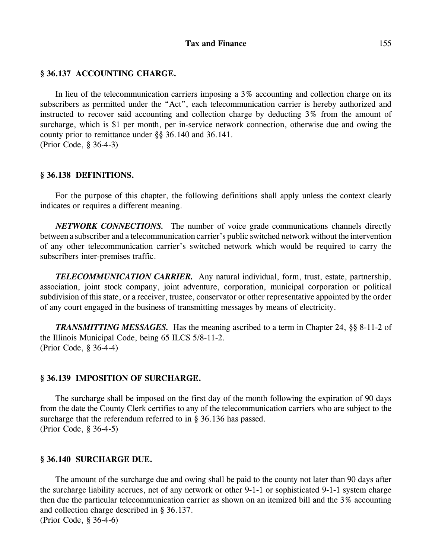## **§ 36.137 ACCOUNTING CHARGE.**

In lieu of the telecommunication carriers imposing a 3% accounting and collection charge on its subscribers as permitted under the "Act", each telecommunication carrier is hereby authorized and instructed to recover said accounting and collection charge by deducting 3% from the amount of surcharge, which is \$1 per month, per in-service network connection, otherwise due and owing the county prior to remittance under §§ 36.140 and 36.141. (Prior Code, § 36-4-3)

#### **§ 36.138 DEFINITIONS.**

For the purpose of this chapter, the following definitions shall apply unless the context clearly indicates or requires a different meaning.

*NETWORK CONNECTIONS.* The number of voice grade communications channels directly between a subscriber and a telecommunication carrier's public switched network without the intervention of any other telecommunication carrier's switched network which would be required to carry the subscribers inter-premises traffic.

*TELECOMMUNICATION CARRIER.* Any natural individual, form, trust, estate, partnership, association, joint stock company, joint adventure, corporation, municipal corporation or political subdivision of this state, or a receiver, trustee, conservator or other representative appointed by the order of any court engaged in the business of transmitting messages by means of electricity.

*TRANSMITTING MESSAGES.* Has the meaning ascribed to a term in Chapter 24, §§ 8-11-2 of the Illinois Municipal Code, being 65 ILCS 5/8-11-2. (Prior Code, § 36-4-4)

#### **§ 36.139 IMPOSITION OF SURCHARGE.**

The surcharge shall be imposed on the first day of the month following the expiration of 90 days from the date the County Clerk certifies to any of the telecommunication carriers who are subject to the surcharge that the referendum referred to in § 36.136 has passed. (Prior Code, § 36-4-5)

#### **§ 36.140 SURCHARGE DUE.**

The amount of the surcharge due and owing shall be paid to the county not later than 90 days after the surcharge liability accrues, net of any network or other 9-1-1 or sophisticated 9-1-1 system charge then due the particular telecommunication carrier as shown on an itemized bill and the 3% accounting and collection charge described in § 36.137. (Prior Code, § 36-4-6)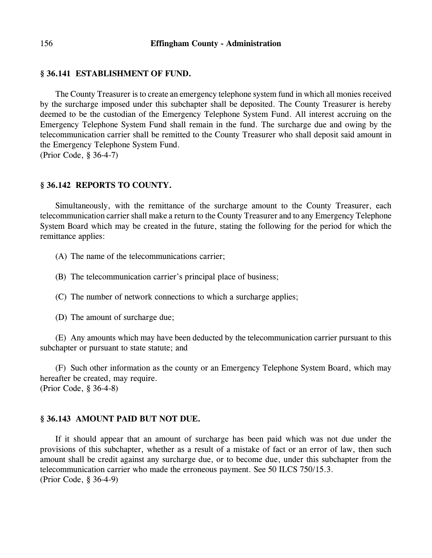#### **§ 36.141 ESTABLISHMENT OF FUND.**

The County Treasurer is to create an emergency telephone system fund in which all monies received by the surcharge imposed under this subchapter shall be deposited. The County Treasurer is hereby deemed to be the custodian of the Emergency Telephone System Fund. All interest accruing on the Emergency Telephone System Fund shall remain in the fund. The surcharge due and owing by the telecommunication carrier shall be remitted to the County Treasurer who shall deposit said amount in the Emergency Telephone System Fund.

(Prior Code, § 36-4-7)

### **§ 36.142 REPORTS TO COUNTY.**

Simultaneously, with the remittance of the surcharge amount to the County Treasurer, each telecommunication carrier shall make a return to the County Treasurer and to any Emergency Telephone System Board which may be created in the future, stating the following for the period for which the remittance applies:

(A) The name of the telecommunications carrier;

(B) The telecommunication carrier's principal place of business;

(C) The number of network connections to which a surcharge applies;

(D) The amount of surcharge due;

(E) Any amounts which may have been deducted by the telecommunication carrier pursuant to this subchapter or pursuant to state statute; and

(F) Such other information as the county or an Emergency Telephone System Board, which may hereafter be created, may require. (Prior Code, § 36-4-8)

## **§ 36.143 AMOUNT PAID BUT NOT DUE.**

If it should appear that an amount of surcharge has been paid which was not due under the provisions of this subchapter, whether as a result of a mistake of fact or an error of law, then such amount shall be credit against any surcharge due, or to become due, under this subchapter from the telecommunication carrier who made the erroneous payment. See 50 ILCS 750/15.3. (Prior Code, § 36-4-9)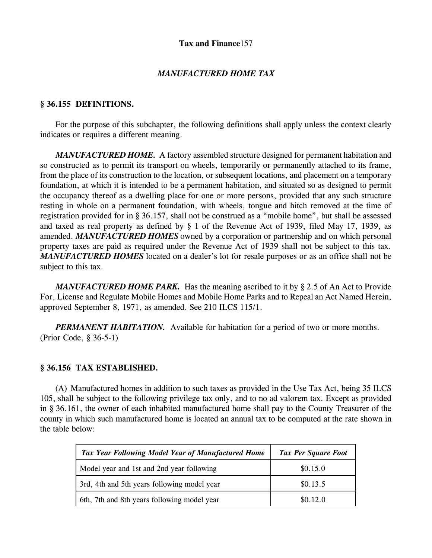# *MANUFACTURED HOME TAX*

## **§ 36.155 DEFINITIONS.**

For the purpose of this subchapter, the following definitions shall apply unless the context clearly indicates or requires a different meaning.

*MANUFACTURED HOME.* A factory assembled structure designed for permanent habitation and so constructed as to permit its transport on wheels, temporarily or permanently attached to its frame, from the place of its construction to the location, or subsequent locations, and placement on a temporary foundation, at which it is intended to be a permanent habitation, and situated so as designed to permit the occupancy thereof as a dwelling place for one or more persons, provided that any such structure resting in whole on a permanent foundation, with wheels, tongue and hitch removed at the time of registration provided for in § 36.157, shall not be construed as a "mobile home", but shall be assessed and taxed as real property as defined by § 1 of the Revenue Act of 1939, filed May 17, 1939, as amended. *MANUFACTURED HOMES* owned by a corporation or partnership and on which personal property taxes are paid as required under the Revenue Act of 1939 shall not be subject to this tax. *MANUFACTURED HOMES* located on a dealer's lot for resale purposes or as an office shall not be subject to this tax.

*MANUFACTURED HOME PARK.* Has the meaning ascribed to it by § 2.5 of An Act to Provide For, License and Regulate Mobile Homes and Mobile Home Parks and to Repeal an Act Named Herein, approved September 8, 1971, as amended. See 210 ILCS 115/1.

*PERMANENT HABITATION.* Available for habitation for a period of two or more months. (Prior Code, § 36-5-1)

# **§ 36.156 TAX ESTABLISHED.**

(A) Manufactured homes in addition to such taxes as provided in the Use Tax Act, being 35 ILCS 105, shall be subject to the following privilege tax only, and to no ad valorem tax. Except as provided in § 36.161, the owner of each inhabited manufactured home shall pay to the County Treasurer of the county in which such manufactured home is located an annual tax to be computed at the rate shown in the table below:

| <b>Tax Year Following Model Year of Manufactured Home</b> | <b>Tax Per Square Foot</b> |
|-----------------------------------------------------------|----------------------------|
| Model year and 1st and 2nd year following                 | \$0.15.0                   |
| 3rd, 4th and 5th years following model year               | \$0.13.5                   |
| 6th, 7th and 8th years following model year               | \$0.12.0                   |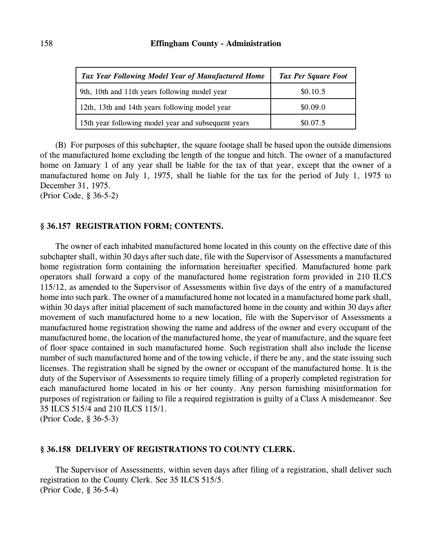| <b>Tax Year Following Model Year of Manufactured Home</b> | <b>Tax Per Square Foot</b> |
|-----------------------------------------------------------|----------------------------|
| 9th, 10th and 11th years following model year             | \$0.10.5                   |
| 12th, 13th and 14th years following model year            | \$0.09.0                   |
| 15th year following model year and subsequent years       | \$0.07.5                   |

(B) For purposes of this subchapter, the square footage shall be based upon the outside dimensions of the manufactured home excluding the length of the tongue and hitch. The owner of a manufactured home on January 1 of any year shall be liable for the tax of that year, except that the owner of a manufactured home on July 1, 1975, shall be liable for the tax for the period of July 1, 1975 to December 31, 1975.

(Prior Code, § 36-5-2)

### **§ 36.157 REGISTRATION FORM; CONTENTS.**

The owner of each inhabited manufactured home located in this county on the effective date of this subchapter shall, within 30 days after such date, file with the Supervisor of Assessments a manufactured home registration form containing the information hereinafter specified. Manufactured home park operators shall forward a copy of the manufactured home registration form provided in 210 ILCS 115/12, as amended to the Supervisor of Assessments within five days of the entry of a manufactured home into such park. The owner of a manufactured home not located in a manufactured home park shall, within 30 days after initial placement of such manufactured home in the county and within 30 days after movement of such manufactured home to a new location, file with the Supervisor of Assessments a manufactured home registration showing the name and address of the owner and every occupant of the manufactured home, the location of the manufactured home, the year of manufacture, and the square feet of floor space contained in such manufactured home. Such registration shall also include the license number of such manufactured home and of the towing vehicle, if there be any, and the state issuing such licenses. The registration shall be signed by the owner or occupant of the manufactured home. It is the duty of the Supervisor of Assessments to require timely filling of a properly completed registration for each manufactured home located in his or her county. Any person furnishing misinformation for purposes of registration or failing to file a required registration is guilty of a Class A misdemeanor. See 35 ILCS 515/4 and 210 ILCS 115/1. (Prior Code, § 36-5-3)

# **§ 36.158 DELIVERY OF REGISTRATIONS TO COUNTY CLERK.**

The Supervisor of Assessments, within seven days after filing of a registration, shall deliver such registration to the County Clerk. See 35 ILCS 515/5. (Prior Code, § 36-5-4)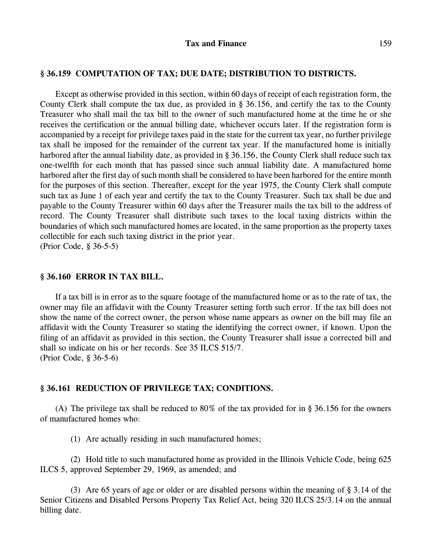## **§ 36.159 COMPUTATION OF TAX; DUE DATE; DISTRIBUTION TO DISTRICTS.**

Except as otherwise provided in this section, within 60 days of receipt of each registration form, the County Clerk shall compute the tax due, as provided in § 36.156, and certify the tax to the County Treasurer who shall mail the tax bill to the owner of such manufactured home at the time he or she receives the certification or the annual billing date, whichever occurs later. If the registration form is accompanied by a receipt for privilege taxes paid in the state for the current tax year, no further privilege tax shall be imposed for the remainder of the current tax year. If the manufactured home is initially harbored after the annual liability date, as provided in § 36.156, the County Clerk shall reduce such tax one-twelfth for each month that has passed since such annual liability date. A manufactured home harbored after the first day of such month shall be considered to have been harbored for the entire month for the purposes of this section. Thereafter, except for the year 1975, the County Clerk shall compute such tax as June 1 of each year and certify the tax to the County Treasurer. Such tax shall be due and payable to the County Treasurer within 60 days after the Treasurer mails the tax bill to the address of record. The County Treasurer shall distribute such taxes to the local taxing districts within the boundaries of which such manufactured homes are located, in the same proportion as the property taxes collectible for each such taxing district in the prior year. (Prior Code, § 36-5-5)

### **§ 36.160 ERROR IN TAX BILL.**

If a tax bill is in error as to the square footage of the manufactured home or as to the rate of tax, the owner may file an affidavit with the County Treasurer setting forth such error. If the tax bill does not show the name of the correct owner, the person whose name appears as owner on the bill may file an affidavit with the County Treasurer so stating the identifying the correct owner, if known. Upon the filing of an affidavit as provided in this section, the County Treasurer shall issue a corrected bill and shall so indicate on his or her records. See 35 ILCS 515/7. (Prior Code, § 36-5-6)

## **§ 36.161 REDUCTION OF PRIVILEGE TAX; CONDITIONS.**

(A) The privilege tax shall be reduced to 80% of the tax provided for in § 36.156 for the owners of manufactured homes who:

(1) Are actually residing in such manufactured homes;

(2) Hold title to such manufactured home as provided in the Illinois Vehicle Code, being 625 ILCS 5, approved September 29, 1969, as amended; and

(3) Are 65 years of age or older or are disabled persons within the meaning of § 3.14 of the Senior Citizens and Disabled Persons Property Tax Relief Act, being 320 ILCS 25/3.14 on the annual billing date.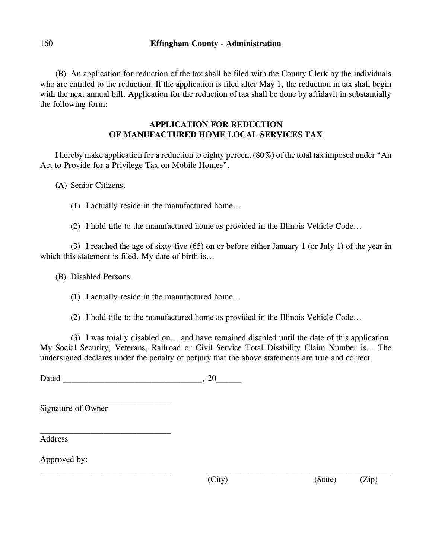(B) An application for reduction of the tax shall be filed with the County Clerk by the individuals who are entitled to the reduction. If the application is filed after May 1, the reduction in tax shall begin with the next annual bill. Application for the reduction of tax shall be done by affidavit in substantially the following form:

# **APPLICATION FOR REDUCTION OF MANUFACTURED HOME LOCAL SERVICES TAX**

I hereby make application for a reduction to eighty percent (80%) of the total tax imposed under "An Act to Provide for a Privilege Tax on Mobile Homes".

(A) Senior Citizens.

- (1) I actually reside in the manufactured home...
- (2) I hold title to the manufactured home as provided in the Illinois Vehicle Code...

(3) I reached the age of sixty-five (65) on or before either January 1 (or July 1) of the year in which this statement is filed. My date of birth is...

(B) Disabled Persons.

- (1) I actually reside in the manufactured home...
- (2) I hold title to the manufactured home as provided in the Illinois Vehicle Code...

(3) I was totally disabled on... and have remained disabled until the date of this application. My Social Security, Veterans, Railroad or Civil Service Total Disability Claim Number is... The undersigned declares under the penalty of perjury that the above statements are true and correct.

 $\emph{Dated}$  , 20

Signature of Owner

 $\overline{\phantom{a}}$  , where  $\overline{\phantom{a}}$  , where  $\overline{\phantom{a}}$  ,  $\overline{\phantom{a}}$  ,  $\overline{\phantom{a}}$  ,  $\overline{\phantom{a}}$  ,  $\overline{\phantom{a}}$  ,  $\overline{\phantom{a}}$  ,  $\overline{\phantom{a}}$  ,  $\overline{\phantom{a}}$  ,  $\overline{\phantom{a}}$  ,  $\overline{\phantom{a}}$  ,  $\overline{\phantom{a}}$  ,  $\overline{\phantom{a}}$  ,  $\overline{\phantom{a}}$  ,

 $\overline{\phantom{a}}$  , where  $\overline{\phantom{a}}$  , where  $\overline{\phantom{a}}$  ,  $\overline{\phantom{a}}$  ,  $\overline{\phantom{a}}$  ,  $\overline{\phantom{a}}$  ,  $\overline{\phantom{a}}$  ,  $\overline{\phantom{a}}$  ,  $\overline{\phantom{a}}$  ,  $\overline{\phantom{a}}$  ,  $\overline{\phantom{a}}$  ,  $\overline{\phantom{a}}$  ,  $\overline{\phantom{a}}$  ,  $\overline{\phantom{a}}$  ,  $\overline{\phantom{a}}$  ,

Address

Approved by:

 $\_$  , and the contribution of the contribution of  $\_$  . The contribution of the contribution of  $\mathcal{L}$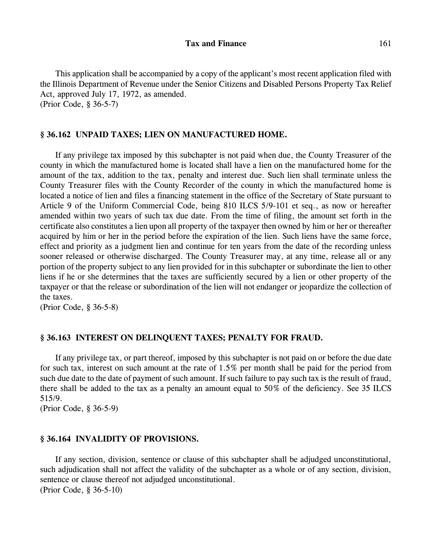### **Tax and Finance** 161

This application shall be accompanied by a copy of the applicant's most recent application filed with the Illinois Department of Revenue under the Senior Citizens and Disabled Persons Property Tax Relief Act, approved July 17, 1972, as amended. (Prior Code, § 36-5-7)

### **§ 36.162 UNPAID TAXES; LIEN ON MANUFACTURED HOME.**

If any privilege tax imposed by this subchapter is not paid when due, the County Treasurer of the county in which the manufactured home is located shall have a lien on the manufactured home for the amount of the tax, addition to the tax, penalty and interest due. Such lien shall terminate unless the County Treasurer files with the County Recorder of the county in which the manufactured home is located a notice of lien and files a financing statement in the office of the Secretary of State pursuant to Article 9 of the Uniform Commercial Code, being 810 ILCS 5/9-101 et seq., as now or hereafter amended within two years of such tax due date. From the time of filing, the amount set forth in the certificate also constitutes a lien upon all property of the taxpayer then owned by him or her or thereafter acquired by him or her in the period before the expiration of the lien. Such liens have the same force, effect and priority as a judgment lien and continue for ten years from the date of the recording unless sooner released or otherwise discharged. The County Treasurer may, at any time, release all or any portion of the property subject to any lien provided for in this subchapter or subordinate the lien to other liens if he or she determines that the taxes are sufficiently secured by a lien or other property of the taxpayer or that the release or subordination of the lien will not endanger or jeopardize the collection of the taxes.

(Prior Code, § 36-5-8)

## **§ 36.163 INTEREST ON DELINQUENT TAXES; PENALTY FOR FRAUD.**

If any privilege tax, or part thereof, imposed by this subchapter is not paid on or before the due date for such tax, interest on such amount at the rate of 1.5% per month shall be paid for the period from such due date to the date of payment of such amount. If such failure to pay such tax is the result of fraud, there shall be added to the tax as a penalty an amount equal to 50% of the deficiency. See 35 ILCS 515/9.

(Prior Code, § 36-5-9)

#### **§ 36.164 INVALIDITY OF PROVISIONS.**

If any section, division, sentence or clause of this subchapter shall be adjudged unconstitutional, such adjudication shall not affect the validity of the subchapter as a whole or of any section, division, sentence or clause thereof not adjudged unconstitutional. (Prior Code, § 36-5-10)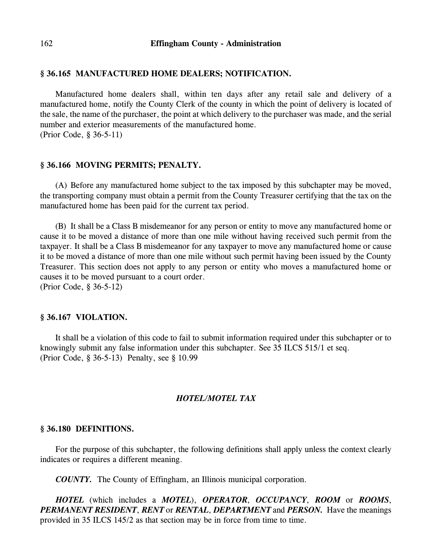## **§ 36.165 MANUFACTURED HOME DEALERS; NOTIFICATION.**

Manufactured home dealers shall, within ten days after any retail sale and delivery of a manufactured home, notify the County Clerk of the county in which the point of delivery is located of the sale, the name of the purchaser, the point at which delivery to the purchaser was made, and the serial number and exterior measurements of the manufactured home. (Prior Code, § 36-5-11)

#### **§ 36.166 MOVING PERMITS; PENALTY.**

(A) Before any manufactured home subject to the tax imposed by this subchapter may be moved, the transporting company must obtain a permit from the County Treasurer certifying that the tax on the manufactured home has been paid for the current tax period.

(B) It shall be a Class B misdemeanor for any person or entity to move any manufactured home or cause it to be moved a distance of more than one mile without having received such permit from the taxpayer. It shall be a Class B misdemeanor for any taxpayer to move any manufactured home or cause it to be moved a distance of more than one mile without such permit having been issued by the County Treasurer. This section does not apply to any person or entity who moves a manufactured home or causes it to be moved pursuant to a court order. (Prior Code, § 36-5-12)

### **§ 36.167 VIOLATION.**

It shall be a violation of this code to fail to submit information required under this subchapter or to knowingly submit any false information under this subchapter. See 35 ILCS 515/1 et seq. (Prior Code, § 36-5-13) Penalty, see § 10.99

#### *HOTEL/MOTEL TAX*

#### **§ 36.180 DEFINITIONS.**

For the purpose of this subchapter, the following definitions shall apply unless the context clearly indicates or requires a different meaning.

*COUNTY.* The County of Effingham, an Illinois municipal corporation.

*HOTEL* (which includes a *MOTEL*), *OPERATOR*, *OCCUPANCY*, *ROOM* or *ROOMS*, *PERMANENT RESIDENT*, *RENT* or *RENTAL*, *DEPARTMENT* and *PERSON.* Have the meanings provided in 35 ILCS 145/2 as that section may be in force from time to time.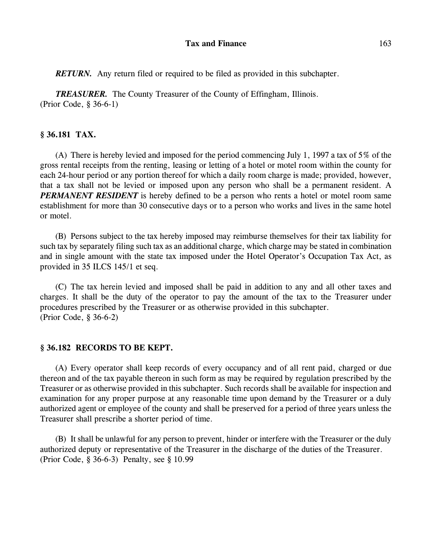### **Tax and Finance** 163

*RETURN.* Any return filed or required to be filed as provided in this subchapter.

*TREASURER.* The County Treasurer of the County of Effingham, Illinois. (Prior Code, § 36-6-1)

### **§ 36.181 TAX.**

(A) There is hereby levied and imposed for the period commencing July 1, 1997 a tax of 5% of the gross rental receipts from the renting, leasing or letting of a hotel or motel room within the county for each 24-hour period or any portion thereof for which a daily room charge is made; provided, however, that a tax shall not be levied or imposed upon any person who shall be a permanent resident. A **PERMANENT RESIDENT** is hereby defined to be a person who rents a hotel or motel room same establishment for more than 30 consecutive days or to a person who works and lives in the same hotel or motel.

(B) Persons subject to the tax hereby imposed may reimburse themselves for their tax liability for such tax by separately filing such tax as an additional charge, which charge may be stated in combination and in single amount with the state tax imposed under the Hotel Operator's Occupation Tax Act, as provided in 35 ILCS 145/1 et seq.

(C) The tax herein levied and imposed shall be paid in addition to any and all other taxes and charges. It shall be the duty of the operator to pay the amount of the tax to the Treasurer under procedures prescribed by the Treasurer or as otherwise provided in this subchapter. (Prior Code, § 36-6-2)

### **§ 36.182 RECORDS TO BE KEPT.**

(A) Every operator shall keep records of every occupancy and of all rent paid, charged or due thereon and of the tax payable thereon in such form as may be required by regulation prescribed by the Treasurer or as otherwise provided in this subchapter. Such records shall be available for inspection and examination for any proper purpose at any reasonable time upon demand by the Treasurer or a duly authorized agent or employee of the county and shall be preserved for a period of three years unless the Treasurer shall prescribe a shorter period of time.

(B) It shall be unlawful for any person to prevent, hinder or interfere with the Treasurer or the duly authorized deputy or representative of the Treasurer in the discharge of the duties of the Treasurer. (Prior Code, § 36-6-3) Penalty, see § 10.99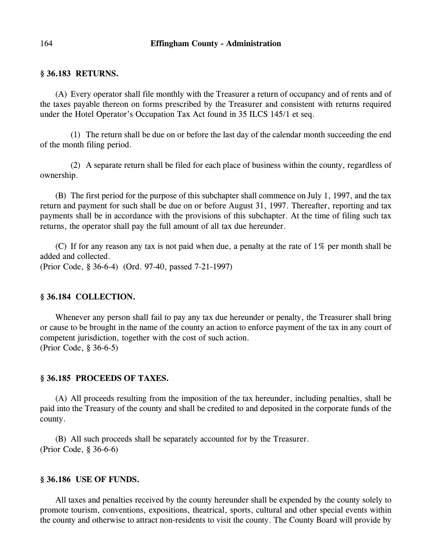## **§ 36.183 RETURNS.**

(A) Every operator shall file monthly with the Treasurer a return of occupancy and of rents and of the taxes payable thereon on forms prescribed by the Treasurer and consistent with returns required under the Hotel Operator's Occupation Tax Act found in 35 ILCS 145/1 et seq.

(1) The return shall be due on or before the last day of the calendar month succeeding the end of the month filing period.

(2) A separate return shall be filed for each place of business within the county, regardless of ownership.

(B) The first period for the purpose of this subchapter shall commence on July 1, 1997, and the tax return and payment for such shall be due on or before August 31, 1997. Thereafter, reporting and tax payments shall be in accordance with the provisions of this subchapter. At the time of filing such tax returns, the operator shall pay the full amount of all tax due hereunder.

(C) If for any reason any tax is not paid when due, a penalty at the rate of 1% per month shall be added and collected. (Prior Code, § 36-6-4) (Ord. 97-40, passed 7-21-1997)

# **§ 36.184 COLLECTION.**

Whenever any person shall fail to pay any tax due hereunder or penalty, the Treasurer shall bring or cause to be brought in the name of the county an action to enforce payment of the tax in any court of competent jurisdiction, together with the cost of such action. (Prior Code, § 36-6-5)

## **§ 36.185 PROCEEDS OF TAXES.**

(A) All proceeds resulting from the imposition of the tax hereunder, including penalties, shall be paid into the Treasury of the county and shall be credited to and deposited in the corporate funds of the county.

(B) All such proceeds shall be separately accounted for by the Treasurer. (Prior Code, § 36-6-6)

## **§ 36.186 USE OF FUNDS.**

All taxes and penalties received by the county hereunder shall be expended by the county solely to promote tourism, conventions, expositions, theatrical, sports, cultural and other special events within the county and otherwise to attract non-residents to visit the county. The County Board will provide by